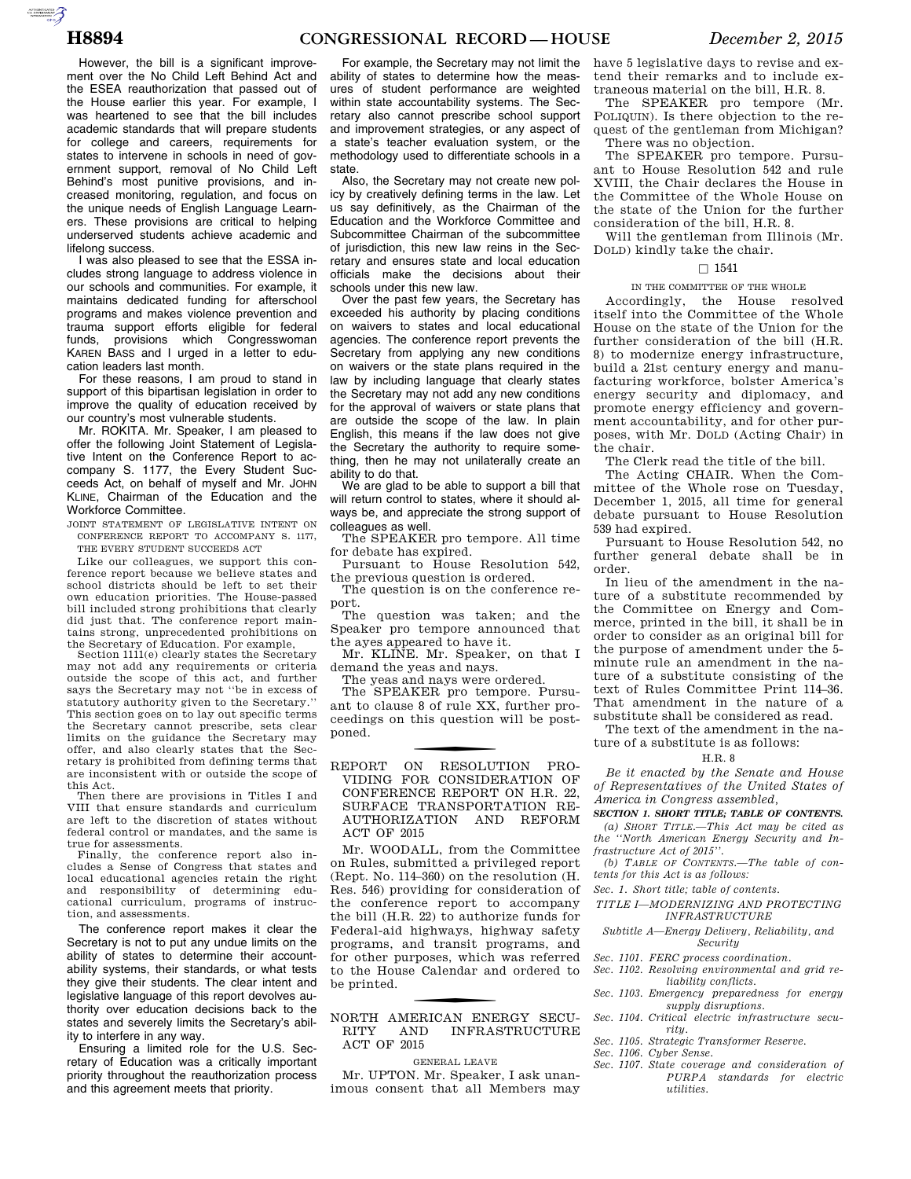However, the bill is a significant improvement over the No Child Left Behind Act and the ESEA reauthorization that passed out of the House earlier this year. For example, I was heartened to see that the bill includes academic standards that will prepare students for college and careers, requirements for states to intervene in schools in need of government support, removal of No Child Left Behind's most punitive provisions, and increased monitoring, regulation, and focus on the unique needs of English Language Learners. These provisions are critical to helping underserved students achieve academic and lifelong success.

I was also pleased to see that the ESSA includes strong language to address violence in our schools and communities. For example, it maintains dedicated funding for afterschool programs and makes violence prevention and trauma support efforts eligible for federal funds, provisions which Congresswoman KAREN BASS and I urged in a letter to education leaders last month.

For these reasons, I am proud to stand in support of this bipartisan legislation in order to improve the quality of education received by our country's most vulnerable students.

Mr. ROKITA. Mr. Speaker, I am pleased to offer the following Joint Statement of Legislative Intent on the Conference Report to accompany S. 1177, the Every Student Succeeds Act, on behalf of myself and Mr. JOHN KLINE, Chairman of the Education and the Workforce Committee.

JOINT STATEMENT OF LEGISLATIVE INTENT ON CONFERENCE REPORT TO ACCOMPANY S. 1177, THE EVERY STUDENT SUCCEEDS ACT

Like our colleagues, we support this conference report because we believe states and school districts should be left to set their own education priorities. The House-passed bill included strong prohibitions that clearly did just that. The conference report maintains strong, unprecedented prohibitions on the Secretary of Education. For example,

Section 1111(e) clearly states the Secretary may not add any requirements or criteria outside the scope of this act, and further says the Secretary may not ''be in excess of statutory authority given to the Secretary.'' This section goes on to lay out specific terms the Secretary cannot prescribe, sets clear limits on the guidance the Secretary may offer, and also clearly states that the Secretary is prohibited from defining terms that are inconsistent with or outside the scope of this Act.

Then there are provisions in Titles I and VIII that ensure standards and curriculum are left to the discretion of states without federal control or mandates, and the same is true for assessments.

Finally, the conference report also includes a Sense of Congress that states and local educational agencies retain the right and responsibility of determining educational curriculum, programs of instruction, and assessments.

The conference report makes it clear the Secretary is not to put any undue limits on the ability of states to determine their accountability systems, their standards, or what tests they give their students. The clear intent and legislative language of this report devolves authority over education decisions back to the states and severely limits the Secretary's ability to interfere in any way.

Ensuring a limited role for the U.S. Secretary of Education was a critically important priority throughout the reauthorization process and this agreement meets that priority.

For example, the Secretary may not limit the ability of states to determine how the measures of student performance are weighted within state accountability systems. The Secretary also cannot prescribe school support and improvement strategies, or any aspect of a state's teacher evaluation system, or the methodology used to differentiate schools in a state.

Also, the Secretary may not create new policy by creatively defining terms in the law. Let us say definitively, as the Chairman of the Education and the Workforce Committee and Subcommittee Chairman of the subcommittee of jurisdiction, this new law reins in the Secretary and ensures state and local education officials make the decisions about their schools under this new law.

Over the past few years, the Secretary has exceeded his authority by placing conditions on waivers to states and local educational agencies. The conference report prevents the Secretary from applying any new conditions on waivers or the state plans required in the law by including language that clearly states the Secretary may not add any new conditions for the approval of waivers or state plans that are outside the scope of the law. In plain English, this means if the law does not give the Secretary the authority to require something, then he may not unilaterally create an ability to do that.

We are glad to be able to support a bill that will return control to states, where it should always be, and appreciate the strong support of colleagues as well.

The SPEAKER pro tempore. All time for debate has expired.

Pursuant to House Resolution 542, the previous question is ordered.

The question is on the conference report.

The question was taken; and the Speaker pro tempore announced that the ayes appeared to have it.

Mr. KLINE. Mr. Speaker, on that I demand the yeas and nays.

The yeas and nays were ordered.

The SPEAKER pro tempore. Pursuant to clause 8 of rule XX, further proceedings on this question will be postponed.

f REPORT ON RESOLUTION PRO-VIDING FOR CONSIDERATION OF CONFERENCE REPORT ON H.R. 22, SURFACE TRANSPORTATION RE-AUTHORIZATION AND REFORM ACT OF 2015

Mr. WOODALL, from the Committee on Rules, submitted a privileged report (Rept. No. 114–360) on the resolution (H. Res. 546) providing for consideration of the conference report to accompany the bill (H.R. 22) to authorize funds for Federal-aid highways, highway safety programs, and transit programs, and for other purposes, which was referred to the House Calendar and ordered to be printed.

### f NORTH AMERICAN ENERGY SECU-RITY AND INFRASTRUCTURE ACT OF 2015

GENERAL LEAVE

Mr. UPTON. Mr. Speaker, I ask unanimous consent that all Members may have 5 legislative days to revise and extend their remarks and to include extraneous material on the bill, H.R. 8.

The SPEAKER pro tempore (Mr. POLIQUIN). Is there objection to the request of the gentleman from Michigan? There was no objection.

The SPEAKER pro tempore. Pursuant to House Resolution 542 and rule XVIII, the Chair declares the House in the Committee of the Whole House on the state of the Union for the further consideration of the bill, H.R. 8.

Will the gentleman from Illinois (Mr. DOLD) kindly take the chair.

### $\Box$  1541

### IN THE COMMITTEE OF THE WHOLE

Accordingly, the House resolved itself into the Committee of the Whole House on the state of the Union for the further consideration of the bill (H.R. 8) to modernize energy infrastructure, build a 21st century energy and manufacturing workforce, bolster America's energy security and diplomacy, and promote energy efficiency and government accountability, and for other purposes, with Mr. DOLD (Acting Chair) in the chair.

The Clerk read the title of the bill.

The Acting CHAIR. When the Committee of the Whole rose on Tuesday, December 1, 2015, all time for general debate pursuant to House Resolution 539 had expired.

Pursuant to House Resolution 542, no further general debate shall be in order.

In lieu of the amendment in the nature of a substitute recommended by the Committee on Energy and Commerce, printed in the bill, it shall be in order to consider as an original bill for the purpose of amendment under the 5 minute rule an amendment in the nature of a substitute consisting of the text of Rules Committee Print 114–36. That amendment in the nature of a substitute shall be considered as read.

The text of the amendment in the nature of a substitute is as follows:

### H.R. 8

### *Be it enacted by the Senate and House of Representatives of the United States of America in Congress assembled,*

*SECTION 1. SHORT TITLE; TABLE OF CONTENTS.* 

*(a) SHORT TITLE.—This Act may be cited as the ''North American Energy Security and Infrastructure Act of 2015''.* 

*(b) TABLE OF CONTENTS.—The table of contents for this Act is as follows:* 

*Sec. 1. Short title; table of contents.* 

*TITLE I—MODERNIZING AND PROTECTING INFRASTRUCTURE* 

### *Subtitle A—Energy Delivery, Reliability, and Security*

- *Sec. 1101. FERC process coordination.*
- *Sec. 1102. Resolving environmental and grid reliability conflicts.*
- *Sec. 1103. Emergency preparedness for energy supply disruptions.*
- *Sec. 1104. Critical electric infrastructure security.*
- *Sec. 1105. Strategic Transformer Reserve.*
- *Sec. 1106. Cyber Sense.*
- *Sec. 1107. State coverage and consideration of PURPA standards for electric utilities.*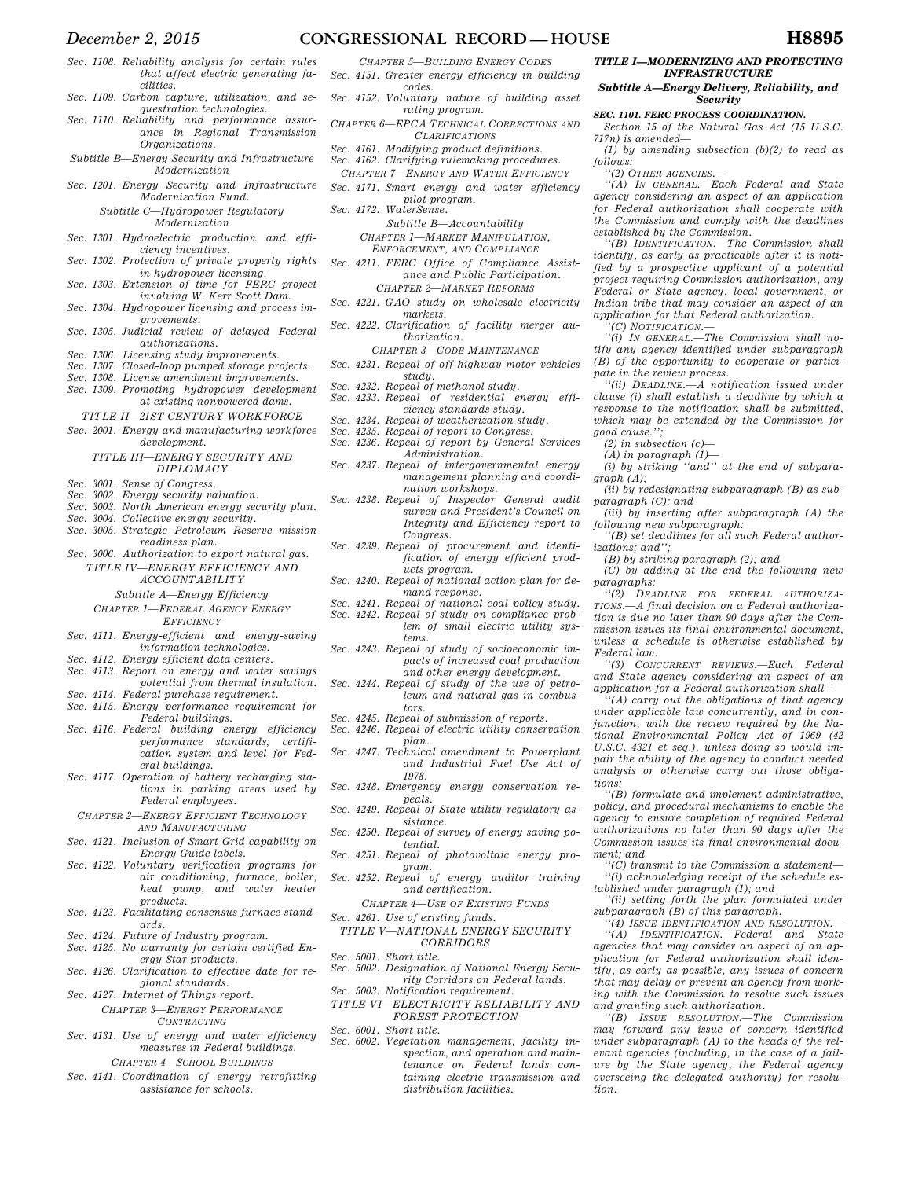- *December 2, 2015* **CONGRESSIONAL RECORD HOUSE H8895**
- *Sec. 1108. Reliability analysis for certain rules that affect electric generating facilities.*
- *Sec. 1109. Carbon capture, utilization, and sequestration technologies.*
- *Sec. 1110. Reliability and performance assurance in Regional Transmission Organizations.*
- *Subtitle B—Energy Security and Infrastructure Modernization*
- *Sec. 1201. Energy Security and Infrastructure Modernization Fund.*

*Subtitle C—Hydropower Regulatory Modernization* 

- *Sec. 1301. Hydroelectric production and efficiency incentives.*
- *Sec. 1302. Protection of private property rights in hydropower licensing.*
- *Sec. 1303. Extension of time for FERC project involving W. Kerr Scott Dam.*
- *Sec. 1304. Hydropower licensing and process im-*
- *provements. Sec. 1305. Judicial review of delayed Federal authorizations.*
- *Sec. 1306. Licensing study improvements.*
- *Sec. 1307. Closed-loop pumped storage projects.*
- *Sec. 1308. License amendment improvements.*
- *Sec. 1309. Promoting hydropower development at existing nonpowered dams.*
- *TITLE II—21ST CENTURY WORKFORCE Sec. 2001. Energy and manufacturing workforce*
- *development. TITLE III—ENERGY SECURITY AND*

## *DIPLOMACY*

- *Sec. 3001. Sense of Congress.*
- *Sec. 3002. Energy security valuation.*
- *Sec. 3003. North American energy security plan.*
- *Sec. 3004. Collective energy security. Sec. 3005. Strategic Petroleum Reserve mission*
- *readiness plan.*
- *Sec. 3006. Authorization to export natural gas. TITLE IV—ENERGY EFFICIENCY AND* 
	- *ACCOUNTABILITY*
	- *Subtitle A—Energy Efficiency*
	- *CHAPTER 1—FEDERAL AGENCY ENERGY EFFICIENCY*
- *Sec. 4111. Energy-efficient and energy-saving information technologies.*
- *Sec. 4112. Energy efficient data centers.*
- *Sec. 4113. Report on energy and water savings potential from thermal insulation.*
- *Sec. 4114. Federal purchase requirement. Sec. 4115. Energy performance requirement for Federal buildings.*
- *Sec. 4116. Federal building energy efficiency performance standards; certification system and level for Federal buildings.*
- *Sec. 4117. Operation of battery recharging stations in parking areas used by Federal employees.*
- *CHAPTER 2—ENERGY EFFICIENT TECHNOLOGY AND MANUFACTURING*
- *Sec. 4121. Inclusion of Smart Grid capability on Energy Guide labels.*
- *Sec. 4122. Voluntary verification programs for air conditioning, furnace, boiler, heat pump, and water heater products.*
- *Sec. 4123. Facilitating consensus furnace standards.*
- *Sec. 4124. Future of Industry program.*
- *Sec. 4125. No warranty for certain certified En-*
- *ergy Star products. Sec. 4126. Clarification to effective date for regional standards.*
- *Sec. 4127. Internet of Things report. CHAPTER 3—ENERGY PERFORMANCE CONTRACTING*
- *Sec. 4131. Use of energy and water efficiency measures in Federal buildings. CHAPTER 4—SCHOOL BUILDINGS*
- *Sec. 4141. Coordination of energy retrofitting assistance for schools.*
- *CHAPTER 5—BUILDING ENERGY CODES Sec. 4151. Greater energy efficiency in building codes.*
- *Sec. 4152. Voluntary nature of building asset rating program.*
- *CHAPTER 6—EPCA TECHNICAL CORRECTIONS AND CLARIFICATIONS*
- *Sec. 4161. Modifying product definitions.*
- *Sec. 4162. Clarifying rulemaking procedures.*
- *CHAPTER 7—ENERGY AND WATER EFFICIENCY Sec. 4171. Smart energy and water efficiency* 
	-
- *pilot program. Sec. 4172. WaterSense.*

*Subtitle B—Accountability CHAPTER 1—MARKET MANIPULATION,* 

- *ENFORCEMENT, AND COMPLIANCE*
- *Sec. 4211. FERC Office of Compliance Assistance and Public Participation. CHAPTER 2—MARKET REFORMS*
- *Sec. 4221. GAO study on wholesale electricity markets.*
- *Sec. 4222. Clarification of facility merger authorization.* 
	- *CHAPTER 3—CODE MAINTENANCE*
- *Sec. 4231. Repeal of off-highway motor vehicles study.*
- *Sec. 4232. Repeal of methanol study. Sec. 4233. Repeal of residential energy effi-*
- *ciency standards study. Sec. 4234. Repeal of weatherization study.* 
	-
- *Sec. 4235. Repeal of report to Congress. Sec. 4236. Repeal of report by General Services Administration.*
- *Sec. 4237. Repeal of intergovernmental energy management planning and coordination workshops.*
- *Sec. 4238. Repeal of Inspector General audit survey and President's Council on Integrity and Efficiency report to Congress.*
- *Sec. 4239. Repeal of procurement and identification of energy efficient products program.*
- *Sec. 4240. Repeal of national action plan for demand response.*
- *Sec. 4241. Repeal of national coal policy study. Sec. 4242. Repeal of study on compliance problem of small electric utility sys-*
- *tems. Sec. 4243. Repeal of study of socioeconomic impacts of increased coal production*
- *and other energy development. Sec. 4244. Repeal of study of the use of petroleum and natural gas in combus-*
- *tors.*
- *Sec. 4245. Repeal of submission of reports.*
- *Sec. 4246. Repeal of electric utility conservation plan. Sec. 4247. Technical amendment to Powerplant*
- *and Industrial Fuel Use Act of 1978.*
- *Sec. 4248. Emergency energy conservation repeals.*
- *Sec. 4249. Repeal of State utility regulatory assistance.*
- *Sec. 4250. Repeal of survey of energy saving potential.*
- *Sec. 4251. Repeal of photovoltaic energy program.*
- *Sec. 4252. Repeal of energy auditor training and certification.*
- *CHAPTER 4—USE OF EXISTING FUNDS Sec. 4261. Use of existing funds.*
- 
- *TITLE V—NATIONAL ENERGY SECURITY CORRIDORS*
- *Sec. 5001. Short title.*
- *Sec. 5002. Designation of National Energy Security Corridors on Federal lands. Sec. 5003. Notification requirement.*
- *TITLE VI—ELECTRICITY RELIABILITY AND*
- *FOREST PROTECTION Sec. 6001. Short title.*
- *Sec. 6002. Vegetation management, facility inspection, and operation and maintenance on Federal lands containing electric transmission and distribution facilities.*

### *TITLE I—MODERNIZING AND PROTECTING INFRASTRUCTURE*

### *Subtitle A—Energy Delivery, Reliability, and Security*

*SEC. 1101. FERC PROCESS COORDINATION.* 

*Section 15 of the Natural Gas Act (15 U.S.C. 717n) is amended—* 

*(1) by amending subsection (b)(2) to read as follows:* 

*''(2) OTHER AGENCIES.—* 

*''(A) IN GENERAL.—Each Federal and State agency considering an aspect of an application for Federal authorization shall cooperate with the Commission and comply with the deadlines established by the Commission.* 

*''(B) IDENTIFICATION.—The Commission shall identify, as early as practicable after it is notified by a prospective applicant of a potential project requiring Commission authorization, any Federal or State agency, local government, or Indian tribe that may consider an aspect of an application for that Federal authorization.* 

- *''(C) NOTIFICATION.—*
- *''(i) IN GENERAL.—The Commission shall notify any agency identified under subparagraph (B) of the opportunity to cooperate or participate in the review process.*
- *''(ii) DEADLINE.—A notification issued under clause (i) shall establish a deadline by which a response to the notification shall be submitted, which may be extended by the Commission for good cause.'';*

*(i) by striking ''and'' at the end of subpara-*

*(ii) by redesignating subparagraph (B) as sub-*

*(iii) by inserting after subparagraph (A) the* 

*''(B) set deadlines for all such Federal author-*

*(C) by adding at the end the following new* 

*''(2) DEADLINE FOR FEDERAL AUTHORIZA-TIONS.—A final decision on a Federal authorization is due no later than 90 days after the Commission issues its final environmental document, unless a schedule is otherwise established by* 

*''(3) CONCURRENT REVIEWS.—Each Federal and State agency considering an aspect of an application for a Federal authorization shall— ''(A) carry out the obligations of that agency under applicable law concurrently, and in conjunction, with the review required by the National Environmental Policy Act of 1969 (42 U.S.C. 4321 et seq.), unless doing so would impair the ability of the agency to conduct needed analysis or otherwise carry out those obliga-*

*''(B) formulate and implement administrative, policy, and procedural mechanisms to enable the agency to ensure completion of required Federal authorizations no later than 90 days after the Commission issues its final environmental docu-*

*''(C) transmit to the Commission a statement— ''(i) acknowledging receipt of the schedule es-*

*''(ii) setting forth the plan formulated under* 

*''(4) ISSUE IDENTIFICATION AND RESOLUTION.— ''(A) IDENTIFICATION.—Federal and State agencies that may consider an aspect of an application for Federal authorization shall identify, as early as possible, any issues of concern that may delay or prevent an agency from working with the Commission to resolve such issues* 

*''(B) ISSUE RESOLUTION.—The Commission may forward any issue of concern identified under subparagraph (A) to the heads of the relevant agencies (including, in the case of a failure by the State agency, the Federal agency overseeing the delegated authority) for resolu-*

*tablished under paragraph (1); and* 

*subparagraph (B) of this paragraph.* 

*and granting such authorization.* 

*(2) in subsection (c)— (A) in paragraph (1)—* 

*paragraph (C); and* 

*izations; and'';* 

*paragraphs:* 

*Federal law.* 

*tions;* 

*ment; and* 

*tion.* 

*following new subparagraph:* 

*(B) by striking paragraph (2); and* 

*graph (A);*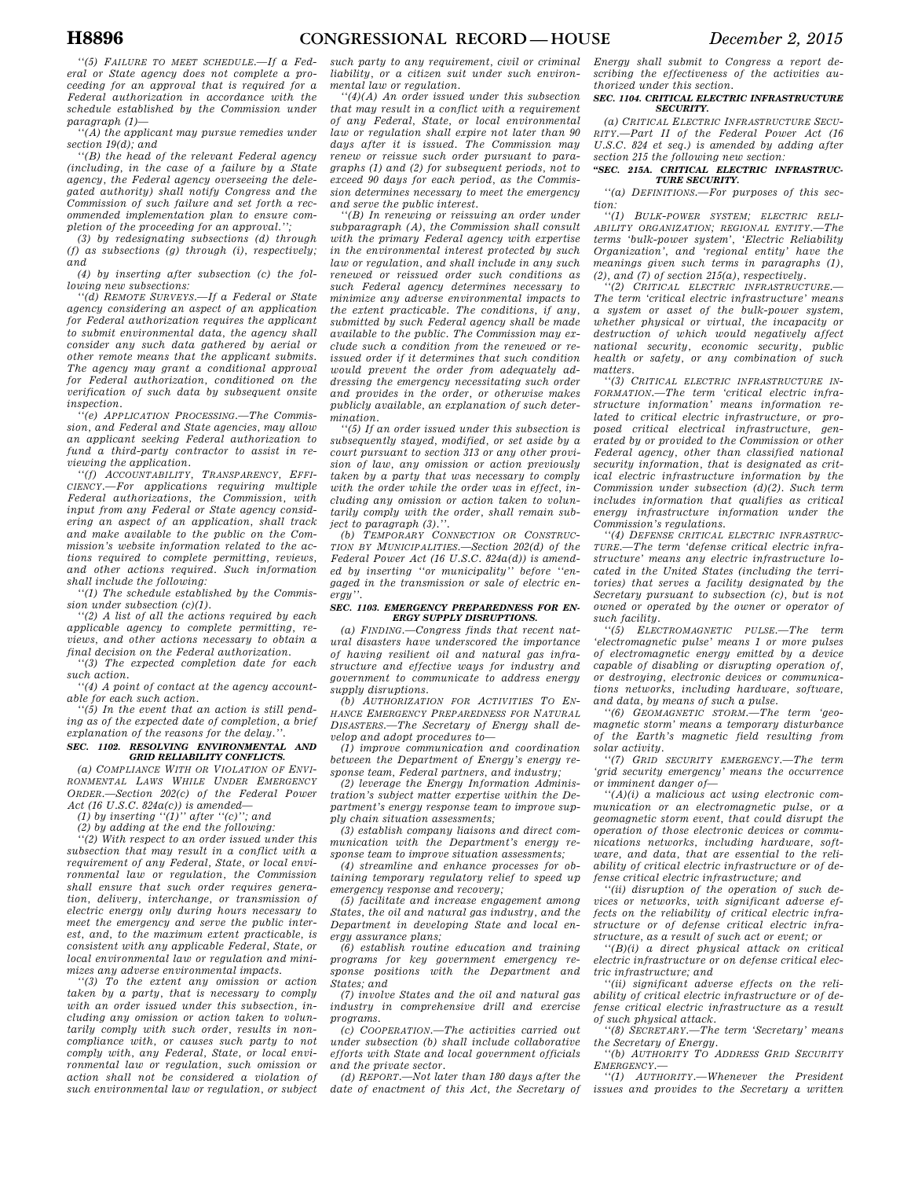*''(5) FAILURE TO MEET SCHEDULE.—If a Federal or State agency does not complete a proceeding for an approval that is required for a Federal authorization in accordance with the schedule established by the Commission under paragraph (1)—* 

*''(A) the applicant may pursue remedies under section 19(d); and* 

*''(B) the head of the relevant Federal agency (including, in the case of a failure by a State agency, the Federal agency overseeing the delegated authority) shall notify Congress and the Commission of such failure and set forth a recommended implementation plan to ensure completion of the proceeding for an approval.'';* 

*(3) by redesignating subsections (d) through (f) as subsections (g) through (i), respectively; and* 

*(4) by inserting after subsection (c) the following new subsections:* 

*''(d) REMOTE SURVEYS.—If a Federal or State agency considering an aspect of an application for Federal authorization requires the applicant to submit environmental data, the agency shall consider any such data gathered by aerial or other remote means that the applicant submits. The agency may grant a conditional approval for Federal authorization, conditioned on the verification of such data by subsequent onsite inspection.* 

*''(e) APPLICATION PROCESSING.—The Commission, and Federal and State agencies, may allow an applicant seeking Federal authorization to fund a third-party contractor to assist in reviewing the application.* 

*''(f) ACCOUNTABILITY, TRANSPARENCY, EFFI-CIENCY.—For applications requiring multiple Federal authorizations, the Commission, with input from any Federal or State agency considering an aspect of an application, shall track and make available to the public on the Commission's website information related to the actions required to complete permitting, reviews, and other actions required. Such information shall include the following:* 

*''(1) The schedule established by the Commission under subsection (c)(1).* 

*''(2) A list of all the actions required by each applicable agency to complete permitting, reviews, and other actions necessary to obtain a final decision on the Federal authorization.* 

*''(3) The expected completion date for each such action.* 

*''(4) A point of contact at the agency accountable for each such action.* 

*''(5) In the event that an action is still pending as of the expected date of completion, a brief*   $exp$ *lanation of the reasons for the delay.* 

#### *SEC. 1102. RESOLVING ENVIRONMENTAL AND GRID RELIABILITY CONFLICTS.*

*(a) COMPLIANCE WITH OR VIOLATION OF ENVI-RONMENTAL LAWS WHILE UNDER EMERGENCY ORDER.—Section 202(c) of the Federal Power Act (16 U.S.C. 824a(c)) is amended—* 

*(1) by inserting ''(1)'' after ''(c)''; and* 

*(2) by adding at the end the following: ''(2) With respect to an order issued under this* 

*subsection that may result in a conflict with a requirement of any Federal, State, or local environmental law or regulation, the Commission shall ensure that such order requires generation, delivery, interchange, or transmission of electric energy only during hours necessary to meet the emergency and serve the public interest, and, to the maximum extent practicable, is consistent with any applicable Federal, State, or local environmental law or regulation and minimizes any adverse environmental impacts.* 

*''(3) To the extent any omission or action taken by a party, that is necessary to comply with an order issued under this subsection, including any omission or action taken to voluntarily comply with such order, results in noncompliance with, or causes such party to not comply with, any Federal, State, or local environmental law or regulation, such omission or action shall not be considered a violation of such environmental law or regulation, or subject*  *such party to any requirement, civil or criminal liability, or a citizen suit under such environmental law or regulation.* 

*''(4)(A) An order issued under this subsection that may result in a conflict with a requirement of any Federal, State, or local environmental law or regulation shall expire not later than 90 days after it is issued. The Commission may renew or reissue such order pursuant to paragraphs (1) and (2) for subsequent periods, not to exceed 90 days for each period, as the Commission determines necessary to meet the emergency and serve the public interest.* 

*''(B) In renewing or reissuing an order under subparagraph (A), the Commission shall consult with the primary Federal agency with expertise in the environmental interest protected by such law or regulation, and shall include in any such renewed or reissued order such conditions as such Federal agency determines necessary to minimize any adverse environmental impacts to the extent practicable. The conditions, if any, submitted by such Federal agency shall be made available to the public. The Commission may exclude such a condition from the renewed or reissued order if it determines that such condition would prevent the order from adequately addressing the emergency necessitating such order and provides in the order, or otherwise makes publicly available, an explanation of such determination.* 

*''(5) If an order issued under this subsection is subsequently stayed, modified, or set aside by a court pursuant to section 313 or any other provision of law, any omission or action previously taken by a party that was necessary to comply with the order while the order was in effect, including any omission or action taken to voluntarily comply with the order, shall remain subject to paragraph (3).''.* 

*(b) TEMPORARY CONNECTION OR CONSTRUC-TION BY MUNICIPALITIES.—Section 202(d) of the Federal Power Act (16 U.S.C. 824a(d)) is amended by inserting ''or municipality'' before ''engaged in the transmission or sale of electric energy''.* 

#### *SEC. 1103. EMERGENCY PREPAREDNESS FOR EN-ERGY SUPPLY DISRUPTIONS.*

*(a) FINDING.—Congress finds that recent natural disasters have underscored the importance of having resilient oil and natural gas infrastructure and effective ways for industry and government to communicate to address energy supply disruptions.* 

*(b) AUTHORIZATION FOR ACTIVITIES TO EN-HANCE EMERGENCY PREPAREDNESS FOR NATURAL DISASTERS.—The Secretary of Energy shall develop and adopt procedures to—* 

*(1) improve communication and coordination between the Department of Energy's energy response team, Federal partners, and industry;* 

*(2) leverage the Energy Information Administration's subject matter expertise within the Department's energy response team to improve supply chain situation assessments;* 

*(3) establish company liaisons and direct communication with the Department's energy response team to improve situation assessments;* 

*(4) streamline and enhance processes for obtaining temporary regulatory relief to speed up emergency response and recovery;* 

*(5) facilitate and increase engagement among States, the oil and natural gas industry, and the Department in developing State and local energy assurance plans;* 

*(6) establish routine education and training programs for key government emergency response positions with the Department and States; and* 

*(7) involve States and the oil and natural gas industry in comprehensive drill and exercise programs.* 

*(c) COOPERATION.—The activities carried out under subsection (b) shall include collaborative efforts with State and local government officials and the private sector.* 

*(d) REPORT.—Not later than 180 days after the date of enactment of this Act, the Secretary of*  *Energy shall submit to Congress a report describing the effectiveness of the activities authorized under this section.* 

#### *SEC. 1104. CRITICAL ELECTRIC INFRASTRUCTURE SECURITY.*

*(a) CRITICAL ELECTRIC INFRASTRUCTURE SECU-RITY.—Part II of the Federal Power Act (16 U.S.C. 824 et seq.) is amended by adding after section 215 the following new section:* 

### *''SEC. 215A. CRITICAL ELECTRIC INFRASTRUC-TURE SECURITY.*

*''(a) DEFINITIONS.—For purposes of this section:* 

*''(1) BULK-POWER SYSTEM; ELECTRIC RELI-ABILITY ORGANIZATION; REGIONAL ENTITY.—The terms 'bulk-power system', 'Electric Reliability Organization', and 'regional entity' have the meanings given such terms in paragraphs (1), (2), and (7) of section 215(a), respectively.* 

*''(2) CRITICAL ELECTRIC INFRASTRUCTURE.— The term 'critical electric infrastructure' means a system or asset of the bulk-power system, whether physical or virtual, the incapacity or destruction of which would negatively affect national security, economic security, public health or safety, or any combination of such matters.* 

*''(3) CRITICAL ELECTRIC INFRASTRUCTURE IN-FORMATION.—The term 'critical electric infrastructure information' means information related to critical electric infrastructure, or proposed critical electrical infrastructure, generated by or provided to the Commission or other Federal agency, other than classified national security information, that is designated as critical electric infrastructure information by the Commission under subsection (d)(2). Such term includes information that qualifies as critical energy infrastructure information under the Commission's regulations.* 

*''(4) DEFENSE CRITICAL ELECTRIC INFRASTRUC-TURE.—The term 'defense critical electric infrastructure' means any electric infrastructure located in the United States (including the territories) that serves a facility designated by the Secretary pursuant to subsection (c), but is not owned or operated by the owner or operator of such facility.* 

*''(5) ELECTROMAGNETIC PULSE.—The term 'electromagnetic pulse' means 1 or more pulses of electromagnetic energy emitted by a device capable of disabling or disrupting operation of, or destroying, electronic devices or communications networks, including hardware, software, and data, by means of such a pulse.* 

*''(6) GEOMAGNETIC STORM.—The term 'geomagnetic storm' means a temporary disturbance of the Earth's magnetic field resulting from solar activity.* 

*''(7) GRID SECURITY EMERGENCY.—The term 'grid security emergency' means the occurrence or imminent danger of—* 

*''(A)(i) a malicious act using electronic communication or an electromagnetic pulse, or a geomagnetic storm event, that could disrupt the operation of those electronic devices or communications networks, including hardware, software, and data, that are essential to the reliability of critical electric infrastructure or of defense critical electric infrastructure; and* 

*''(ii) disruption of the operation of such devices or networks, with significant adverse effects on the reliability of critical electric infrastructure or of defense critical electric infrastructure, as a result of such act or event; or* 

*''(B)(i) a direct physical attack on critical electric infrastructure or on defense critical electric infrastructure; and* 

*''(ii) significant adverse effects on the reliability of critical electric infrastructure or of defense critical electric infrastructure as a result of such physical attack.* 

*''(8) SECRETARY.—The term 'Secretary' means the Secretary of Energy.* 

*''(b) AUTHORITY TO ADDRESS GRID SECURITY EMERGENCY.—* 

*''(1) AUTHORITY.—Whenever the President issues and provides to the Secretary a written*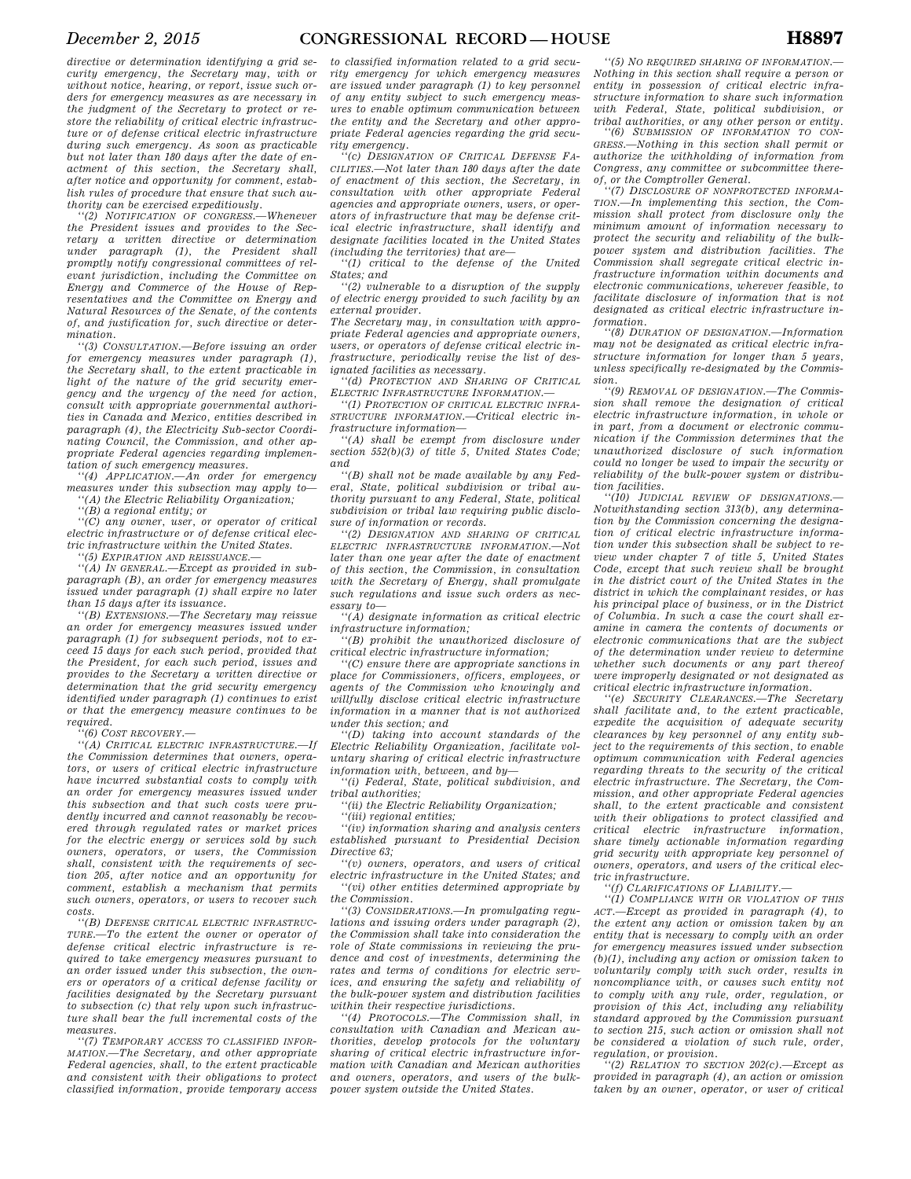*directive or determination identifying a grid security emergency, the Secretary may, with or without notice, hearing, or report, issue such orders for emergency measures as are necessary in the judgment of the Secretary to protect or restore the reliability of critical electric infrastructure or of defense critical electric infrastructure during such emergency. As soon as practicable but not later than 180 days after the date of enactment of this section, the Secretary shall, after notice and opportunity for comment, establish rules of procedure that ensure that such authority can be exercised expeditiously.* 

*''(2) NOTIFICATION OF CONGRESS.—Whenever the President issues and provides to the Secretary a written directive or determination under paragraph (1), the President shall promptly notify congressional committees of relevant jurisdiction, including the Committee on Energy and Commerce of the House of Representatives and the Committee on Energy and Natural Resources of the Senate, of the contents of, and justification for, such directive or determination.* 

*''(3) CONSULTATION.—Before issuing an order for emergency measures under paragraph (1), the Secretary shall, to the extent practicable in light of the nature of the grid security emergency and the urgency of the need for action, consult with appropriate governmental authorities in Canada and Mexico, entities described in paragraph (4), the Electricity Sub-sector Coordinating Council, the Commission, and other appropriate Federal agencies regarding implementation of such emergency measures.* 

*''(4) APPLICATION.—An order for emergency measures under this subsection may apply to— ''(A) the Electric Reliability Organization;* 

*''(B) a regional entity; or* 

*''(C) any owner, user, or operator of critical electric infrastructure or of defense critical electric infrastructure within the United States.* 

*''(5) EXPIRATION AND REISSUANCE.—* 

*''(A) IN GENERAL.—Except as provided in subparagraph (B), an order for emergency measures issued under paragraph (1) shall expire no later than 15 days after its issuance.* 

*''(B) EXTENSIONS.—The Secretary may reissue an order for emergency measures issued under paragraph (1) for subsequent periods, not to exceed 15 days for each such period, provided that the President, for each such period, issues and provides to the Secretary a written directive or determination that the grid security emergency identified under paragraph (1) continues to exist or that the emergency measure continues to be required.* 

*''(6) COST RECOVERY.—* 

*''(A) CRITICAL ELECTRIC INFRASTRUCTURE.—If the Commission determines that owners, operators, or users of critical electric infrastructure have incurred substantial costs to comply with an order for emergency measures issued under this subsection and that such costs were prudently incurred and cannot reasonably be recovered through regulated rates or market prices for the electric energy or services sold by such owners, operators, or users, the Commission shall, consistent with the requirements of section 205, after notice and an opportunity for comment, establish a mechanism that permits such owners, operators, or users to recover such costs.* 

*''(B) DEFENSE CRITICAL ELECTRIC INFRASTRUC-TURE.—To the extent the owner or operator of defense critical electric infrastructure is required to take emergency measures pursuant to an order issued under this subsection, the owners or operators of a critical defense facility or facilities designated by the Secretary pursuant to subsection (c) that rely upon such infrastructure shall bear the full incremental costs of the measures.* 

*''(7) TEMPORARY ACCESS TO CLASSIFIED INFOR-MATION.—The Secretary, and other appropriate Federal agencies, shall, to the extent practicable and consistent with their obligations to protect classified information, provide temporary access* 

*to classified information related to a grid security emergency for which emergency measures are issued under paragraph (1) to key personnel of any entity subject to such emergency measures to enable optimum communication between the entity and the Secretary and other appropriate Federal agencies regarding the grid security emergency.* 

*''(c) DESIGNATION OF CRITICAL DEFENSE FA-CILITIES.—Not later than 180 days after the date of enactment of this section, the Secretary, in consultation with other appropriate Federal agencies and appropriate owners, users, or operators of infrastructure that may be defense critical electric infrastructure, shall identify and designate facilities located in the United States (including the territories) that are—* 

*''(1) critical to the defense of the United States; and* 

*''(2) vulnerable to a disruption of the supply of electric energy provided to such facility by an external provider.* 

*The Secretary may, in consultation with appropriate Federal agencies and appropriate owners, users, or operators of defense critical electric infrastructure, periodically revise the list of designated facilities as necessary.* 

*''(d) PROTECTION AND SHARING OF CRITICAL ELECTRIC INFRASTRUCTURE INFORMATION.—* 

*''(1) PROTECTION OF CRITICAL ELECTRIC INFRA-STRUCTURE INFORMATION.—Critical electric infrastructure information—* 

*''(A) shall be exempt from disclosure under section 552(b)(3) of title 5, United States Code; and* 

*''(B) shall not be made available by any Federal, State, political subdivision or tribal authority pursuant to any Federal, State, political subdivision or tribal law requiring public disclosure of information or records.* 

*''(2) DESIGNATION AND SHARING OF CRITICAL ELECTRIC INFRASTRUCTURE INFORMATION.—Not later than one year after the date of enactment of this section, the Commission, in consultation with the Secretary of Energy, shall promulgate such regulations and issue such orders as necessary to—* 

*''(A) designate information as critical electric infrastructure information;* 

*''(B) prohibit the unauthorized disclosure of critical electric infrastructure information;* 

*''(C) ensure there are appropriate sanctions in place for Commissioners, officers, employees, or agents of the Commission who knowingly and willfully disclose critical electric infrastructure information in a manner that is not authorized under this section; and* 

*''(D) taking into account standards of the Electric Reliability Organization, facilitate voluntary sharing of critical electric infrastructure information with, between, and by—* 

*''(i) Federal, State, political subdivision, and tribal authorities;* 

*''(ii) the Electric Reliability Organization;* 

*''(iii) regional entities;* 

*''(iv) information sharing and analysis centers established pursuant to Presidential Decision Directive 63;* 

*''(v) owners, operators, and users of critical electric infrastructure in the United States; and ''(vi) other entities determined appropriate by the Commission.* 

*''(3) CONSIDERATIONS.—In promulgating regulations and issuing orders under paragraph (2), the Commission shall take into consideration the role of State commissions in reviewing the prudence and cost of investments, determining the rates and terms of conditions for electric services, and ensuring the safety and reliability of the bulk-power system and distribution facilities within their respective jurisdictions.* 

*''(4) PROTOCOLS.—The Commission shall, in consultation with Canadian and Mexican authorities, develop protocols for the voluntary sharing of critical electric infrastructure information with Canadian and Mexican authorities and owners, operators, and users of the bulkpower system outside the United States.* 

*''(5) NO REQUIRED SHARING OF INFORMATION.— Nothing in this section shall require a person or entity in possession of critical electric infrastructure information to share such information with Federal, State, political subdivision, or tribal authorities, or any other person or entity.* 

*''(6) SUBMISSION OF INFORMATION TO CON-GRESS.—Nothing in this section shall permit or authorize the withholding of information from Congress, any committee or subcommittee thereof, or the Comptroller General.* 

*''(7) DISCLOSURE OF NONPROTECTED INFORMA-TION.—In implementing this section, the Commission shall protect from disclosure only the minimum amount of information necessary to protect the security and reliability of the bulkpower system and distribution facilities. The Commission shall segregate critical electric infrastructure information within documents and electronic communications, wherever feasible, to facilitate disclosure of information that is not designated as critical electric infrastructure information.* 

*''(8) DURATION OF DESIGNATION.—Information may not be designated as critical electric infrastructure information for longer than 5 years, unless specifically re-designated by the Commission.* 

*''(9) REMOVAL OF DESIGNATION.—The Commission shall remove the designation of critical electric infrastructure information, in whole or in part, from a document or electronic communication if the Commission determines that the unauthorized disclosure of such information could no longer be used to impair the security or reliability of the bulk-power system or distribution facilities.* 

*''(10) JUDICIAL REVIEW OF DESIGNATIONS.— Notwithstanding section 313(b), any determination by the Commission concerning the designation of critical electric infrastructure information under this subsection shall be subject to review under chapter 7 of title 5, United States Code, except that such review shall be brought in the district court of the United States in the district in which the complainant resides, or has his principal place of business, or in the District of Columbia. In such a case the court shall examine in camera the contents of documents or electronic communications that are the subject of the determination under review to determine whether such documents or any part thereof were improperly designated or not designated as critical electric infrastructure information.* 

*''(e) SECURITY CLEARANCES.—The Secretary shall facilitate and, to the extent practicable, expedite the acquisition of adequate security clearances by key personnel of any entity subject to the requirements of this section, to enable optimum communication with Federal agencies regarding threats to the security of the critical electric infrastructure. The Secretary, the Commission, and other appropriate Federal agencies shall, to the extent practicable and consistent with their obligations to protect classified and critical electric infrastructure information, share timely actionable information regarding grid security with appropriate key personnel of owners, operators, and users of the critical electric infrastructure.* 

*''(f) CLARIFICATIONS OF LIABILITY.—* 

*''(1) COMPLIANCE WITH OR VIOLATION OF THIS ACT.—Except as provided in paragraph (4), to the extent any action or omission taken by an entity that is necessary to comply with an order for emergency measures issued under subsection (b)(1), including any action or omission taken to voluntarily comply with such order, results in noncompliance with, or causes such entity not to comply with any rule, order, regulation, or provision of this Act, including any reliability standard approved by the Commission pursuant to section 215, such action or omission shall not be considered a violation of such rule, order, regulation, or provision.* 

*''(2) RELATION TO SECTION 202(c).—Except as provided in paragraph (4), an action or omission taken by an owner, operator, or user of critical*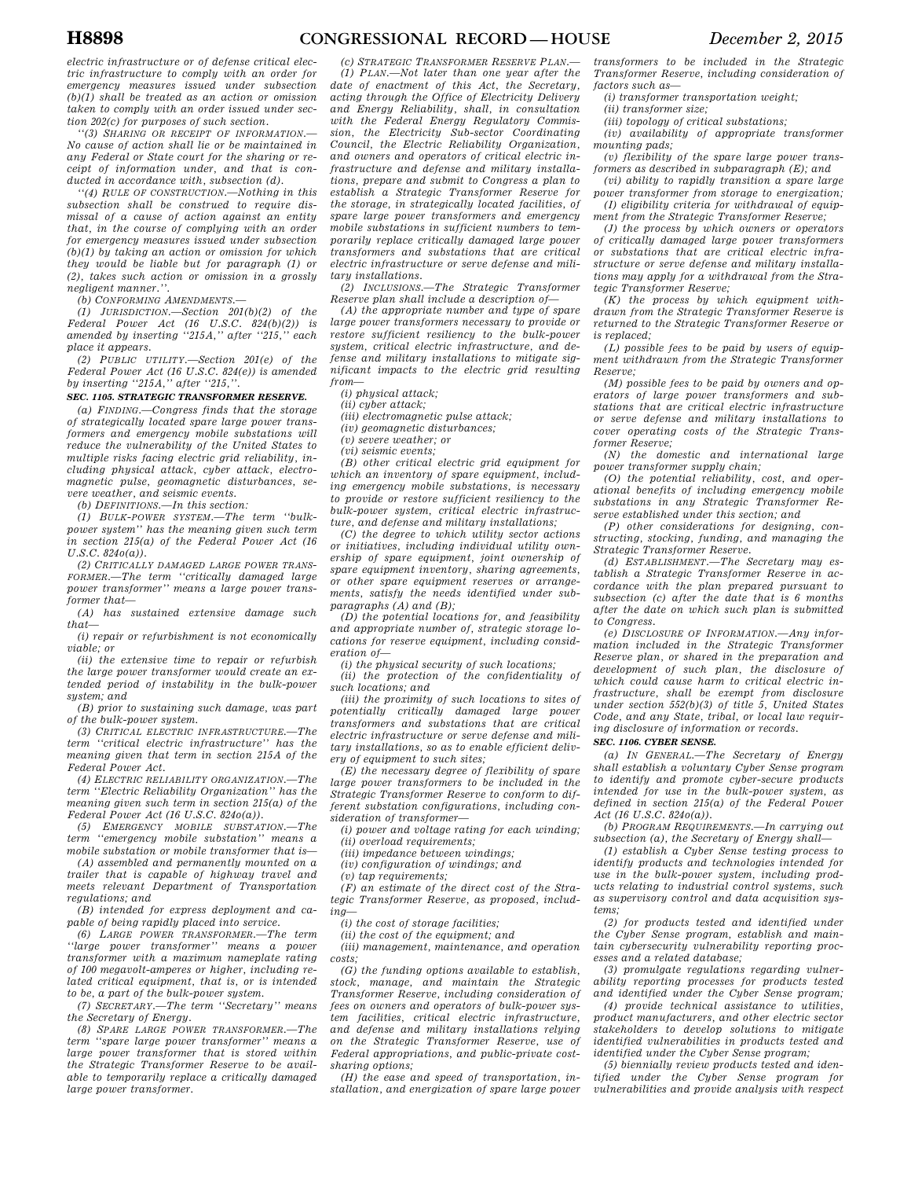*electric infrastructure or of defense critical electric infrastructure to comply with an order for emergency measures issued under subsection (b)(1) shall be treated as an action or omission taken to comply with an order issued under section 202(c) for purposes of such section.* 

*''(3) SHARING OR RECEIPT OF INFORMATION.— No cause of action shall lie or be maintained in any Federal or State court for the sharing or receipt of information under, and that is conducted in accordance with, subsection (d).* 

*''(4) RULE OF CONSTRUCTION.—Nothing in this subsection shall be construed to require dismissal of a cause of action against an entity that, in the course of complying with an order for emergency measures issued under subsection (b)(1) by taking an action or omission for which they would be liable but for paragraph (1) or (2), takes such action or omission in a grossly negligent manner.''.* 

*(b) CONFORMING AMENDMENTS.—* 

*(1) JURISDICTION.—Section 201(b)(2) of the Federal Power Act (16 U.S.C. 824(b)(2)) is amended by inserting ''215A,'' after ''215,'' each place it appears.* 

*(2) PUBLIC UTILITY.—Section 201(e) of the Federal Power Act (16 U.S.C. 824(e)) is amended by inserting ''215A,'' after ''215,''.* 

### *SEC. 1105. STRATEGIC TRANSFORMER RESERVE.*

*(a) FINDING.—Congress finds that the storage of strategically located spare large power transformers and emergency mobile substations will reduce the vulnerability of the United States to multiple risks facing electric grid reliability, including physical attack, cyber attack, electromagnetic pulse, geomagnetic disturbances, severe weather, and seismic events.* 

*(b) DEFINITIONS.—In this section:* 

*(1) BULK-POWER SYSTEM.—The term ''bulkpower system'' has the meaning given such term in section 215(a) of the Federal Power Act (16 U.S.C. 824o(a)).* 

*(2) CRITICALLY DAMAGED LARGE POWER TRANS-FORMER.—The term ''critically damaged large power transformer'' means a large power transformer that—* 

*(A) has sustained extensive damage such that—* 

*(i) repair or refurbishment is not economically viable; or* 

*(ii) the extensive time to repair or refurbish the large power transformer would create an extended period of instability in the bulk-power system; and* 

*(B) prior to sustaining such damage, was part of the bulk-power system.* 

*(3) CRITICAL ELECTRIC INFRASTRUCTURE.—The term ''critical electric infrastructure'' has the meaning given that term in section 215A of the Federal Power Act.* 

*(4) ELECTRIC RELIABILITY ORGANIZATION.—The term ''Electric Reliability Organization'' has the meaning given such term in section 215(a) of the Federal Power Act (16 U.S.C. 824o(a)).* 

*(5) EMERGENCY MOBILE SUBSTATION.—The term ''emergency mobile substation'' means a mobile substation or mobile transformer that is—* 

*(A) assembled and permanently mounted on a trailer that is capable of highway travel and meets relevant Department of Transportation regulations; and* 

*(B) intended for express deployment and capable of being rapidly placed into service.* 

*(6) LARGE POWER TRANSFORMER.—The term ''large power transformer'' means a power transformer with a maximum nameplate rating of 100 megavolt-amperes or higher, including related critical equipment, that is, or is intended to be, a part of the bulk-power system.* 

*(7) SECRETARY.—The term ''Secretary'' means the Secretary of Energy.* 

*(8) SPARE LARGE POWER TRANSFORMER.—The term ''spare large power transformer'' means a large power transformer that is stored within the Strategic Transformer Reserve to be available to temporarily replace a critically damaged large power transformer.* 

*(c) STRATEGIC TRANSFORMER RESERVE PLAN.— (1) PLAN.—Not later than one year after the date of enactment of this Act, the Secretary, acting through the Office of Electricity Delivery and Energy Reliability, shall, in consultation with the Federal Energy Regulatory Commission, the Electricity Sub-sector Coordinating Council, the Electric Reliability Organization, and owners and operators of critical electric infrastructure and defense and military installations, prepare and submit to Congress a plan to establish a Strategic Transformer Reserve for the storage, in strategically located facilities, of spare large power transformers and emergency mobile substations in sufficient numbers to temporarily replace critically damaged large power transformers and substations that are critical electric infrastructure or serve defense and military installations.* 

*(2) INCLUSIONS.—The Strategic Transformer Reserve plan shall include a description of—* 

*(A) the appropriate number and type of spare large power transformers necessary to provide or restore sufficient resiliency to the bulk-power system, critical electric infrastructure, and defense and military installations to mitigate significant impacts to the electric grid resulting from—* 

*(i) physical attack;* 

*(ii) cyber attack;* 

*(iii) electromagnetic pulse attack;* 

*(iv) geomagnetic disturbances;* 

*(v) severe weather; or (vi) seismic events;* 

*(B) other critical electric grid equipment for* 

*which an inventory of spare equipment, including emergency mobile substations, is necessary to provide or restore sufficient resiliency to the bulk-power system, critical electric infrastructure, and defense and military installations;* 

*(C) the degree to which utility sector actions or initiatives, including individual utility ownership of spare equipment, joint ownership of spare equipment inventory, sharing agreements, or other spare equipment reserves or arrangements, satisfy the needs identified under subparagraphs (A) and (B);* 

*(D) the potential locations for, and feasibility and appropriate number of, strategic storage locations for reserve equipment, including consideration of—* 

*(i) the physical security of such locations;* 

*(ii) the protection of the confidentiality of such locations; and* 

*(iii) the proximity of such locations to sites of potentially critically damaged large power transformers and substations that are critical electric infrastructure or serve defense and military installations, so as to enable efficient delivery of equipment to such sites;* 

*(E) the necessary degree of flexibility of spare large power transformers to be included in the Strategic Transformer Reserve to conform to different substation configurations, including consideration of transformer—* 

*(i) power and voltage rating for each winding;* 

*(ii) overload requirements;* 

*(iii) impedance between windings;* 

*(iv) configuration of windings; and* 

*(v) tap requirements;* 

*(F) an estimate of the direct cost of the Strategic Transformer Reserve, as proposed, including—* 

*(i) the cost of storage facilities;* 

*(ii) the cost of the equipment; and* 

*(iii) management, maintenance, and operation costs;* 

*(G) the funding options available to establish, stock, manage, and maintain the Strategic Transformer Reserve, including consideration of fees on owners and operators of bulk-power system facilities, critical electric infrastructure, and defense and military installations relying on the Strategic Transformer Reserve, use of Federal appropriations, and public-private costsharing options;* 

*(H) the ease and speed of transportation, installation, and energization of spare large power* 

*transformers to be included in the Strategic Transformer Reserve, including consideration of factors such as—* 

*(i) transformer transportation weight;* 

*(ii) transformer size;* 

*(iii) topology of critical substations;* 

*(iv) availability of appropriate transformer mounting pads;* 

*(v) flexibility of the spare large power transformers as described in subparagraph (E); and* 

*(vi) ability to rapidly transition a spare large power transformer from storage to energization; (I) eligibility criteria for withdrawal of equip-*

*ment from the Strategic Transformer Reserve; (J) the process by which owners or operators of critically damaged large power transformers or substations that are critical electric infrastructure or serve defense and military installations may apply for a withdrawal from the Strategic Transformer Reserve;* 

*(K) the process by which equipment withdrawn from the Strategic Transformer Reserve is returned to the Strategic Transformer Reserve or is replaced;* 

*(L) possible fees to be paid by users of equipment withdrawn from the Strategic Transformer Reserve;* 

*(M) possible fees to be paid by owners and operators of large power transformers and substations that are critical electric infrastructure or serve defense and military installations to cover operating costs of the Strategic Transformer Reserve;* 

*(N) the domestic and international large power transformer supply chain;* 

*(O) the potential reliability, cost, and operational benefits of including emergency mobile substations in any Strategic Transformer Reserve established under this section; and* 

*(P) other considerations for designing, constructing, stocking, funding, and managing the Strategic Transformer Reserve.* 

*(d) ESTABLISHMENT.—The Secretary may establish a Strategic Transformer Reserve in accordance with the plan prepared pursuant to subsection (c) after the date that is 6 months after the date on which such plan is submitted to Congress.* 

*(e) DISCLOSURE OF INFORMATION.—Any information included in the Strategic Transformer Reserve plan, or shared in the preparation and development of such plan, the disclosure of which could cause harm to critical electric infrastructure, shall be exempt from disclosure under section 552(b)(3) of title 5, United States Code, and any State, tribal, or local law requiring disclosure of information or records.* 

### *SEC. 1106. CYBER SENSE.*

*(a) IN GENERAL.—The Secretary of Energy shall establish a voluntary Cyber Sense program to identify and promote cyber-secure products intended for use in the bulk-power system, as defined in section 215(a) of the Federal Power Act (16 U.S.C. 824o(a)).* 

*(b) PROGRAM REQUIREMENTS.—In carrying out subsection (a), the Secretary of Energy shall—* 

*(1) establish a Cyber Sense testing process to identify products and technologies intended for use in the bulk-power system, including products relating to industrial control systems, such as supervisory control and data acquisition systems;* 

*(2) for products tested and identified under the Cyber Sense program, establish and maintain cybersecurity vulnerability reporting processes and a related database;* 

*(3) promulgate regulations regarding vulnerability reporting processes for products tested and identified under the Cyber Sense program;* 

*(4) provide technical assistance to utilities, product manufacturers, and other electric sector stakeholders to develop solutions to mitigate identified vulnerabilities in products tested and identified under the Cyber Sense program;* 

*(5) biennially review products tested and identified under the Cyber Sense program for vulnerabilities and provide analysis with respect*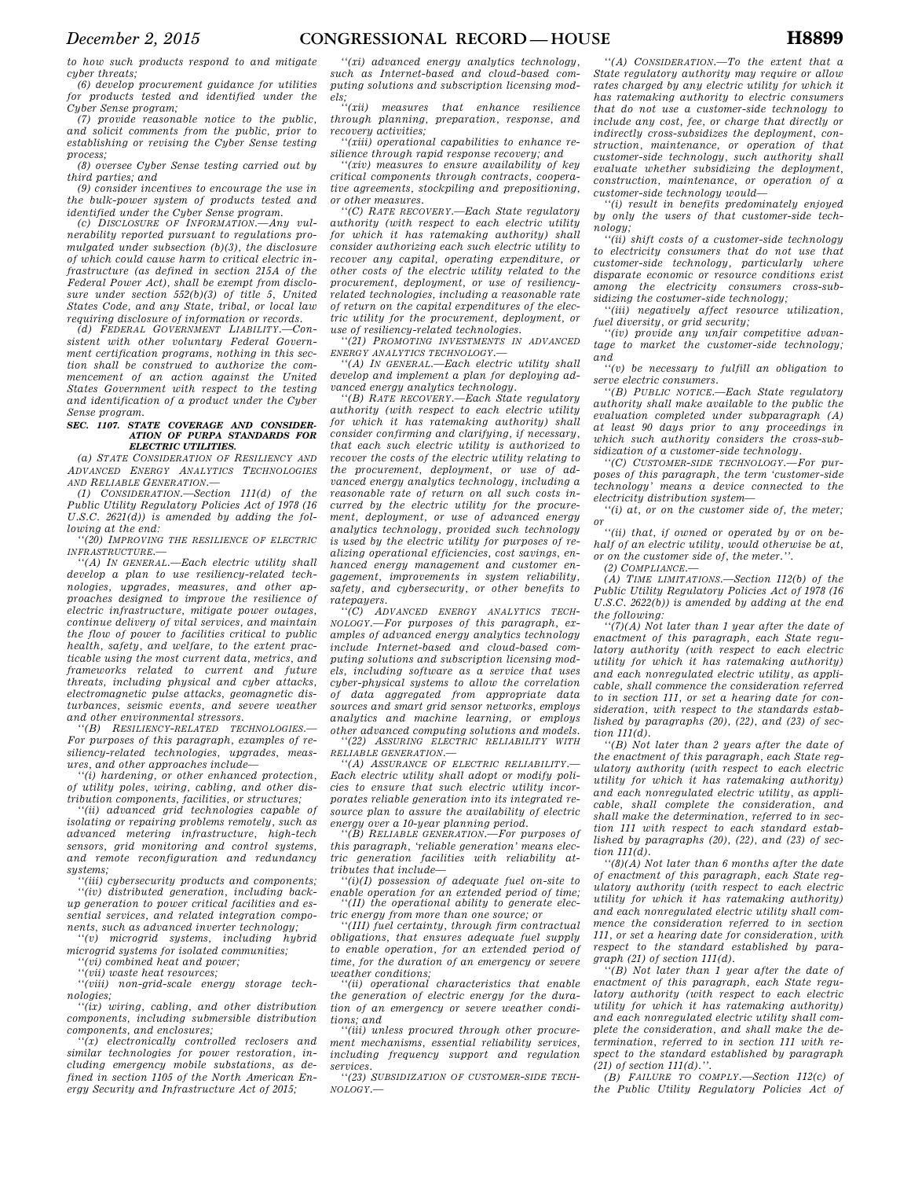*to how such products respond to and mitigate cyber threats;* 

*(6) develop procurement guidance for utilities for products tested and identified under the Cyber Sense program;* 

*(7) provide reasonable notice to the public, and solicit comments from the public, prior to establishing or revising the Cyber Sense testing process;* 

*(8) oversee Cyber Sense testing carried out by third parties; and* 

*(9) consider incentives to encourage the use in the bulk-power system of products tested and identified under the Cyber Sense program.* 

*(c) DISCLOSURE OF INFORMATION.—Any vulnerability reported pursuant to regulations promulgated under subsection (b)(3), the disclosure of which could cause harm to critical electric infrastructure (as defined in section 215A of the Federal Power Act), shall be exempt from disclosure under section 552(b)(3) of title 5, United States Code, and any State, tribal, or local law requiring disclosure of information or records.* 

*(d) FEDERAL GOVERNMENT LIABILITY.—Consistent with other voluntary Federal Government certification programs, nothing in this section shall be construed to authorize the commencement of an action against the United States Government with respect to the testing and identification of a product under the Cyber Sense program.* 

#### *SEC. 1107. STATE COVERAGE AND CONSIDER-ATION OF PURPA STANDARDS FOR ELECTRIC UTILITIES.*

*(a) STATE CONSIDERATION OF RESILIENCY AND ADVANCED ENERGY ANALYTICS TECHNOLOGIES AND RELIABLE GENERATION.—* 

*(1) CONSIDERATION.—Section 111(d) of the Public Utility Regulatory Policies Act of 1978 (16 U.S.C. 2621(d)) is amended by adding the following at the end:* 

*''(20) IMPROVING THE RESILIENCE OF ELECTRIC INFRASTRUCTURE.—* 

*''(A) IN GENERAL.—Each electric utility shall develop a plan to use resiliency-related technologies, upgrades, measures, and other approaches designed to improve the resilience of electric infrastructure, mitigate power outages, continue delivery of vital services, and maintain the flow of power to facilities critical to public health, safety, and welfare, to the extent practicable using the most current data, metrics, and frameworks related to current and future threats, including physical and cyber attacks, electromagnetic pulse attacks, geomagnetic disturbances, seismic events, and severe weather and other environmental stressors.* 

*''(B) RESILIENCY-RELATED TECHNOLOGIES.— For purposes of this paragraph, examples of resiliency-related technologies, upgrades, measures, and other approaches include—* 

*''(i) hardening, or other enhanced protection, of utility poles, wiring, cabling, and other distribution components, facilities, or structures;* 

*''(ii) advanced grid technologies capable of isolating or repairing problems remotely, such as advanced metering infrastructure, high-tech sensors, grid monitoring and control systems, and remote reconfiguration and redundancy systems;* 

*''(iii) cybersecurity products and components; ''(iv) distributed generation, including backup generation to power critical facilities and essential services, and related integration components, such as advanced inverter technology;* 

*''(v) microgrid systems, including hybrid microgrid systems for isolated communities;* 

*''(vi) combined heat and power; ''(vii) waste heat resources;* 

*''(viii) non-grid-scale energy storage technologies;* 

*''(ix) wiring, cabling, and other distribution components, including submersible distribution components, and enclosures;* 

*''(x) electronically controlled reclosers and similar technologies for power restoration, including emergency mobile substations, as defined in section 1105 of the North American Energy Security and Infrastructure Act of 2015;* 

*''(xi) advanced energy analytics technology, such as Internet-based and cloud-based computing solutions and subscription licensing models;* 

*measures that enhance resilience through planning, preparation, response, and recovery activities;* 

*''(xiii) operational capabilities to enhance resilience through rapid response recovery; and* 

*''(xiv) measures to ensure availability of key critical components through contracts, cooperative agreements, stockpiling and prepositioning, or other measures.* 

*''(C) RATE RECOVERY.—Each State regulatory authority (with respect to each electric utility for which it has ratemaking authority) shall consider authorizing each such electric utility to recover any capital, operating expenditure, or other costs of the electric utility related to the procurement, deployment, or use of resiliencyrelated technologies, including a reasonable rate of return on the capital expenditures of the electric utility for the procurement, deployment, or use of resiliency-related technologies.* 

*''(21) PROMOTING INVESTMENTS IN ADVANCED ENERGY ANALYTICS TECHNOLOGY.—* 

*''(A) IN GENERAL.—Each electric utility shall develop and implement a plan for deploying advanced energy analytics technology.* 

*''(B) RATE RECOVERY.—Each State regulatory authority (with respect to each electric utility for which it has ratemaking authority) shall consider confirming and clarifying, if necessary, that each such electric utility is authorized to recover the costs of the electric utility relating to the procurement, deployment, or use of advanced energy analytics technology, including a reasonable rate of return on all such costs incurred by the electric utility for the procurement, deployment, or use of advanced energy analytics technology, provided such technology is used by the electric utility for purposes of realizing operational efficiencies, cost savings, enhanced energy management and customer engagement, improvements in system reliability, safety, and cybersecurity, or other benefits to ratepayers.* 

*''(C) ADVANCED ENERGY ANALYTICS TECH-NOLOGY.—For purposes of this paragraph, examples of advanced energy analytics technology include Internet-based and cloud-based computing solutions and subscription licensing models, including software as a service that uses cyber-physical systems to allow the correlation of data aggregated from appropriate data sources and smart grid sensor networks, employs analytics and machine learning, or employs other advanced computing solutions and models. ''(22) ASSURING ELECTRIC RELIABILITY WITH*

*RELIABLE GENERATION.—* 

*''(A) ASSURANCE OF ELECTRIC RELIABILITY.— Each electric utility shall adopt or modify policies to ensure that such electric utility incorporates reliable generation into its integrated resource plan to assure the availability of electric energy over a 10-year planning period.* 

*''(B) RELIABLE GENERATION.—For purposes of this paragraph, 'reliable generation' means electric generation facilities with reliability attributes that include—* 

*''(i)(I) possession of adequate fuel on-site to enable operation for an extended period of time; ''(II) the operational ability to generate electric energy from more than one source; or* 

*''(III) fuel certainty, through firm contractual obligations, that ensures adequate fuel supply to enable operation, for an extended period of time, for the duration of an emergency or severe weather conditions;* 

*''(ii) operational characteristics that enable the generation of electric energy for the duration of an emergency or severe weather conditions; and* 

*''(iii) unless procured through other procurement mechanisms, essential reliability services, including frequency support and regulation services.* 

*''(23) SUBSIDIZATION OF CUSTOMER-SIDE TECH-NOLOGY.—* 

*''(A) CONSIDERATION.—To the extent that a State regulatory authority may require or allow rates charged by any electric utility for which it has ratemaking authority to electric consumers that do not use a customer-side technology to include any cost, fee, or charge that directly or indirectly cross-subsidizes the deployment, construction, maintenance, or operation of that customer-side technology, such authority shall evaluate whether subsidizing the deployment, construction, maintenance, or operation of a customer-side technology would—* 

*''(i) result in benefits predominately enjoyed by only the users of that customer-side technology;* 

*''(ii) shift costs of a customer-side technology to electricity consumers that do not use that customer-side technology, particularly where disparate economic or resource conditions exist among the electricity consumers cross-subsidizing the costumer-side technology;* 

*''(iii) negatively affect resource utilization, fuel diversity, or grid security;* 

*''(iv) provide any unfair competitive advantage to market the customer-side technology; and* 

*''(v) be necessary to fulfill an obligation to serve electric consumers.* 

*''(B) PUBLIC NOTICE.—Each State regulatory authority shall make available to the public the evaluation completed under subparagraph (A) at least 90 days prior to any proceedings in which such authority considers the cross-subsidization of a customer-side technology.* 

*''(C) CUSTOMER-SIDE TECHNOLOGY.—For purposes of this paragraph, the term 'customer-side technology' means a device connected to the electricity distribution system—* 

*''(i) at, or on the customer side of, the meter; or* 

*''(ii) that, if owned or operated by or on behalf of an electric utility, would otherwise be at, or on the customer side of, the meter.''.* 

*(2) COMPLIANCE.—* 

*(A) TIME LIMITATIONS.—Section 112(b) of the Public Utility Regulatory Policies Act of 1978 (16 U.S.C. 2622(b)) is amended by adding at the end the following:* 

*''(7)(A) Not later than 1 year after the date of enactment of this paragraph, each State regulatory authority (with respect to each electric utility for which it has ratemaking authority) and each nonregulated electric utility, as applicable, shall commence the consideration referred to in section 111, or set a hearing date for consideration, with respect to the standards established by paragraphs (20), (22), and (23) of section 111(d).* 

*''(B) Not later than 2 years after the date of the enactment of this paragraph, each State regulatory authority (with respect to each electric utility for which it has ratemaking authority) and each nonregulated electric utility, as applicable, shall complete the consideration, and shall make the determination, referred to in section 111 with respect to each standard established by paragraphs (20), (22), and (23) of section 111(d).* 

*''(8)(A) Not later than 6 months after the date of enactment of this paragraph, each State regulatory authority (with respect to each electric utility for which it has ratemaking authority) and each nonregulated electric utility shall commence the consideration referred to in section 111, or set a hearing date for consideration, with respect to the standard established by paragraph (21) of section 111(d).* 

*''(B) Not later than 1 year after the date of enactment of this paragraph, each State regulatory authority (with respect to each electric utility for which it has ratemaking authority) and each nonregulated electric utility shall complete the consideration, and shall make the determination, referred to in section 111 with respect to the standard established by paragraph (21) of section 111(d).''.* 

*(B) FAILURE TO COMPLY.—Section 112(c) of the Public Utility Regulatory Policies Act of*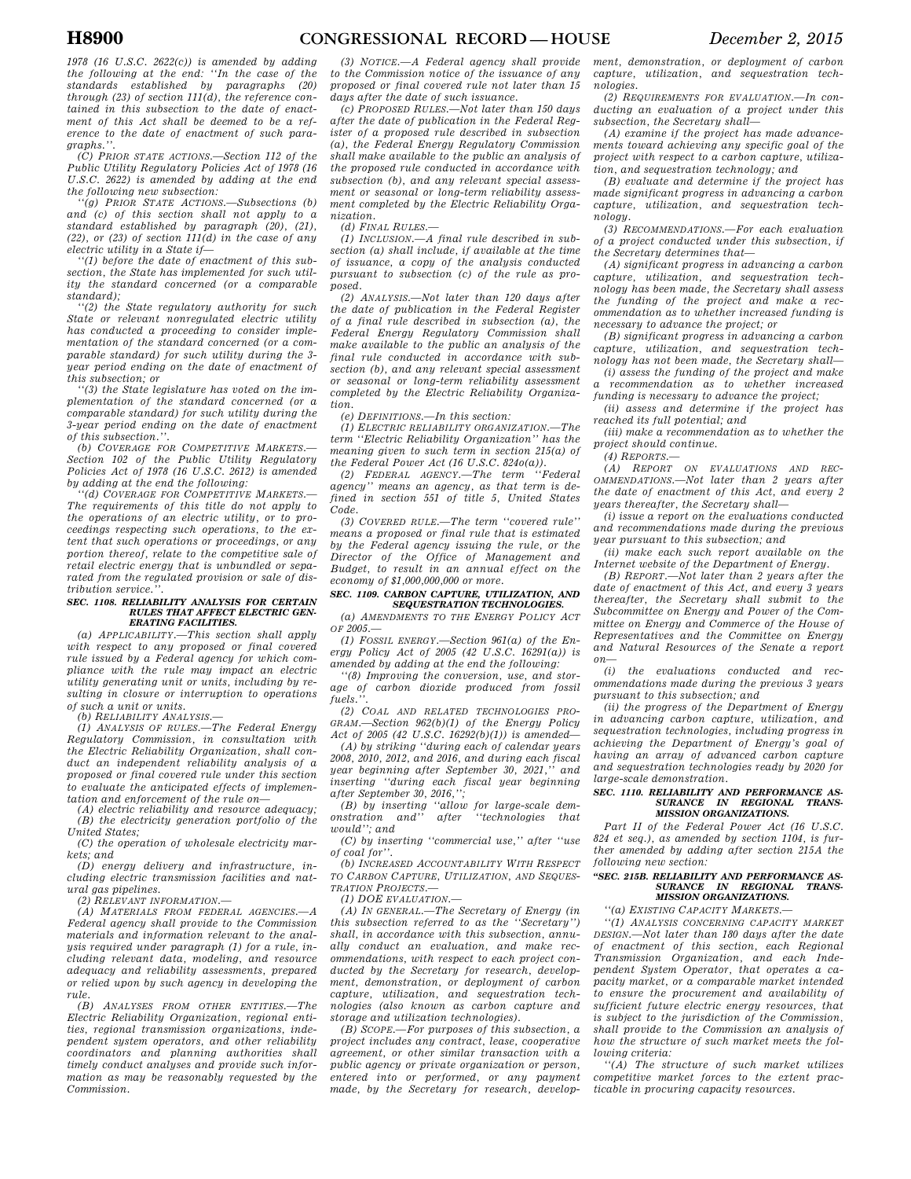*1978 (16 U.S.C. 2622(c)) is amended by adding the following at the end: ''In the case of the standards established by paragraphs (20) through (23) of section 111(d), the reference contained in this subsection to the date of enactment of this Act shall be deemed to be a reference to the date of enactment of such paragraphs.''.* 

*(C) PRIOR STATE ACTIONS.—Section 112 of the Public Utility Regulatory Policies Act of 1978 (16 U.S.C. 2622) is amended by adding at the end the following new subsection:* 

*''(g) PRIOR STATE ACTIONS.—Subsections (b) and (c) of this section shall not apply to a standard established by paragraph (20), (21), (22), or (23) of section 111(d) in the case of any electric utility in a State if—* 

*''(1) before the date of enactment of this subsection, the State has implemented for such utility the standard concerned (or a comparable standard);* 

*''(2) the State regulatory authority for such State or relevant nonregulated electric utility has conducted a proceeding to consider implementation of the standard concerned (or a comparable standard) for such utility during the 3 year period ending on the date of enactment of this subsection; or* 

*''(3) the State legislature has voted on the implementation of the standard concerned (or a comparable standard) for such utility during the 3-year period ending on the date of enactment of this subsection.''.* 

*(b) COVERAGE FOR COMPETITIVE MARKETS.— Section 102 of the Public Utility Regulatory Policies Act of 1978 (16 U.S.C. 2612) is amended by adding at the end the following:* 

*''(d) COVERAGE FOR COMPETITIVE MARKETS.— The requirements of this title do not apply to the operations of an electric utility, or to proceedings respecting such operations, to the extent that such operations or proceedings, or any portion thereof, relate to the competitive sale of retail electric energy that is unbundled or separated from the regulated provision or sale of dis* $tribution$  service.

#### *SEC. 1108. RELIABILITY ANALYSIS FOR CERTAIN RULES THAT AFFECT ELECTRIC GEN-ERATING FACILITIES.*

*(a) APPLICABILITY.—This section shall apply with respect to any proposed or final covered rule issued by a Federal agency for which compliance with the rule may impact an electric utility generating unit or units, including by resulting in closure or interruption to operations of such a unit or units.* 

*(b) RELIABILITY ANALYSIS.—* 

*(1) ANALYSIS OF RULES.—The Federal Energy Regulatory Commission, in consultation with the Electric Reliability Organization, shall conduct an independent reliability analysis of a proposed or final covered rule under this section to evaluate the anticipated effects of implementation and enforcement of the rule on—* 

*(A) electric reliability and resource adequacy; (B) the electricity generation portfolio of the United States;* 

*(C) the operation of wholesale electricity markets; and* 

*(D) energy delivery and infrastructure, including electric transmission facilities and natural gas pipelines.* 

*(2) RELEVANT INFORMATION.—* 

*(A) MATERIALS FROM FEDERAL AGENCIES.—A Federal agency shall provide to the Commission materials and information relevant to the analysis required under paragraph (1) for a rule, including relevant data, modeling, and resource adequacy and reliability assessments, prepared or relied upon by such agency in developing the rule.* 

*(B) ANALYSES FROM OTHER ENTITIES.—The Electric Reliability Organization, regional entities, regional transmission organizations, independent system operators, and other reliability coordinators and planning authorities shall timely conduct analyses and provide such information as may be reasonably requested by the Commission.* 

*(3) NOTICE.—A Federal agency shall provide to the Commission notice of the issuance of any proposed or final covered rule not later than 15 days after the date of such issuance.* 

*(c) PROPOSED RULES.—Not later than 150 days after the date of publication in the Federal Register of a proposed rule described in subsection (a), the Federal Energy Regulatory Commission shall make available to the public an analysis of the proposed rule conducted in accordance with subsection (b), and any relevant special assessment or seasonal or long-term reliability assessment completed by the Electric Reliability Organization.* 

*(d) FINAL RULES.—* 

*(1) INCLUSION.—A final rule described in subsection (a) shall include, if available at the time of issuance, a copy of the analysis conducted pursuant to subsection (c) of the rule as proposed.* 

*(2) ANALYSIS.—Not later than 120 days after the date of publication in the Federal Register of a final rule described in subsection (a), the Federal Energy Regulatory Commission shall make available to the public an analysis of the final rule conducted in accordance with subsection (b), and any relevant special assessment or seasonal or long-term reliability assessment completed by the Electric Reliability Organization.* 

*(e) DEFINITIONS.—In this section:* 

*(1) ELECTRIC RELIABILITY ORGANIZATION.—The term ''Electric Reliability Organization'' has the meaning given to such term in section 215(a) of the Federal Power Act (16 U.S.C. 824o(a)).* 

*(2) FEDERAL AGENCY.—The term ''Federal agency'' means an agency, as that term is defined in section 551 of title 5, United States Code.* 

*(3) COVERED RULE.—The term ''covered rule'' means a proposed or final rule that is estimated by the Federal agency issuing the rule, or the Director of the Office of Management and Budget, to result in an annual effect on the economy of \$1,000,000,000 or more.* 

#### *SEC. 1109. CARBON CAPTURE, UTILIZATION, AND SEQUESTRATION TECHNOLOGIES.*

*(a) AMENDMENTS TO THE ENERGY POLICY ACT OF 2005.—* 

*(1) FOSSIL ENERGY.—Section 961(a) of the Energy Policy Act of 2005 (42 U.S.C. 16291(a)) is amended by adding at the end the following:* 

*''(8) Improving the conversion, use, and storage of carbon dioxide produced from fossil fuels.''.* 

*(2) COAL AND RELATED TECHNOLOGIES PRO-GRAM.—Section 962(b)(1) of the Energy Policy Act of 2005 (42 U.S.C. 16292(b)(1)) is amended—* 

*(A) by striking ''during each of calendar years 2008, 2010, 2012, and 2016, and during each fiscal year beginning after September 30, 2021,'' and inserting ''during each fiscal year beginning after September 30, 2016,'';* 

*(B) by inserting ''allow for large-scale demonstration and'' after ''technologies that would''; and* 

*(C) by inserting ''commercial use,'' after ''use of coal for''.* 

*(b) INCREASED ACCOUNTABILITY WITH RESPECT TO CARBON CAPTURE, UTILIZATION, AND SEQUES-TRATION PROJECTS.—* 

*(1) DOE EVALUATION.* 

*(A) IN GENERAL.—The Secretary of Energy (in this subsection referred to as the ''Secretary'') shall, in accordance with this subsection, annually conduct an evaluation, and make recommendations, with respect to each project conducted by the Secretary for research, development, demonstration, or deployment of carbon capture, utilization, and sequestration technologies (also known as carbon capture and storage and utilization technologies).* 

*(B) SCOPE.—For purposes of this subsection, a project includes any contract, lease, cooperative agreement, or other similar transaction with a public agency or private organization or person, entered into or performed, or any payment made, by the Secretary for research, develop-* *ment, demonstration, or deployment of carbon capture, utilization, and sequestration technologies.* 

*(2) REQUIREMENTS FOR EVALUATION.—In conducting an evaluation of a project under this subsection, the Secretary shall—* 

*(A) examine if the project has made advancements toward achieving any specific goal of the project with respect to a carbon capture, utilization, and sequestration technology; and* 

*(B) evaluate and determine if the project has made significant progress in advancing a carbon capture, utilization, and sequestration technology.* 

*(3) RECOMMENDATIONS.—For each evaluation of a project conducted under this subsection, if the Secretary determines that—* 

*(A) significant progress in advancing a carbon capture, utilization, and sequestration technology has been made, the Secretary shall assess the funding of the project and make a recommendation as to whether increased funding is necessary to advance the project; or* 

*(B) significant progress in advancing a carbon capture, utilization, and sequestration technology has not been made, the Secretary shall—* 

*(i) assess the funding of the project and make a recommendation as to whether increased funding is necessary to advance the project;* 

*(ii) assess and determine if the project has reached its full potential; and* 

*(iii) make a recommendation as to whether the project should continue.* 

*(4) REPORTS.—* 

*(A) REPORT ON EVALUATIONS AND REC-OMMENDATIONS.—Not later than 2 years after the date of enactment of this Act, and every 2 years thereafter, the Secretary shall—* 

*(i) issue a report on the evaluations conducted and recommendations made during the previous year pursuant to this subsection; and* 

*(ii) make each such report available on the Internet website of the Department of Energy.* 

*(B) REPORT.—Not later than 2 years after the date of enactment of this Act, and every 3 years thereafter, the Secretary shall submit to the Subcommittee on Energy and Power of the Committee on Energy and Commerce of the House of Representatives and the Committee on Energy and Natural Resources of the Senate a report on—* 

*(i) the evaluations conducted and recommendations made during the previous 3 years pursuant to this subsection; and* 

*(ii) the progress of the Department of Energy in advancing carbon capture, utilization, and sequestration technologies, including progress in achieving the Department of Energy's goal of having an array of advanced carbon capture and sequestration technologies ready by 2020 for large-scale demonstration.* 

#### *SEC. 1110. RELIABILITY AND PERFORMANCE AS-SURANCE IN REGIONAL TRANS-MISSION ORGANIZATIONS.*

*Part II of the Federal Power Act (16 U.S.C. 824 et seq.), as amended by section 1104, is further amended by adding after section 215A the following new section:* 

### *''SEC. 215B. RELIABILITY AND PERFORMANCE AS-SURANCE IN REGIONAL TRANS-MISSION ORGANIZATIONS.*

*''(a) EXISTING CAPACITY MARKETS.—* 

*''(1) ANALYSIS CONCERNING CAPACITY MARKET DESIGN.—Not later than 180 days after the date of enactment of this section, each Regional Transmission Organization, and each Independent System Operator, that operates a capacity market, or a comparable market intended to ensure the procurement and availability of sufficient future electric energy resources, that is subject to the jurisdiction of the Commission, shall provide to the Commission an analysis of how the structure of such market meets the following criteria:* 

*''(A) The structure of such market utilizes competitive market forces to the extent practicable in procuring capacity resources.*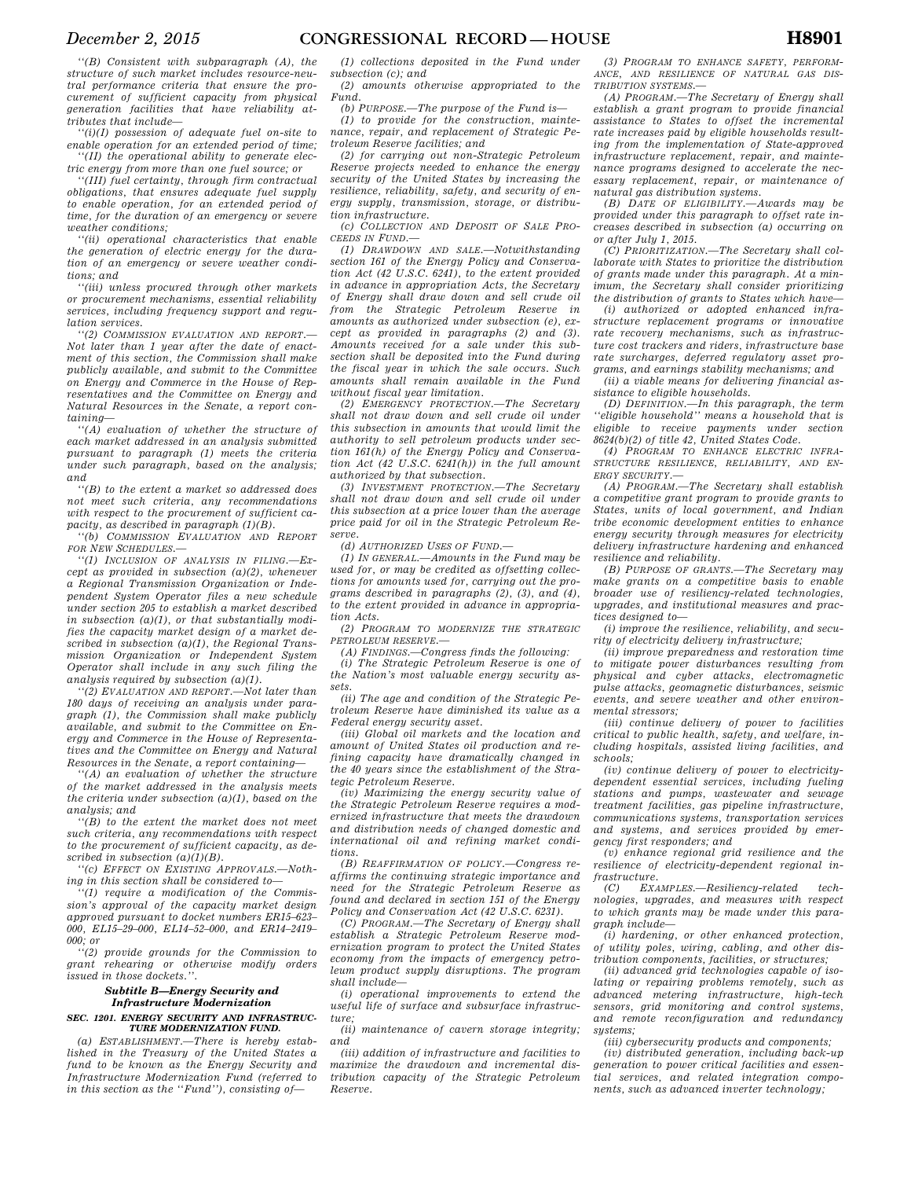*''(B) Consistent with subparagraph (A), the structure of such market includes resource-neutral performance criteria that ensure the procurement of sufficient capacity from physical generation facilities that have reliability attributes that include—* 

*''(i)(I) possession of adequate fuel on-site to enable operation for an extended period of time; ''(II) the operational ability to generate elec-*

*tric energy from more than one fuel source; or ''(III) fuel certainty, through firm contractual obligations, that ensures adequate fuel supply to enable operation, for an extended period of time, for the duration of an emergency or severe weather conditions;* 

*''(ii) operational characteristics that enable the generation of electric energy for the duration of an emergency or severe weather conditions; and* 

*''(iii) unless procured through other markets or procurement mechanisms, essential reliability services, including frequency support and regulation services.* 

*''(2) COMMISSION EVALUATION AND REPORT.— Not later than 1 year after the date of enactment of this section, the Commission shall make publicly available, and submit to the Committee on Energy and Commerce in the House of Representatives and the Committee on Energy and Natural Resources in the Senate, a report containing—* 

*''(A) evaluation of whether the structure of each market addressed in an analysis submitted pursuant to paragraph (1) meets the criteria under such paragraph, based on the analysis; and* 

*''(B) to the extent a market so addressed does not meet such criteria, any recommendations with respect to the procurement of sufficient capacity, as described in paragraph (1)(B).* 

*''(b) COMMISSION EVALUATION AND REPORT FOR NEW SCHEDULES.—* 

*''(1) INCLUSION OF ANALYSIS IN FILING.—Except as provided in subsection (a)(2), whenever a Regional Transmission Organization or Independent System Operator files a new schedule under section 205 to establish a market described in subsection (a)(1), or that substantially modifies the capacity market design of a market described in subsection (a)(1), the Regional Transmission Organization or Independent System Operator shall include in any such filing the analysis required by subsection (a)(1).* 

*''(2) EVALUATION AND REPORT.—Not later than 180 days of receiving an analysis under paragraph (1), the Commission shall make publicly available, and submit to the Committee on Energy and Commerce in the House of Representatives and the Committee on Energy and Natural Resources in the Senate, a report containing—* 

*''(A) an evaluation of whether the structure of the market addressed in the analysis meets the criteria under subsection (a)(1), based on the analysis; and* 

*''(B) to the extent the market does not meet such criteria, any recommendations with respect to the procurement of sufficient capacity, as described in subsection (a)(1)(B).* 

*''(c) EFFECT ON EXISTING APPROVALS.—Nothing in this section shall be considered to—* 

*''(1) require a modification of the Commission's approval of the capacity market design approved pursuant to docket numbers ER15–623– 000, EL15–29–000, EL14–52–000, and ER14–2419– 000; or* 

*''(2) provide grounds for the Commission to grant rehearing or otherwise modify orders issued in those dockets.''.* 

### *Subtitle B—Energy Security and Infrastructure Modernization SEC. 1201. ENERGY SECURITY AND INFRASTRUC-*

*TURE MODERNIZATION FUND. (a) ESTABLISHMENT.—There is hereby estab-*

*lished in the Treasury of the United States a fund to be known as the Energy Security and Infrastructure Modernization Fund (referred to in this section as the ''Fund''), consisting of—* 

*(1) collections deposited in the Fund under subsection (c); and* 

*(2) amounts otherwise appropriated to the Fund.* 

*(b) PURPOSE.—The purpose of the Fund is— (1) to provide for the construction, mainte-*

*nance, repair, and replacement of Strategic Petroleum Reserve facilities; and* 

*(2) for carrying out non-Strategic Petroleum Reserve projects needed to enhance the energy security of the United States by increasing the resilience, reliability, safety, and security of energy supply, transmission, storage, or distribution infrastructure.* 

*(c) COLLECTION AND DEPOSIT OF SALE PRO-CEEDS IN FUND.—* 

*(1) DRAWDOWN AND SALE.—Notwithstanding section 161 of the Energy Policy and Conservation Act (42 U.S.C. 6241), to the extent provided in advance in appropriation Acts, the Secretary of Energy shall draw down and sell crude oil from the Strategic Petroleum Reserve in amounts as authorized under subsection (e), except as provided in paragraphs (2) and (3). Amounts received for a sale under this subsection shall be deposited into the Fund during the fiscal year in which the sale occurs. Such amounts shall remain available in the Fund without fiscal year limitation.* 

*(2) EMERGENCY PROTECTION.—The Secretary shall not draw down and sell crude oil under this subsection in amounts that would limit the authority to sell petroleum products under section 161(h) of the Energy Policy and Conservation Act (42 U.S.C. 6241(h)) in the full amount authorized by that subsection.* 

*(3) INVESTMENT PROTECTION.—The Secretary shall not draw down and sell crude oil under this subsection at a price lower than the average price paid for oil in the Strategic Petroleum Reserve.* 

*(d) AUTHORIZED USES OF FUND.—* 

*(1) IN GENERAL.—Amounts in the Fund may be used for, or may be credited as offsetting collections for amounts used for, carrying out the programs described in paragraphs (2), (3), and (4), to the extent provided in advance in appropriation Acts.* 

*(2) PROGRAM TO MODERNIZE THE STRATEGIC PETROLEUM RESERVE.—* 

*(A) FINDINGS.—Congress finds the following:* 

*(i) The Strategic Petroleum Reserve is one of the Nation's most valuable energy security assets.* 

*(ii) The age and condition of the Strategic Petroleum Reserve have diminished its value as a Federal energy security asset.* 

*(iii) Global oil markets and the location and amount of United States oil production and refining capacity have dramatically changed in the 40 years since the establishment of the Strategic Petroleum Reserve.* 

*(iv) Maximizing the energy security value of the Strategic Petroleum Reserve requires a modernized infrastructure that meets the drawdown and distribution needs of changed domestic and international oil and refining market conditions.* 

*(B) REAFFIRMATION OF POLICY.—Congress reaffirms the continuing strategic importance and need for the Strategic Petroleum Reserve as found and declared in section 151 of the Energy Policy and Conservation Act (42 U.S.C. 6231).* 

*(C) PROGRAM.—The Secretary of Energy shall establish a Strategic Petroleum Reserve modernization program to protect the United States economy from the impacts of emergency petroleum product supply disruptions. The program shall include—* 

*(i) operational improvements to extend the useful life of surface and subsurface infrastructure;* 

*(ii) maintenance of cavern storage integrity; and* 

*(iii) addition of infrastructure and facilities to maximize the drawdown and incremental distribution capacity of the Strategic Petroleum Reserve.* 

*(3) PROGRAM TO ENHANCE SAFETY, PERFORM-ANCE, AND RESILIENCE OF NATURAL GAS DIS-TRIBUTION SYSTEMS.—* 

*(A) PROGRAM.—The Secretary of Energy shall establish a grant program to provide financial assistance to States to offset the incremental rate increases paid by eligible households resulting from the implementation of State-approved infrastructure replacement, repair, and maintenance programs designed to accelerate the necessary replacement, repair, or maintenance of natural gas distribution systems.* 

*(B) DATE OF ELIGIBILITY.—Awards may be provided under this paragraph to offset rate increases described in subsection (a) occurring on or after July 1, 2015.* 

*(C) PRIORITIZATION.—The Secretary shall collaborate with States to prioritize the distribution of grants made under this paragraph. At a minimum, the Secretary shall consider prioritizing the distribution of grants to States which have— (i) authorized or adopted enhanced infra-*

*structure replacement programs or innovative rate recovery mechanisms, such as infrastructure cost trackers and riders, infrastructure base rate surcharges, deferred regulatory asset programs, and earnings stability mechanisms; and* 

*(ii) a viable means for delivering financial assistance to eligible households.* 

*(D) DEFINITION.—In this paragraph, the term ''eligible household'' means a household that is eligible to receive payments under section 8624(b)(2) of title 42, United States Code.* 

*(4) PROGRAM TO ENHANCE ELECTRIC INFRA-STRUCTURE RESILIENCE, RELIABILITY, AND EN-ERGY SECURITY.—* 

*(A) PROGRAM.—The Secretary shall establish a competitive grant program to provide grants to States, units of local government, and Indian tribe economic development entities to enhance energy security through measures for electricity delivery infrastructure hardening and enhanced resilience and reliability.* 

*(B) PURPOSE OF GRANTS.—The Secretary may make grants on a competitive basis to enable broader use of resiliency-related technologies, upgrades, and institutional measures and practices designed to—* 

*(i) improve the resilience, reliability, and security of electricity delivery infrastructure;* 

*(ii) improve preparedness and restoration time to mitigate power disturbances resulting from physical and cyber attacks, electromagnetic pulse attacks, geomagnetic disturbances, seismic events, and severe weather and other environmental stressors;* 

*(iii) continue delivery of power to facilities critical to public health, safety, and welfare, including hospitals, assisted living facilities, and schools;* 

*(iv) continue delivery of power to electricitydependent essential services, including fueling stations and pumps, wastewater and sewage treatment facilities, gas pipeline infrastructure, communications systems, transportation services and systems, and services provided by emergency first responders; and* 

*(v) enhance regional grid resilience and the resilience of electricity-dependent regional infrastructure.* 

*(C) EXAMPLES.—Resiliency-related technologies, upgrades, and measures with respect to which grants may be made under this paragraph include—* 

*(i) hardening, or other enhanced protection, of utility poles, wiring, cabling, and other distribution components, facilities, or structures;* 

*(ii) advanced grid technologies capable of isolating or repairing problems remotely, such as advanced metering infrastructure, high-tech sensors, grid monitoring and control systems, and remote reconfiguration and redundancy systems;* 

*(iii) cybersecurity products and components;* 

*(iv) distributed generation, including back-up generation to power critical facilities and essential services, and related integration components, such as advanced inverter technology;*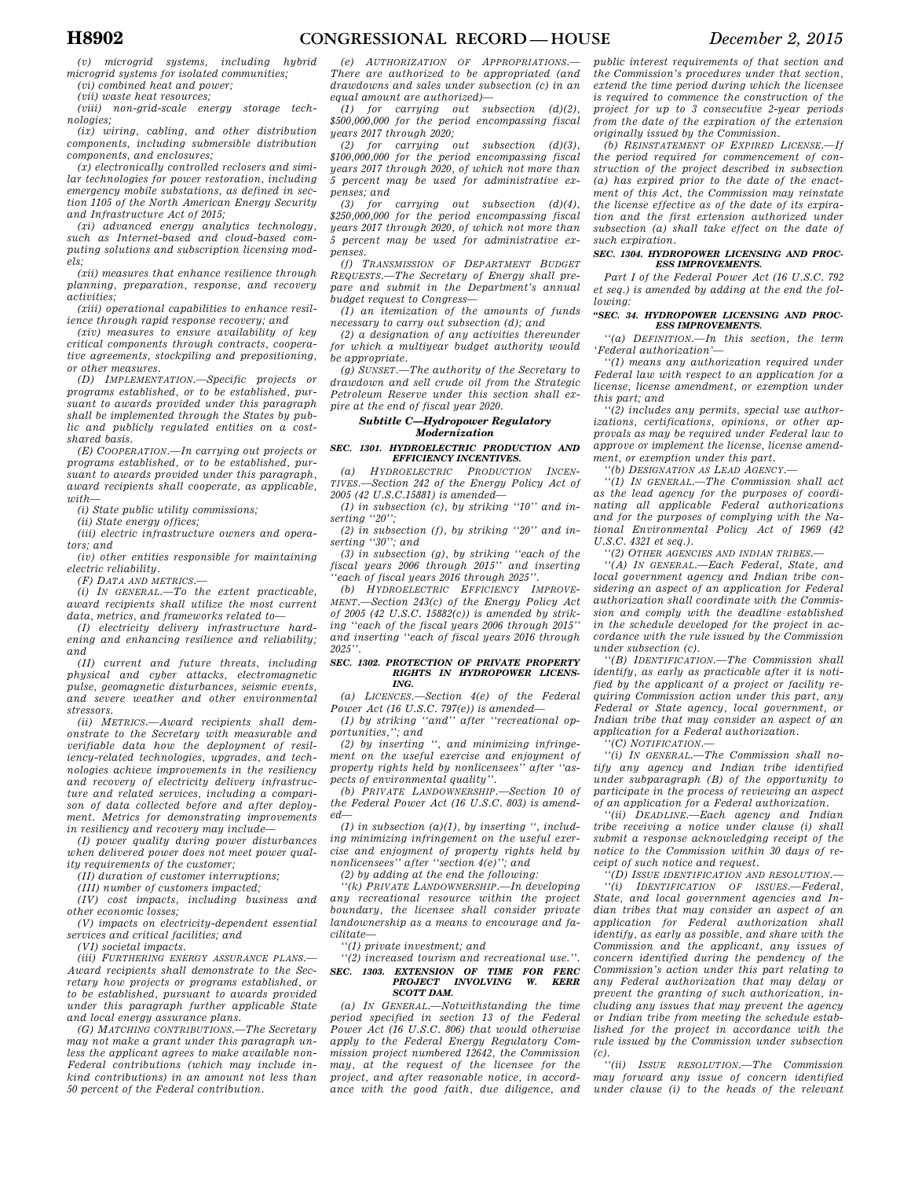*(v) microgrid systems, including hybrid microgrid systems for isolated communities;* 

*(vi) combined heat and power; (vii) waste heat resources;* 

*(viii) non-grid-scale energy storage technologies; (ix) wiring, cabling, and other distribution* 

*components, including submersible distribution components, and enclosures;* 

*(x) electronically controlled reclosers and similar technologies for power restoration, including emergency mobile substations, as defined in section 1105 of the North American Energy Security and Infrastructure Act of 2015;* 

*(xi) advanced energy analytics technology, such as Internet-based and cloud-based computing solutions and subscription licensing models;* 

*(xii) measures that enhance resilience through planning, preparation, response, and recovery activities;* 

*(xiii) operational capabilities to enhance resilience through rapid response recovery; and* 

*(xiv) measures to ensure availability of key critical components through contracts, cooperative agreements, stockpiling and prepositioning, or other measures.* 

*(D) IMPLEMENTATION.—Specific projects or programs established, or to be established, pursuant to awards provided under this paragraph shall be implemented through the States by public and publicly regulated entities on a costshared basis.* 

*(E) COOPERATION.—In carrying out projects or programs established, or to be established, pursuant to awards provided under this paragraph, award recipients shall cooperate, as applicable, with—* 

*(i) State public utility commissions;* 

*(ii) State energy offices;* 

*(iii) electric infrastructure owners and operators; and* 

*(iv) other entities responsible for maintaining electric reliability.* 

*(F) DATA AND METRICS.—* 

*(i) IN GENERAL.—To the extent practicable, award recipients shall utilize the most current data, metrics, and frameworks related to—* 

*(I) electricity delivery infrastructure hardening and enhancing resilience and reliability; and* 

*(II) current and future threats, including physical and cyber attacks, electromagnetic pulse, geomagnetic disturbances, seismic events, and severe weather and other environmental stressors.* 

*(ii) METRICS.—Award recipients shall demonstrate to the Secretary with measurable and verifiable data how the deployment of resiliency-related technologies, upgrades, and technologies achieve improvements in the resiliency and recovery of electricity delivery infrastructure and related services, including a comparison of data collected before and after deployment. Metrics for demonstrating improvements in resiliency and recovery may include—* 

*(I) power quality during power disturbances when delivered power does not meet power quality requirements of the customer;* 

*(II) duration of customer interruptions;* 

*(III) number of customers impacted;* 

*(IV) cost impacts, including business and* 

*other economic losses; (V) impacts on electricity-dependent essential* 

*services and critical facilities; and* 

*(VI) societal impacts.* 

*(iii) FURTHERING ENERGY ASSURANCE PLANS.— Award recipients shall demonstrate to the Secretary how projects or programs established, or to be established, pursuant to awards provided under this paragraph further applicable State and local energy assurance plans.* 

*(G) MATCHING CONTRIBUTIONS.—The Secretary may not make a grant under this paragraph unless the applicant agrees to make available non-Federal contributions (which may include inkind contributions) in an amount not less than 50 percent of the Federal contribution.* 

*(e) AUTHORIZATION OF APPROPRIATIONS.— There are authorized to be appropriated (and drawdowns and sales under subsection (c) in an equal amount are authorized)—* 

*(1) for carrying out subsection (d)(2), \$500,000,000 for the period encompassing fiscal years 2017 through 2020;* 

*(2) for carrying out subsection (d)(3), \$100,000,000 for the period encompassing fiscal years 2017 through 2020, of which not more than 5 percent may be used for administrative expenses; and* 

*(3) for carrying out subsection (d)(4), \$250,000,000 for the period encompassing fiscal years 2017 through 2020, of which not more than 5 percent may be used for administrative expenses.* 

*(f) TRANSMISSION OF DEPARTMENT BUDGET REQUESTS.—The Secretary of Energy shall prepare and submit in the Department's annual budget request to Congress—* 

*(1) an itemization of the amounts of funds necessary to carry out subsection (d); and* 

*(2) a designation of any activities thereunder for which a multiyear budget authority would be appropriate.* 

*(g) SUNSET.—The authority of the Secretary to drawdown and sell crude oil from the Strategic Petroleum Reserve under this section shall expire at the end of fiscal year 2020.* 

### *Subtitle C—Hydropower Regulatory Modernization*

#### *SEC. 1301. HYDROELECTRIC PRODUCTION AND EFFICIENCY INCENTIVES.*

*(a) HYDROELECTRIC PRODUCTION INCEN-TIVES.—Section 242 of the Energy Policy Act of 2005 (42 U.S.C.15881) is amended—* 

*(1) in subsection (c), by striking ''10'' and inserting ''20'';* 

*(2) in subsection (f), by striking ''20'' and inserting ''30''; and* 

*(3) in subsection (g), by striking ''each of the fiscal years 2006 through 2015'' and inserting ''each of fiscal years 2016 through 2025''.* 

*(b) HYDROELECTRIC EFFICIENCY IMPROVE-MENT.—Section 243(c) of the Energy Policy Act of 2005 (42 U.S.C. 15882(c)) is amended by striking ''each of the fiscal years 2006 through 2015'' and inserting ''each of fiscal years 2016 through 2025''.* 

### *SEC. 1302. PROTECTION OF PRIVATE PROPERTY RIGHTS IN HYDROPOWER LICENS-ING.*

*(a) LICENCES.—Section 4(e) of the Federal Power Act (16 U.S.C. 797(e)) is amended—* 

*(1) by striking ''and'' after ''recreational opportunities,''; and* 

*(2) by inserting '', and minimizing infringement on the useful exercise and enjoyment of property rights held by nonlicensees'' after ''aspects of environmental quality''.* 

*(b) PRIVATE LANDOWNERSHIP.—Section 10 of the Federal Power Act (16 U.S.C. 803) is amended—* 

*(1) in subsection (a)(1), by inserting '', including minimizing infringement on the useful exercise and enjoyment of property rights held by nonlicensees'' after ''section 4(e)''; and* 

*(2) by adding at the end the following:* 

*''(k) PRIVATE LANDOWNERSHIP.—In developing any recreational resource within the project boundary, the licensee shall consider private landownership as a means to encourage and facilitate—* 

*''(1) private investment; and* 

## *''(2) increased tourism and recreational use.''. SEC. 1303. EXTENSION OF TIME FOR FERC PROJECT INVOLVING W. KERR SCOTT DAM.*

*(a) IN GENERAL.—Notwithstanding the time period specified in section 13 of the Federal Power Act (16 U.S.C. 806) that would otherwise apply to the Federal Energy Regulatory Commission project numbered 12642, the Commission may, at the request of the licensee for the project, and after reasonable notice, in accordance with the good faith, due diligence, and* 

*public interest requirements of that section and the Commission's procedures under that section, extend the time period during which the licensee is required to commence the construction of the project for up to 3 consecutive 2-year periods from the date of the expiration of the extension originally issued by the Commission.* 

*(b) REINSTATEMENT OF EXPIRED LICENSE.—If the period required for commencement of construction of the project described in subsection (a) has expired prior to the date of the enactment of this Act, the Commission may reinstate the license effective as of the date of its expiration and the first extension authorized under subsection (a) shall take effect on the date of such expiration.* 

#### *SEC. 1304. HYDROPOWER LICENSING AND PROC-ESS IMPROVEMENTS.*

*Part I of the Federal Power Act (16 U.S.C. 792 et seq.) is amended by adding at the end the following:* 

#### *''SEC. 34. HYDROPOWER LICENSING AND PROC-ESS IMPROVEMENTS.*

*''(a) DEFINITION.—In this section, the term 'Federal authorization'—* 

*''(1) means any authorization required under Federal law with respect to an application for a license, license amendment, or exemption under this part; and* 

*''(2) includes any permits, special use authorizations, certifications, opinions, or other approvals as may be required under Federal law to approve or implement the license, license amendment, or exemption under this part.* 

*''(b) DESIGNATION AS LEAD AGENCY.—* 

*''(1) IN GENERAL.—The Commission shall act as the lead agency for the purposes of coordinating all applicable Federal authorizations and for the purposes of complying with the National Environmental Policy Act of 1969 (42 U.S.C. 4321 et seq.).* 

*''(2) OTHER AGENCIES AND INDIAN TRIBES.—* 

*''(A) IN GENERAL.—Each Federal, State, and local government agency and Indian tribe considering an aspect of an application for Federal authorization shall coordinate with the Commission and comply with the deadline established in the schedule developed for the project in accordance with the rule issued by the Commission under subsection (c).* 

*''(B) IDENTIFICATION.—The Commission shall identify, as early as practicable after it is notified by the applicant of a project or facility requiring Commission action under this part, any Federal or State agency, local government, or Indian tribe that may consider an aspect of an application for a Federal authorization.* 

*''(C) NOTIFICATION.—* 

*''(i) IN GENERAL.—The Commission shall notify any agency and Indian tribe identified under subparagraph (B) of the opportunity to participate in the process of reviewing an aspect of an application for a Federal authorization.* 

*''(ii) DEADLINE.—Each agency and Indian tribe receiving a notice under clause (i) shall submit a response acknowledging receipt of the notice to the Commission within 30 days of receipt of such notice and request.* 

*''(D) ISSUE IDENTIFICATION AND RESOLUTION.—* 

*''(i) IDENTIFICATION OF ISSUES.—Federal, State, and local government agencies and Indian tribes that may consider an aspect of an application for Federal authorization shall identify, as early as possible, and share with the Commission and the applicant, any issues of concern identified during the pendency of the Commission's action under this part relating to any Federal authorization that may delay or prevent the granting of such authorization, including any issues that may prevent the agency or Indian tribe from meeting the schedule established for the project in accordance with the rule issued by the Commission under subsection (c).* 

*''(ii) ISSUE RESOLUTION.—The Commission may forward any issue of concern identified under clause (i) to the heads of the relevant*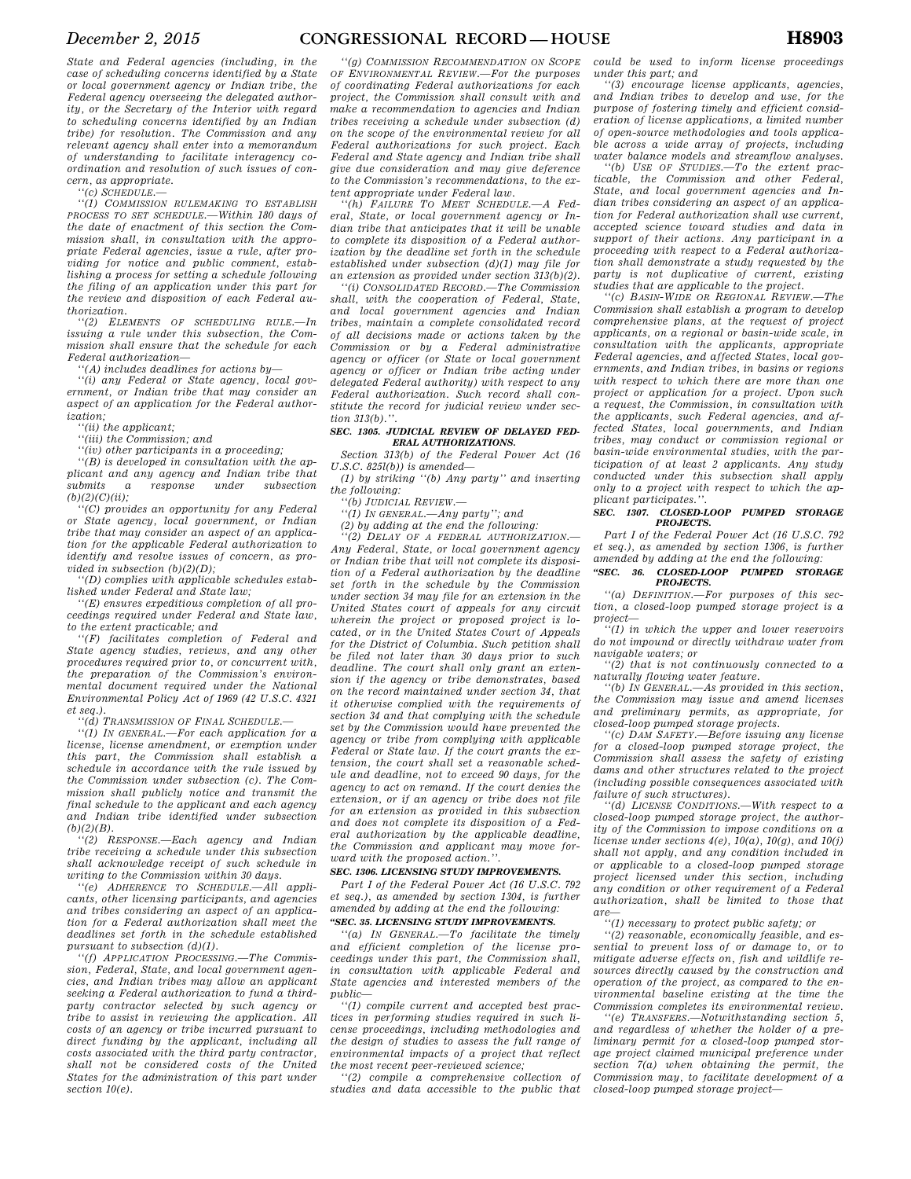*State and Federal agencies (including, in the case of scheduling concerns identified by a State or local government agency or Indian tribe, the Federal agency overseeing the delegated authority, or the Secretary of the Interior with regard to scheduling concerns identified by an Indian tribe) for resolution. The Commission and any relevant agency shall enter into a memorandum of understanding to facilitate interagency coordination and resolution of such issues of concern, as appropriate.* 

*''(c) SCHEDULE.—* 

*''(1) COMMISSION RULEMAKING TO ESTABLISH PROCESS TO SET SCHEDULE.—Within 180 days of the date of enactment of this section the Commission shall, in consultation with the appropriate Federal agencies, issue a rule, after providing for notice and public comment, establishing a process for setting a schedule following the filing of an application under this part for the review and disposition of each Federal authorization.* 

*''(2) ELEMENTS OF SCHEDULING RULE.—In issuing a rule under this subsection, the Commission shall ensure that the schedule for each Federal authorization—* 

*''(A) includes deadlines for actions by—* 

*''(i) any Federal or State agency, local government, or Indian tribe that may consider an aspect of an application for the Federal authorization;* 

*''(ii) the applicant;* 

*''(iii) the Commission; and* 

*''(iv) other participants in a proceeding;* 

*''(B) is developed in consultation with the applicant and any agency and Indian tribe that submits a response under subsection*   $(b)(2)(C)(ii)$ ;

*''(C) provides an opportunity for any Federal or State agency, local government, or Indian tribe that may consider an aspect of an application for the applicable Federal authorization to identify and resolve issues of concern, as provided in subsection (b)(2)(D);* 

*''(D) complies with applicable schedules established under Federal and State law;* 

*''(E) ensures expeditious completion of all proceedings required under Federal and State law, to the extent practicable; and* 

*''(F) facilitates completion of Federal and State agency studies, reviews, and any other procedures required prior to, or concurrent with, the preparation of the Commission's environmental document required under the National Environmental Policy Act of 1969 (42 U.S.C. 4321 et seq.).* 

*''(d) TRANSMISSION OF FINAL SCHEDULE.—* 

*''(1) IN GENERAL.—For each application for a license, license amendment, or exemption under this part, the Commission shall establish a schedule in accordance with the rule issued by the Commission under subsection (c). The Commission shall publicly notice and transmit the final schedule to the applicant and each agency and Indian tribe identified under subsection (b)(2)(B).* 

*''(2) RESPONSE.—Each agency and Indian tribe receiving a schedule under this subsection shall acknowledge receipt of such schedule in writing to the Commission within 30 days.* 

*''(e) ADHERENCE TO SCHEDULE.—All applicants, other licensing participants, and agencies and tribes considering an aspect of an application for a Federal authorization shall meet the deadlines set forth in the schedule established pursuant to subsection (d)(1).* 

*''(f) APPLICATION PROCESSING.—The Commission, Federal, State, and local government agencies, and Indian tribes may allow an applicant seeking a Federal authorization to fund a thirdparty contractor selected by such agency or tribe to assist in reviewing the application. All costs of an agency or tribe incurred pursuant to direct funding by the applicant, including all costs associated with the third party contractor, shall not be considered costs of the United States for the administration of this part under section 10(e).* 

*''(g) COMMISSION RECOMMENDATION ON SCOPE OF ENVIRONMENTAL REVIEW.—For the purposes of coordinating Federal authorizations for each project, the Commission shall consult with and make a recommendation to agencies and Indian tribes receiving a schedule under subsection (d) on the scope of the environmental review for all Federal authorizations for such project. Each Federal and State agency and Indian tribe shall give due consideration and may give deference to the Commission's recommendations, to the extent appropriate under Federal law.* 

*''(h) FAILURE TO MEET SCHEDULE.—A Federal, State, or local government agency or Indian tribe that anticipates that it will be unable to complete its disposition of a Federal authorization by the deadline set forth in the schedule established under subsection (d)(1) may file for an extension as provided under section 313(b)(2).* 

*''(i) CONSOLIDATED RECORD.—The Commission shall, with the cooperation of Federal, State, and local government agencies and Indian tribes, maintain a complete consolidated record of all decisions made or actions taken by the Commission or by a Federal administrative agency or officer (or State or local government agency or officer or Indian tribe acting under delegated Federal authority) with respect to any Federal authorization. Such record shall constitute the record for judicial review under section 313(b).''.* 

### *SEC. 1305. JUDICIAL REVIEW OF DELAYED FED-ERAL AUTHORIZATIONS.*

*Section 313(b) of the Federal Power Act (16 U.S.C. 825l(b)) is amended—* 

*(1) by striking ''(b) Any party'' and inserting the following:* 

*''(b) JUDICIAL REVIEW.—* 

*''(1) IN GENERAL.—Any party''; and* 

*(2) by adding at the end the following:* 

*''(2) DELAY OF A FEDERAL AUTHORIZATION.— Any Federal, State, or local government agency or Indian tribe that will not complete its disposition of a Federal authorization by the deadline set forth in the schedule by the Commission under section 34 may file for an extension in the United States court of appeals for any circuit wherein the project or proposed project is located, or in the United States Court of Appeals for the District of Columbia. Such petition shall be filed not later than 30 days prior to such deadline. The court shall only grant an extension if the agency or tribe demonstrates, based on the record maintained under section 34, that it otherwise complied with the requirements of section 34 and that complying with the schedule set by the Commission would have prevented the agency or tribe from complying with applicable Federal or State law. If the court grants the extension, the court shall set a reasonable schedule and deadline, not to exceed 90 days, for the agency to act on remand. If the court denies the extension, or if an agency or tribe does not file for an extension as provided in this subsection and does not complete its disposition of a Federal authorization by the applicable deadline, the Commission and applicant may move forward with the proposed action.''.* 

#### *SEC. 1306. LICENSING STUDY IMPROVEMENTS.*

*Part I of the Federal Power Act (16 U.S.C. 792 et seq.), as amended by section 1304, is further amended by adding at the end the following:* 

### *''SEC. 35. LICENSING STUDY IMPROVEMENTS.*

*''(a) IN GENERAL.—To facilitate the timely and efficient completion of the license proceedings under this part, the Commission shall, in consultation with applicable Federal and State agencies and interested members of the public—* 

*''(1) compile current and accepted best practices in performing studies required in such license proceedings, including methodologies and the design of studies to assess the full range of environmental impacts of a project that reflect the most recent peer-reviewed science;* 

*''(2) compile a comprehensive collection of studies and data accessible to the public that*  *could be used to inform license proceedings under this part; and* 

*''(3) encourage license applicants, agencies, and Indian tribes to develop and use, for the purpose of fostering timely and efficient consideration of license applications, a limited number of open-source methodologies and tools applicable across a wide array of projects, including water balance models and streamflow analyses.* 

*''(b) USE OF STUDIES.—To the extent practicable, the Commission and other Federal, State, and local government agencies and Indian tribes considering an aspect of an application for Federal authorization shall use current, accepted science toward studies and data in support of their actions. Any participant in a proceeding with respect to a Federal authorization shall demonstrate a study requested by the party is not duplicative of current, existing studies that are applicable to the project.* 

*''(c) BASIN-WIDE OR REGIONAL REVIEW.—The Commission shall establish a program to develop comprehensive plans, at the request of project applicants, on a regional or basin-wide scale, in consultation with the applicants, appropriate Federal agencies, and affected States, local governments, and Indian tribes, in basins or regions with respect to which there are more than one project or application for a project. Upon such a request, the Commission, in consultation with the applicants, such Federal agencies, and affected States, local governments, and Indian tribes, may conduct or commission regional or basin-wide environmental studies, with the participation of at least 2 applicants. Any study conducted under this subsection shall apply only to a project with respect to which the applicant participates.''.* 

#### *SEC. 1307. CLOSED-LOOP PUMPED STORAGE PROJECTS.*

*Part I of the Federal Power Act (16 U.S.C. 792 et seq.), as amended by section 1306, is further amended by adding at the end the following:* 

#### *''SEC. 36. CLOSED-LOOP PUMPED STORAGE PROJECTS.*

*''(a) DEFINITION.—For purposes of this section, a closed-loop pumped storage project is a project—* 

*''(1) in which the upper and lower reservoirs do not impound or directly withdraw water from navigable waters; or* 

*''(2) that is not continuously connected to a naturally flowing water feature.* 

*''(b) IN GENERAL.—As provided in this section, the Commission may issue and amend licenses and preliminary permits, as appropriate, for closed-loop pumped storage projects.* 

*''(c) DAM SAFETY.—Before issuing any license for a closed-loop pumped storage project, the Commission shall assess the safety of existing dams and other structures related to the project (including possible consequences associated with failure of such structures).* 

*''(d) LICENSE CONDITIONS.—With respect to a closed-loop pumped storage project, the authority of the Commission to impose conditions on a license under sections 4(e), 10(a), 10(g), and 10(j) shall not apply, and any condition included in or applicable to a closed-loop pumped storage project licensed under this section, including any condition or other requirement of a Federal authorization, shall be limited to those that are—* 

### *''(1) necessary to protect public safety; or*

*''(2) reasonable, economically feasible, and essential to prevent loss of or damage to, or to mitigate adverse effects on, fish and wildlife resources directly caused by the construction and operation of the project, as compared to the environmental baseline existing at the time the Commission completes its environmental review.* 

*''(e) TRANSFERS.—Notwithstanding section 5, and regardless of whether the holder of a preliminary permit for a closed-loop pumped storage project claimed municipal preference under section 7(a) when obtaining the permit, the Commission may, to facilitate development of a closed-loop pumped storage project—*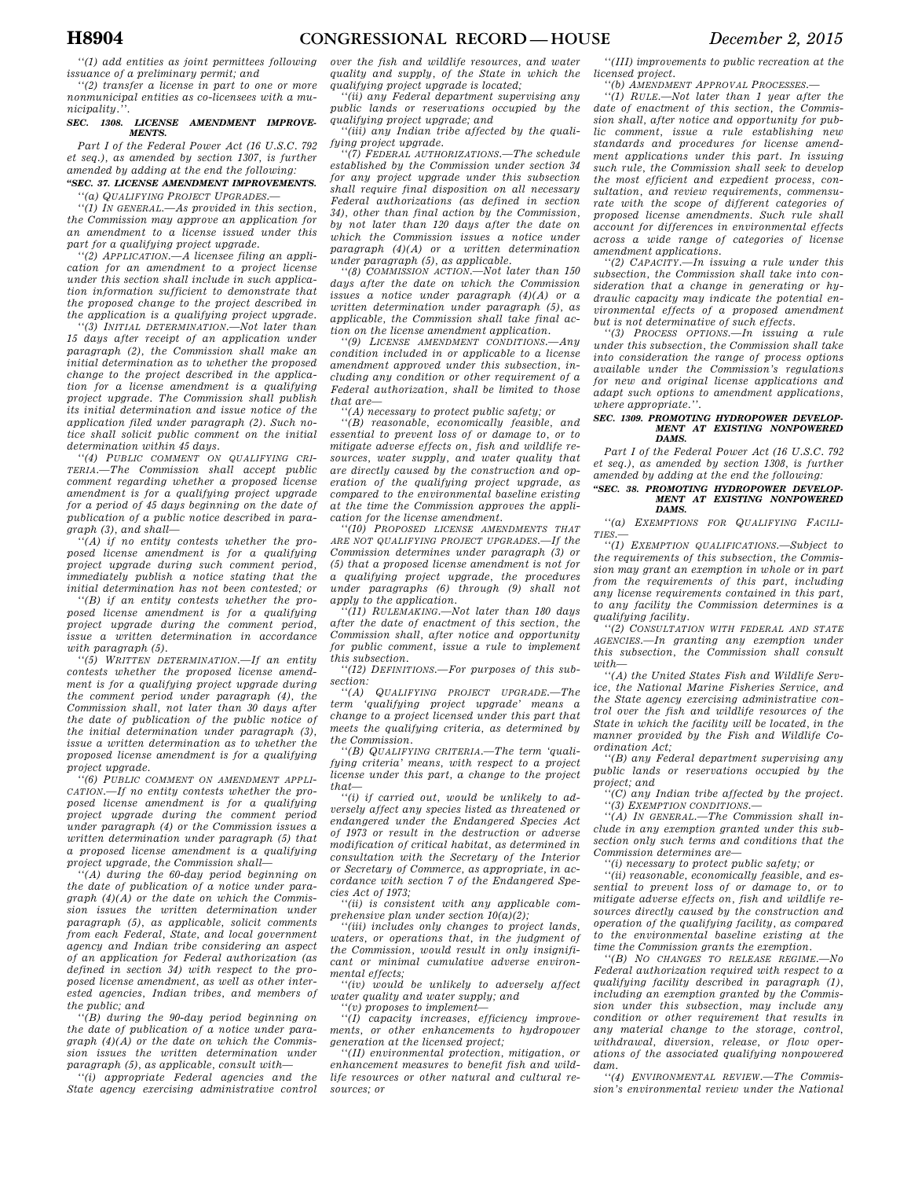*''(1) add entities as joint permittees following issuance of a preliminary permit; and* 

*''(2) transfer a license in part to one or more nonmunicipal entities as co-licensees with a municipality.''.* 

#### *SEC. 1308. LICENSE AMENDMENT IMPROVE-MENTS.*

*Part I of the Federal Power Act (16 U.S.C. 792 et seq.), as amended by section 1307, is further amended by adding at the end the following:* 

#### *''SEC. 37. LICENSE AMENDMENT IMPROVEMENTS. ''(a) QUALIFYING PROJECT UPGRADES.—*

*''(1) IN GENERAL.—As provided in this section, the Commission may approve an application for an amendment to a license issued under this part for a qualifying project upgrade.* 

*''(2) APPLICATION.—A licensee filing an application for an amendment to a project license under this section shall include in such application information sufficient to demonstrate that the proposed change to the project described in the application is a qualifying project upgrade.* 

*''(3) INITIAL DETERMINATION.—Not later than 15 days after receipt of an application under paragraph (2), the Commission shall make an initial determination as to whether the proposed change to the project described in the application for a license amendment is a qualifying project upgrade. The Commission shall publish its initial determination and issue notice of the application filed under paragraph (2). Such notice shall solicit public comment on the initial determination within 45 days.* 

*''(4) PUBLIC COMMENT ON QUALIFYING CRI-TERIA.—The Commission shall accept public comment regarding whether a proposed license amendment is for a qualifying project upgrade for a period of 45 days beginning on the date of publication of a public notice described in paragraph (3), and shall—* 

*''(A) if no entity contests whether the proposed license amendment is for a qualifying project upgrade during such comment period, immediately publish a notice stating that the initial determination has not been contested; or* 

*''(B) if an entity contests whether the proposed license amendment is for a qualifying project upgrade during the comment period, issue a written determination in accordance with paragraph (5).* 

*''(5) WRITTEN DETERMINATION.—If an entity contests whether the proposed license amendment is for a qualifying project upgrade during the comment period under paragraph (4), the Commission shall, not later than 30 days after the date of publication of the public notice of the initial determination under paragraph (3), issue a written determination as to whether the proposed license amendment is for a qualifying project upgrade.* 

*''(6) PUBLIC COMMENT ON AMENDMENT APPLI-CATION.—If no entity contests whether the proposed license amendment is for a qualifying project upgrade during the comment period under paragraph (4) or the Commission issues a written determination under paragraph (5) that a proposed license amendment is a qualifying project upgrade, the Commission shall—* 

*''(A) during the 60-day period beginning on the date of publication of a notice under paragraph (4)(A) or the date on which the Commission issues the written determination under paragraph (5), as applicable, solicit comments from each Federal, State, and local government agency and Indian tribe considering an aspect of an application for Federal authorization (as defined in section 34) with respect to the proposed license amendment, as well as other interested agencies, Indian tribes, and members of the public; and* 

*''(B) during the 90-day period beginning on the date of publication of a notice under paragraph (4)(A) or the date on which the Commission issues the written determination under paragraph (5), as applicable, consult with—* 

*''(i) appropriate Federal agencies and the State agency exercising administrative control*  *over the fish and wildlife resources, and water quality and supply, of the State in which the qualifying project upgrade is located;* 

*''(ii) any Federal department supervising any public lands or reservations occupied by the qualifying project upgrade; and* 

*''(iii) any Indian tribe affected by the qualifying project upgrade.* 

*''(7) FEDERAL AUTHORIZATIONS.—The schedule established by the Commission under section 34 for any project upgrade under this subsection shall require final disposition on all necessary Federal authorizations (as defined in section 34), other than final action by the Commission, by not later than 120 days after the date on which the Commission issues a notice under paragraph (4)(A) or a written determination* 

*under paragraph (5), as applicable. ''(8) COMMISSION ACTION.—Not later than 150 days after the date on which the Commission issues a notice under paragraph (4)(A) or a written determination under paragraph (5), as applicable, the Commission shall take final action on the license amendment application.*<br>
"(9) *LICENSE AMENDMENT CONDITIONS*  $-$  4*n*<sup>1</sup>

*''(9) LICENSE AMENDMENT CONDITIONS.—Any condition included in or applicable to a license amendment approved under this subsection, including any condition or other requirement of a Federal authorization, shall be limited to those that are—* 

*''(A) necessary to protect public safety; or* 

*''(B) reasonable, economically feasible, and essential to prevent loss of or damage to, or to mitigate adverse effects on, fish and wildlife resources, water supply, and water quality that are directly caused by the construction and operation of the qualifying project upgrade, as compared to the environmental baseline existing at the time the Commission approves the application for the license amendment.* 

*''(10) PROPOSED LICENSE AMENDMENTS THAT ARE NOT QUALIFYING PROJECT UPGRADES.—If the Commission determines under paragraph (3) or (5) that a proposed license amendment is not for a qualifying project upgrade, the procedures under paragraphs (6) through (9) shall not apply to the application.* 

*''(11) RULEMAKING.—Not later than 180 days after the date of enactment of this section, the Commission shall, after notice and opportunity for public comment, issue a rule to implement this subsection.* 

*''(12) DEFINITIONS.—For purposes of this subsection:* 

*''(A) QUALIFYING PROJECT UPGRADE.—The term 'qualifying project upgrade' means a change to a project licensed under this part that meets the qualifying criteria, as determined by the Commission.* 

*''(B) QUALIFYING CRITERIA.—The term 'qualifying criteria' means, with respect to a project license under this part, a change to the project that—* 

*''(i) if carried out, would be unlikely to adversely affect any species listed as threatened or endangered under the Endangered Species Act of 1973 or result in the destruction or adverse modification of critical habitat, as determined in consultation with the Secretary of the Interior or Secretary of Commerce, as appropriate, in accordance with section 7 of the Endangered Species Act of 1973;* 

*''(ii) is consistent with any applicable comprehensive plan under section 10(a)(2);* 

*''(iii) includes only changes to project lands, waters, or operations that, in the judgment of the Commission, would result in only insignificant or minimal cumulative adverse environmental effects;* 

*''(iv) would be unlikely to adversely affect water quality and water supply; and ''(v) proposes to implement—* 

*''(I) capacity increases, efficiency improvements, or other enhancements to hydropower generation at the licensed project;* 

*''(II) environmental protection, mitigation, or enhancement measures to benefit fish and wildlife resources or other natural and cultural resources; or* 

*''(III) improvements to public recreation at the licensed project.* 

*''(b) AMENDMENT APPROVAL PROCESSES.—* 

*''(1) RULE.—Not later than 1 year after the date of enactment of this section, the Commission shall, after notice and opportunity for public comment, issue a rule establishing new standards and procedures for license amendment applications under this part. In issuing such rule, the Commission shall seek to develop the most efficient and expedient process, consultation, and review requirements, commensurate with the scope of different categories of proposed license amendments. Such rule shall account for differences in environmental effects across a wide range of categories of license amendment applications.* 

*''(2) CAPACITY.—In issuing a rule under this subsection, the Commission shall take into consideration that a change in generating or hydraulic capacity may indicate the potential environmental effects of a proposed amendment but is not determinative of such effects.* 

*''(3) PROCESS OPTIONS.—In issuing a rule under this subsection, the Commission shall take into consideration the range of process options available under the Commission's regulations for new and original license applications and adapt such options to amendment applications, where appropriate.''.* 

#### *SEC. 1309. PROMOTING HYDROPOWER DEVELOP-MENT AT EXISTING NONPOWERED DAMS.*

*Part I of the Federal Power Act (16 U.S.C. 792 et seq.), as amended by section 1308, is further amended by adding at the end the following:* 

#### *''SEC. 38. PROMOTING HYDROPOWER DEVELOP-MENT AT EXISTING NONPOWERED DAMS.*

*''(a) EXEMPTIONS FOR QUALIFYING FACILI-TIES.—* 

*''(1) EXEMPTION QUALIFICATIONS.—Subject to the requirements of this subsection, the Commission may grant an exemption in whole or in part from the requirements of this part, including any license requirements contained in this part, to any facility the Commission determines is a qualifying facility.* 

*''(2) CONSULTATION WITH FEDERAL AND STATE AGENCIES.—In granting any exemption under this subsection, the Commission shall consult*   $with$ 

*''(A) the United States Fish and Wildlife Service, the National Marine Fisheries Service, and the State agency exercising administrative control over the fish and wildlife resources of the State in which the facility will be located, in the manner provided by the Fish and Wildlife Coordination Act;* 

*''(B) any Federal department supervising any public lands or reservations occupied by the project; and* 

*''(C) any Indian tribe affected by the project. ''(3) EXEMPTION CONDITIONS.—* 

*''(A) IN GENERAL.—The Commission shall include in any exemption granted under this subsection only such terms and conditions that the Commission determines are—* 

*''(i) necessary to protect public safety; or* 

*''(ii) reasonable, economically feasible, and essential to prevent loss of or damage to, or to mitigate adverse effects on, fish and wildlife resources directly caused by the construction and operation of the qualifying facility, as compared to the environmental baseline existing at the time the Commission grants the exemption.* 

 $'$ (B) NO CHANGES TO RELEASE REGIME. *Federal authorization required with respect to a qualifying facility described in paragraph (1), including an exemption granted by the Commission under this subsection, may include any condition or other requirement that results in any material change to the storage, control, withdrawal, diversion, release, or flow operations of the associated qualifying nonpowered dam.* 

*''(4) ENVIRONMENTAL REVIEW.—The Commission's environmental review under the National*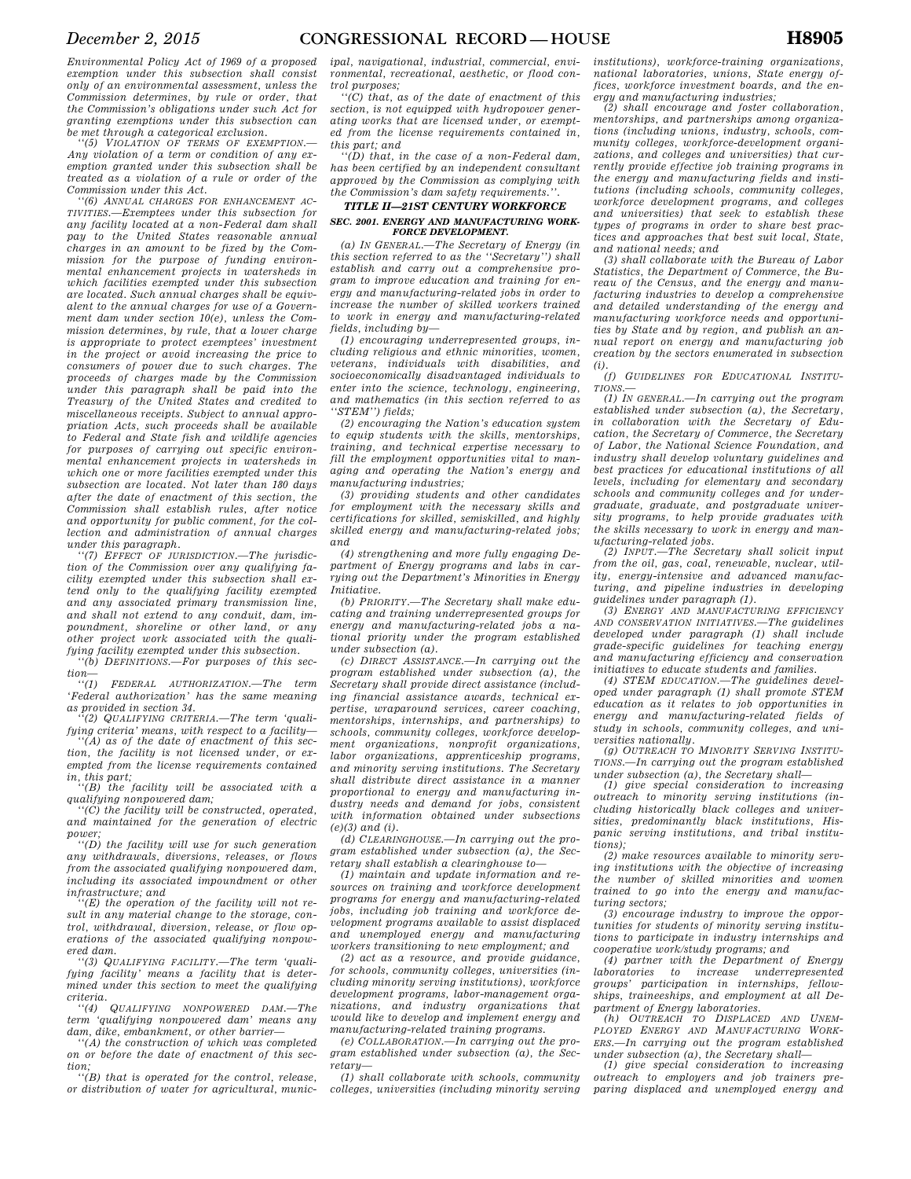*exemption under this subsection shall consist only of an environmental assessment, unless the Commission determines, by rule or order, that the Commission's obligations under such Act for granting exemptions under this subsection can be met through a categorical exclusion.* 

*''(5) VIOLATION OF TERMS OF EXEMPTION.— Any violation of a term or condition of any exemption granted under this subsection shall be treated as a violation of a rule or order of the Commission under this Act.* 

*''(6) ANNUAL CHARGES FOR ENHANCEMENT AC-TIVITIES.—Exemptees under this subsection for any facility located at a non-Federal dam shall pay to the United States reasonable annual charges in an amount to be fixed by the Commission for the purpose of funding environmental enhancement projects in watersheds in which facilities exempted under this subsection are located. Such annual charges shall be equivalent to the annual charges for use of a Government dam under section 10(e), unless the Commission determines, by rule, that a lower charge is appropriate to protect exemptees' investment in the project or avoid increasing the price to consumers of power due to such charges. The proceeds of charges made by the Commission under this paragraph shall be paid into the Treasury of the United States and credited to miscellaneous receipts. Subject to annual appropriation Acts, such proceeds shall be available to Federal and State fish and wildlife agencies for purposes of carrying out specific environmental enhancement projects in watersheds in which one or more facilities exempted under this subsection are located. Not later than 180 days after the date of enactment of this section, the Commission shall establish rules, after notice and opportunity for public comment, for the collection and administration of annual charges under this paragraph.* 

*''(7) EFFECT OF JURISDICTION.—The jurisdiction of the Commission over any qualifying facility exempted under this subsection shall extend only to the qualifying facility exempted and any associated primary transmission line, and shall not extend to any conduit, dam, impoundment, shoreline or other land, or any other project work associated with the qualifying facility exempted under this subsection.* 

*''(b) DEFINITIONS.—For purposes of this sec-* $\lim_{t \to (1)}$ 

*''(1) FEDERAL AUTHORIZATION.—The term 'Federal authorization' has the same meaning as provided in section 34.* 

*''(2) QUALIFYING CRITERIA.—The term 'qualifying criteria' means, with respect to a facility—* 

*''(A) as of the date of enactment of this section, the facility is not licensed under, or exempted from the license requirements contained in, this part;* 

*''(B) the facility will be associated with a qualifying nonpowered dam;* 

*''(C) the facility will be constructed, operated, and maintained for the generation of electric power;* 

*''(D) the facility will use for such generation any withdrawals, diversions, releases, or flows from the associated qualifying nonpowered dam, including its associated impoundment or other infrastructure; and* 

(E) the operation of the facility will not re*sult in any material change to the storage, control, withdrawal, diversion, release, or flow operations of the associated qualifying nonpowered dam.* 

*''(3) QUALIFYING FACILITY.—The term 'qualifying facility' means a facility that is determined under this section to meet the qualifying criteria.* 

*''(4) QUALIFYING NONPOWERED DAM.—The term 'qualifying nonpowered dam' means any dam, dike, embankment, or other barrier—* 

*''(A) the construction of which was completed on or before the date of enactment of this section;* 

*''(B) that is operated for the control, release, or distribution of water for agricultural, munic-* *ipal, navigational, industrial, commercial, environmental, recreational, aesthetic, or flood control purposes;* 

*''(C) that, as of the date of enactment of this section, is not equipped with hydropower generating works that are licensed under, or exempted from the license requirements contained in, this part; and* 

*''(D) that, in the case of a non-Federal dam, has been certified by an independent consultant approved by the Commission as complying with*   $the$  Commission's dam safety requirements.

### *TITLE II—21ST CENTURY WORKFORCE SEC. 2001. ENERGY AND MANUFACTURING WORK-FORCE DEVELOPMENT.*

*(a) IN GENERAL.—The Secretary of Energy (in this section referred to as the ''Secretary'') shall establish and carry out a comprehensive program to improve education and training for energy and manufacturing-related jobs in order to increase the number of skilled workers trained to work in energy and manufacturing-related fields, including by—* 

*(1) encouraging underrepresented groups, including religious and ethnic minorities, women, veterans, individuals with disabilities, and socioeconomically disadvantaged individuals to enter into the science, technology, engineering, and mathematics (in this section referred to as ''STEM'') fields;* 

*(2) encouraging the Nation's education system to equip students with the skills, mentorships, training, and technical expertise necessary to fill the employment opportunities vital to managing and operating the Nation's energy and manufacturing industries;* 

*(3) providing students and other candidates for employment with the necessary skills and certifications for skilled, semiskilled, and highly skilled energy and manufacturing-related jobs; and* 

*(4) strengthening and more fully engaging Department of Energy programs and labs in carrying out the Department's Minorities in Energy Initiative.* 

*(b) PRIORITY.—The Secretary shall make educating and training underrepresented groups for energy and manufacturing-related jobs a national priority under the program established under subsection (a).* 

*(c) DIRECT ASSISTANCE.—In carrying out the program established under subsection (a), the Secretary shall provide direct assistance (including financial assistance awards, technical expertise, wraparound services, career coaching, mentorships, internships, and partnerships) to schools, community colleges, workforce development organizations, nonprofit organizations, labor organizations, apprenticeship programs, and minority serving institutions. The Secretary shall distribute direct assistance in a manner proportional to energy and manufacturing industry needs and demand for jobs, consistent with information obtained under subsections (e)(3) and (i).* 

*(d) CLEARINGHOUSE.—In carrying out the program established under subsection (a), the Secretary shall establish a clearinghouse to—* 

*(1) maintain and update information and resources on training and workforce development programs for energy and manufacturing-related jobs, including job training and workforce development programs available to assist displaced and unemployed energy and manufacturing workers transitioning to new employment; and* 

*(2) act as a resource, and provide guidance, for schools, community colleges, universities (including minority serving institutions), workforce development programs, labor-management organizations, and industry organizations that would like to develop and implement energy and manufacturing-related training programs.* 

*(e) COLLABORATION.—In carrying out the program established under subsection (a), the Secretary—* 

*(1) shall collaborate with schools, community colleges, universities (including minority serving*  *institutions), workforce-training organizations, national laboratories, unions, State energy offices, workforce investment boards, and the energy and manufacturing industries;* 

*(2) shall encourage and foster collaboration, mentorships, and partnerships among organizations (including unions, industry, schools, community colleges, workforce-development organizations, and colleges and universities) that currently provide effective job training programs in the energy and manufacturing fields and institutions (including schools, community colleges, workforce development programs, and colleges and universities) that seek to establish these types of programs in order to share best practices and approaches that best suit local, State, and national needs; and* 

*(3) shall collaborate with the Bureau of Labor Statistics, the Department of Commerce, the Bureau of the Census, and the energy and manufacturing industries to develop a comprehensive and detailed understanding of the energy and manufacturing workforce needs and opportunities by State and by region, and publish an annual report on energy and manufacturing job creation by the sectors enumerated in subsection (i).* 

*(f) GUIDELINES FOR EDUCATIONAL INSTITU-TIONS.—* 

*(1) IN GENERAL.—In carrying out the program established under subsection (a), the Secretary, in collaboration with the Secretary of Education, the Secretary of Commerce, the Secretary of Labor, the National Science Foundation, and industry shall develop voluntary guidelines and best practices for educational institutions of all levels, including for elementary and secondary schools and community colleges and for undergraduate, graduate, and postgraduate university programs, to help provide graduates with the skills necessary to work in energy and manufacturing-related jobs.* 

*(2) INPUT.—The Secretary shall solicit input from the oil, gas, coal, renewable, nuclear, utility, energy-intensive and advanced manufacturing, and pipeline industries in developing guidelines under paragraph (1).* 

*(3) ENERGY AND MANUFACTURING EFFICIENCY AND CONSERVATION INITIATIVES.—The guidelines developed under paragraph (1) shall include grade-specific guidelines for teaching energy and manufacturing efficiency and conservation initiatives to educate students and families.* 

*(4) STEM EDUCATION.—The guidelines developed under paragraph (1) shall promote STEM education as it relates to job opportunities in energy and manufacturing-related fields of study in schools, community colleges, and universities nationally.* 

*(g) OUTREACH TO MINORITY SERVING INSTITU-TIONS.—In carrying out the program established under subsection (a), the Secretary shall—* 

*(1) give special consideration to increasing outreach to minority serving institutions (including historically black colleges and universities, predominantly black institutions, Hispanic serving institutions, and tribal institutions);* 

*(2) make resources available to minority serving institutions with the objective of increasing the number of skilled minorities and women trained to go into the energy and manufacturing sectors;* 

*(3) encourage industry to improve the opportunities for students of minority serving institutions to participate in industry internships and cooperative work/study programs; and* 

*(4) partner with the Department of Energy laboratories to increase underrepresented groups' participation in internships, fellowships, traineeships, and employment at all Department of Energy laboratories.* 

*(h) OUTREACH TO DISPLACED AND UNEM-PLOYED ENERGY AND MANUFACTURING WORK-ERS.—In carrying out the program established under subsection (a), the Secretary shall—* 

*(1) give special consideration to increasing outreach to employers and job trainers preparing displaced and unemployed energy and*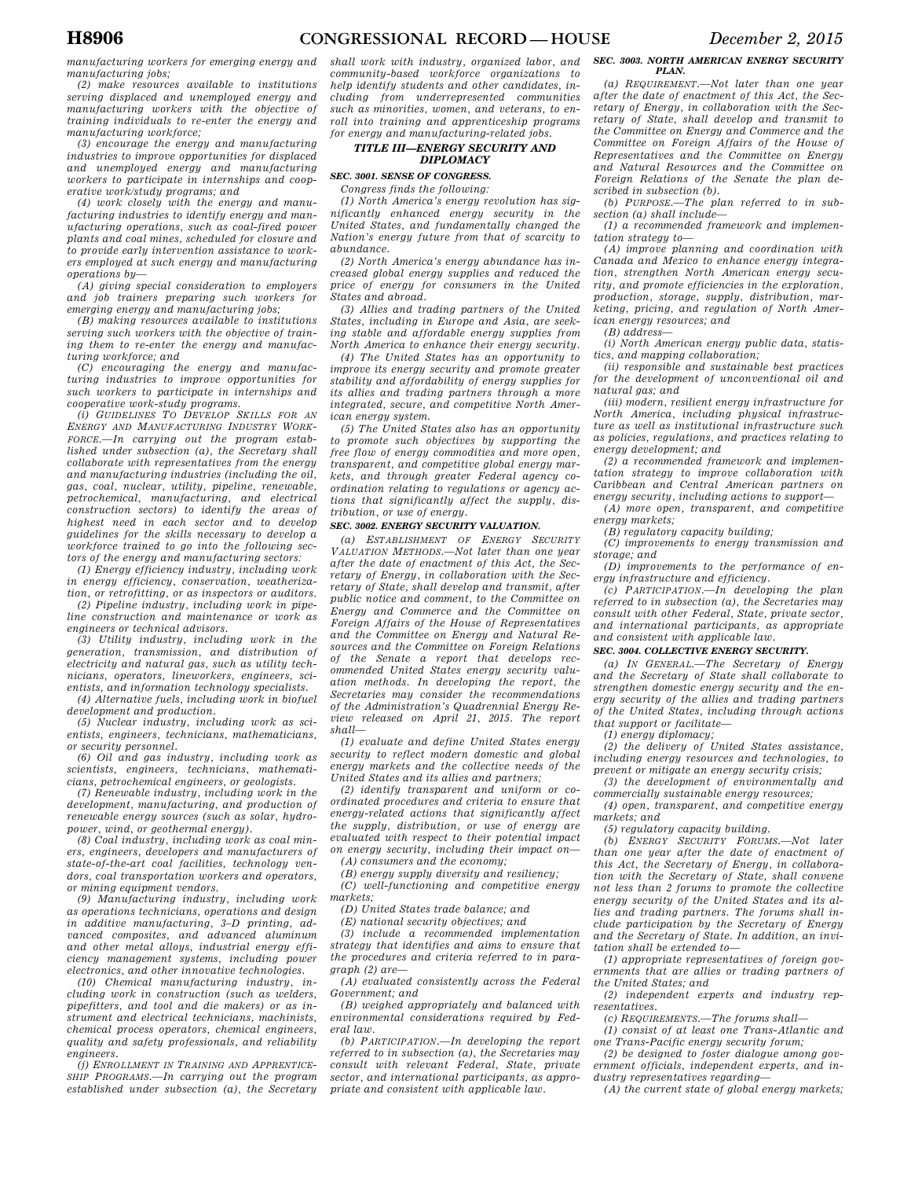*manufacturing workers for emerging energy and manufacturing jobs;* 

*(2) make resources available to institutions serving displaced and unemployed energy and manufacturing workers with the objective of training individuals to re-enter the energy and manufacturing workforce;* 

*(3) encourage the energy and manufacturing industries to improve opportunities for displaced and unemployed energy and manufacturing workers to participate in internships and cooperative work/study programs; and* 

*(4) work closely with the energy and manufacturing industries to identify energy and manufacturing operations, such as coal-fired power plants and coal mines, scheduled for closure and to provide early intervention assistance to workers employed at such energy and manufacturing operations by—* 

*(A) giving special consideration to employers and job trainers preparing such workers for emerging energy and manufacturing jobs;* 

*(B) making resources available to institutions serving such workers with the objective of training them to re-enter the energy and manufacturing workforce; and* 

*(C) encouraging the energy and manufacturing industries to improve opportunities for such workers to participate in internships and cooperative work-study programs.* 

*(i) GUIDELINES TO DEVELOP SKILLS FOR AN ENERGY AND MANUFACTURING INDUSTRY WORK-FORCE.—In carrying out the program established under subsection (a), the Secretary shall collaborate with representatives from the energy and manufacturing industries (including the oil, gas, coal, nuclear, utility, pipeline, renewable, petrochemical, manufacturing, and electrical construction sectors) to identify the areas of highest need in each sector and to develop guidelines for the skills necessary to develop a workforce trained to go into the following sectors of the energy and manufacturing sectors:* 

*(1) Energy efficiency industry, including work in energy efficiency, conservation, weatherization, or retrofitting, or as inspectors or auditors.* 

*(2) Pipeline industry, including work in pipeline construction and maintenance or work as engineers or technical advisors.* 

*(3) Utility industry, including work in the generation, transmission, and distribution of electricity and natural gas, such as utility technicians, operators, lineworkers, engineers, scientists, and information technology specialists.* 

*(4) Alternative fuels, including work in biofuel development and production.* 

*(5) Nuclear industry, including work as scientists, engineers, technicians, mathematicians, or security personnel.* 

*(6) Oil and gas industry, including work as scientists, engineers, technicians, mathematicians, petrochemical engineers, or geologists.* 

*(7) Renewable industry, including work in the development, manufacturing, and production of renewable energy sources (such as solar, hydropower, wind, or geothermal energy).* 

*(8) Coal industry, including work as coal miners, engineers, developers and manufacturers of state-of-the-art coal facilities, technology vendors, coal transportation workers and operators, or mining equipment vendors.* 

*(9) Manufacturing industry, including work as operations technicians, operations and design in additive manufacturing, 3–D printing, advanced composites, and advanced aluminum and other metal alloys, industrial energy efficiency management systems, including power electronics, and other innovative technologies.* 

*(10) Chemical manufacturing industry, including work in construction (such as welders, pipefitters, and tool and die makers) or as instrument and electrical technicians, machinists, chemical process operators, chemical engineers, quality and safety professionals, and reliability engineers.* 

*(j) ENROLLMENT IN TRAINING AND APPRENTICE-SHIP PROGRAMS.—In carrying out the program established under subsection (a), the Secretary* 

*shall work with industry, organized labor, and community-based workforce organizations to help identify students and other candidates, including from underrepresented communities such as minorities, women, and veterans, to enroll into training and apprenticeship programs for energy and manufacturing-related jobs.* 

### *TITLE III—ENERGY SECURITY AND DIPLOMACY*

## *SEC. 3001. SENSE OF CONGRESS.*

*Congress finds the following:* 

*(1) North America's energy revolution has significantly enhanced energy security in the United States, and fundamentally changed the Nation's energy future from that of scarcity to abundance.* 

*(2) North America's energy abundance has increased global energy supplies and reduced the price of energy for consumers in the United States and abroad.* 

*(3) Allies and trading partners of the United States, including in Europe and Asia, are seeking stable and affordable energy supplies from North America to enhance their energy security.* 

*(4) The United States has an opportunity to improve its energy security and promote greater stability and affordability of energy supplies for its allies and trading partners through a more integrated, secure, and competitive North American energy system.* 

*(5) The United States also has an opportunity to promote such objectives by supporting the free flow of energy commodities and more open, transparent, and competitive global energy markets, and through greater Federal agency coordination relating to regulations or agency actions that significantly affect the supply, distribution, or use of energy.* 

### *SEC. 3002. ENERGY SECURITY VALUATION.*

*(a) ESTABLISHMENT OF ENERGY SECURITY VALUATION METHODS.—Not later than one year after the date of enactment of this Act, the Secretary of Energy, in collaboration with the Secretary of State, shall develop and transmit, after public notice and comment, to the Committee on Energy and Commerce and the Committee on Foreign Affairs of the House of Representatives and the Committee on Energy and Natural Resources and the Committee on Foreign Relations of the Senate a report that develops recommended United States energy security valuation methods. In developing the report, the Secretaries may consider the recommendations of the Administration's Quadrennial Energy Review released on April 21, 2015. The report shall—* 

*(1) evaluate and define United States energy security to reflect modern domestic and global energy markets and the collective needs of the United States and its allies and partners;* 

*(2) identify transparent and uniform or coordinated procedures and criteria to ensure that energy-related actions that significantly affect the supply, distribution, or use of energy are evaluated with respect to their potential impact on energy security, including their impact on—* 

*(A) consumers and the economy;* 

*(B) energy supply diversity and resiliency;* 

*(C) well-functioning and competitive energy markets;* 

*(D) United States trade balance; and* 

*(E) national security objectives; and* 

*(3) include a recommended implementation strategy that identifies and aims to ensure that the procedures and criteria referred to in paragraph (2) are—* 

*(A) evaluated consistently across the Federal Government; and* 

*(B) weighed appropriately and balanced with environmental considerations required by Federal law.* 

*(b) PARTICIPATION.—In developing the report referred to in subsection (a), the Secretaries may consult with relevant Federal, State, private sector, and international participants, as appropriate and consistent with applicable law.* 

#### *SEC. 3003. NORTH AMERICAN ENERGY SECURITY PLAN.*

*(a) REQUIREMENT.—Not later than one year after the date of enactment of this Act, the Secretary of Energy, in collaboration with the Secretary of State, shall develop and transmit to the Committee on Energy and Commerce and the Committee on Foreign Affairs of the House of Representatives and the Committee on Energy and Natural Resources and the Committee on Foreign Relations of the Senate the plan described in subsection (b).* 

*(b) PURPOSE.—The plan referred to in subsection (a) shall include—* 

*(1) a recommended framework and implementation strategy to—* 

*(A) improve planning and coordination with Canada and Mexico to enhance energy integration, strengthen North American energy security, and promote efficiencies in the exploration, production, storage, supply, distribution, marketing, pricing, and regulation of North American energy resources; and* 

*(B) address—* 

*(i) North American energy public data, statistics, and mapping collaboration;* 

*(ii) responsible and sustainable best practices for the development of unconventional oil and natural gas; and* 

*(iii) modern, resilient energy infrastructure for North America, including physical infrastructure as well as institutional infrastructure such as policies, regulations, and practices relating to energy development; and* 

*(2) a recommended framework and implementation strategy to improve collaboration with Caribbean and Central American partners on energy security, including actions to support—* 

*(A) more open, transparent, and competitive energy markets;* 

*(B) regulatory capacity building;* 

*(C) improvements to energy transmission and storage; and* 

*(D) improvements to the performance of energy infrastructure and efficiency.* 

*(c) PARTICIPATION.—In developing the plan referred to in subsection (a), the Secretaries may consult with other Federal, State, private sector, and international participants, as appropriate and consistent with applicable law.* 

### *SEC. 3004. COLLECTIVE ENERGY SECURITY.*

*(a) IN GENERAL.—The Secretary of Energy and the Secretary of State shall collaborate to strengthen domestic energy security and the energy security of the allies and trading partners of the United States, including through actions that support or facilitate—* 

*(1) energy diplomacy;* 

*(2) the delivery of United States assistance, including energy resources and technologies, to prevent or mitigate an energy security crisis;* 

*(3) the development of environmentally and commercially sustainable energy resources;* 

*(4) open, transparent, and competitive energy markets; and* 

*(5) regulatory capacity building.* 

*(b) ENERGY SECURITY FORUMS.—Not later than one year after the date of enactment of this Act, the Secretary of Energy, in collaboration with the Secretary of State, shall convene not less than 2 forums to promote the collective energy security of the United States and its allies and trading partners. The forums shall include participation by the Secretary of Energy and the Secretary of State. In addition, an invitation shall be extended to—* 

*(1) appropriate representatives of foreign governments that are allies or trading partners of the United States; and* 

*(2) independent experts and industry representatives.* 

*(c) REQUIREMENTS.—The forums shall—* 

*(1) consist of at least one Trans-Atlantic and one Trans-Pacific energy security forum;* 

*(2) be designed to foster dialogue among government officials, independent experts, and industry representatives regarding—* 

*(A) the current state of global energy markets;*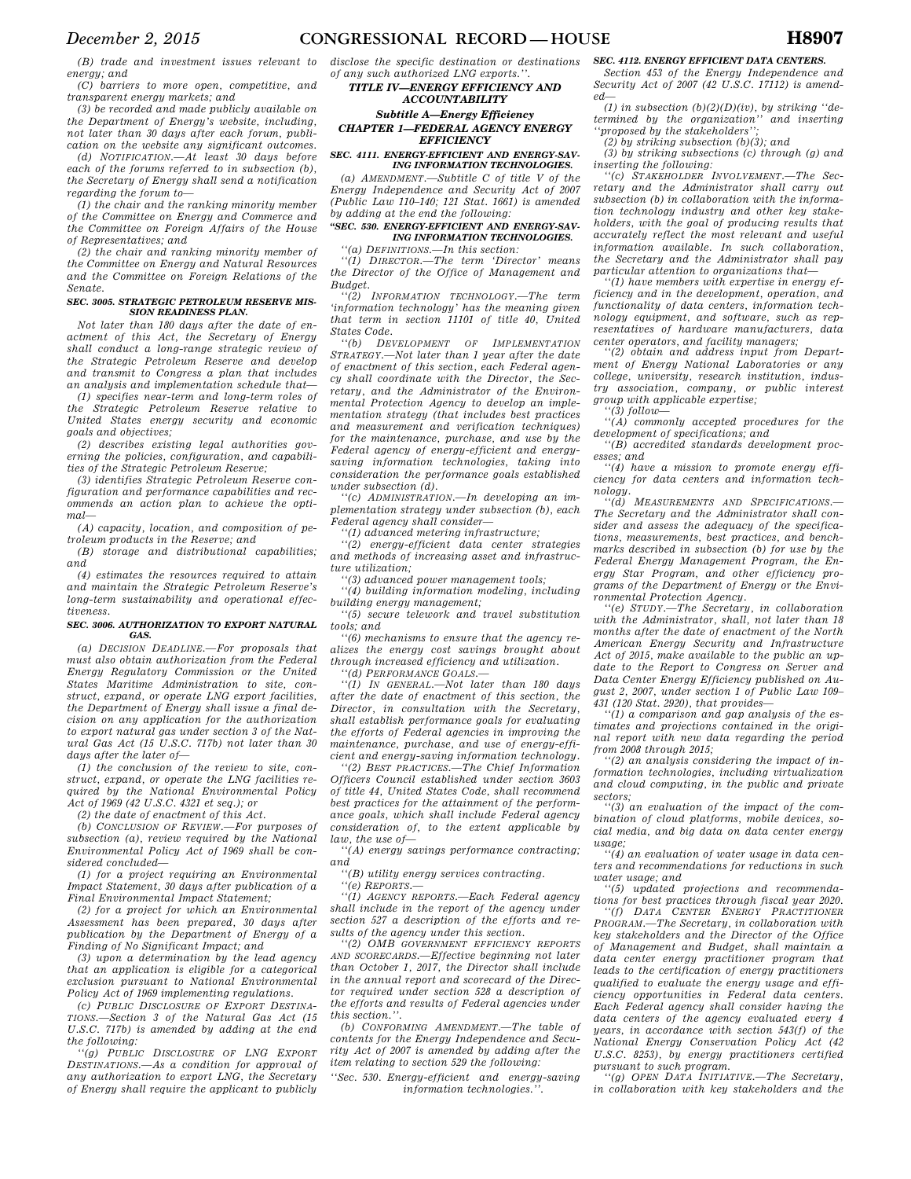*(B) trade and investment issues relevant to energy; and* 

*(C) barriers to more open, competitive, and transparent energy markets; and* 

*(3) be recorded and made publicly available on the Department of Energy's website, including, not later than 30 days after each forum, publication on the website any significant outcomes.* 

*(d) NOTIFICATION.—At least 30 days before each of the forums referred to in subsection (b), the Secretary of Energy shall send a notification regarding the forum to—* 

*(1) the chair and the ranking minority member of the Committee on Energy and Commerce and the Committee on Foreign Affairs of the House of Representatives; and* 

*(2) the chair and ranking minority member of the Committee on Energy and Natural Resources and the Committee on Foreign Relations of the Senate.* 

#### *SEC. 3005. STRATEGIC PETROLEUM RESERVE MIS-SION READINESS PLAN.*

*Not later than 180 days after the date of enactment of this Act, the Secretary of Energy shall conduct a long-range strategic review of the Strategic Petroleum Reserve and develop and transmit to Congress a plan that includes an analysis and implementation schedule that—* 

*(1) specifies near-term and long-term roles of the Strategic Petroleum Reserve relative to United States energy security and economic goals and objectives;* 

*(2) describes existing legal authorities governing the policies, configuration, and capabilities of the Strategic Petroleum Reserve;* 

*(3) identifies Strategic Petroleum Reserve configuration and performance capabilities and recommends an action plan to achieve the optimal—* 

*(A) capacity, location, and composition of petroleum products in the Reserve; and* 

*(B) storage and distributional capabilities; and* 

*(4) estimates the resources required to attain and maintain the Strategic Petroleum Reserve's long-term sustainability and operational effectiveness.* 

#### *SEC. 3006. AUTHORIZATION TO EXPORT NATURAL GAS.*

*(a) DECISION DEADLINE.—For proposals that must also obtain authorization from the Federal Energy Regulatory Commission or the United States Maritime Administration to site, construct, expand, or operate LNG export facilities, the Department of Energy shall issue a final decision on any application for the authorization to export natural gas under section 3 of the Natural Gas Act (15 U.S.C. 717b) not later than 30 days after the later of—* 

*(1) the conclusion of the review to site, construct, expand, or operate the LNG facilities required by the National Environmental Policy Act of 1969 (42 U.S.C. 4321 et seq.); or* 

*(2) the date of enactment of this Act.* 

*(b) CONCLUSION OF REVIEW.—For purposes of subsection (a), review required by the National Environmental Policy Act of 1969 shall be considered concluded—* 

*(1) for a project requiring an Environmental Impact Statement, 30 days after publication of a Final Environmental Impact Statement;* 

*(2) for a project for which an Environmental Assessment has been prepared, 30 days after publication by the Department of Energy of a Finding of No Significant Impact; and* 

*(3) upon a determination by the lead agency that an application is eligible for a categorical exclusion pursuant to National Environmental Policy Act of 1969 implementing regulations.* 

*(c) PUBLIC DISCLOSURE OF EXPORT DESTINA-TIONS.—Section 3 of the Natural Gas Act (15 U.S.C. 717b) is amended by adding at the end the following:* 

*''(g) PUBLIC DISCLOSURE OF LNG EXPORT DESTINATIONS.—As a condition for approval of any authorization to export LNG, the Secretary of Energy shall require the applicant to publicly* 

*disclose the specific destination or destinations of any such authorized LNG exports.''.* 

*TITLE IV—ENERGY EFFICIENCY AND ACCOUNTABILITY* 

*Subtitle A—Energy Efficiency CHAPTER 1—FEDERAL AGENCY ENERGY EFFICIENCY* 

### *SEC. 4111. ENERGY-EFFICIENT AND ENERGY-SAV-ING INFORMATION TECHNOLOGIES.*

*(a) AMENDMENT.—Subtitle C of title V of the Energy Independence and Security Act of 2007 (Public Law 110–140; 121 Stat. 1661) is amended by adding at the end the following:* 

### *''SEC. 530. ENERGY-EFFICIENT AND ENERGY-SAV-ING INFORMATION TECHNOLOGIES.*

*''(a) DEFINITIONS.—In this section:* 

*''(1) DIRECTOR.—The term 'Director' means the Director of the Office of Management and Budget.* 

*''(2) INFORMATION TECHNOLOGY.—The term 'information technology' has the meaning given that term in section 11101 of title 40, United States Code.* 

*''(b) DEVELOPMENT OF IMPLEMENTATION STRATEGY.—Not later than 1 year after the date of enactment of this section, each Federal agency shall coordinate with the Director, the Secretary, and the Administrator of the Environmental Protection Agency to develop an implementation strategy (that includes best practices and measurement and verification techniques) for the maintenance, purchase, and use by the Federal agency of energy-efficient and energysaving information technologies, taking into consideration the performance goals established under subsection (d).* 

*''(c) ADMINISTRATION.—In developing an implementation strategy under subsection (b), each Federal agency shall consider—* 

*''(1) advanced metering infrastructure;* 

*''(2) energy-efficient data center strategies and methods of increasing asset and infrastructure utilization;* 

*''(3) advanced power management tools;* 

*''(4) building information modeling, including building energy management;* 

*''(5) secure telework and travel substitution tools; and* 

*''(6) mechanisms to ensure that the agency realizes the energy cost savings brought about through increased efficiency and utilization.* 

*''(d) PERFORMANCE GOALS.—* 

*''(1) IN GENERAL.—Not later than 180 days after the date of enactment of this section, the Director, in consultation with the Secretary, shall establish performance goals for evaluating the efforts of Federal agencies in improving the maintenance, purchase, and use of energy-efficient and energy-saving information technology.* 

*''(2) BEST PRACTICES.—The Chief Information Officers Council established under section 3603 of title 44, United States Code, shall recommend best practices for the attainment of the performance goals, which shall include Federal agency consideration of, to the extent applicable by law, the use of—* 

*''(A) energy savings performance contracting; and* 

*''(B) utility energy services contracting.* 

*''(e) REPORTS.—* 

*''(1) AGENCY REPORTS.—Each Federal agency shall include in the report of the agency under section 527 a description of the efforts and results of the agency under this section.* 

*''(2) OMB GOVERNMENT EFFICIENCY REPORTS AND SCORECARDS.—Effective beginning not later than October 1, 2017, the Director shall include in the annual report and scorecard of the Director required under section 528 a description of the efforts and results of Federal agencies under this section.''.* 

*(b) CONFORMING AMENDMENT.—The table of contents for the Energy Independence and Security Act of 2007 is amended by adding after the item relating to section 529 the following:* 

*''Sec. 530. Energy-efficient and energy-saving information technologies.''.* 

#### *SEC. 4112. ENERGY EFFICIENT DATA CENTERS.*

*Section 453 of the Energy Independence and Security Act of 2007 (42 U.S.C. 17112) is amended—* 

*(1) in subsection (b)(2)(D)(iv), by striking ''determined by the organization'' and inserting ''proposed by the stakeholders'';* 

*(2) by striking subsection (b)(3); and* 

*(3) by striking subsections (c) through (g) and inserting the following:* 

*''(c) STAKEHOLDER INVOLVEMENT.—The Secretary and the Administrator shall carry out subsection (b) in collaboration with the information technology industry and other key stakeholders, with the goal of producing results that accurately reflect the most relevant and useful information available. In such collaboration, the Secretary and the Administrator shall pay particular attention to organizations that—* 

*''(1) have members with expertise in energy efficiency and in the development, operation, and functionality of data centers, information technology equipment, and software, such as representatives of hardware manufacturers, data center operators, and facility managers;* 

*''(2) obtain and address input from Department of Energy National Laboratories or any college, university, research institution, industry association, company, or public interest group with applicable expertise;* 

*''(3) follow—* 

*''(A) commonly accepted procedures for the development of specifications; and ''(B) accredited standards development proc-*

*esses; and* 

*''(4) have a mission to promote energy efficiency for data centers and information technology.* 

*''(d) MEASUREMENTS AND SPECIFICATIONS.— The Secretary and the Administrator shall consider and assess the adequacy of the specifications, measurements, best practices, and benchmarks described in subsection (b) for use by the Federal Energy Management Program, the Energy Star Program, and other efficiency programs of the Department of Energy or the Environmental Protection Agency.* 

*''(e) STUDY.—The Secretary, in collaboration with the Administrator, shall, not later than 18 months after the date of enactment of the North American Energy Security and Infrastructure Act of 2015, make available to the public an update to the Report to Congress on Server and Data Center Energy Efficiency published on August 2, 2007, under section 1 of Public Law 109– 431 (120 Stat. 2920), that provides—* 

*''(1) a comparison and gap analysis of the estimates and projections contained in the original report with new data regarding the period from 2008 through 2015;* 

*''(2) an analysis considering the impact of information technologies, including virtualization and cloud computing, in the public and private sectors;* 

*''(3) an evaluation of the impact of the combination of cloud platforms, mobile devices, social media, and big data on data center energy*   $\n *u*$ *sage*;

*''(4) an evaluation of water usage in data centers and recommendations for reductions in such water usage; and* 

*''(5) updated projections and recommendations for best practices through fiscal year 2020.*   $'$ (f) DATA *CENTER ENERGY PROGRAM.—The Secretary, in collaboration with key stakeholders and the Director of the Office of Management and Budget, shall maintain a data center energy practitioner program that leads to the certification of energy practitioners qualified to evaluate the energy usage and efficiency opportunities in Federal data centers. Each Federal agency shall consider having the data centers of the agency evaluated every 4 years, in accordance with section 543(f) of the National Energy Conservation Policy Act (42 U.S.C. 8253), by energy practitioners certified* 

*pursuant to such program. ''(g) OPEN DATA INITIATIVE.—The Secretary, in collaboration with key stakeholders and the*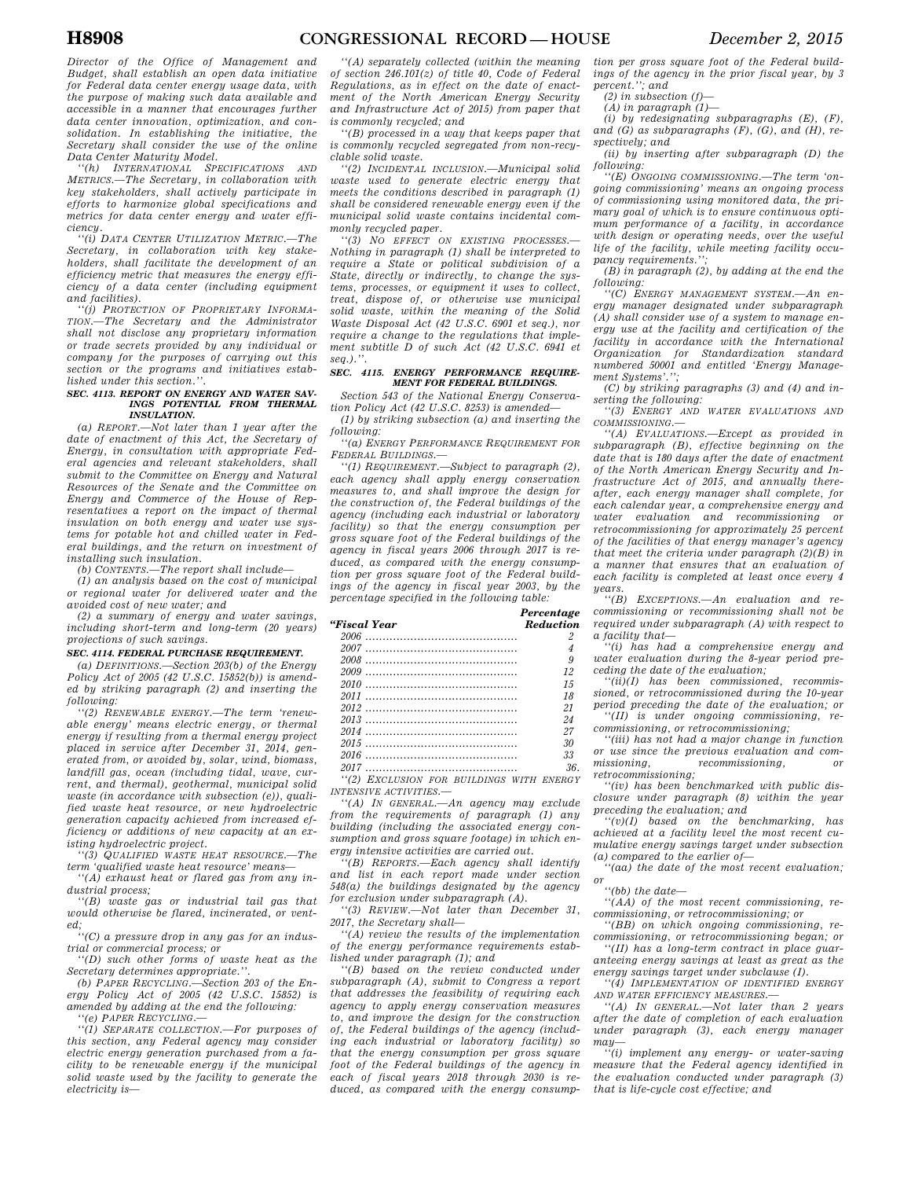*Director of the Office of Management and Budget, shall establish an open data initiative for Federal data center energy usage data, with the purpose of making such data available and accessible in a manner that encourages further data center innovation, optimization, and consolidation. In establishing the initiative, the Secretary shall consider the use of the online Data Center Maturity Model.* 

*''(h) INTERNATIONAL SPECIFICATIONS AND METRICS.—The Secretary, in collaboration with key stakeholders, shall actively participate in efforts to harmonize global specifications and metrics for data center energy and water efficiency.* 

*''(i) DATA CENTER UTILIZATION METRIC.—The Secretary, in collaboration with key stakeholders, shall facilitate the development of an efficiency metric that measures the energy efficiency of a data center (including equipment and facilities).* 

*''(j) PROTECTION OF PROPRIETARY INFORMA-TION.—The Secretary and the Administrator shall not disclose any proprietary information or trade secrets provided by any individual or company for the purposes of carrying out this section or the programs and initiatives established under this section.''.* 

### *SEC. 4113. REPORT ON ENERGY AND WATER SAV-INGS POTENTIAL FROM THERMAL INSULATION.*

*(a) REPORT.—Not later than 1 year after the date of enactment of this Act, the Secretary of Energy, in consultation with appropriate Federal agencies and relevant stakeholders, shall submit to the Committee on Energy and Natural Resources of the Senate and the Committee on Energy and Commerce of the House of Representatives a report on the impact of thermal insulation on both energy and water use systems for potable hot and chilled water in Federal buildings, and the return on investment of installing such insulation.* 

*(b) CONTENTS.—The report shall include—* 

*(1) an analysis based on the cost of municipal or regional water for delivered water and the avoided cost of new water; and* 

*(2) a summary of energy and water savings, including short-term and long-term (20 years) projections of such savings.* 

### *SEC. 4114. FEDERAL PURCHASE REQUIREMENT.*

*(a) DEFINITIONS.—Section 203(b) of the Energy Policy Act of 2005 (42 U.S.C. 15852(b)) is amended by striking paragraph (2) and inserting the following:* 

*''(2) RENEWABLE ENERGY.—The term 'renewable energy' means electric energy, or thermal energy if resulting from a thermal energy project placed in service after December 31, 2014, generated from, or avoided by, solar, wind, biomass, landfill gas, ocean (including tidal, wave, current, and thermal), geothermal, municipal solid waste (in accordance with subsection (e)), qualified waste heat resource, or new hydroelectric generation capacity achieved from increased efficiency or additions of new capacity at an existing hydroelectric project.* 

*''(3) QUALIFIED WASTE HEAT RESOURCE.—The term 'qualified waste heat resource' means—* 

*''(A) exhaust heat or flared gas from any industrial process;* 

*''(B) waste gas or industrial tail gas that would otherwise be flared, incinerated, or vent-*

*ed; ''(C) a pressure drop in any gas for an industrial or commercial process; or* 

*''(D) such other forms of waste heat as the Secretary determines appropriate.''.* 

*(b) PAPER RECYCLING.—Section 203 of the Energy Policy Act of 2005 (42 U.S.C. 15852) is amended by adding at the end the following:* 

*''(e) PAPER RECYCLING.—* 

*''(1) SEPARATE COLLECTION.—For purposes of this section, any Federal agency may consider electric energy generation purchased from a facility to be renewable energy if the municipal solid waste used by the facility to generate the electricity is—* 

*''(A) separately collected (within the meaning of section 246.101(z) of title 40, Code of Federal Regulations, as in effect on the date of enactment of the North American Energy Security and Infrastructure Act of 2015) from paper that is commonly recycled; and* 

*''(B) processed in a way that keeps paper that is commonly recycled segregated from non-recyclable solid waste.* 

*''(2) INCIDENTAL INCLUSION.—Municipal solid waste used to generate electric energy that meets the conditions described in paragraph (1) shall be considered renewable energy even if the municipal solid waste contains incidental commonly recycled paper.* 

*''(3) NO EFFECT ON EXISTING PROCESSES.— Nothing in paragraph (1) shall be interpreted to require a State or political subdivision of a State, directly or indirectly, to change the systems, processes, or equipment it uses to collect, treat, dispose of, or otherwise use municipal solid waste, within the meaning of the Solid Waste Disposal Act (42 U.S.C. 6901 et seq.), nor require a change to the regulations that implement subtitle D of such Act (42 U.S.C. 6941 et seq.).''.* 

### *SEC. 4115. ENERGY PERFORMANCE REQUIRE-MENT FOR FEDERAL BUILDINGS.*

*Section 543 of the National Energy Conservation Policy Act (42 U.S.C. 8253) is amended—* 

*(1) by striking subsection (a) and inserting the following:* 

*''(a) ENERGY PERFORMANCE REQUIREMENT FOR FEDERAL BUILDINGS.—* 

*''(1) REQUIREMENT.—Subject to paragraph (2), each agency shall apply energy conservation measures to, and shall improve the design for the construction of, the Federal buildings of the agency (including each industrial or laboratory facility) so that the energy consumption per gross square foot of the Federal buildings of the agency in fiscal years 2006 through 2017 is reduced, as compared with the energy consumption per gross square foot of the Federal buildings of the agency in fiscal year 2003, by the percentage specified in the following table:* 

*Percentage* 

| "Fiscal Year                             | <b>Reduction</b> |
|------------------------------------------|------------------|
|                                          |                  |
|                                          |                  |
|                                          | 9                |
|                                          | 12               |
|                                          | 15               |
|                                          | 18               |
|                                          | 21               |
|                                          | 24               |
|                                          | 27               |
|                                          | 30               |
|                                          | 33               |
|                                          | 36.              |
| "(2) EXCLUSION FOR BUILDINGS WITH ENERGY |                  |
| <b>INTENSIVE ACTIVITIES.-</b>            |                  |

*''(A) IN GENERAL.—An agency may exclude from the requirements of paragraph (1) any building (including the associated energy consumption and gross square footage) in which energy intensive activities are carried out.* 

*''(B) REPORTS.—Each agency shall identify and list in each report made under section 548(a) the buildings designated by the agency for exclusion under subparagraph (A).* 

*''(3) REVIEW.—Not later than December 31, 2017, the Secretary shall—* 

*''(A) review the results of the implementation of the energy performance requirements established under paragraph (1); and* 

*''(B) based on the review conducted under subparagraph (A), submit to Congress a report that addresses the feasibility of requiring each agency to apply energy conservation measures to, and improve the design for the construction of, the Federal buildings of the agency (including each industrial or laboratory facility) so that the energy consumption per gross square foot of the Federal buildings of the agency in each of fiscal years 2018 through 2030 is reduced, as compared with the energy consump-*

*tion per gross square foot of the Federal buildings of the agency in the prior fiscal year, by 3 percent.''; and* 

*(2) in subsection (f)—* 

*(A) in paragraph (1)—* 

*(i) by redesignating subparagraphs (E), (F), and (G) as subparagraphs (F), (G), and (H), respectively; and* 

*(ii) by inserting after subparagraph (D) the following:* 

*''(E) ONGOING COMMISSIONING.—The term 'ongoing commissioning' means an ongoing process of commissioning using monitored data, the primary goal of which is to ensure continuous optimum performance of a facility, in accordance with design or operating needs, over the useful life of the facility, while meeting facility occupancy requirements.'';* 

*(B) in paragraph (2), by adding at the end the following:* 

*''(C) ENERGY MANAGEMENT SYSTEM.—An energy manager designated under subparagraph (A) shall consider use of a system to manage energy use at the facility and certification of the facility in accordance with the International Organization for Standardization standard numbered 50001 and entitled 'Energy Management Systems'.'';* 

*(C) by striking paragraphs (3) and (4) and in-*

*serting the following: ''(3) ENERGY AND WATER EVALUATIONS AND COMMISSIONING.—* 

*''(A) EVALUATIONS.—Except as provided in subparagraph (B), effective beginning on the date that is 180 days after the date of enactment of the North American Energy Security and Infrastructure Act of 2015, and annually thereafter, each energy manager shall complete, for each calendar year, a comprehensive energy and water evaluation and recommissioning or retrocommissioning for approximately 25 percent of the facilities of that energy manager's agency that meet the criteria under paragraph (2)(B) in a manner that ensures that an evaluation of each facility is completed at least once every 4 years.* 

*''(B) EXCEPTIONS.—An evaluation and recommissioning or recommissioning shall not be required under subparagraph (A) with respect to a facility that—* 

*''(i) has had a comprehensive energy and water evaluation during the 8-year period preceding the date of the evaluation;* 

*''(ii)(I) has been commissioned, recommissioned, or retrocommissioned during the 10-year period preceding the date of the evaluation; or ''(II) is under ongoing commissioning, re-*

*commissioning, or retrocommissioning; ''(iii) has not had a major change in function or use since the previous evaluation and commissioning, recommissioning, or retrocommissioning;* 

*''(iv) has been benchmarked with public disclosure under paragraph (8) within the year preceding the evaluation; and* 

*''(v)(I) based on the benchmarking, has achieved at a facility level the most recent cumulative energy savings target under subsection (a) compared to the earlier of—* 

*''(aa) the date of the most recent evaluation; or* 

*''(bb) the date—* 

*''(AA) of the most recent commissioning, recommissioning, or retrocommissioning; or* 

*''(BB) on which ongoing commissioning, recommissioning, or retrocommissioning began; or ''(II) has a long-term contract in place guar-*

*anteeing energy savings at least as great as the energy savings target under subclause (I).* 

*''(4) IMPLEMENTATION OF IDENTIFIED ENERGY AND WATER EFFICIENCY MEASURES.—* 

*''(A) IN GENERAL.—Not later than 2 years after the date of completion of each evaluation under paragraph (3), each energy manager may—* 

*''(i) implement any energy- or water-saving measure that the Federal agency identified in the evaluation conducted under paragraph (3) that is life-cycle cost effective; and*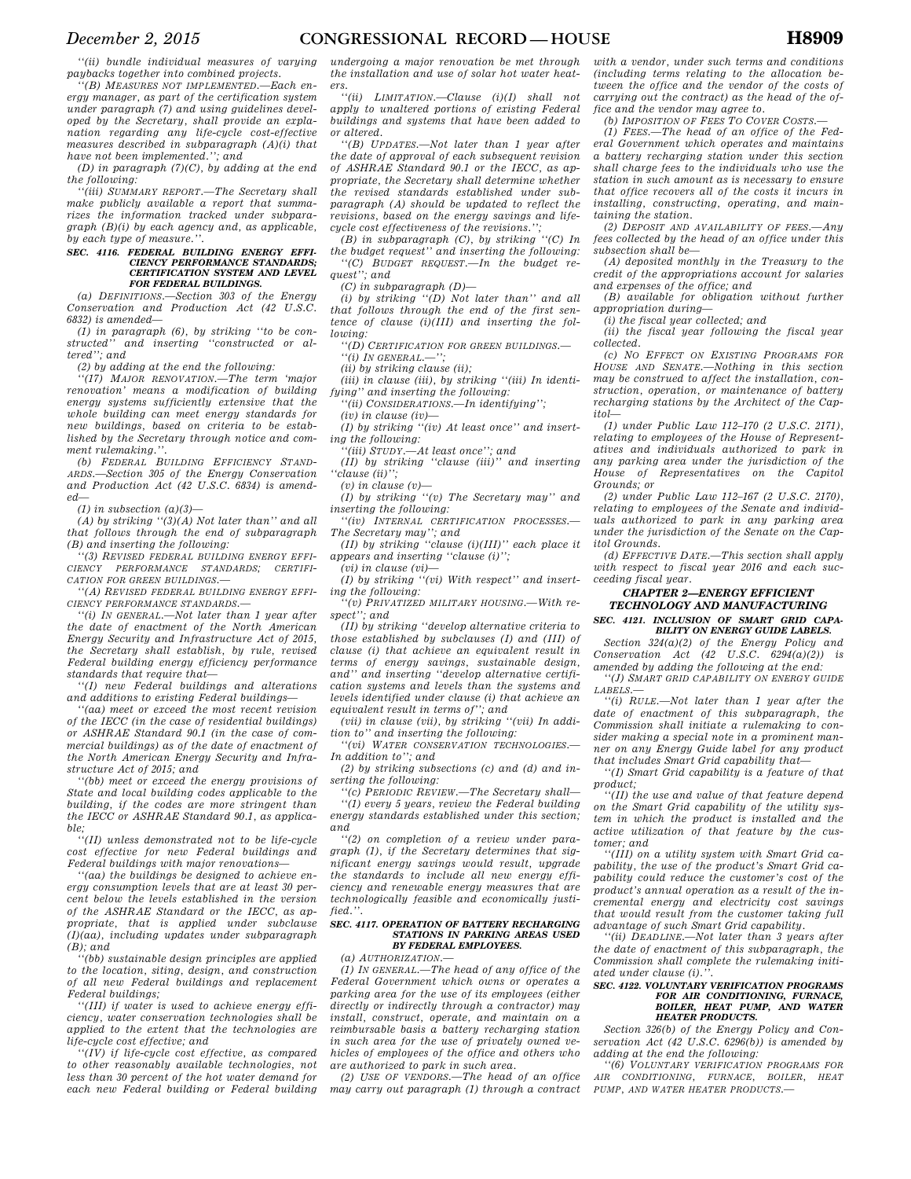*''(ii) bundle individual measures of varying paybacks together into combined projects.* 

*''(B) MEASURES NOT IMPLEMENTED.—Each energy manager, as part of the certification system under paragraph (7) and using guidelines developed by the Secretary, shall provide an explanation regarding any life-cycle cost-effective measures described in subparagraph (A)(i) that have not been implemented.''; and* 

*(D) in paragraph (7)(C), by adding at the end the following:* 

*''(iii) SUMMARY REPORT.—The Secretary shall make publicly available a report that summarizes the information tracked under subparagraph (B)(i) by each agency and, as applicable, by each type of measure.''.* 

#### *SEC. 4116. FEDERAL BUILDING ENERGY EFFI-CIENCY PERFORMANCE STANDARDS; CERTIFICATION SYSTEM AND LEVEL FOR FEDERAL BUILDINGS.*

*(a) DEFINITIONS.—Section 303 of the Energy Conservation and Production Act (42 U.S.C. 6832) is amended—* 

*(1) in paragraph (6), by striking ''to be constructed'' and inserting ''constructed or altered''; and* 

*(2) by adding at the end the following:* 

*''(17) MAJOR RENOVATION.—The term 'major renovation' means a modification of building energy systems sufficiently extensive that the whole building can meet energy standards for new buildings, based on criteria to be established by the Secretary through notice and comment rulemaking.''.* 

*(b) FEDERAL BUILDING EFFICIENCY STAND-ARDS.—Section 305 of the Energy Conservation and Production Act (42 U.S.C. 6834) is amended—* 

*(1) in subsection (a)(3)—* 

*(A) by striking ''(3)(A) Not later than'' and all that follows through the end of subparagraph (B) and inserting the following:* 

*''(3) REVISED FEDERAL BUILDING ENERGY EFFI-CIENCY PERFORMANCE STANDARDS; CERTIFI-CATION FOR GREEN BUILDINGS.—* 

*''(A) REVISED FEDERAL BUILDING ENERGY EFFI-CIENCY PERFORMANCE STANDARDS.—* 

*''(i) IN GENERAL.—Not later than 1 year after the date of enactment of the North American Energy Security and Infrastructure Act of 2015, the Secretary shall establish, by rule, revised Federal building energy efficiency performance standards that require that—* 

*''(I) new Federal buildings and alterations and additions to existing Federal buildings—* 

*''(aa) meet or exceed the most recent revision of the IECC (in the case of residential buildings) or ASHRAE Standard 90.1 (in the case of commercial buildings) as of the date of enactment of the North American Energy Security and Infrastructure Act of 2015; and* 

*''(bb) meet or exceed the energy provisions of State and local building codes applicable to the building, if the codes are more stringent than the IECC or ASHRAE Standard 90.1, as applicable;* 

*''(II) unless demonstrated not to be life-cycle cost effective for new Federal buildings and Federal buildings with major renovations—* 

*''(aa) the buildings be designed to achieve energy consumption levels that are at least 30 percent below the levels established in the version of the ASHRAE Standard or the IECC, as appropriate, that is applied under subclause (I)(aa), including updates under subparagraph (B); and* 

*''(bb) sustainable design principles are applied to the location, siting, design, and construction of all new Federal buildings and replacement Federal buildings;* 

*''(III) if water is used to achieve energy efficiency, water conservation technologies shall be applied to the extent that the technologies are life-cycle cost effective; and* 

*''(IV) if life-cycle cost effective, as compared to other reasonably available technologies, not less than 30 percent of the hot water demand for each new Federal building or Federal building*  *undergoing a major renovation be met through the installation and use of solar hot water heaters.* 

*''(ii) LIMITATION.—Clause (i)(I) shall not apply to unaltered portions of existing Federal buildings and systems that have been added to or altered.* 

*''(B) UPDATES.—Not later than 1 year after the date of approval of each subsequent revision of ASHRAE Standard 90.1 or the IECC, as appropriate, the Secretary shall determine whether the revised standards established under subparagraph (A) should be updated to reflect the revisions, based on the energy savings and lifecycle cost effectiveness of the revisions.'';* 

*(B) in subparagraph (C), by striking ''(C) In the budget request'' and inserting the following: ''(C) BUDGET REQUEST.—In the budget request''; and* 

*(C) in subparagraph (D)—* 

*(i) by striking ''(D) Not later than'' and all that follows through the end of the first sentence of clause (i)(III) and inserting the following:* 

*''(D) CERTIFICATION FOR GREEN BUILDINGS.— ''(i) IN GENERAL.—'';* 

*(ii) by striking clause (ii);* 

*(iii) in clause (iii), by striking ''(iii) In identifying'' and inserting the following:* 

*''(ii) CONSIDERATIONS.—In identifying'';* 

*(iv) in clause (iv)—* 

*(I) by striking ''(iv) At least once'' and inserting the following:* 

*''(iii) STUDY.—At least once''; and* 

*(II) by striking ''clause (iii)'' and inserting ''clause (ii)'';* 

*(v) in clause (v)—* 

*(I) by striking ''(v) The Secretary may'' and inserting the following:* 

*''(iv) INTERNAL CERTIFICATION PROCESSES.—* 

*The Secretary may''; and (II) by striking ''clause (i)(III)'' each place it appears and inserting ''clause (i)'';* 

*(vi) in clause (vi)—* 

*(I) by striking ''(vi) With respect'' and inserting the following:* 

*''(v) PRIVATIZED MILITARY HOUSING.—With respect''; and* 

*(II) by striking ''develop alternative criteria to those established by subclauses (I) and (III) of clause (i) that achieve an equivalent result in terms of energy savings, sustainable design, and'' and inserting ''develop alternative certification systems and levels than the systems and levels identified under clause (i) that achieve an equivalent result in terms of''; and* 

*(vii) in clause (vii), by striking ''(vii) In addition to'' and inserting the following:* 

*''(vi) WATER CONSERVATION TECHNOLOGIES.— In addition to''; and* 

*(2) by striking subsections (c) and (d) and inserting the following:* 

*''(c) PERIODIC REVIEW.—The Secretary shall— ''(1) every 5 years, review the Federal building energy standards established under this section; and* 

*''(2) on completion of a review under paragraph (1), if the Secretary determines that significant energy savings would result, upgrade the standards to include all new energy efficiency and renewable energy measures that are technologically feasible and economically justified.''.* 

#### *SEC. 4117. OPERATION OF BATTERY RECHARGING STATIONS IN PARKING AREAS USED BY FEDERAL EMPLOYEES.*

*(a) AUTHORIZATION.—* 

*(1) IN GENERAL.—The head of any office of the Federal Government which owns or operates a parking area for the use of its employees (either directly or indirectly through a contractor) may install, construct, operate, and maintain on a reimbursable basis a battery recharging station in such area for the use of privately owned vehicles of employees of the office and others who are authorized to park in such area.* 

*(2) USE OF VENDORS.—The head of an office may carry out paragraph (1) through a contract* 

*with a vendor, under such terms and conditions (including terms relating to the allocation between the office and the vendor of the costs of carrying out the contract) as the head of the office and the vendor may agree to.* 

*(b) IMPOSITION OF FEES TO COVER COSTS.—* 

*(1) FEES.—The head of an office of the Federal Government which operates and maintains a battery recharging station under this section shall charge fees to the individuals who use the station in such amount as is necessary to ensure that office recovers all of the costs it incurs in installing, constructing, operating, and maintaining the station.* 

*(2) DEPOSIT AND AVAILABILITY OF FEES.—Any fees collected by the head of an office under this subsection shall be—* 

*(A) deposited monthly in the Treasury to the credit of the appropriations account for salaries and expenses of the office; and* 

*(B) available for obligation without further appropriation during—* 

*(i) the fiscal year collected; and* 

*(ii) the fiscal year following the fiscal year collected.* 

*(c) NO EFFECT ON EXISTING PROGRAMS FOR HOUSE AND SENATE.—Nothing in this section may be construed to affect the installation, construction, operation, or maintenance of battery recharging stations by the Architect of the Capitol—* 

*(1) under Public Law 112–170 (2 U.S.C. 2171), relating to employees of the House of Representatives and individuals authorized to park in any parking area under the jurisdiction of the House of Representatives on the Capitol Grounds; or* 

*(2) under Public Law 112–167 (2 U.S.C. 2170), relating to employees of the Senate and individuals authorized to park in any parking area under the jurisdiction of the Senate on the Capitol Grounds.* 

*(d) EFFECTIVE DATE.—This section shall apply with respect to fiscal year 2016 and each succeeding fiscal year.* 

#### *CHAPTER 2—ENERGY EFFICIENT TECHNOLOGY AND MANUFACTURING SEC. 4121. INCLUSION OF SMART GRID CAPA-BILITY ON ENERGY GUIDE LABELS.*

*Section 324(a)(2) of the Energy Policy and Conservation Act (42 U.S.C. 6294(a)(2)) is amended by adding the following at the end:* 

*''(J) SMART GRID CAPABILITY ON ENERGY GUIDE LABELS.—* 

*''(i) RULE.—Not later than 1 year after the date of enactment of this subparagraph, the Commission shall initiate a rulemaking to consider making a special note in a prominent manner on any Energy Guide label for any product that includes Smart Grid capability that—* 

*''(I) Smart Grid capability is a feature of that product;* 

*''(II) the use and value of that feature depend on the Smart Grid capability of the utility system in which the product is installed and the active utilization of that feature by the customer; and* 

*''(III) on a utility system with Smart Grid capability, the use of the product's Smart Grid capability could reduce the customer's cost of the product's annual operation as a result of the incremental energy and electricity cost savings that would result from the customer taking full advantage of such Smart Grid capability.* 

*''(ii) DEADLINE.—Not later than 3 years after the date of enactment of this subparagraph, the Commission shall complete the rulemaking initiated under clause (i).''.* 

#### *SEC. 4122. VOLUNTARY VERIFICATION PROGRAMS FOR AIR CONDITIONING, FURNACE, BOILER, HEAT PUMP, AND WATER HEATER PRODUCTS.*

*Section 326(b) of the Energy Policy and Conservation Act (42 U.S.C. 6296(b)) is amended by adding at the end the following:* 

*''(6) VOLUNTARY VERIFICATION PROGRAMS FOR AIR CONDITIONING, FURNACE, BOILER, HEAT PUMP, AND WATER HEATER PRODUCTS.—*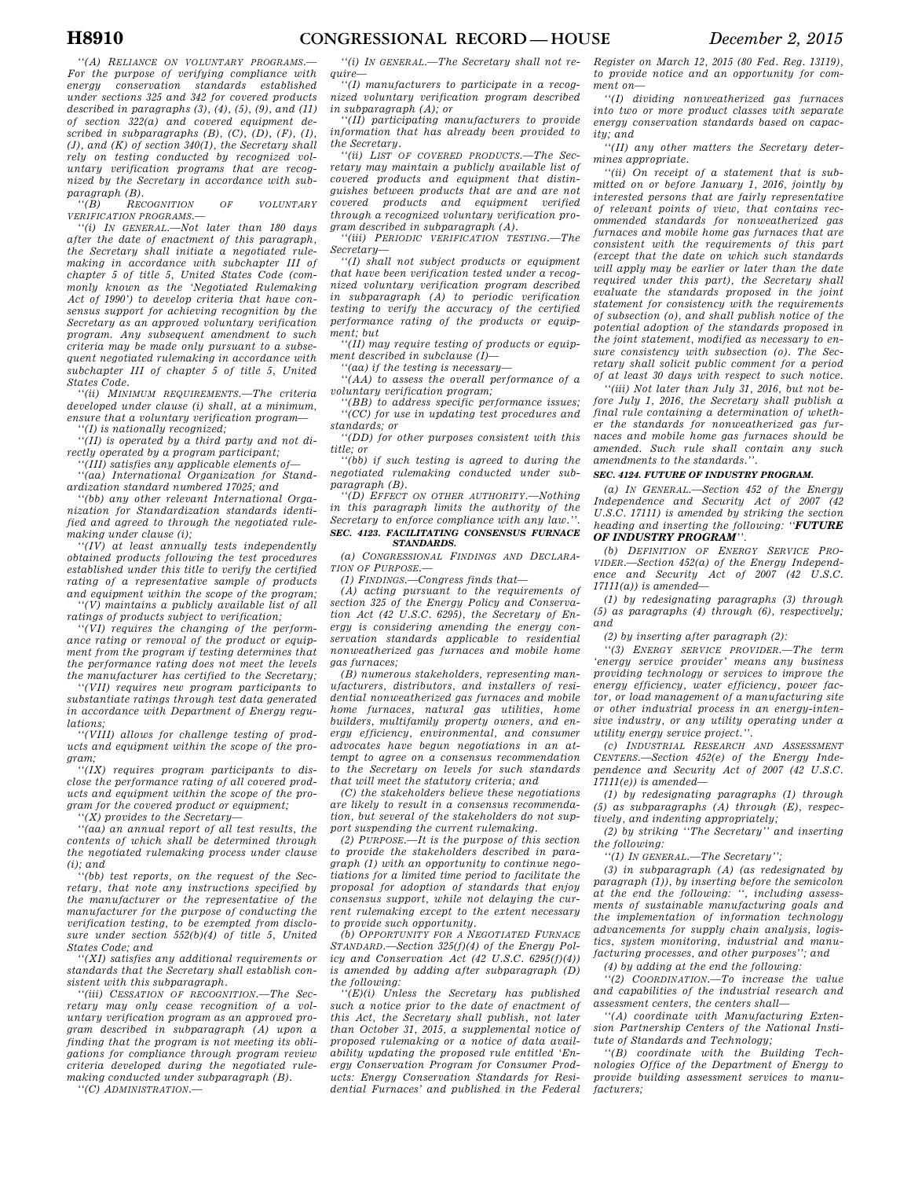*''(A) RELIANCE ON VOLUNTARY PROGRAMS.— For the purpose of verifying compliance with energy conservation standards established under sections 325 and 342 for covered products described in paragraphs (3), (4), (5), (9), and (11) of section 322(a) and covered equipment described in subparagraphs (B), (C), (D), (F), (I), (J), and (K) of section 340(1), the Secretary shall rely on testing conducted by recognized voluntary verification programs that are recognized by the Secretary in accordance with subparagraph (B).* 

 $RECOGNITION$  OF VOLUNTARY *VERIFICATION PROGRAMS.—* 

*''(i) IN GENERAL.—Not later than 180 days after the date of enactment of this paragraph, the Secretary shall initiate a negotiated rulemaking in accordance with subchapter III of chapter 5 of title 5, United States Code (commonly known as the 'Negotiated Rulemaking Act of 1990') to develop criteria that have consensus support for achieving recognition by the Secretary as an approved voluntary verification program. Any subsequent amendment to such criteria may be made only pursuant to a subsequent negotiated rulemaking in accordance with subchapter III of chapter 5 of title 5, United States Code.* 

*''(ii) MINIMUM REQUIREMENTS.—The criteria developed under clause (i) shall, at a minimum, ensure that a voluntary verification program—* 

*''(I) is nationally recognized;* 

*''(II) is operated by a third party and not directly operated by a program participant;* 

*''(III) satisfies any applicable elements of— ''(aa) International Organization for Stand-*

*ardization standard numbered 17025; and ''(bb) any other relevant International Organization for Standardization standards identified and agreed to through the negotiated rule-*

*making under clause (i); ''(IV) at least annually tests independently obtained products following the test procedures established under this title to verify the certified rating of a representative sample of products and equipment within the scope of the program;* 

*''(V) maintains a publicly available list of all ratings of products subject to verification;* 

*''(VI) requires the changing of the performance rating or removal of the product or equipment from the program if testing determines that the performance rating does not meet the levels the manufacturer has certified to the Secretary;* 

*''(VII) requires new program participants to substantiate ratings through test data generated in accordance with Department of Energy regulations;* 

*''(VIII) allows for challenge testing of products and equipment within the scope of the program;* 

*''(IX) requires program participants to disclose the performance rating of all covered products and equipment within the scope of the program for the covered product or equipment;* 

*''(X) provides to the Secretary—* 

*''(aa) an annual report of all test results, the contents of which shall be determined through the negotiated rulemaking process under clause (i); and* 

*''(bb) test reports, on the request of the Secretary, that note any instructions specified by the manufacturer or the representative of the manufacturer for the purpose of conducting the verification testing, to be exempted from disclosure under section 552(b)(4) of title 5, United States Code; and* 

*''(XI) satisfies any additional requirements or standards that the Secretary shall establish consistent with this subparagraph.* 

*''(iii) CESSATION OF RECOGNITION.—The Secretary may only cease recognition of a voluntary verification program as an approved program described in subparagraph (A) upon a finding that the program is not meeting its obligations for compliance through program review criteria developed during the negotiated rulemaking conducted under subparagraph (B).* 

*''(C) ADMINISTRATION.—* 

*''(i) IN GENERAL.—The Secretary shall not require—* 

*''(I) manufacturers to participate in a recognized voluntary verification program described in subparagraph (A); or* 

*''(II) participating manufacturers to provide information that has already been provided to the Secretary.* 

*''(ii) LIST OF COVERED PRODUCTS.—The Secretary may maintain a publicly available list of covered products and equipment that distinguishes between products that are and are not covered products and equipment verified through a recognized voluntary verification program described in subparagraph (A).* 

*''(iii) PERIODIC VERIFICATION TESTING.—The Secretary—* 

*''(I) shall not subject products or equipment that have been verification tested under a recognized voluntary verification program described in subparagraph (A) to periodic verification testing to verify the accuracy of the certified performance rating of the products or equipment; but* 

*''(II) may require testing of products or equipment described in subclause (I)—* 

*''(aa) if the testing is necessary—* 

*''(AA) to assess the overall performance of a voluntary verification program;* 

*''(BB) to address specific performance issues; ''(CC) for use in updating test procedures and standards; or* 

*''(DD) for other purposes consistent with this title; or* 

*''(bb) if such testing is agreed to during the negotiated rulemaking conducted under subparagraph (B).* 

*''(D) EFFECT ON OTHER AUTHORITY.—Nothing in this paragraph limits the authority of the Secretary to enforce compliance with any law.''. SEC. 4123. FACILITATING CONSENSUS FURNACE* 

### *STANDARDS. (a) CONGRESSIONAL FINDINGS AND DECLARA-*

*TION OF PURPOSE.—* 

*(1) FINDINGS.—Congress finds that—* 

*(A) acting pursuant to the requirements of section 325 of the Energy Policy and Conservation Act (42 U.S.C. 6295), the Secretary of Energy is considering amending the energy conservation standards applicable to residential nonweatherized gas furnaces and mobile home gas furnaces;* 

*(B) numerous stakeholders, representing manufacturers, distributors, and installers of residential nonweatherized gas furnaces and mobile home furnaces, natural gas utilities, home builders, multifamily property owners, and energy efficiency, environmental, and consumer advocates have begun negotiations in an attempt to agree on a consensus recommendation to the Secretary on levels for such standards that will meet the statutory criteria; and* 

*(C) the stakeholders believe these negotiations are likely to result in a consensus recommendation, but several of the stakeholders do not support suspending the current rulemaking.* 

*(2) PURPOSE.—It is the purpose of this section to provide the stakeholders described in paragraph (1) with an opportunity to continue negotiations for a limited time period to facilitate the proposal for adoption of standards that enjoy consensus support, while not delaying the current rulemaking except to the extent necessary to provide such opportunity.* 

*(b) OPPORTUNITY FOR A NEGOTIATED FURNACE STANDARD.—Section 325(f)(4) of the Energy Policy and Conservation Act (42 U.S.C. 6295(f)(4)) is amended by adding after subparagraph (D) the following:* 

*''(E)(i) Unless the Secretary has published such a notice prior to the date of enactment of this Act, the Secretary shall publish, not later than October 31, 2015, a supplemental notice of proposed rulemaking or a notice of data availability updating the proposed rule entitled 'Energy Conservation Program for Consumer Products: Energy Conservation Standards for Residential Furnaces' and published in the Federal*  *Register on March 12, 2015 (80 Fed. Reg. 13119), to provide notice and an opportunity for comment on—* 

*''(I) dividing nonweatherized gas furnaces into two or more product classes with separate energy conservation standards based on capacity; and* 

*''(II) any other matters the Secretary determines appropriate.* 

*''(ii) On receipt of a statement that is submitted on or before January 1, 2016, jointly by interested persons that are fairly representative of relevant points of view, that contains recommended standards for nonweatherized gas furnaces and mobile home gas furnaces that are consistent with the requirements of this part (except that the date on which such standards will apply may be earlier or later than the date required under this part), the Secretary shall evaluate the standards proposed in the joint statement for consistency with the requirements of subsection (o), and shall publish notice of the potential adoption of the standards proposed in the joint statement, modified as necessary to ensure consistency with subsection (o). The Secretary shall solicit public comment for a period of at least 30 days with respect to such notice.* 

*''(iii) Not later than July 31, 2016, but not before July 1, 2016, the Secretary shall publish a final rule containing a determination of whether the standards for nonweatherized gas furnaces and mobile home gas furnaces should be amended. Such rule shall contain any such amendments to the standards.''.* 

### *SEC. 4124. FUTURE OF INDUSTRY PROGRAM.*

*(a) IN GENERAL.—Section 452 of the Energy Independence and Security Act of 2007 (42 U.S.C. 17111) is amended by striking the section heading and inserting the following: ''FUTURE OF INDUSTRY PROGRAM''.* 

*(b) DEFINITION OF ENERGY SERVICE PRO-VIDER.—Section 452(a) of the Energy Independence and Security Act of 2007 (42 U.S.C. 17111(a)) is amended—* 

*(1) by redesignating paragraphs (3) through (5) as paragraphs (4) through (6), respectively; and* 

*(2) by inserting after paragraph (2):* 

*''(3) ENERGY SERVICE PROVIDER.—The term 'energy service provider' means any business providing technology or services to improve the energy efficiency, water efficiency, power factor, or load management of a manufacturing site or other industrial process in an energy-intensive industry, or any utility operating under a utility energy service project.''.* 

*(c) INDUSTRIAL RESEARCH AND ASSESSMENT CENTERS.—Section 452(e) of the Energy Independence and Security Act of 2007 (42 U.S.C. 17111(e)) is amended—* 

*(1) by redesignating paragraphs (1) through (5) as subparagraphs (A) through (E), respectively, and indenting appropriately;* 

*(2) by striking ''The Secretary'' and inserting the following:* 

*''(1) IN GENERAL.—The Secretary'';* 

*(3) in subparagraph (A) (as redesignated by paragraph (1)), by inserting before the semicolon at the end the following: '', including assessments of sustainable manufacturing goals and the implementation of information technology advancements for supply chain analysis, logistics, system monitoring, industrial and manufacturing processes, and other purposes''; and* 

*(4) by adding at the end the following:* 

*''(2) COORDINATION.—To increase the value and capabilities of the industrial research and assessment centers, the centers shall—* 

*''(A) coordinate with Manufacturing Extension Partnership Centers of the National Institute of Standards and Technology;* 

*''(B) coordinate with the Building Technologies Office of the Department of Energy to provide building assessment services to manufacturers;*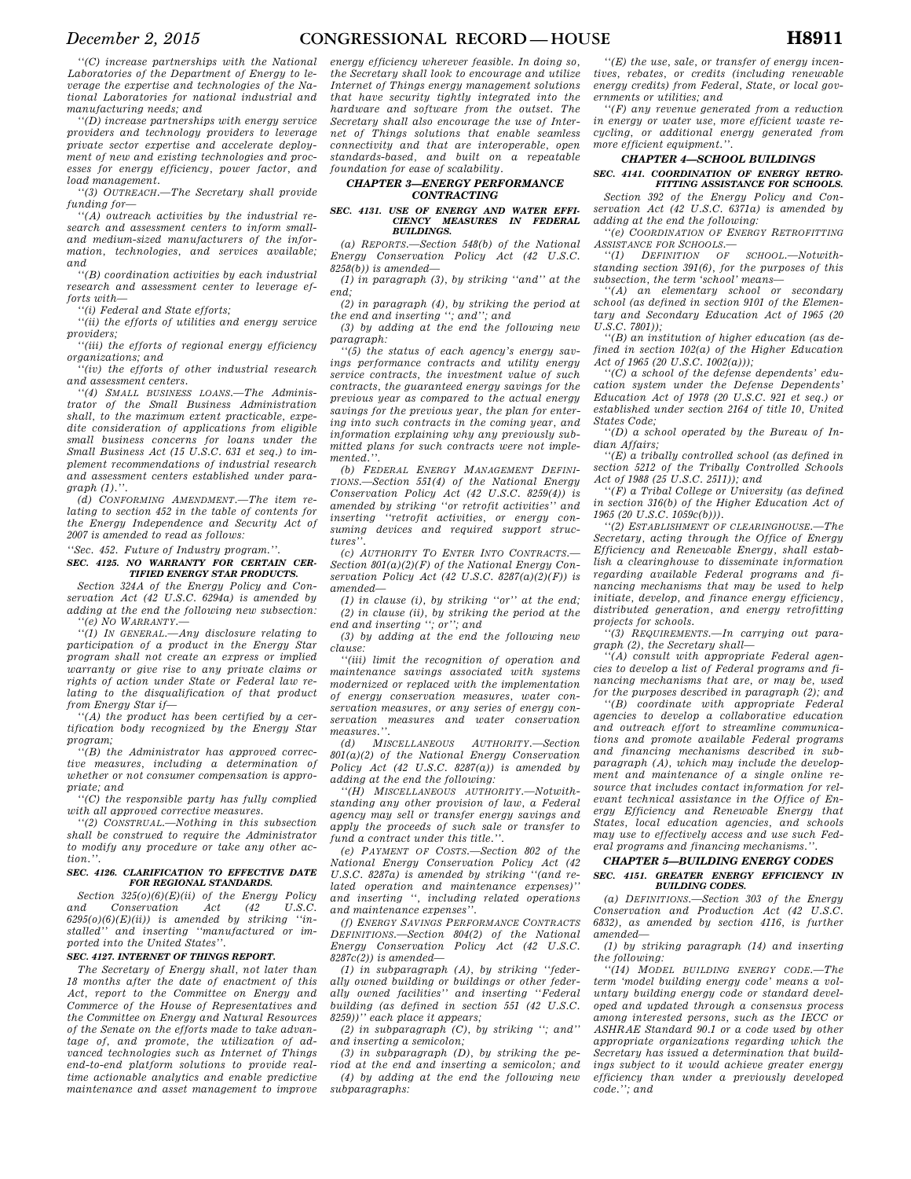*''(C) increase partnerships with the National Laboratories of the Department of Energy to leverage the expertise and technologies of the National Laboratories for national industrial and manufacturing needs; and* 

*''(D) increase partnerships with energy service providers and technology providers to leverage private sector expertise and accelerate deployment of new and existing technologies and processes for energy efficiency, power factor, and load management.* 

*''(3) OUTREACH.—The Secretary shall provide funding for—* 

*''(A) outreach activities by the industrial research and assessment centers to inform smalland medium-sized manufacturers of the information, technologies, and services available; and* 

*''(B) coordination activities by each industrial research and assessment center to leverage efforts with—* 

*''(i) Federal and State efforts;* 

*''(ii) the efforts of utilities and energy service providers;* 

*''(iii) the efforts of regional energy efficiency organizations; and* 

*''(iv) the efforts of other industrial research and assessment centers.* 

*''(4) SMALL BUSINESS LOANS.—The Administrator of the Small Business Administration shall, to the maximum extent practicable, expedite consideration of applications from eligible small business concerns for loans under the Small Business Act (15 U.S.C. 631 et seq.) to implement recommendations of industrial research and assessment centers established under paragraph (1).''.* 

*(d) CONFORMING AMENDMENT.—The item relating to section 452 in the table of contents for the Energy Independence and Security Act of 2007 is amended to read as follows:* 

*''Sec. 452. Future of Industry program.''. SEC. 4125. NO WARRANTY FOR CERTAIN CER-*

### *TIFIED ENERGY STAR PRODUCTS. Section 324A of the Energy Policy and Con-*

*servation Act (42 U.S.C. 6294a) is amended by adding at the end the following new subsection: ''(e) NO WARRANTY.—* 

*''(1) IN GENERAL.—Any disclosure relating to participation of a product in the Energy Star program shall not create an express or implied warranty or give rise to any private claims or rights of action under State or Federal law relating to the disqualification of that product from Energy Star if—* 

*''(A) the product has been certified by a certification body recognized by the Energy Star program;* 

*''(B) the Administrator has approved corrective measures, including a determination of whether or not consumer compensation is appropriate; and* 

*''(C) the responsible party has fully complied with all approved corrective measures.* 

*''(2) CONSTRUAL.—Nothing in this subsection shall be construed to require the Administrator to modify any procedure or take any other action.''.* 

### *SEC. 4126. CLARIFICATION TO EFFECTIVE DATE FOR REGIONAL STANDARDS.*

*Section 325(o)(6)(E)(ii) of the Energy Policy act* (42) *6295(o)(6)(E)(ii)) is amended by striking ''installed'' and inserting ''manufactured or imported into the United States''.* 

### *SEC. 4127. INTERNET OF THINGS REPORT.*

*The Secretary of Energy shall, not later than 18 months after the date of enactment of this Act, report to the Committee on Energy and Commerce of the House of Representatives and the Committee on Energy and Natural Resources of the Senate on the efforts made to take advantage of, and promote, the utilization of advanced technologies such as Internet of Things end-to-end platform solutions to provide realtime actionable analytics and enable predictive maintenance and asset management to improve* 

*energy efficiency wherever feasible. In doing so, the Secretary shall look to encourage and utilize Internet of Things energy management solutions that have security tightly integrated into the hardware and software from the outset. The Secretary shall also encourage the use of Internet of Things solutions that enable seamless connectivity and that are interoperable, open standards-based, and built on a repeatable foundation for ease of scalability.* 

### *CHAPTER 3—ENERGY PERFORMANCE CONTRACTING*

#### *SEC. 4131. USE OF ENERGY AND WATER EFFI-CIENCY MEASURES IN FEDERAL BUILDINGS.*

*(a) REPORTS.—Section 548(b) of the National Energy Conservation Policy Act (42 U.S.C. 8258(b)) is amended—* 

*(1) in paragraph (3), by striking ''and'' at the end;* 

*(2) in paragraph (4), by striking the period at the end and inserting ''; and''; and* 

*(3) by adding at the end the following new paragraph:* 

*''(5) the status of each agency's energy savings performance contracts and utility energy service contracts, the investment value of such contracts, the guaranteed energy savings for the previous year as compared to the actual energy savings for the previous year, the plan for entering into such contracts in the coming year, and information explaining why any previously submitted plans for such contracts were not implemented.''.* 

*(b) FEDERAL ENERGY MANAGEMENT DEFINI-TIONS.—Section 551(4) of the National Energy Conservation Policy Act (42 U.S.C. 8259(4)) is amended by striking ''or retrofit activities'' and inserting ''retrofit activities, or energy consuming devices and required support structures''.* 

*(c) AUTHORITY TO ENTER INTO CONTRACTS.— Section 801(a)(2)(F) of the National Energy Conservation Policy Act (42 U.S.C. 8287(a)(2)(F)) is amended—* 

*(1) in clause (i), by striking ''or'' at the end; (2) in clause (ii), by striking the period at the end and inserting ''; or''; and* 

*(3) by adding at the end the following new clause:* 

*''(iii) limit the recognition of operation and maintenance savings associated with systems modernized or replaced with the implementation of energy conservation measures, water conservation measures, or any series of energy conservation measures and water conservation measures.''.* 

*(d) MISCELLANEOUS AUTHORITY.—Section 801(a)(2) of the National Energy Conservation Policy Act (42 U.S.C. 8287(a)) is amended by adding at the end the following:* 

*''(H) MISCELLANEOUS AUTHORITY.—Notwithstanding any other provision of law, a Federal agency may sell or transfer energy savings and apply the proceeds of such sale or transfer to fund a contract under this title.''.* 

*(e) PAYMENT OF COSTS.—Section 802 of the National Energy Conservation Policy Act (42 U.S.C. 8287a) is amended by striking ''(and related operation and maintenance expenses)'' and inserting '', including related operations and maintenance expenses''.* 

*(f) ENERGY SAVINGS PERFORMANCE CONTRACTS DEFINITIONS.—Section 804(2) of the National Energy Conservation Policy Act (42 U.S.C. 8287c(2)) is amended—* 

*(1) in subparagraph (A), by striking ''federally owned building or buildings or other federally owned facilities'' and inserting ''Federal building (as defined in section 551 (42 U.S.C. 8259))'' each place it appears;* 

*(2) in subparagraph (C), by striking ''; and'' and inserting a semicolon;* 

*(3) in subparagraph (D), by striking the period at the end and inserting a semicolon; and (4) by adding at the end the following new subparagraphs:* 

*''(E) the use, sale, or transfer of energy incentives, rebates, or credits (including renewable energy credits) from Federal, State, or local governments or utilities; and* 

*''(F) any revenue generated from a reduction in energy or water use, more efficient waste recycling, or additional energy generated from more efficient equipment.''.* 

### *CHAPTER 4—SCHOOL BUILDINGS*

### *SEC. 4141. COORDINATION OF ENERGY RETRO-FITTING ASSISTANCE FOR SCHOOLS.*

*Section 392 of the Energy Policy and Conservation Act (42 U.S.C. 6371a) is amended by adding at the end the following:* 

*''(e) COORDINATION OF ENERGY RETROFITTING ASSISTANCE FOR SCHOOLS.—* 

*''(1) DEFINITION OF SCHOOL.—Notwithstanding section 391(6), for the purposes of this subsection, the term 'school' means—* 

*''(A) an elementary school or secondary school (as defined in section 9101 of the Elementary and Secondary Education Act of 1965 (20 U.S.C. 7801));* 

*''(B) an institution of higher education (as defined in section 102(a) of the Higher Education Act of 1965 (20 U.S.C. 1002(a)));* 

*''(C) a school of the defense dependents' education system under the Defense Dependents' Education Act of 1978 (20 U.S.C. 921 et seq.) or established under section 2164 of title 10, United States Code;* 

*''(D) a school operated by the Bureau of Indian Affairs;* 

*''(E) a tribally controlled school (as defined in section 5212 of the Tribally Controlled Schools Act of 1988 (25 U.S.C. 2511)); and* 

*''(F) a Tribal College or University (as defined in section 316(b) of the Higher Education Act of 1965 (20 U.S.C. 1059c(b))).* 

*''(2) ESTABLISHMENT OF CLEARINGHOUSE.—The Secretary, acting through the Office of Energy Efficiency and Renewable Energy, shall establish a clearinghouse to disseminate information regarding available Federal programs and financing mechanisms that may be used to help initiate, develop, and finance energy efficiency, distributed generation, and energy retrofitting projects for schools.* 

*''(3) REQUIREMENTS.—In carrying out paragraph (2), the Secretary shall—* 

*''(A) consult with appropriate Federal agencies to develop a list of Federal programs and financing mechanisms that are, or may be, used for the purposes described in paragraph (2); and* 

*''(B) coordinate with appropriate Federal agencies to develop a collaborative education and outreach effort to streamline communications and promote available Federal programs and financing mechanisms described in subparagraph (A), which may include the development and maintenance of a single online resource that includes contact information for relevant technical assistance in the Office of Energy Efficiency and Renewable Energy that States, local education agencies, and schools may use to effectively access and use such Federal programs and financing mechanisms.''.* 

### *CHAPTER 5—BUILDING ENERGY CODES SEC. 4151. GREATER ENERGY EFFICIENCY IN BUILDING CODES.*

*(a) DEFINITIONS.—Section 303 of the Energy Conservation and Production Act (42 U.S.C. 6832), as amended by section 4116, is further amended—* 

*(1) by striking paragraph (14) and inserting the following:* 

*''(14) MODEL BUILDING ENERGY CODE.—The term 'model building energy code' means a voluntary building energy code or standard developed and updated through a consensus process among interested persons, such as the IECC or ASHRAE Standard 90.1 or a code used by other appropriate organizations regarding which the Secretary has issued a determination that buildings subject to it would achieve greater energy efficiency than under a previously developed code.''; and*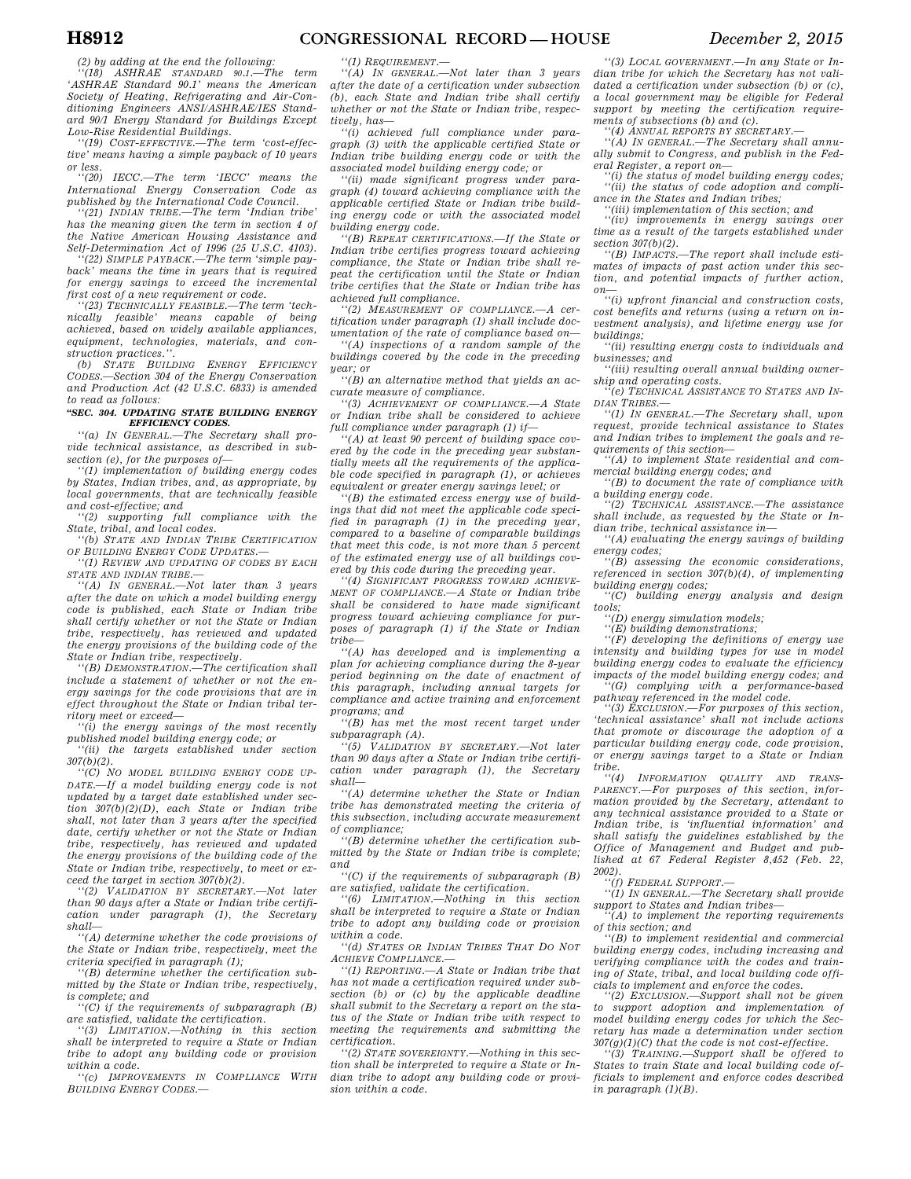*''(18) ASHRAE STANDARD 90.1.—The term 'ASHRAE Standard 90.1' means the American Society of Heating, Refrigerating and Air-Conditioning Engineers ANSI/ASHRAE/IES Standard 90/1 Energy Standard for Buildings Except* 

*Low-Rise Residential Buildings. ''(19) COST-EFFECTIVE.—The term 'cost-effective' means having a simple payback of 10 years or less.* 

*''(20) IECC.—The term 'IECC' means the International Energy Conservation Code as published by the International Code Council. ''(21) INDIAN TRIBE.—The term 'Indian tribe'* 

*has the meaning given the term in section 4 of the Native American Housing Assistance and Self-Determination Act of 1996 (25 U.S.C. 4103). ''(22) SIMPLE PAYBACK.—The term 'simple pay-*

*back' means the time in years that is required for energy savings to exceed the incremental first cost of a new requirement or code.* 

*''(23) TECHNICALLY FEASIBLE.—The term 'technically feasible' means capable of being achieved, based on widely available appliances, equipment, technologies, materials, and construction practices.''.* 

*(b) STATE BUILDING ENERGY EFFICIENCY CODES.—Section 304 of the Energy Conservation and Production Act (42 U.S.C. 6833) is amended to read as follows:* 

#### *''SEC. 304. UPDATING STATE BUILDING ENERGY EFFICIENCY CODES.*

*''(a) IN GENERAL.—The Secretary shall provide technical assistance, as described in subsection (e), for the purposes of—* 

*''(1) implementation of building energy codes by States, Indian tribes, and, as appropriate, by local governments, that are technically feasible and cost-effective; and* 

*''(2) supporting full compliance with the State, tribal, and local codes.* 

*''(b) STATE AND INDIAN TRIBE CERTIFICATION OF BUILDING ENERGY CODE UPDATES.—* 

*''(1) REVIEW AND UPDATING OF CODES BY EACH STATE AND INDIAN TRIBE.—* 

*''(A) IN GENERAL.—Not later than 3 years after the date on which a model building energy code is published, each State or Indian tribe shall certify whether or not the State or Indian tribe, respectively, has reviewed and updated the energy provisions of the building code of the State or Indian tribe, respectively.* 

*''(B) DEMONSTRATION.—The certification shall include a statement of whether or not the energy savings for the code provisions that are in effect throughout the State or Indian tribal territory meet or exceed—* 

*''(i) the energy savings of the most recently published model building energy code; or* 

*''(ii) the targets established under section 307(b)(2). ''(C) NO MODEL BUILDING ENERGY CODE UP-*

*DATE.—If a model building energy code is not updated by a target date established under section 307(b)(2)(D), each State or Indian tribe shall, not later than 3 years after the specified date, certify whether or not the State or Indian tribe, respectively, has reviewed and updated the energy provisions of the building code of the State or Indian tribe, respectively, to meet or exceed the target in section 307(b)(2).* 

*''(2) VALIDATION BY SECRETARY.—Not later than 90 days after a State or Indian tribe certification under paragraph (1), the Secretary shall—* 

*''(A) determine whether the code provisions of the State or Indian tribe, respectively, meet the criteria specified in paragraph (1); ''(B) determine whether the certification sub-*

*mitted by the State or Indian tribe, respectively, is complete; and* 

*''(C) if the requirements of subparagraph (B) are satisfied, validate the certification.* 

*''(3) LIMITATION.—Nothing in this section shall be interpreted to require a State or Indian tribe to adopt any building code or provision within a code.* 

*''(c) IMPROVEMENTS IN COMPLIANCE WITH BUILDING ENERGY CODES.—* 

*''(1) REQUIREMENT.—* 

*''(A) IN GENERAL.—Not later than 3 years after the date of a certification under subsection (b), each State and Indian tribe shall certify whether or not the State or Indian tribe, respectively, has—* 

*''(i) achieved full compliance under paragraph (3) with the applicable certified State or Indian tribe building energy code or with the associated model building energy code; or* 

*''(ii) made significant progress under paragraph (4) toward achieving compliance with the applicable certified State or Indian tribe building energy code or with the associated model building energy code.* 

*''(B) REPEAT CERTIFICATIONS.—If the State or Indian tribe certifies progress toward achieving compliance, the State or Indian tribe shall repeat the certification until the State or Indian tribe certifies that the State or Indian tribe has achieved full compliance.* 

*''(2) MEASUREMENT OF COMPLIANCE.—A certification under paragraph (1) shall include documentation of the rate of compliance based on—* 

*''(A) inspections of a random sample of the buildings covered by the code in the preceding year; or* 

*''(B) an alternative method that yields an accurate measure of compliance.* 

*''(3) ACHIEVEMENT OF COMPLIANCE.—A State or Indian tribe shall be considered to achieve full compliance under paragraph (1) if—* 

*''(A) at least 90 percent of building space covered by the code in the preceding year substantially meets all the requirements of the applicable code specified in paragraph (1), or achieves equivalent or greater energy savings level; or* 

*''(B) the estimated excess energy use of buildings that did not meet the applicable code specified in paragraph (1) in the preceding year, compared to a baseline of comparable buildings that meet this code, is not more than 5 percent of the estimated energy use of all buildings covered by this code during the preceding year.* 

*''(4) SIGNIFICANT PROGRESS TOWARD ACHIEVE-MENT OF COMPLIANCE.—A State or Indian tribe shall be considered to have made significant progress toward achieving compliance for purposes of paragraph (1) if the State or Indian tribe—* 

*''(A) has developed and is implementing a plan for achieving compliance during the 8-year period beginning on the date of enactment of this paragraph, including annual targets for compliance and active training and enforcement programs; and* 

*''(B) has met the most recent target under subparagraph (A).* 

*''(5) VALIDATION BY SECRETARY.—Not later than 90 days after a State or Indian tribe certification under paragraph (1), the Secretary shall—* 

*''(A) determine whether the State or Indian tribe has demonstrated meeting the criteria of this subsection, including accurate measurement of compliance;* 

*''(B) determine whether the certification submitted by the State or Indian tribe is complete; and* 

*''(C) if the requirements of subparagraph (B) are satisfied, validate the certification.* 

*''(6) LIMITATION.—Nothing in this section shall be interpreted to require a State or Indian tribe to adopt any building code or provision within a code.* 

*''(d) STATES OR INDIAN TRIBES THAT DO NOT ACHIEVE COMPLIANCE.—* 

*''(1) REPORTING.—A State or Indian tribe that has not made a certification required under subsection (b) or (c) by the applicable deadline shall submit to the Secretary a report on the status of the State or Indian tribe with respect to meeting the requirements and submitting the certification.* 

*''(2) STATE SOVEREIGNTY.—Nothing in this section shall be interpreted to require a State or Indian tribe to adopt any building code or provision within a code.* 

*''(3) LOCAL GOVERNMENT.—In any State or Indian tribe for which the Secretary has not validated a certification under subsection (b) or (c), a local government may be eligible for Federal support by meeting the certification requirements of subsections (b) and (c).* 

*''(4) ANNUAL REPORTS BY SECRETARY.—* 

*''(A) IN GENERAL.—The Secretary shall annually submit to Congress, and publish in the Federal Register, a report on—* 

*''(i) the status of model building energy codes; ''(ii) the status of code adoption and compliance in the States and Indian tribes;* 

*''(iii) implementation of this section; and* 

*''(iv) improvements in energy savings over time as a result of the targets established under section 307(b)(2).* 

*''(B) IMPACTS.—The report shall include estimates of impacts of past action under this section, and potential impacts of further action,* 

*on— ''(i) upfront financial and construction costs, cost benefits and returns (using a return on investment analysis), and lifetime energy use for buildings;* 

*''(ii) resulting energy costs to individuals and businesses; and* 

*''(iii) resulting overall annual building ownership and operating costs.* 

*''(e) TECHNICAL ASSISTANCE TO STATES AND IN-DIAN TRIBES.—* 

*''(1) IN GENERAL.—The Secretary shall, upon request, provide technical assistance to States and Indian tribes to implement the goals and requirements of this section—* 

*''(A) to implement State residential and commercial building energy codes; and* 

*''(B) to document the rate of compliance with a building energy code.* 

*''(2) TECHNICAL ASSISTANCE.—The assistance shall include, as requested by the State or Indian tribe, technical assistance in—* 

*''(A) evaluating the energy savings of building energy codes;* 

*''(B) assessing the economic considerations, referenced in section 307(b)(4), of implementing building energy codes;* 

*''(C) building energy analysis and design tools;* 

*''(D) energy simulation models;* 

*''(E) building demonstrations;* 

*''(F) developing the definitions of energy use intensity and building types for use in model building energy codes to evaluate the efficiency impacts of the model building energy codes; and ''(G) complying with a performance-based* 

*pathway referenced in the model code.* 

*''(3) EXCLUSION.—For purposes of this section, 'technical assistance' shall not include actions that promote or discourage the adoption of a particular building energy code, code provision, or energy savings target to a State or Indian tribe.* 

 $INFORMATION$  *QUALITY AND TRANS-PARENCY.—For purposes of this section, information provided by the Secretary, attendant to any technical assistance provided to a State or Indian tribe, is 'influential information' and shall satisfy the guidelines established by the Office of Management and Budget and published at 67 Federal Register 8,452 (Feb. 22, 2002).* 

*''(f) FEDERAL SUPPORT.—* 

*''(1) IN GENERAL.—The Secretary shall provide support to States and Indian tribes— ''(A) to implement the reporting requirements* 

*of this section; and* 

*''(B) to implement residential and commercial building energy codes, including increasing and verifying compliance with the codes and training of State, tribal, and local building code officials to implement and enforce the codes.* 

*''(2) EXCLUSION.—Support shall not be given to support adoption and implementation of model building energy codes for which the Secretary has made a determination under section 307(g)(1)(C) that the code is not cost-effective.* 

*''(3) TRAINING.—Support shall be offered to States to train State and local building code officials to implement and enforce codes described in paragraph (1)(B).*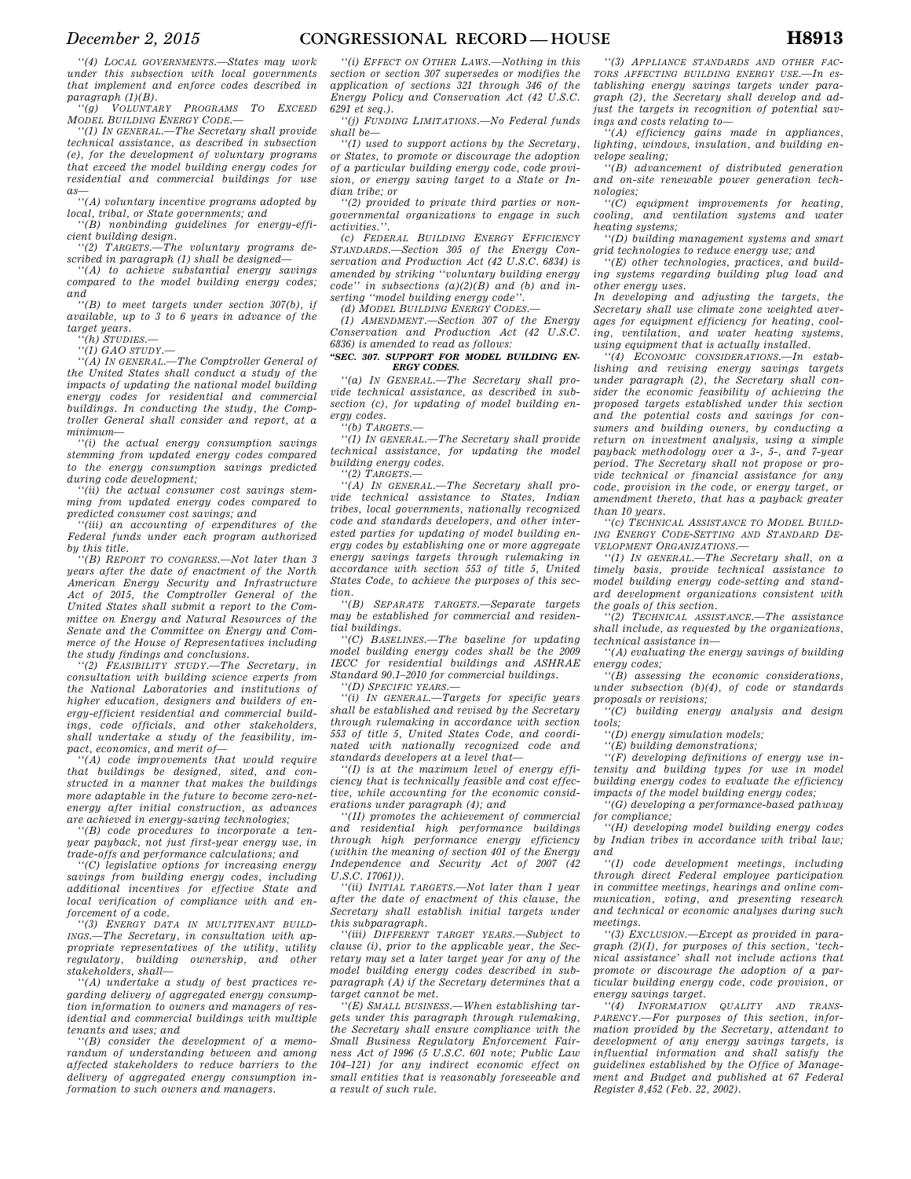*''(4) LOCAL GOVERNMENTS.—States may work under this subsection with local governments that implement and enforce codes described in paragraph (1)(B). ''(g) VOLUNTARY PROGRAMS TO EXCEED*

*MODEL BUILDING ENERGY CODE.—* 

*''(1) IN GENERAL.—The Secretary shall provide technical assistance, as described in subsection (e), for the development of voluntary programs that exceed the model building energy codes for residential and commercial buildings for use as—* 

*''(A) voluntary incentive programs adopted by local, tribal, or State governments; and* 

*''(B) nonbinding guidelines for energy-efficient building design. ''(2) TARGETS.—The voluntary programs de-*

*scribed in paragraph (1) shall be designed—* 

*''(A) to achieve substantial energy savings compared to the model building energy codes; and* 

*''(B) to meet targets under section 307(b), if available, up to 3 to 6 years in advance of the target years.* 

*''(h) STUDIES.—* 

*''(1) GAO STUDY.—* 

*''(A) IN GENERAL.—The Comptroller General of the United States shall conduct a study of the impacts of updating the national model building energy codes for residential and commercial buildings. In conducting the study, the Comptroller General shall consider and report, at a minimum—* 

*''(i) the actual energy consumption savings stemming from updated energy codes compared to the energy consumption savings predicted during code development;* 

*''(ii) the actual consumer cost savings stemming from updated energy codes compared to predicted consumer cost savings; and* 

*''(iii) an accounting of expenditures of the Federal funds under each program authorized by this title.* 

*''(B) REPORT TO CONGRESS.—Not later than 3 years after the date of enactment of the North American Energy Security and Infrastructure Act of 2015, the Comptroller General of the United States shall submit a report to the Committee on Energy and Natural Resources of the Senate and the Committee on Energy and Commerce of the House of Representatives including* 

*the study findings and conclusions. ''(2) FEASIBILITY STUDY.—The Secretary, in consultation with building science experts from the National Laboratories and institutions of higher education, designers and builders of energy-efficient residential and commercial buildings, code officials, and other stakeholders, shall undertake a study of the feasibility, impact, economics, and merit of—* 

*''(A) code improvements that would require that buildings be designed, sited, and constructed in a manner that makes the buildings more adaptable in the future to become zero-netenergy after initial construction, as advances are achieved in energy-saving technologies;* 

*''(B) code procedures to incorporate a tenyear payback, not just first-year energy use, in trade-offs and performance calculations; and* 

*''(C) legislative options for increasing energy savings from building energy codes, including additional incentives for effective State and local verification of compliance with and enforcement of a code.* 

*''(3) ENERGY DATA IN MULTITENANT BUILD-INGS.—The Secretary, in consultation with appropriate representatives of the utility, utility regulatory, building ownership, and other stakeholders, shall—* 

*''(A) undertake a study of best practices regarding delivery of aggregated energy consumption information to owners and managers of residential and commercial buildings with multiple tenants and uses; and* 

*''(B) consider the development of a memorandum of understanding between and among affected stakeholders to reduce barriers to the delivery of aggregated energy consumption information to such owners and managers.* 

*''(i) EFFECT ON OTHER LAWS.—Nothing in this section or section 307 supersedes or modifies the application of sections 321 through 346 of the Energy Policy and Conservation Act (42 U.S.C. 6291 et seq.).* 

*''(j) FUNDING LIMITATIONS.—No Federal funds shall be—* 

*''(1) used to support actions by the Secretary, or States, to promote or discourage the adoption of a particular building energy code, code provision, or energy saving target to a State or Indian tribe; or* 

*''(2) provided to private third parties or nongovernmental organizations to engage in such activities.''.* 

*(c) FEDERAL BUILDING ENERGY EFFICIENCY STANDARDS.—Section 305 of the Energy Conservation and Production Act (42 U.S.C. 6834) is amended by striking ''voluntary building energy code'' in subsections (a)(2)(B) and (b) and inserting ''model building energy code''.* 

*(d) MODEL BUILDING ENERGY CODES.—* 

*(1) AMENDMENT.—Section 307 of the Energy Conservation and Production Act (42 U.S.C. 6836) is amended to read as follows:* 

### *''SEC. 307. SUPPORT FOR MODEL BUILDING EN-ERGY CODES.*

*''(a) IN GENERAL.—The Secretary shall provide technical assistance, as described in subsection (c), for updating of model building energy codes.* 

*''(b) TARGETS.—* 

*''(1) IN GENERAL.—The Secretary shall provide technical assistance, for updating the model building energy codes.* 

*''(2) TARGETS.—* 

*''(A) IN GENERAL.—The Secretary shall provide technical assistance to States, Indian tribes, local governments, nationally recognized code and standards developers, and other interested parties for updating of model building energy codes by establishing one or more aggregate energy savings targets through rulemaking in accordance with section 553 of title 5, United States Code, to achieve the purposes of this section.* 

*''(B) SEPARATE TARGETS.—Separate targets may be established for commercial and residential buildings.* 

*''(C) BASELINES.—The baseline for updating model building energy codes shall be the 2009 IECC for residential buildings and ASHRAE Standard 90.1–2010 for commercial buildings.* 

*''(D) SPECIFIC YEARS.—* 

*''(i) IN GENERAL.—Targets for specific years shall be established and revised by the Secretary through rulemaking in accordance with section 553 of title 5, United States Code, and coordinated with nationally recognized code and standards developers at a level that—* 

*''(I) is at the maximum level of energy efficiency that is technically feasible and cost effective, while accounting for the economic considerations under paragraph (4); and* 

*''(II) promotes the achievement of commercial and residential high performance buildings through high performance energy efficiency (within the meaning of section 401 of the Energy Independence and Security Act of 2007 (42 U.S.C. 17061)).* 

*''(ii) INITIAL TARGETS.—Not later than 1 year after the date of enactment of this clause, the Secretary shall establish initial targets under this subparagraph.* 

*''(iii) DIFFERENT TARGET YEARS.—Subject to clause (i), prior to the applicable year, the Secretary may set a later target year for any of the model building energy codes described in subparagraph (A) if the Secretary determines that a target cannot be met.* 

*''(E) SMALL BUSINESS.—When establishing targets under this paragraph through rulemaking, the Secretary shall ensure compliance with the Small Business Regulatory Enforcement Fairness Act of 1996 (5 U.S.C. 601 note; Public Law 104–121) for any indirect economic effect on small entities that is reasonably foreseeable and a result of such rule.* 

*''(3) APPLIANCE STANDARDS AND OTHER FAC-TORS AFFECTING BUILDING ENERGY USE.—In establishing energy savings targets under paragraph (2), the Secretary shall develop and adjust the targets in recognition of potential savings and costs relating to—* 

*''(A) efficiency gains made in appliances, lighting, windows, insulation, and building envelope sealing;* 

*''(B) advancement of distributed generation and on-site renewable power generation technologies;* 

*''(C) equipment improvements for heating, cooling, and ventilation systems and water heating systems;* 

*''(D) building management systems and smart grid technologies to reduce energy use; and* 

*''(E) other technologies, practices, and building systems regarding building plug load and other energy uses.* 

*In developing and adjusting the targets, the Secretary shall use climate zone weighted averages for equipment efficiency for heating, cooling, ventilation, and water heating systems, using equipment that is actually installed.* 

*''(4) ECONOMIC CONSIDERATIONS.—In establishing and revising energy savings targets under paragraph (2), the Secretary shall consider the economic feasibility of achieving the proposed targets established under this section and the potential costs and savings for consumers and building owners, by conducting a return on investment analysis, using a simple payback methodology over a 3-, 5-, and 7-year period. The Secretary shall not propose or provide technical or financial assistance for any code, provision in the code, or energy target, or amendment thereto, that has a payback greater than 10 years.* 

*''(c) TECHNICAL ASSISTANCE TO MODEL BUILD-ING ENERGY CODE-SETTING AND STANDARD DE-VELOPMENT ORGANIZATIONS.—* 

*''(1) IN GENERAL.—The Secretary shall, on a timely basis, provide technical assistance to model building energy code-setting and standard development organizations consistent with the goals of this section.* 

*''(2) TECHNICAL ASSISTANCE.—The assistance shall include, as requested by the organizations, technical assistance in—* 

*''(A) evaluating the energy savings of building energy codes;* 

*''(B) assessing the economic considerations, under subsection (b)(4), of code or standards proposals or revisions;* 

*''(C) building energy analysis and design tools;* 

*''(D) energy simulation models;* 

*''(E) building demonstrations;* 

*''(F) developing definitions of energy use intensity and building types for use in model building energy codes to evaluate the efficiency impacts of the model building energy codes;* 

*''(G) developing a performance-based pathway for compliance;* 

*''(H) developing model building energy codes by Indian tribes in accordance with tribal law; and* 

*''(I) code development meetings, including through direct Federal employee participation in committee meetings, hearings and online communication, voting, and presenting research and technical or economic analyses during such meetings.* 

*''(3) EXCLUSION.—Except as provided in paragraph (2)(I), for purposes of this section, 'technical assistance' shall not include actions that promote or discourage the adoption of a particular building energy code, code provision, or* 

*energy savings target.*   $\overline{QUALITY}$  *AND TRANS-PARENCY.—For purposes of this section, information provided by the Secretary, attendant to development of any energy savings targets, is influential information and shall satisfy the guidelines established by the Office of Management and Budget and published at 67 Federal Register 8,452 (Feb. 22, 2002).*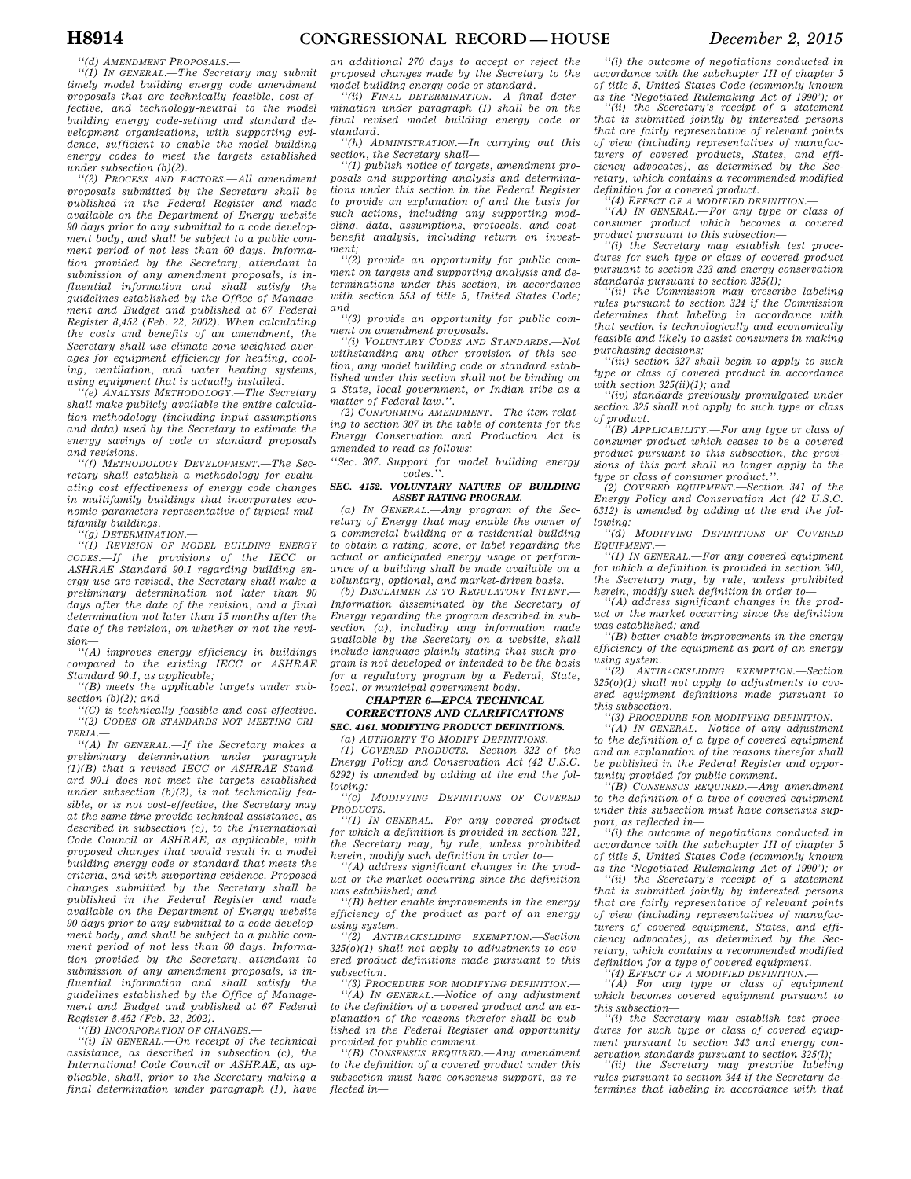*''(d) AMENDMENT PROPOSALS.—* 

*''(1) IN GENERAL.—The Secretary may submit timely model building energy code amendment proposals that are technically feasible, cost-effective, and technology-neutral to the model building energy code-setting and standard development organizations, with supporting evidence, sufficient to enable the model building energy codes to meet the targets established under subsection (b)(2).* 

*''(2) PROCESS AND FACTORS.—All amendment proposals submitted by the Secretary shall be published in the Federal Register and made available on the Department of Energy website 90 days prior to any submittal to a code development body, and shall be subject to a public comment period of not less than 60 days. Information provided by the Secretary, attendant to submission of any amendment proposals, is influential information and shall satisfy the guidelines established by the Office of Management and Budget and published at 67 Federal Register 8,452 (Feb. 22, 2002). When calculating the costs and benefits of an amendment, the Secretary shall use climate zone weighted averages for equipment efficiency for heating, cooling, ventilation, and water heating systems, using equipment that is actually installed.* 

*''(e) ANALYSIS METHODOLOGY.—The Secretary shall make publicly available the entire calculation methodology (including input assumptions and data) used by the Secretary to estimate the energy savings of code or standard proposals and revisions.* 

*''(f) METHODOLOGY DEVELOPMENT.—The Secretary shall establish a methodology for evaluating cost effectiveness of energy code changes in multifamily buildings that incorporates economic parameters representative of typical multifamily buildings.* 

*''(g) DETERMINATION.—* 

*''(1) REVISION OF MODEL BUILDING ENERGY CODES.—If the provisions of the IECC or ASHRAE Standard 90.1 regarding building energy use are revised, the Secretary shall make a preliminary determination not later than 90 days after the date of the revision, and a final determination not later than 15 months after the date of the revision, on whether or not the revision—* 

*''(A) improves energy efficiency in buildings compared to the existing IECC or ASHRAE Standard 90.1, as applicable;* 

*''(B) meets the applicable targets under subsection (b)(2); and* 

*''(C) is technically feasible and cost-effective. ''(2) CODES OR STANDARDS NOT MEETING CRI-TERIA.—* 

*''(A) IN GENERAL.—If the Secretary makes a preliminary determination under paragraph (1)(B) that a revised IECC or ASHRAE Standard 90.1 does not meet the targets established under subsection (b)(2), is not technically feasible, or is not cost-effective, the Secretary may at the same time provide technical assistance, as described in subsection (c), to the International Code Council or ASHRAE, as applicable, with proposed changes that would result in a model building energy code or standard that meets the criteria, and with supporting evidence. Proposed changes submitted by the Secretary shall be published in the Federal Register and made available on the Department of Energy website 90 days prior to any submittal to a code development body, and shall be subject to a public comment period of not less than 60 days. Information provided by the Secretary, attendant to submission of any amendment proposals, is influential information and shall satisfy the guidelines established by the Office of Management and Budget and published at 67 Federal Register 8,452 (Feb. 22, 2002).* 

*''(B) INCORPORATION OF CHANGES.—* 

*''(i) IN GENERAL.—On receipt of the technical assistance, as described in subsection (c), the International Code Council or ASHRAE, as applicable, shall, prior to the Secretary making a final determination under paragraph (1), have* 

*an additional 270 days to accept or reject the proposed changes made by the Secretary to the model building energy code or standard.* 

*''(ii) FINAL DETERMINATION.—A final determination under paragraph (1) shall be on the final revised model building energy code or standard.* 

*''(h) ADMINISTRATION.—In carrying out this section, the Secretary shall—* 

*''(1) publish notice of targets, amendment proposals and supporting analysis and determinations under this section in the Federal Register to provide an explanation of and the basis for such actions, including any supporting modeling, data, assumptions, protocols, and costbenefit analysis, including return on investment;* 

*''(2) provide an opportunity for public comment on targets and supporting analysis and determinations under this section, in accordance with section 553 of title 5, United States Code; and* 

*''(3) provide an opportunity for public comment on amendment proposals.* 

*''(i) VOLUNTARY CODES AND STANDARDS.—Not withstanding any other provision of this section, any model building code or standard established under this section shall not be binding on a State, local government, or Indian tribe as a matter of Federal law.''.* 

*(2) CONFORMING AMENDMENT.—The item relating to section 307 in the table of contents for the Energy Conservation and Production Act is amended to read as follows:* 

*''Sec. 307. Support for model building energy codes.''.* 

#### *SEC. 4152. VOLUNTARY NATURE OF BUILDING ASSET RATING PROGRAM.*

*(a) IN GENERAL.—Any program of the Secretary of Energy that may enable the owner of a commercial building or a residential building to obtain a rating, score, or label regarding the actual or anticipated energy usage or performance of a building shall be made available on a voluntary, optional, and market-driven basis.* 

*(b) DISCLAIMER AS TO REGULATORY INTENT.— Information disseminated by the Secretary of Energy regarding the program described in subsection (a), including any information made available by the Secretary on a website, shall include language plainly stating that such program is not developed or intended to be the basis for a regulatory program by a Federal, State, local, or municipal government body.* 

### *CHAPTER 6—EPCA TECHNICAL CORRECTIONS AND CLARIFICATIONS*

*SEC. 4161. MODIFYING PRODUCT DEFINITIONS.* 

*(a) AUTHORITY TO MODIFY DEFINITIONS.— (1) COVERED PRODUCTS.—Section 322 of the Energy Policy and Conservation Act (42 U.S.C. 6292) is amended by adding at the end the following:* 

*''(c) MODIFYING DEFINITIONS OF COVERED PRODUCTS.—* 

*''(1) IN GENERAL.—For any covered product for which a definition is provided in section 321, the Secretary may, by rule, unless prohibited herein, modify such definition in order to—* 

*''(A) address significant changes in the product or the market occurring since the definition was established; and* 

*''(B) better enable improvements in the energy efficiency of the product as part of an energy using system.* 

*''(2) ANTIBACKSLIDING EXEMPTION.—Section 325(o)(1) shall not apply to adjustments to covered product definitions made pursuant to this subsection.* 

*''(3) PROCEDURE FOR MODIFYING DEFINITION.— ''(A) IN GENERAL.—Notice of any adjustment to the definition of a covered product and an explanation of the reasons therefor shall be published in the Federal Register and opportunity provided for public comment.* 

*''(B) CONSENSUS REQUIRED.—Any amendment to the definition of a covered product under this subsection must have consensus support, as reflected in—* 

*''(i) the outcome of negotiations conducted in accordance with the subchapter III of chapter 5 of title 5, United States Code (commonly known as the 'Negotiated Rulemaking Act of 1990'); or* 

*''(ii) the Secretary's receipt of a statement that is submitted jointly by interested persons that are fairly representative of relevant points of view (including representatives of manufacturers of covered products, States, and efficiency advocates), as determined by the Secretary, which contains a recommended modified definition for a covered product.* 

*''(4) EFFECT OF A MODIFIED DEFINITION.—* 

*''(A) IN GENERAL.—For any type or class of consumer product which becomes a covered product pursuant to this subsection—* 

*''(i) the Secretary may establish test procedures for such type or class of covered product pursuant to section 323 and energy conservation standards pursuant to section 325(l);* 

*''(ii) the Commission may prescribe labeling rules pursuant to section 324 if the Commission determines that labeling in accordance with that section is technologically and economically feasible and likely to assist consumers in making purchasing decisions;* 

*''(iii) section 327 shall begin to apply to such type or class of covered product in accordance with section 325(ii)(1); and* 

*''(iv) standards previously promulgated under section 325 shall not apply to such type or class of product.* 

*''(B) APPLICABILITY.—For any type or class of consumer product which ceases to be a covered product pursuant to this subsection, the provisions of this part shall no longer apply to the type or class of consumer product.''.* 

*(2) COVERED EQUIPMENT.—Section 341 of the Energy Policy and Conservation Act (42 U.S.C. 6312) is amended by adding at the end the following:* 

*''(d) MODIFYING DEFINITIONS OF COVERED EQUIPMENT.—* 

*''(1) IN GENERAL.—For any covered equipment for which a definition is provided in section 340, the Secretary may, by rule, unless prohibited herein, modify such definition in order to—* 

*''(A) address significant changes in the product or the market occurring since the definition was established; and* 

*''(B) better enable improvements in the energy efficiency of the equipment as part of an energy using system.* 

*''(2) ANTIBACKSLIDING EXEMPTION.—Section 325(o)(1) shall not apply to adjustments to covered equipment definitions made pursuant to this subsection.* 

*''(3) PROCEDURE FOR MODIFYING DEFINITION.— ''(A) IN GENERAL.—Notice of any adjustment to the definition of a type of covered equipment and an explanation of the reasons therefor shall be published in the Federal Register and opportunity provided for public comment.* 

*''(B) CONSENSUS REQUIRED.—Any amendment to the definition of a type of covered equipment under this subsection must have consensus support, as reflected in—* 

*''(i) the outcome of negotiations conducted in accordance with the subchapter III of chapter 5 of title 5, United States Code (commonly known as the 'Negotiated Rulemaking Act of 1990'); or* 

*''(ii) the Secretary's receipt of a statement that is submitted jointly by interested persons that are fairly representative of relevant points of view (including representatives of manufacturers of covered equipment, States, and efficiency advocates), as determined by the Secretary, which contains a recommended modified definition for a type of covered equipment.* 

*''(4) EFFECT OF A MODIFIED DEFINITION.—* 

*''(A) For any type or class of equipment which becomes covered equipment pursuant to this subsection—* 

*''(i) the Secretary may establish test proce*dures for such type or class of covered equip*ment pursuant to section 343 and energy conservation standards pursuant to section 325(l);* 

*''(ii) the Secretary may prescribe labeling rules pursuant to section 344 if the Secretary determines that labeling in accordance with that*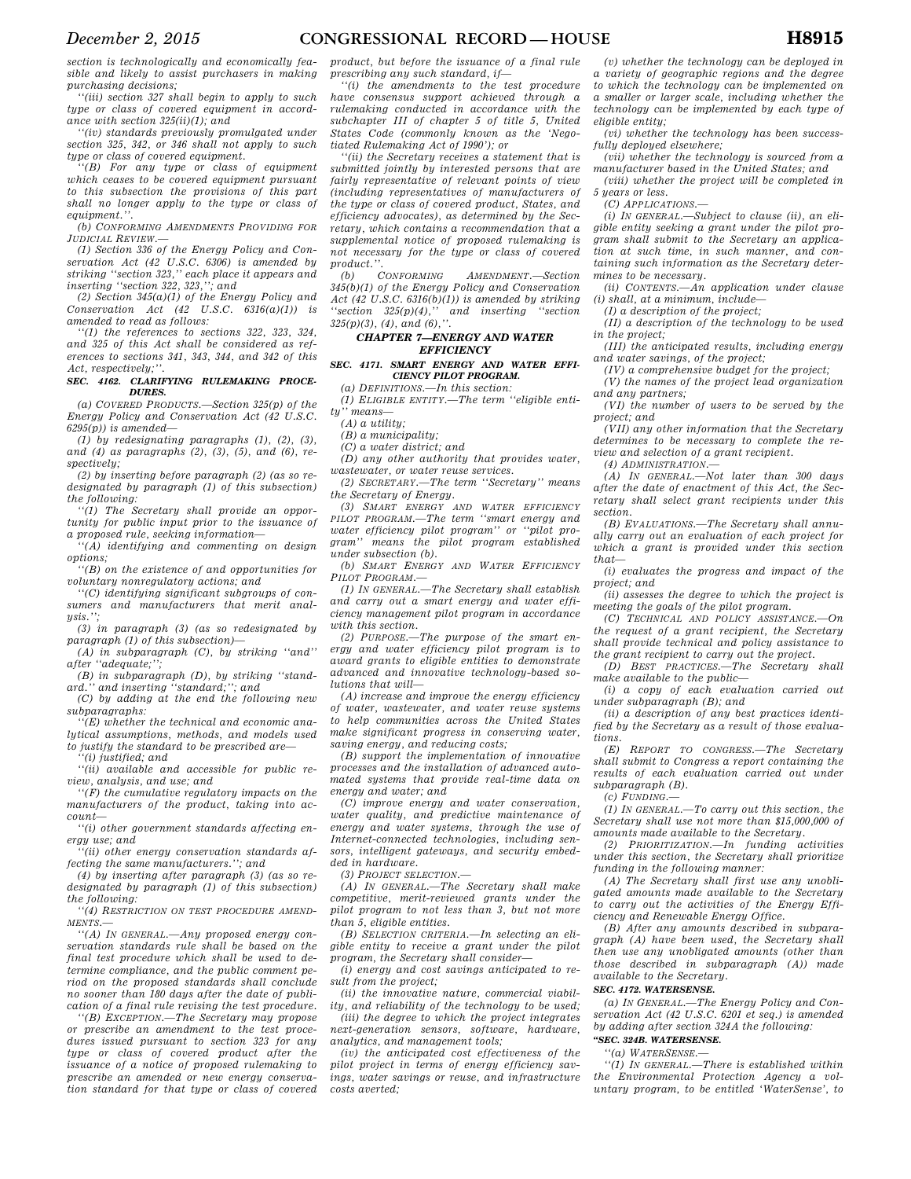*section is technologically and economically feasible and likely to assist purchasers in making purchasing decisions;* 

*''(iii) section 327 shall begin to apply to such type or class of covered equipment in accordance with section 325(ii)(1); and* 

*''(iv) standards previously promulgated under section 325, 342, or 346 shall not apply to such type or class of covered equipment.* 

*''(B) For any type or class of equipment which ceases to be covered equipment pursuant to this subsection the provisions of this part shall no longer apply to the type or class of equipment.''.* 

*(b) CONFORMING AMENDMENTS PROVIDING FOR JUDICIAL REVIEW.—* 

*(1) Section 336 of the Energy Policy and Conservation Act (42 U.S.C. 6306) is amended by striking ''section 323,'' each place it appears and inserting ''section 322, 323,''; and* 

*(2) Section 345(a)(1) of the Energy Policy and Conservation Act (42 U.S.C. 6316(a)(1)) is amended to read as follows:* 

*''(1) the references to sections 322, 323, 324, and 325 of this Act shall be considered as references to sections 341, 343, 344, and 342 of this Act, respectively;''.* 

#### *SEC. 4162. CLARIFYING RULEMAKING PROCE-DURES.*

*(a) COVERED PRODUCTS.—Section 325(p) of the Energy Policy and Conservation Act (42 U.S.C. 6295(p)) is amended—* 

*(1) by redesignating paragraphs (1), (2), (3), and (4) as paragraphs (2), (3), (5), and (6), respectively;* 

*(2) by inserting before paragraph (2) (as so redesignated by paragraph (1) of this subsection) the following:* 

*''(1) The Secretary shall provide an opportunity for public input prior to the issuance of a proposed rule, seeking information—* 

*''(A) identifying and commenting on design options;* 

*''(B) on the existence of and opportunities for voluntary nonregulatory actions; and* 

*''(C) identifying significant subgroups of consumers and manufacturers that merit analysis.'';* 

*(3) in paragraph (3) (as so redesignated by paragraph (1) of this subsection)—* 

*(A) in subparagraph (C), by striking ''and'' after ''adequate;'';* 

*(B) in subparagraph (D), by striking ''standard.'' and inserting ''standard;''; and* 

*(C) by adding at the end the following new subparagraphs:* 

*''(E) whether the technical and economic analytical assumptions, methods, and models used to justify the standard to be prescribed are—* 

*''(i) justified; and* 

*''(ii) available and accessible for public review, analysis, and use; and* 

*''(F) the cumulative regulatory impacts on the manufacturers of the product, taking into account—* 

*''(i) other government standards affecting energy use; and* 

*''(ii) other energy conservation standards affecting the same manufacturers.''; and* 

*(4) by inserting after paragraph (3) (as so redesignated by paragraph (1) of this subsection) the following:* 

*''(4) RESTRICTION ON TEST PROCEDURE AMEND-MENTS.—* 

*''(A) IN GENERAL.—Any proposed energy conservation standards rule shall be based on the final test procedure which shall be used to determine compliance, and the public comment period on the proposed standards shall conclude no sooner than 180 days after the date of publication of a final rule revising the test procedure.* 

*''(B) EXCEPTION.—The Secretary may propose or prescribe an amendment to the test procedures issued pursuant to section 323 for any type or class of covered product after the issuance of a notice of proposed rulemaking to prescribe an amended or new energy conservation standard for that type or class of covered* 

*product, but before the issuance of a final rule prescribing any such standard, if—* 

*''(i) the amendments to the test procedure have consensus support achieved through a rulemaking conducted in accordance with the subchapter III of chapter 5 of title 5, United States Code (commonly known as the 'Negotiated Rulemaking Act of 1990'); or* 

*''(ii) the Secretary receives a statement that is submitted jointly by interested persons that are fairly representative of relevant points of view (including representatives of manufacturers of the type or class of covered product, States, and efficiency advocates), as determined by the Secretary, which contains a recommendation that a supplemental notice of proposed rulemaking is not necessary for the type or class of covered product.''.* 

*(b) CONFORMING AMENDMENT.—Section 345(b)(1) of the Energy Policy and Conservation Act (42 U.S.C. 6316(b)(1)) is amended by striking ''section 325(p)(4),'' and inserting ''section 325(p)(3), (4), and (6),''.* 

### *CHAPTER 7—ENERGY AND WATER EFFICIENCY*

## *SEC. 4171. SMART ENERGY AND WATER EFFI-CIENCY PILOT PROGRAM.*

*(a) DEFINITIONS.—In this section:* 

*(1) ELIGIBLE ENTITY.—The term ''eligible entity'' means—* 

*(A) a utility;* 

*(B) a municipality;* 

*(C) a water district; and* 

*(D) any other authority that provides water, wastewater, or water reuse services.* 

*(2) SECRETARY.—The term ''Secretary'' means the Secretary of Energy.* 

*(3) SMART ENERGY AND WATER EFFICIENCY PILOT PROGRAM.—The term ''smart energy and water efficiency pilot program'' or ''pilot program'' means the pilot program established under subsection (b).* 

*(b) SMART ENERGY AND WATER EFFICIENCY PILOT PROGRAM.—* 

*(1) IN GENERAL.—The Secretary shall establish and carry out a smart energy and water efficiency management pilot program in accordance with this section.* 

*(2) PURPOSE.—The purpose of the smart energy and water efficiency pilot program is to award grants to eligible entities to demonstrate advanced and innovative technology-based solutions that will—* 

*(A) increase and improve the energy efficiency of water, wastewater, and water reuse systems to help communities across the United States make significant progress in conserving water, saving energy, and reducing costs;* 

*(B) support the implementation of innovative processes and the installation of advanced automated systems that provide real-time data on energy and water; and* 

*(C) improve energy and water conservation, water quality, and predictive maintenance of energy and water systems, through the use of Internet-connected technologies, including sensors, intelligent gateways, and security embedded in hardware.* 

*(3) PROJECT SELECTION.—* 

*(A) IN GENERAL.—The Secretary shall make competitive, merit-reviewed grants under the pilot program to not less than 3, but not more than 5, eligible entities.* 

*(B) SELECTION CRITERIA.—In selecting an eligible entity to receive a grant under the pilot program, the Secretary shall consider—* 

*(i) energy and cost savings anticipated to result from the project;* 

*(ii) the innovative nature, commercial viability, and reliability of the technology to be used;* 

*(iii) the degree to which the project integrates next-generation sensors, software, hardware, analytics, and management tools;* 

*(iv) the anticipated cost effectiveness of the pilot project in terms of energy efficiency savings, water savings or reuse, and infrastructure costs averted;* 

*(v) whether the technology can be deployed in a variety of geographic regions and the degree to which the technology can be implemented on a smaller or larger scale, including whether the technology can be implemented by each type of eligible entity;* 

*(vi) whether the technology has been successfully deployed elsewhere;* 

*(vii) whether the technology is sourced from a manufacturer based in the United States; and* 

*(viii) whether the project will be completed in 5 years or less.* 

*(C) APPLICATIONS.—* 

*(i) IN GENERAL.—Subject to clause (ii), an eligible entity seeking a grant under the pilot program shall submit to the Secretary an application at such time, in such manner, and containing such information as the Secretary determines to be necessary.* 

*(ii) CONTENTS.—An application under clause (i) shall, at a minimum, include—* 

*(I) a description of the project;* 

*(II) a description of the technology to be used in the project;* 

*(III) the anticipated results, including energy and water savings, of the project;* 

*(IV) a comprehensive budget for the project;* 

*(V) the names of the project lead organization and any partners;* 

*(VI) the number of users to be served by the project; and* 

*(VII) any other information that the Secretary determines to be necessary to complete the review and selection of a grant recipient.* 

*(4) ADMINISTRATION.—* 

*(A) IN GENERAL.—Not later than 300 days after the date of enactment of this Act, the Secretary shall select grant recipients under this section.* 

*(B) EVALUATIONS.—The Secretary shall annually carry out an evaluation of each project for which a grant is provided under this section that—* 

*(i) evaluates the progress and impact of the project; and* 

*(ii) assesses the degree to which the project is meeting the goals of the pilot program.* 

*(C) TECHNICAL AND POLICY ASSISTANCE.—On the request of a grant recipient, the Secretary shall provide technical and policy assistance to the grant recipient to carry out the project.* 

*(D) BEST PRACTICES.—The Secretary shall make available to the public—* 

*(i) a copy of each evaluation carried out under subparagraph (B); and* 

*(ii) a description of any best practices identified by the Secretary as a result of those evaluations.* 

*(E) REPORT TO CONGRESS.—The Secretary shall submit to Congress a report containing the results of each evaluation carried out under subparagraph (B).* 

*(c) FUNDING.—* 

*(1) IN GENERAL.—To carry out this section, the Secretary shall use not more than \$15,000,000 of amounts made available to the Secretary.* 

*(2) PRIORITIZATION.—In funding activities under this section, the Secretary shall prioritize funding in the following manner:* 

*(A) The Secretary shall first use any unobligated amounts made available to the Secretary to carry out the activities of the Energy Efficiency and Renewable Energy Office.* 

*(B) After any amounts described in subparagraph (A) have been used, the Secretary shall then use any unobligated amounts (other than those described in subparagraph (A)) made available to the Secretary.* 

### *SEC. 4172. WATERSENSE.*

*(a) IN GENERAL.—The Energy Policy and Conservation Act (42 U.S.C. 6201 et seq.) is amended by adding after section 324A the following:* 

*''SEC. 324B. WATERSENSE.* 

*''(a) WATERSENSE.—* 

*''(1) IN GENERAL.—There is established within the Environmental Protection Agency a voluntary program, to be entitled 'WaterSense', to*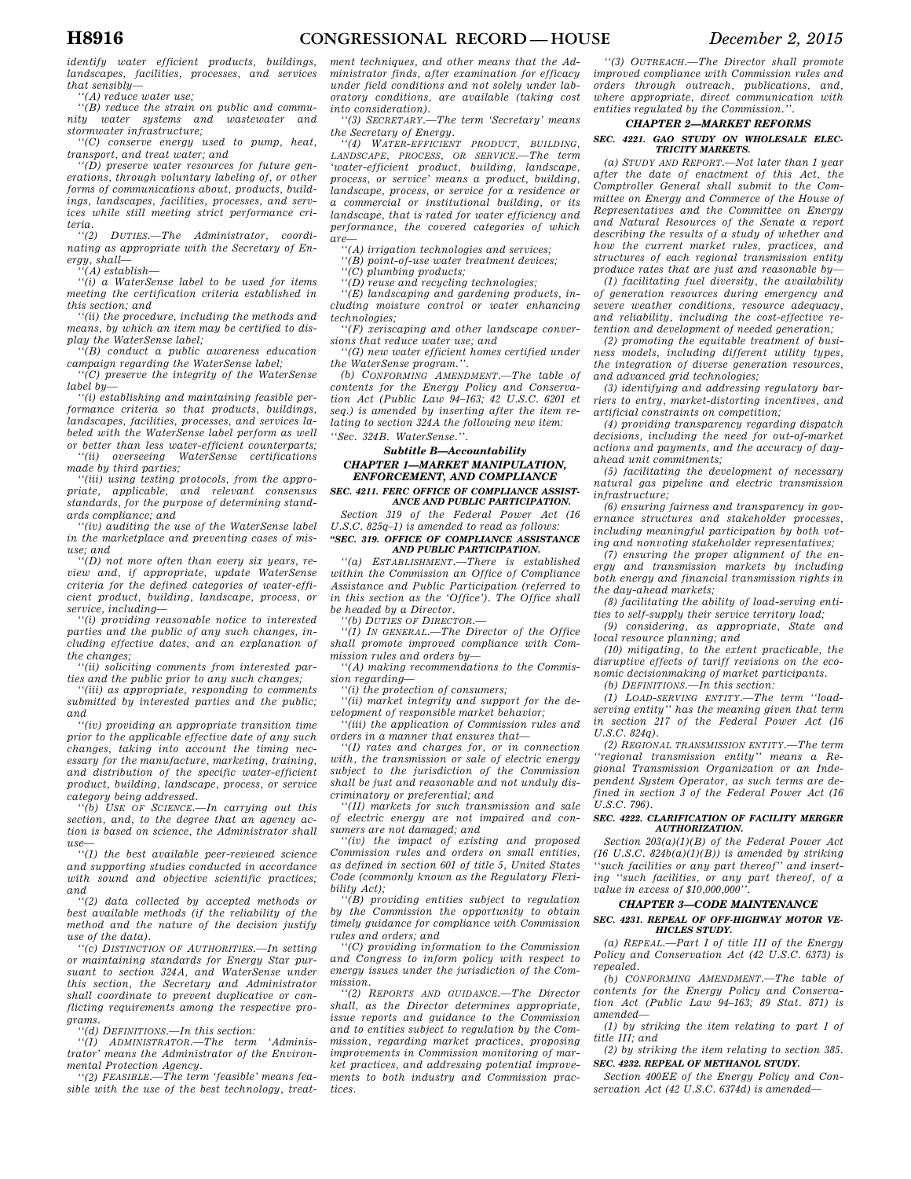*identify water efficient products, buildings, landscapes, facilities, processes, and services that sensibly—* 

*''(A) reduce water use;* 

*''(B) reduce the strain on public and community water systems and wastewater and stormwater infrastructure;* 

*''(C) conserve energy used to pump, heat, transport, and treat water; and* 

*''(D) preserve water resources for future generations, through voluntary labeling of, or other forms of communications about, products, buildings, landscapes, facilities, processes, and services while still meeting strict performance criteria.* 

 $DUTIES. - The$  *Administrator, coordinating as appropriate with the Secretary of Energy, shall—* 

*''(A) establish—* 

*''(i) a WaterSense label to be used for items meeting the certification criteria established in this section; and* 

*''(ii) the procedure, including the methods and means, by which an item may be certified to display the WaterSense label;* 

*''(B) conduct a public awareness education campaign regarding the WaterSense label;* 

*''(C) preserve the integrity of the WaterSense label by—* 

*''(i) establishing and maintaining feasible performance criteria so that products, buildings, landscapes, facilities, processes, and services labeled with the WaterSense label perform as well or better than less water-efficient counterparts;* 

*''(ii) overseeing WaterSense certifications made by third parties;* 

*''(iii) using testing protocols, from the appropriate, applicable, and relevant consensus standards, for the purpose of determining standards compliance; and* 

*''(iv) auditing the use of the WaterSense label in the marketplace and preventing cases of misuse; and* 

*''(D) not more often than every six years, review and, if appropriate, update WaterSense criteria for the defined categories of water-efficient product, building, landscape, process, or service, including—* 

*''(i) providing reasonable notice to interested parties and the public of any such changes, including effective dates, and an explanation of the changes;* 

*''(ii) soliciting comments from interested parties and the public prior to any such changes;* 

*''(iii) as appropriate, responding to comments submitted by interested parties and the public; and* 

*''(iv) providing an appropriate transition time prior to the applicable effective date of any such changes, taking into account the timing necessary for the manufacture, marketing, training, and distribution of the specific water-efficient product, building, landscape, process, or service category being addressed.* 

*''(b) USE OF SCIENCE.—In carrying out this section, and, to the degree that an agency action is based on science, the Administrator shall use—* 

*''(1) the best available peer-reviewed science and supporting studies conducted in accordance with sound and objective scientific practices; and* 

*''(2) data collected by accepted methods or best available methods (if the reliability of the method and the nature of the decision justify use of the data).* 

*''(c) DISTINCTION OF AUTHORITIES.—In setting or maintaining standards for Energy Star pursuant to section 324A, and WaterSense under this section, the Secretary and Administrator shall coordinate to prevent duplicative or conflicting requirements among the respective programs.* 

*''(d) DEFINITIONS.—In this section:* 

*''(1) ADMINISTRATOR.—The term 'Administrator' means the Administrator of the Environmental Protection Agency.* 

*''(2) FEASIBLE.—The term 'feasible' means feasible with the use of the best technology, treat-*

*ment techniques, and other means that the Administrator finds, after examination for efficacy under field conditions and not solely under laboratory conditions, are available (taking cost into consideration).* 

*''(3) SECRETARY.—The term 'Secretary' means the Secretary of Energy.* 

*''(4) WATER-EFFICIENT PRODUCT, BUILDING, LANDSCAPE, PROCESS, OR SERVICE.—The term 'water-efficient product, building, landscape, process, or service' means a product, building, landscape, process, or service for a residence or a commercial or institutional building, or its landscape, that is rated for water efficiency and performance, the covered categories of which are—* 

*''(A) irrigation technologies and services;* 

*''(B) point-of-use water treatment devices;* 

*''(C) plumbing products;* 

*''(D) reuse and recycling technologies;* 

*''(E) landscaping and gardening products, including moisture control or water enhancing technologies;* 

*''(F) xeriscaping and other landscape conversions that reduce water use; and* 

*''(G) new water efficient homes certified under the WaterSense program.''.* 

*(b) CONFORMING AMENDMENT.—The table of contents for the Energy Policy and Conservation Act (Public Law 94–163; 42 U.S.C. 6201 et seq.) is amended by inserting after the item relating to section 324A the following new item: ''Sec. 324B. WaterSense.''.* 

### *Subtitle B—Accountability*

### *CHAPTER 1—MARKET MANIPULATION, ENFORCEMENT, AND COMPLIANCE*

*SEC. 4211. FERC OFFICE OF COMPLIANCE ASSIST-ANCE AND PUBLIC PARTICIPATION.* 

*Section 319 of the Federal Power Act (16 U.S.C. 825q–1) is amended to read as follows: ''SEC. 319. OFFICE OF COMPLIANCE ASSISTANCE* 

### *AND PUBLIC PARTICIPATION.*

*''(a) ESTABLISHMENT.—There is established within the Commission an Office of Compliance Assistance and Public Participation (referred to in this section as the 'Office'). The Office shall be headed by a Director.* 

*''(b) DUTIES OF DIRECTOR.—* 

*''(1) IN GENERAL.—The Director of the Office shall promote improved compliance with Commission rules and orders by—* 

*''(A) making recommendations to the Commission regarding—* 

*''(i) the protection of consumers;* 

*''(ii) market integrity and support for the development of responsible market behavior; ''(iii) the application of Commission rules and* 

*orders in a manner that ensures that—* 

*''(I) rates and charges for, or in connection with, the transmission or sale of electric energy subject to the jurisdiction of the Commission shall be just and reasonable and not unduly discriminatory or preferential; and* 

*''(II) markets for such transmission and sale of electric energy are not impaired and consumers are not damaged; and* 

*''(iv) the impact of existing and proposed Commission rules and orders on small entities, as defined in section 601 of title 5, United States Code (commonly known as the Regulatory Flexibility Act);* 

*''(B) providing entities subject to regulation by the Commission the opportunity to obtain timely guidance for compliance with Commission rules and orders; and* 

*''(C) providing information to the Commission and Congress to inform policy with respect to energy issues under the jurisdiction of the Commission.* 

*''(2) REPORTS AND GUIDANCE.—The Director shall, as the Director determines appropriate, issue reports and guidance to the Commission and to entities subject to regulation by the Commission, regarding market practices, proposing improvements in Commission monitoring of market practices, and addressing potential improvements to both industry and Commission practices.* 

*''(3) OUTREACH.—The Director shall promote improved compliance with Commission rules and orders through outreach, publications, and, where appropriate, direct communication with entities regulated by the Commission.''.* 

### *CHAPTER 2—MARKET REFORMS*

### *SEC. 4221. GAO STUDY ON WHOLESALE ELEC-TRICITY MARKETS.*

*(a) STUDY AND REPORT.—Not later than 1 year after the date of enactment of this Act, the Comptroller General shall submit to the Committee on Energy and Commerce of the House of Representatives and the Committee on Energy and Natural Resources of the Senate a report describing the results of a study of whether and how the current market rules, practices, and structures of each regional transmission entity produce rates that are just and reasonable by—* 

*(1) facilitating fuel diversity, the availability of generation resources during emergency and severe weather conditions, resource adequacy, and reliability, including the cost-effective retention and development of needed generation;* 

*(2) promoting the equitable treatment of business models, including different utility types, the integration of diverse generation resources, and advanced grid technologies;* 

*(3) identifying and addressing regulatory barriers to entry, market-distorting incentives, and artificial constraints on competition;* 

*(4) providing transparency regarding dispatch decisions, including the need for out-of-market actions and payments, and the accuracy of dayahead unit commitments;* 

*(5) facilitating the development of necessary natural gas pipeline and electric transmission infrastructure;* 

*(6) ensuring fairness and transparency in governance structures and stakeholder processes, including meaningful participation by both voting and nonvoting stakeholder representatives;* 

*(7) ensuring the proper alignment of the energy and transmission markets by including both energy and financial transmission rights in the day-ahead markets;* 

*(8) facilitating the ability of load-serving entities to self-supply their service territory load;* 

*(9) considering, as appropriate, State and local resource planning; and* 

*(10) mitigating, to the extent practicable, the disruptive effects of tariff revisions on the economic decisionmaking of market participants.* 

*(b) DEFINITIONS.—In this section:* 

*(1) LOAD-SERVING ENTITY.—The term ''loadserving entity'' has the meaning given that term in section 217 of the Federal Power Act (16 U.S.C. 824q).* 

*(2) REGIONAL TRANSMISSION ENTITY.—The term ''regional transmission entity'' means a Regional Transmission Organization or an Independent System Operator, as such terms are defined in section 3 of the Federal Power Act (16 U.S.C. 796).* 

#### *SEC. 4222. CLARIFICATION OF FACILITY MERGER AUTHORIZATION.*

*Section 203(a)(1)(B) of the Federal Power Act (16 U.S.C. 824b(a)(1)(B)) is amended by striking ''such facilities or any part thereof'' and inserting ''such facilities, or any part thereof, of a value in excess of \$10,000,000''.* 

#### *CHAPTER 3—CODE MAINTENANCE*

### *SEC. 4231. REPEAL OF OFF-HIGHWAY MOTOR VE-HICLES STUDY.*

*(a) REPEAL.—Part I of title III of the Energy Policy and Conservation Act (42 U.S.C. 6373) is repealed.* 

*(b) CONFORMING AMENDMENT.—The table of contents for the Energy Policy and Conservation Act (Public Law 94–163; 89 Stat. 871) is amended—* 

*(1) by striking the item relating to part I of title III; and* 

*(2) by striking the item relating to section 385. SEC. 4232. REPEAL OF METHANOL STUDY.* 

*Section 400EE of the Energy Policy and Conservation Act (42 U.S.C. 6374d) is amended—*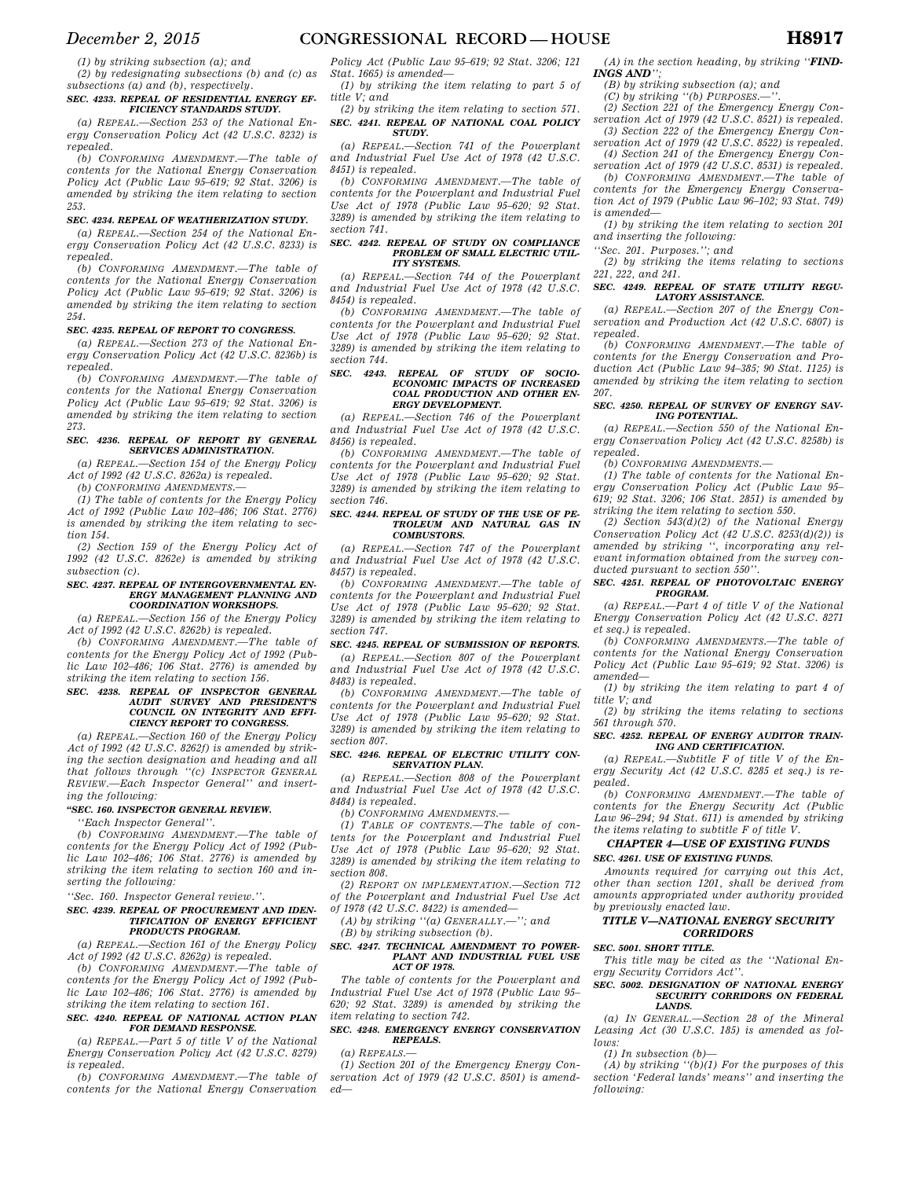*(1) by striking subsection (a); and* 

*(2) by redesignating subsections (b) and (c) as subsections (a) and (b), respectively.* 

### *SEC. 4233. REPEAL OF RESIDENTIAL ENERGY EF-FICIENCY STANDARDS STUDY.*

*(a) REPEAL.—Section 253 of the National Energy Conservation Policy Act (42 U.S.C. 8232) is repealed.* 

*(b) CONFORMING AMENDMENT.—The table of contents for the National Energy Conservation Policy Act (Public Law 95–619; 92 Stat. 3206) is amended by striking the item relating to section 253.* 

### *SEC. 4234. REPEAL OF WEATHERIZATION STUDY.*

*(a) REPEAL.—Section 254 of the National Energy Conservation Policy Act (42 U.S.C. 8233) is repealed.* 

*(b) CONFORMING AMENDMENT.—The table of contents for the National Energy Conservation Policy Act (Public Law 95–619; 92 Stat. 3206) is amended by striking the item relating to section 254.* 

#### *SEC. 4235. REPEAL OF REPORT TO CONGRESS.*

*(a) REPEAL.—Section 273 of the National Energy Conservation Policy Act (42 U.S.C. 8236b) is repealed.* 

*(b) CONFORMING AMENDMENT.—The table of contents for the National Energy Conservation Policy Act (Public Law 95–619; 92 Stat. 3206) is amended by striking the item relating to section 273.* 

### *SEC. 4236. REPEAL OF REPORT BY GENERAL SERVICES ADMINISTRATION.*

*(a) REPEAL.—Section 154 of the Energy Policy Act of 1992 (42 U.S.C. 8262a) is repealed. (b) CONFORMING AMENDMENTS.—* 

*(1) The table of contents for the Energy Policy Act of 1992 (Public Law 102–486; 106 Stat. 2776) is amended by striking the item relating to sec-*

*tion 154. (2) Section 159 of the Energy Policy Act of 1992 (42 U.S.C. 8262e) is amended by striking* 

*subsection (c). SEC. 4237. REPEAL OF INTERGOVERNMENTAL EN-*

### *ERGY MANAGEMENT PLANNING AND COORDINATION WORKSHOPS.*

*(a) REPEAL.—Section 156 of the Energy Policy Act of 1992 (42 U.S.C. 8262b) is repealed.* 

*(b) CONFORMING AMENDMENT.—The table of contents for the Energy Policy Act of 1992 (Public Law 102–486; 106 Stat. 2776) is amended by striking the item relating to section 156.* 

### *SEC. 4238. REPEAL OF INSPECTOR GENERAL AUDIT SURVEY AND PRESIDENT'S COUNCIL ON INTEGRITY AND EFFI-CIENCY REPORT TO CONGRESS.*

*(a) REPEAL.—Section 160 of the Energy Policy Act of 1992 (42 U.S.C. 8262f) is amended by striking the section designation and heading and all that follows through ''(c) INSPECTOR GENERAL REVIEW.—Each Inspector General'' and inserting the following:* 

### *''SEC. 160. INSPECTOR GENERAL REVIEW.*

*''Each Inspector General''.* 

*(b) CONFORMING AMENDMENT.—The table of contents for the Energy Policy Act of 1992 (Public Law 102–486; 106 Stat. 2776) is amended by striking the item relating to section 160 and inserting the following:* 

*''Sec. 160. Inspector General review.''.* 

#### *SEC. 4239. REPEAL OF PROCUREMENT AND IDEN-TIFICATION OF ENERGY EFFICIENT PRODUCTS PROGRAM.*

*(a) REPEAL.—Section 161 of the Energy Policy Act of 1992 (42 U.S.C. 8262g) is repealed.* 

*(b) CONFORMING AMENDMENT.—The table of contents for the Energy Policy Act of 1992 (Public Law 102–486; 106 Stat. 2776) is amended by striking the item relating to section 161.* 

#### *SEC. 4240. REPEAL OF NATIONAL ACTION PLAN FOR DEMAND RESPONSE.*

*(a) REPEAL.—Part 5 of title V of the National Energy Conservation Policy Act (42 U.S.C. 8279) is repealed.* 

*(b) CONFORMING AMENDMENT.—The table of contents for the National Energy Conservation* 

*Policy Act (Public Law 95–619; 92 Stat. 3206; 121 Stat. 1665) is amended—* 

*(1) by striking the item relating to part 5 of title V; and* 

*(2) by striking the item relating to section 571. SEC. 4241. REPEAL OF NATIONAL COAL POLICY STUDY.* 

*(a) REPEAL.—Section 741 of the Powerplant and Industrial Fuel Use Act of 1978 (42 U.S.C. 8451) is repealed.* 

*(b) CONFORMING AMENDMENT.—The table of contents for the Powerplant and Industrial Fuel Use Act of 1978 (Public Law 95–620; 92 Stat. 3289) is amended by striking the item relating to section 741.* 

## *SEC. 4242. REPEAL OF STUDY ON COMPLIANCE PROBLEM OF SMALL ELECTRIC UTIL-ITY SYSTEMS.*

*(a) REPEAL.—Section 744 of the Powerplant and Industrial Fuel Use Act of 1978 (42 U.S.C. 8454) is repealed.* 

*(b) CONFORMING AMENDMENT.—The table of contents for the Powerplant and Industrial Fuel Use Act of 1978 (Public Law 95–620; 92 Stat. 3289) is amended by striking the item relating to section 744.* 

#### *SEC. 4243. REPEAL OF STUDY OF SOCIO-ECONOMIC IMPACTS OF INCREASED COAL PRODUCTION AND OTHER EN-ERGY DEVELOPMENT.*

*(a) REPEAL.—Section 746 of the Powerplant and Industrial Fuel Use Act of 1978 (42 U.S.C. 8456) is repealed.* 

*(b) CONFORMING AMENDMENT.—The table of contents for the Powerplant and Industrial Fuel Use Act of 1978 (Public Law 95–620; 92 Stat. 3289) is amended by striking the item relating to section 746.* 

#### *SEC. 4244. REPEAL OF STUDY OF THE USE OF PE-TROLEUM AND NATURAL GAS IN COMBUSTORS.*

*(a) REPEAL.—Section 747 of the Powerplant and Industrial Fuel Use Act of 1978 (42 U.S.C. 8457) is repealed.* 

*(b) CONFORMING AMENDMENT.—The table of contents for the Powerplant and Industrial Fuel Use Act of 1978 (Public Law 95–620; 92 Stat. 3289) is amended by striking the item relating to section 747.* 

### *SEC. 4245. REPEAL OF SUBMISSION OF REPORTS.*

*(a) REPEAL.—Section 807 of the Powerplant and Industrial Fuel Use Act of 1978 (42 U.S.C. 8483) is repealed.* 

*(b) CONFORMING AMENDMENT.—The table of contents for the Powerplant and Industrial Fuel Use Act of 1978 (Public Law 95–620; 92 Stat. 3289) is amended by striking the item relating to section 807.* 

#### *SEC. 4246. REPEAL OF ELECTRIC UTILITY CON-SERVATION PLAN.*

*(a) REPEAL.—Section 808 of the Powerplant and Industrial Fuel Use Act of 1978 (42 U.S.C. 8484) is repealed.* 

*(b) CONFORMING AMENDMENTS.—* 

*(1) TABLE OF CONTENTS.—The table of contents for the Powerplant and Industrial Fuel Use Act of 1978 (Public Law 95–620; 92 Stat. 3289) is amended by striking the item relating to section 808.* 

*(2) REPORT ON IMPLEMENTATION.—Section 712 of the Powerplant and Industrial Fuel Use Act of 1978 (42 U.S.C. 8422) is amended—* 

*(A) by striking ''(a) GENERALLY.—''; and* 

*(B) by striking subsection (b).* 

## *SEC. 4247. TECHNICAL AMENDMENT TO POWER-PLANT AND INDUSTRIAL FUEL USE ACT OF 1978.*

*The table of contents for the Powerplant and Industrial Fuel Use Act of 1978 (Public Law 95– 620; 92 Stat. 3289) is amended by striking the item relating to section 742.* 

### *SEC. 4248. EMERGENCY ENERGY CONSERVATION REPEALS.*

*(a) REPEALS.—* 

*(1) Section 201 of the Emergency Energy Conservation Act of 1979 (42 U.S.C. 8501) is amended—* 

- *(A) in the section heading, by striking ''FIND-INGS AND'';*
- *(B) by striking subsection (a); and*
- *(C) by striking "(b) PURPOSES.*—

*(2) Section 221 of the Emergency Energy Conservation Act of 1979 (42 U.S.C. 8521) is repealed. (3) Section 222 of the Emergency Energy Con-*

*servation Act of 1979 (42 U.S.C. 8522) is repealed. (4) Section 241 of the Emergency Energy Conservation Act of 1979 (42 U.S.C. 8531) is repealed.* 

*(b) CONFORMING AMENDMENT.—The table of contents for the Emergency Energy Conservation Act of 1979 (Public Law 96–102; 93 Stat. 749) is amended—* 

*(1) by striking the item relating to section 201 and inserting the following:* 

*''Sec. 201. Purposes.''; and* 

*(2) by striking the items relating to sections 221, 222, and 241.* 

#### *SEC. 4249. REPEAL OF STATE UTILITY REGU-LATORY ASSISTANCE.*

*(a) REPEAL.—Section 207 of the Energy Conservation and Production Act (42 U.S.C. 6807) is repealed.* 

*(b) CONFORMING AMENDMENT.—The table of contents for the Energy Conservation and Production Act (Public Law 94–385; 90 Stat. 1125) is amended by striking the item relating to section 207.* 

#### *SEC. 4250. REPEAL OF SURVEY OF ENERGY SAV-ING POTENTIAL.*

*(a) REPEAL.—Section 550 of the National Energy Conservation Policy Act (42 U.S.C. 8258b) is repealed.* 

*(b) CONFORMING AMENDMENTS.—* 

*(1) The table of contents for the National Energy Conservation Policy Act (Public Law 95– 619; 92 Stat. 3206; 106 Stat. 2851) is amended by striking the item relating to section 550.* 

*(2) Section 543(d)(2) of the National Energy Conservation Policy Act (42 U.S.C. 8253(d)(2)) is amended by striking '', incorporating any relevant information obtained from the survey conducted pursuant to section 550''.* 

#### *SEC. 4251. REPEAL OF PHOTOVOLTAIC ENERGY PROGRAM.*

*(a) REPEAL.—Part 4 of title V of the National Energy Conservation Policy Act (42 U.S.C. 8271 et seq.) is repealed.* 

*(b) CONFORMING AMENDMENTS.—The table of contents for the National Energy Conservation Policy Act (Public Law 95–619; 92 Stat. 3206) is amended—* 

*(1) by striking the item relating to part 4 of title V; and* 

*(2) by striking the items relating to sections 561 through 570.* 

### *SEC. 4252. REPEAL OF ENERGY AUDITOR TRAIN-ING AND CERTIFICATION.*

*(a) REPEAL.—Subtitle F of title V of the Energy Security Act (42 U.S.C. 8285 et seq.) is repealed.* 

*(b) CONFORMING AMENDMENT.—The table of contents for the Energy Security Act (Public Law 96–294; 94 Stat. 611) is amended by striking the items relating to subtitle F of title V.* 

#### *CHAPTER 4—USE OF EXISTING FUNDS SEC. 4261. USE OF EXISTING FUNDS.*

*Amounts required for carrying out this Act, other than section 1201, shall be derived from amounts appropriated under authority provided by previously enacted law.* 

### *TITLE V—NATIONAL ENERGY SECURITY CORRIDORS*

### *SEC. 5001. SHORT TITLE.*

*This title may be cited as the ''National Energy Security Corridors Act''.* 

#### *SEC. 5002. DESIGNATION OF NATIONAL ENERGY SECURITY CORRIDORS ON FEDERAL LANDS.*

*(a) IN GENERAL.—Section 28 of the Mineral Leasing Act (30 U.S.C. 185) is amended as follows:* 

*(1) In subsection (b)—* 

*(A) by striking ''(b)(1) For the purposes of this section 'Federal lands' means'' and inserting the following:*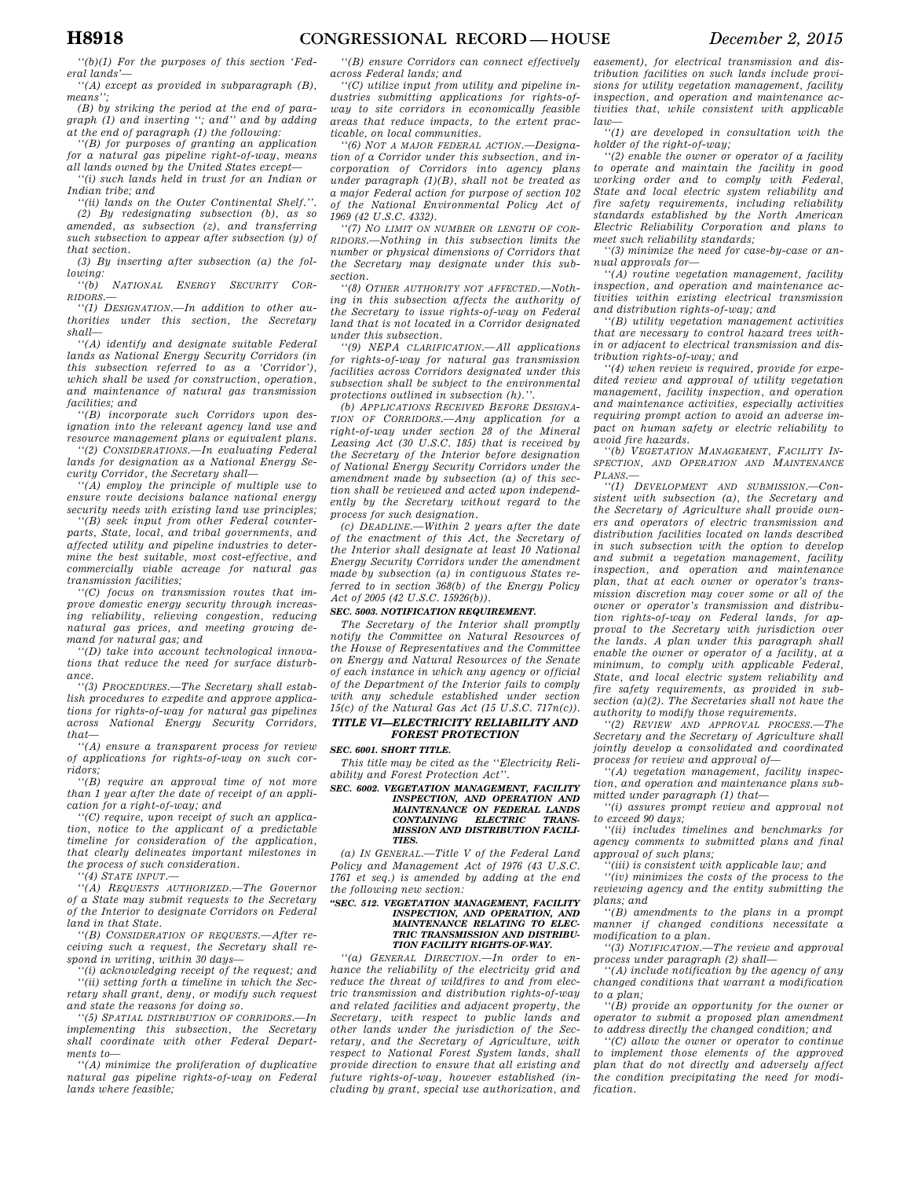*''(b)(1) For the purposes of this section 'Federal lands'—* 

*''(A) except as provided in subparagraph (B), means'';* 

*(B) by striking the period at the end of paragraph (1) and inserting ''; and'' and by adding at the end of paragraph (1) the following:* 

*''(B) for purposes of granting an application for a natural gas pipeline right-of-way, means all lands owned by the United States except—* 

*''(i) such lands held in trust for an Indian or Indian tribe; and* 

*''(ii) lands on the Outer Continental Shelf.''. (2) By redesignating subsection (b), as so amended, as subsection (z), and transferring such subsection to appear after subsection (y) of that section.* 

*(3) By inserting after subsection (a) the following:* 

*''(b) NATIONAL ENERGY SECURITY COR-RIDORS.—* 

*''(1) DESIGNATION.—In addition to other authorities under this section, the Secretary shall—* 

*''(A) identify and designate suitable Federal lands as National Energy Security Corridors (in this subsection referred to as a 'Corridor'), which shall be used for construction, operation, and maintenance of natural gas transmission facilities; and* 

*''(B) incorporate such Corridors upon designation into the relevant agency land use and resource management plans or equivalent plans.* 

*''(2) CONSIDERATIONS.—In evaluating Federal lands for designation as a National Energy Security Corridor, the Secretary shall—* 

*''(A) employ the principle of multiple use to ensure route decisions balance national energy security needs with existing land use principles;* 

*''(B) seek input from other Federal counterparts, State, local, and tribal governments, and affected utility and pipeline industries to determine the best suitable, most cost-effective, and commercially viable acreage for natural gas transmission facilities;* 

*''(C) focus on transmission routes that improve domestic energy security through increasing reliability, relieving congestion, reducing natural gas prices, and meeting growing demand for natural gas; and* 

*''(D) take into account technological innovations that reduce the need for surface disturbance.* 

*''(3) PROCEDURES.—The Secretary shall establish procedures to expedite and approve applications for rights-of-way for natural gas pipelines across National Energy Security Corridors, that—* 

*''(A) ensure a transparent process for review of applications for rights-of-way on such corridors;* 

*''(B) require an approval time of not more than 1 year after the date of receipt of an application for a right-of-way; and* 

*''(C) require, upon receipt of such an application, notice to the applicant of a predictable timeline for consideration of the application, that clearly delineates important milestones in the process of such consideration.* 

*''(4) STATE INPUT.—* 

*''(A) REQUESTS AUTHORIZED.—The Governor of a State may submit requests to the Secretary of the Interior to designate Corridors on Federal land in that State.* 

*''(B) CONSIDERATION OF REQUESTS.—After receiving such a request, the Secretary shall respond in writing, within 30 days—* 

*''(i) acknowledging receipt of the request; and ''(ii) setting forth a timeline in which the Secretary shall grant, deny, or modify such request and state the reasons for doing so.* 

*''(5) SPATIAL DISTRIBUTION OF CORRIDORS.—In implementing this subsection, the Secretary shall coordinate with other Federal Departments to—* 

*''(A) minimize the proliferation of duplicative natural gas pipeline rights-of-way on Federal lands where feasible;* 

*''(B) ensure Corridors can connect effectively across Federal lands; and* 

*''(C) utilize input from utility and pipeline industries submitting applications for rights-ofway to site corridors in economically feasible areas that reduce impacts, to the extent practicable, on local communities.* 

*''(6) NOT A MAJOR FEDERAL ACTION.—Designation of a Corridor under this subsection, and incorporation of Corridors into agency plans under paragraph (1)(B), shall not be treated as a major Federal action for purpose of section 102 of the National Environmental Policy Act of 1969 (42 U.S.C. 4332).* 

*''(7) NO LIMIT ON NUMBER OR LENGTH OF COR-RIDORS.—Nothing in this subsection limits the number or physical dimensions of Corridors that the Secretary may designate under this subsection.* 

*''(8) OTHER AUTHORITY NOT AFFECTED.—Nothing in this subsection affects the authority of the Secretary to issue rights-of-way on Federal land that is not located in a Corridor designated under this subsection.* 

*''(9) NEPA CLARIFICATION.—All applications for rights-of-way for natural gas transmission facilities across Corridors designated under this subsection shall be subject to the environmental*  protections outlined in subsection  $(h)$ .

*(b) APPLICATIONS RECEIVED BEFORE DESIGNA-TION OF CORRIDORS.—Any application for a right-of-way under section 28 of the Mineral Leasing Act (30 U.S.C. 185) that is received by the Secretary of the Interior before designation of National Energy Security Corridors under the amendment made by subsection (a) of this section shall be reviewed and acted upon independently by the Secretary without regard to the process for such designation.* 

*(c) DEADLINE.—Within 2 years after the date of the enactment of this Act, the Secretary of the Interior shall designate at least 10 National Energy Security Corridors under the amendment made by subsection (a) in contiguous States referred to in section 368(b) of the Energy Policy Act of 2005 (42 U.S.C. 15926(b)).* 

#### *SEC. 5003. NOTIFICATION REQUIREMENT.*

*The Secretary of the Interior shall promptly notify the Committee on Natural Resources of the House of Representatives and the Committee on Energy and Natural Resources of the Senate of each instance in which any agency or official of the Department of the Interior fails to comply with any schedule established under section 15(c) of the Natural Gas Act (15 U.S.C. 717n(c)).* 

### *TITLE VI—ELECTRICITY RELIABILITY AND FOREST PROTECTION*

*SEC. 6001. SHORT TITLE.* 

*This title may be cited as the ''Electricity Reliability and Forest Protection Act''.* 

*SEC. 6002. VEGETATION MANAGEMENT, FACILITY INSPECTION, AND OPERATION AND MAINTENANCE ON FEDERAL LANDS CONTAINING ELECTRIC TRANS-MISSION AND DISTRIBUTION FACILI-TIES.* 

*(a) IN GENERAL.—Title V of the Federal Land Policy and Management Act of 1976 (43 U.S.C. 1761 et seq.) is amended by adding at the end the following new section:* 

#### *''SEC. 512. VEGETATION MANAGEMENT, FACILITY INSPECTION, AND OPERATION, AND MAINTENANCE RELATING TO ELEC-TRIC TRANSMISSION AND DISTRIBU-TION FACILITY RIGHTS-OF-WAY.*

*''(a) GENERAL DIRECTION.—In order to enhance the reliability of the electricity grid and reduce the threat of wildfires to and from electric transmission and distribution rights-of-way and related facilities and adjacent property, the Secretary, with respect to public lands and other lands under the jurisdiction of the Secretary, and the Secretary of Agriculture, with respect to National Forest System lands, shall provide direction to ensure that all existing and future rights-of-way, however established (including by grant, special use authorization, and*  *easement), for electrical transmission and distribution facilities on such lands include provisions for utility vegetation management, facility inspection, and operation and maintenance activities that, while consistent with applicable law—* 

*''(1) are developed in consultation with the holder of the right-of-way;* 

*''(2) enable the owner or operator of a facility to operate and maintain the facility in good working order and to comply with Federal, State and local electric system reliability and fire safety requirements, including reliability standards established by the North American Electric Reliability Corporation and plans to meet such reliability standards;* 

*''(3) minimize the need for case-by-case or annual approvals for—* 

*''(A) routine vegetation management, facility inspection, and operation and maintenance activities within existing electrical transmission and distribution rights-of-way; and* 

*''(B) utility vegetation management activities that are necessary to control hazard trees within or adjacent to electrical transmission and distribution rights-of-way; and* 

*''(4) when review is required, provide for expedited review and approval of utility vegetation management, facility inspection, and operation and maintenance activities, especially activities requiring prompt action to avoid an adverse impact on human safety or electric reliability to avoid fire hazards.* 

*''(b) VEGETATION MANAGEMENT, FACILITY IN-SPECTION, AND OPERATION AND MAINTENANCE PLANS.—* 

*''(1) DEVELOPMENT AND SUBMISSION.—Consistent with subsection (a), the Secretary and the Secretary of Agriculture shall provide owners and operators of electric transmission and distribution facilities located on lands described in such subsection with the option to develop and submit a vegetation management, facility inspection, and operation and maintenance plan, that at each owner or operator's transmission discretion may cover some or all of the owner or operator's transmission and distribution rights-of-way on Federal lands, for approval to the Secretary with jurisdiction over the lands. A plan under this paragraph shall enable the owner or operator of a facility, at a minimum, to comply with applicable Federal, State, and local electric system reliability and fire safety requirements, as provided in subsection (a)(2). The Secretaries shall not have the authority to modify those requirements.* 

*''(2) REVIEW AND APPROVAL PROCESS.—The Secretary and the Secretary of Agriculture shall jointly develop a consolidated and coordinated process for review and approval of—* 

*''(A) vegetation management, facility inspection, and operation and maintenance plans submitted under paragraph (1) that—* 

*''(i) assures prompt review and approval not to exceed 90 days;* 

*''(ii) includes timelines and benchmarks for agency comments to submitted plans and final approval of such plans;* 

*''(iii) is consistent with applicable law; and* 

*''(iv) minimizes the costs of the process to the reviewing agency and the entity submitting the plans; and* 

*''(B) amendments to the plans in a prompt manner if changed conditions necessitate a modification to a plan.* 

*''(3) NOTIFICATION.—The review and approval process under paragraph (2) shall—* 

*''(A) include notification by the agency of any changed conditions that warrant a modification to a plan;* 

*''(B) provide an opportunity for the owner or operator to submit a proposed plan amendment to address directly the changed condition; and* 

*''(C) allow the owner or operator to continue to implement those elements of the approved plan that do not directly and adversely affect the condition precipitating the need for modification.*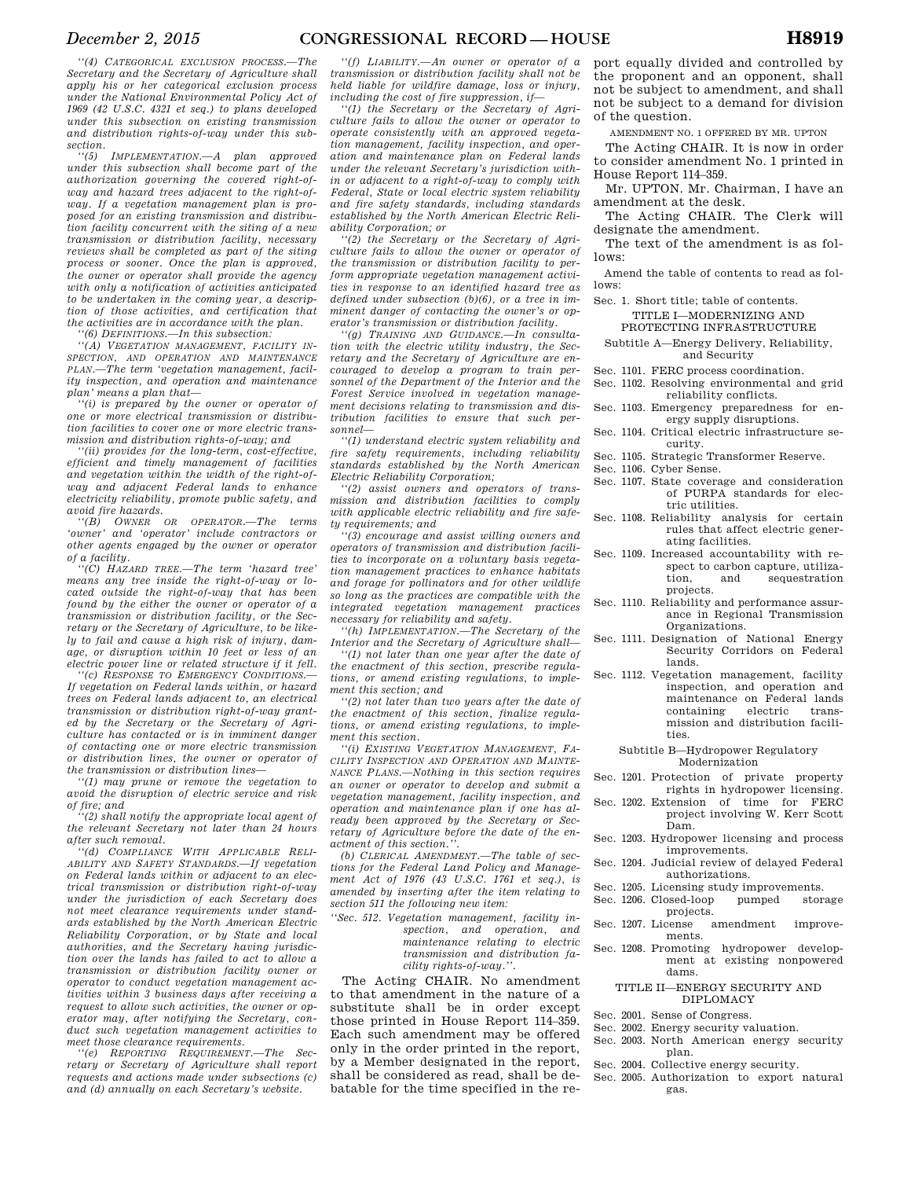*section. ''(5) IMPLEMENTATION.—A plan approved under this subsection shall become part of the authorization governing the covered right-ofway and hazard trees adjacent to the right-ofway. If a vegetation management plan is proposed for an existing transmission and distribution facility concurrent with the siting of a new transmission or distribution facility, necessary reviews shall be completed as part of the siting process or sooner. Once the plan is approved, the owner or operator shall provide the agency with only a notification of activities anticipated to be undertaken in the coming year, a description of those activities, and certification that the activities are in accordance with the plan.* 

*''(6) DEFINITIONS.—In this subsection:* 

*''(A) VEGETATION MANAGEMENT, FACILITY IN-SPECTION, AND OPERATION AND MAINTENANCE PLAN.—The term 'vegetation management, facility inspection, and operation and maintenance plan' means a plan that—* 

*''(i) is prepared by the owner or operator of one or more electrical transmission or distribution facilities to cover one or more electric transmission and distribution rights-of-way; and* 

*''(ii) provides for the long-term, cost-effective, efficient and timely management of facilities and vegetation within the width of the right-ofway and adjacent Federal lands to enhance electricity reliability, promote public safety, and avoid fire hazards.* 

*''(B) OWNER OR OPERATOR.—The terms 'owner' and 'operator' include contractors or other agents engaged by the owner or operator of a facility.* 

*''(C) HAZARD TREE.—The term 'hazard tree' means any tree inside the right-of-way or located outside the right-of-way that has been found by the either the owner or operator of a transmission or distribution facility, or the Secretary or the Secretary of Agriculture, to be likely to fail and cause a high risk of injury, damage, or disruption within 10 feet or less of an electric power line or related structure if it fell.* 

*''(c) RESPONSE TO EMERGENCY CONDITIONS.— If vegetation on Federal lands within, or hazard trees on Federal lands adjacent to, an electrical transmission or distribution right-of-way granted by the Secretary or the Secretary of Agriculture has contacted or is in imminent danger of contacting one or more electric transmission or distribution lines, the owner or operator of the transmission or distribution lines—* 

*''(1) may prune or remove the vegetation to avoid the disruption of electric service and risk of fire; and* 

*''(2) shall notify the appropriate local agent of the relevant Secretary not later than 24 hours after such removal.* 

*''(d) COMPLIANCE WITH APPLICABLE RELI-ABILITY AND SAFETY STANDARDS.—If vegetation on Federal lands within or adjacent to an electrical transmission or distribution right-of-way under the jurisdiction of each Secretary does not meet clearance requirements under standards established by the North American Electric Reliability Corporation, or by State and local authorities, and the Secretary having jurisdiction over the lands has failed to act to allow a transmission or distribution facility owner or operator to conduct vegetation management activities within 3 business days after receiving a request to allow such activities, the owner or operator may, after notifying the Secretary, conduct such vegetation management activities to meet those clearance requirements.* 

*''(e) REPORTING REQUIREMENT.—The Secretary or Secretary of Agriculture shall report requests and actions made under subsections (c) and (d) annually on each Secretary's website.* 

*''(f) LIABILITY.—An owner or operator of a transmission or distribution facility shall not be held liable for wildfire damage, loss or injury, including the cost of fire suppression, if—* 

*''(1) the Secretary or the Secretary of Agriculture fails to allow the owner or operator to operate consistently with an approved vegetation management, facility inspection, and operation and maintenance plan on Federal lands under the relevant Secretary's jurisdiction within or adjacent to a right-of-way to comply with Federal, State or local electric system reliability and fire safety standards, including standards established by the North American Electric Reliability Corporation; or* 

*''(2) the Secretary or the Secretary of Agriculture fails to allow the owner or operator of the transmission or distribution facility to perform appropriate vegetation management activities in response to an identified hazard tree as defined under subsection (b)(6), or a tree in imminent danger of contacting the owner's or operator's transmission or distribution facility.* 

*''(g) TRAINING AND GUIDANCE.—In consultation with the electric utility industry, the Secretary and the Secretary of Agriculture are encouraged to develop a program to train personnel of the Department of the Interior and the Forest Service involved in vegetation management decisions relating to transmission and distribution facilities to ensure that such personnel—* 

*''(1) understand electric system reliability and fire safety requirements, including reliability standards established by the North American Electric Reliability Corporation;* 

*''(2) assist owners and operators of transmission and distribution facilities to comply with applicable electric reliability and fire safety requirements; and* 

*''(3) encourage and assist willing owners and operators of transmission and distribution facilities to incorporate on a voluntary basis vegetation management practices to enhance habitats and forage for pollinators and for other wildlife so long as the practices are compatible with the integrated vegetation management practices necessary for reliability and safety.* 

*''(h) IMPLEMENTATION.—The Secretary of the Interior and the Secretary of Agriculture shall—* 

*''(1) not later than one year after the date of the enactment of this section, prescribe regulations, or amend existing regulations, to implement this section; and* 

*''(2) not later than two years after the date of the enactment of this section, finalize regulations, or amend existing regulations, to implement this section.* 

*''(i) EXISTING VEGETATION MANAGEMENT, FA-CILITY INSPECTION AND OPERATION AND MAINTE-NANCE PLANS.—Nothing in this section requires an owner or operator to develop and submit a vegetation management, facility inspection, and operation and maintenance plan if one has already been approved by the Secretary or Secretary of Agriculture before the date of the enactment of this section.''.* 

*(b) CLERICAL AMENDMENT.—The table of sections for the Federal Land Policy and Management Act of 1976 (43 U.S.C. 1761 et seq.), is amended by inserting after the item relating to section 511 the following new item:* 

*''Sec. 512. Vegetation management, facility inspection, and operation, and maintenance relating to electric transmission and distribution facility rights-of-way.''.* 

The Acting CHAIR. No amendment to that amendment in the nature of a substitute shall be in order except those printed in House Report 114–359. Each such amendment may be offered only in the order printed in the report, by a Member designated in the report, shall be considered as read, shall be debatable for the time specified in the report equally divided and controlled by the proponent and an opponent, shall not be subject to amendment, and shall not be subject to a demand for division of the question.

AMENDMENT NO. 1 OFFERED BY MR. UPTON

The Acting CHAIR. It is now in order to consider amendment No. 1 printed in House Report 114–359.

Mr. UPTON. Mr. Chairman, I have an amendment at the desk.

The Acting CHAIR. The Clerk will designate the amendment.

The text of the amendment is as follows:

Amend the table of contents to read as follows:

Sec. 1. Short title; table of contents. TITLE I—MODERNIZING AND PROTECTING INFRASTRUCTURE

Subtitle A—Energy Delivery, Reliability, and Security

Sec. 1101. FERC process coordination.

Sec. 1102. Resolving environmental and grid reliability conflicts.

- Sec. 1103. Emergency preparedness for energy supply disruptions.
- Sec. 1104. Critical electric infrastructure security.
- Sec. 1105. Strategic Transformer Reserve.
- Sec. 1106. Cyber Sense.
- Sec. 1107. State coverage and consideration of PURPA standards for electric utilities.
- Sec. 1108. Reliability analysis for certain rules that affect electric generating facilities.
- Sec. 1109. Increased accountability with respect to carbon capture, utiliza-<br>tion, and sequestration sequestration projects.
- Sec. 1110. Reliability and performance assurance in Regional Transmission Organizations.
- Sec. 1111. Designation of National Energy Security Corridors on Federal lands.
- Sec. 1112. Vegetation management, facility inspection, and operation and maintenance on Federal lands containing electric transmission and distribution facilities.

#### Subtitle B—Hydropower Regulatory Modernization

- Sec. 1201. Protection of private property rights in hydropower licensing.
- Sec. 1202. Extension of time for FERC project involving W. Kerr Scott Dam.
- Sec. 1203. Hydropower licensing and process improvements.
- Sec. 1204. Judicial review of delayed Federal authorizations.
- Sec. 1205. Licensing study improvements.
- Sec. 1206. Closed-loop pumped storage
- projects.<br>cense amendment Sec. 1207. License amendment improve-
- ments. Sec. 1208. Promoting hydropower development at existing nonpowered dams.

### TITLE II—ENERGY SECURITY AND DIPLOMACY

- Sec. 2001. Sense of Congress.
- Sec. 2002. Energy security valuation.
- Sec. 2003. North American energy security plan.
- Sec. 2004. Collective energy security.
- Sec. 2005. Authorization to export natural gas.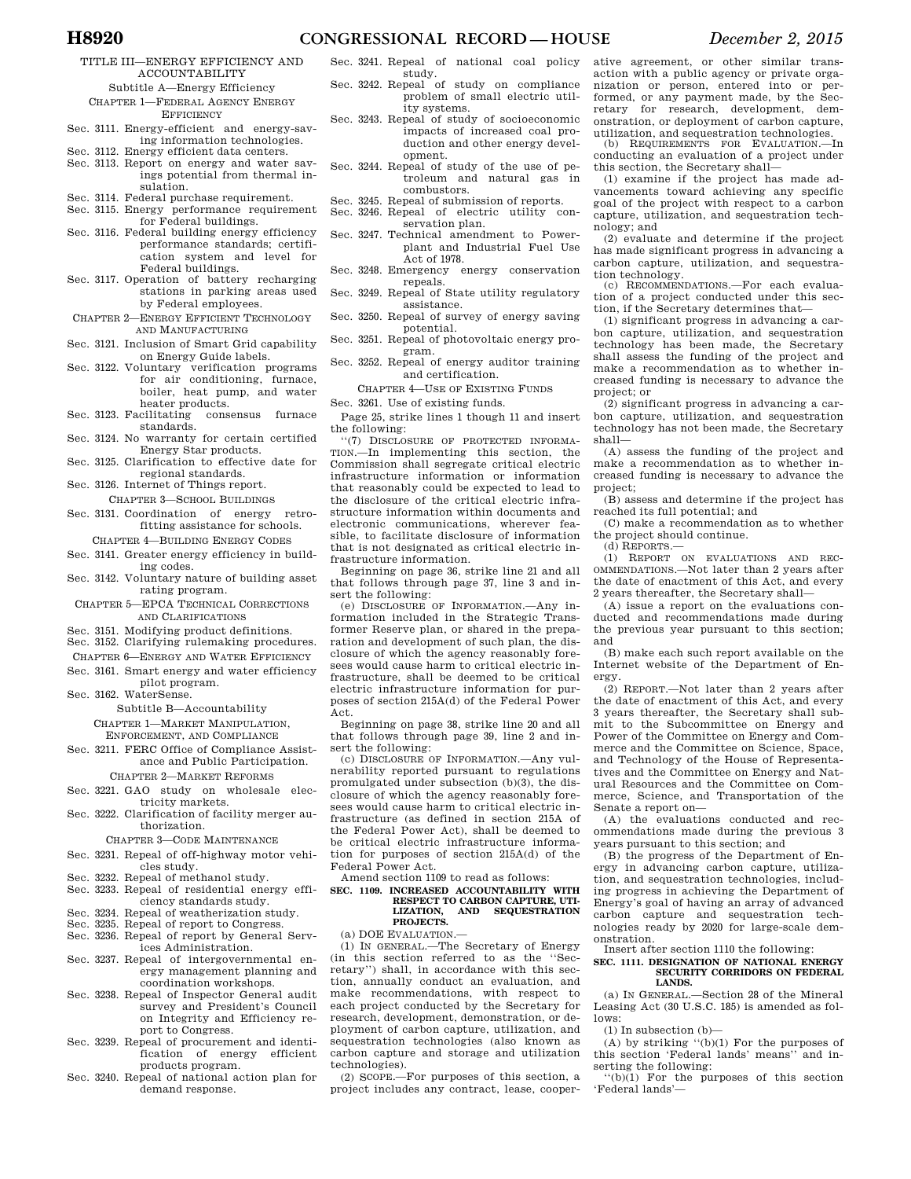TITLE III—ENERGY EFFICIENCY AND ACCOUNTABILITY

Subtitle A—Energy Efficiency CHAPTER 1—FEDERAL AGENCY ENERGY **EFFICIENCY** 

- Sec. 3111. Energy-efficient and energy-saving information technologies.
- Sec. 3112. Energy efficient data centers.
- Sec. 3113. Report on energy and water savings potential from thermal insulation.
- Sec. 3114. Federal purchase requirement.
- Sec. 3115. Energy performance requirement for Federal buildings.
- Sec. 3116. Federal building energy efficiency performance standards; certification system and level for Federal buildings.
- Sec. 3117. Operation of battery recharging stations in parking areas used by Federal employees.
- CHAPTER 2—ENERGY EFFICIENT TECHNOLOGY AND MANUFACTURING
- Sec. 3121. Inclusion of Smart Grid capability on Energy Guide labels.
- Sec. 3122. Voluntary verification programs for air conditioning, furnace, boiler, heat pump, and water
- heater products.<br>cilitating consensus furnace Sec. 3123. Facilitating
- standards. Sec. 3124. No warranty for certain certified
- Energy Star products. Sec. 3125. Clarification to effective date for
- regional standards. Sec. 3126. Internet of Things report.
- CHAPTER 3—SCHOOL BUILDINGS
- Sec. 3131. Coordination of energy retrofitting assistance for schools. CHAPTER 4—BUILDING ENERGY CODES
- Sec. 3141. Greater energy efficiency in build-
- ing codes. Sec. 3142. Voluntary nature of building asset
- rating program.
- CHAPTER 5—EPCA TECHNICAL CORRECTIONS AND CLARIFICATIONS
- Sec. 3151. Modifying product definitions.
- Sec. 3152. Clarifying rulemaking procedures.
- CHAPTER 6—ENERGY AND WATER EFFICIENCY Sec. 3161. Smart energy and water efficiency
- pilot program. Sec. 3162. WaterSense.

Subtitle B—Accountability

CHAPTER 1—MARKET MANIPULATION, ENFORCEMENT, AND COMPLIANCE

Sec. 3211. FERC Office of Compliance Assistance and Public Participation.

CHAPTER 2—MARKET REFORMS

- Sec. 3221. GAO study on wholesale electricity markets.
- Sec. 3222. Clarification of facility merger authorization.

CHAPTER 3—CODE MAINTENANCE

- Sec. 3231. Repeal of off-highway motor vehicles study.
- Sec. 3232. Repeal of methanol study. Sec. 3233. Repeal of residential energy effi-
- ciency standards study. Sec. 3234. Repeal of weatherization study.
- Sec. 3235. Repeal of report to Congress.
- Sec. 3236. Repeal of report by General Services Administration.
- Sec. 3237. Repeal of intergovernmental energy management planning and coordination workshops.
- Sec. 3238. Repeal of Inspector General audit survey and President's Council on Integrity and Efficiency report to Congress.
- Sec. 3239. Repeal of procurement and identification of energy efficient products program.
- Sec. 3240. Repeal of national action plan for demand response.
- Sec. 3241. Repeal of national coal policy study. Sec. 3242. Repeal of study on compliance
- problem of small electric utility systems.
- Sec. 3243. Repeal of study of socioeconomic impacts of increased coal production and other energy development.
- Sec. 3244. Repeal of study of the use of petroleum and natural gas in combustors.
- Sec. 3245. Repeal of submission of reports.
- Sec. 3246. Repeal of electric utility conservation plan.
- Sec. 3247. Technical amendment to Powerplant and Industrial Fuel Use Act of 1978.
- Sec. 3248. Emergency energy conservation repeals.
- Sec. 3249. Repeal of State utility regulatory assistance.
- Sec. 3250. Repeal of survey of energy saving potential.
- Sec. 3251. Repeal of photovoltaic energy program.
- Sec. 3252. Repeal of energy auditor training and certification.
	- CHAPTER 4—USE OF EXISTING FUNDS
- Sec. 3261. Use of existing funds.

Page 25, strike lines 1 though 11 and insert the following:

''(7) DISCLOSURE OF PROTECTED INFORMA-TION.—In implementing this section, the Commission shall segregate critical electric infrastructure information or information that reasonably could be expected to lead to the disclosure of the critical electric infrastructure information within documents and electronic communications, wherever feasible, to facilitate disclosure of information that is not designated as critical electric infrastructure information.

Beginning on page 36, strike line 21 and all that follows through page 37, line 3 and insert the following:

(e) DISCLOSURE OF INFORMATION.—Any information included in the Strategic Transformer Reserve plan, or shared in the preparation and development of such plan, the disclosure of which the agency reasonably foresees would cause harm to critical electric infrastructure, shall be deemed to be critical electric infrastructure information for purposes of section 215A(d) of the Federal Power Act.

Beginning on page 38, strike line 20 and all that follows through page 39, line 2 and insert the following:

(c) DISCLOSURE OF INFORMATION.—Any vulnerability reported pursuant to regulations promulgated under subsection (b)(3), the disclosure of which the agency reasonably foresees would cause harm to critical electric infrastructure (as defined in section 215A of the Federal Power Act), shall be deemed to be critical electric infrastructure information for purposes of section 215A(d) of the Federal Power Act.

Amend section 1109 to read as follows:

### **SEC. 1109. INCREASED ACCOUNTABILITY WITH RESPECT TO CARBON CAPTURE, UTI-LIZATION, AND SEQUESTRATION PROJECTS.**

(a) DOE EVALUATION.—

(1) IN GENERAL.—The Secretary of Energy (in this section referred to as the ''Secretary'') shall, in accordance with this section, annually conduct an evaluation, and make recommendations, with respect to each project conducted by the Secretary for research, development, demonstration, or deployment of carbon capture, utilization, and sequestration technologies (also known as carbon capture and storage and utilization technologies).

(2) SCOPE.—For purposes of this section, a project includes any contract, lease, cooperative agreement, or other similar transaction with a public agency or private organization or person, entered into or performed, or any payment made, by the Secretary for research, development, demonstration, or deployment of carbon capture, utilization, and sequestration technologies.

(b) REQUIREMENTS FOR EVALUATION.—In conducting an evaluation of a project under this section, the Secretary shall—

(1) examine if the project has made advancements toward achieving any specific goal of the project with respect to a carbon capture, utilization, and sequestration technology; and

(2) evaluate and determine if the project has made significant progress in advancing a carbon capture, utilization, and sequestration technology.

(c) RECOMMENDATIONS.—For each evaluation of a project conducted under this section, if the Secretary determines that—

(1) significant progress in advancing a carbon capture, utilization, and sequestration technology has been made, the Secretary shall assess the funding of the project and make a recommendation as to whether increased funding is necessary to advance the project; or

(2) significant progress in advancing a carbon capture, utilization, and sequestration technology has not been made, the Secretary shall—

(A) assess the funding of the project and make a recommendation as to whether increased funding is necessary to advance the project;

(B) assess and determine if the project has reached its full potential; and

(C) make a recommendation as to whether the project should continue.

(d) REPORTS.—

(1) REPORT ON EVALUATIONS AND REC-OMMENDATIONS.—Not later than 2 years after the date of enactment of this Act, and every 2 years thereafter, the Secretary shall—

(A) issue a report on the evaluations conducted and recommendations made during the previous year pursuant to this section; and

(B) make each such report available on the Internet website of the Department of Energy.

(2) REPORT.—Not later than 2 years after the date of enactment of this Act, and every 3 years thereafter, the Secretary shall submit to the Subcommittee on Energy and Power of the Committee on Energy and Commerce and the Committee on Science, Space, and Technology of the House of Representatives and the Committee on Energy and Natural Resources and the Committee on Commerce, Science, and Transportation of the Senate a report on—

(A) the evaluations conducted and recommendations made during the previous 3 years pursuant to this section; and

(B) the progress of the Department of Energy in advancing carbon capture, utilization, and sequestration technologies, including progress in achieving the Department of Energy's goal of having an array of advanced carbon capture and sequestration technologies ready by 2020 for large-scale demonstration.

Insert after section 1110 the following:

### **SEC. 1111. DESIGNATION OF NATIONAL ENERGY SECURITY CORRIDORS ON FEDERAL LANDS.**

(a) IN GENERAL.—Section 28 of the Mineral Leasing Act (30 U.S.C. 185) is amended as follows:

(1) In subsection (b)—

 $(A)$  by striking " $(b)(1)$  For the purposes of this section 'Federal lands' means'' and inserting the following:

 $``(b)$  $(1)$  For the purposes of this section 'Federal lands'—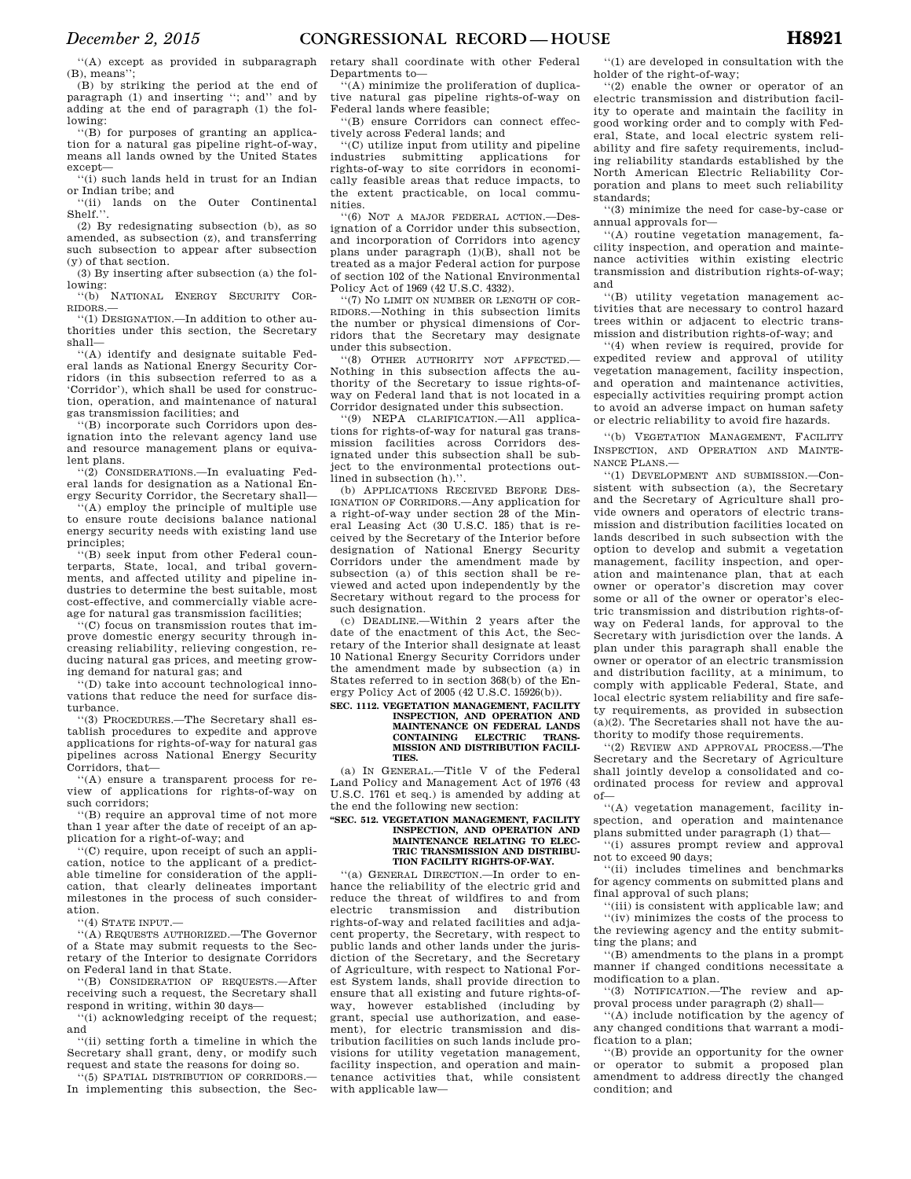''(A) except as provided in subparagraph (B), means''

(B) by striking the period at the end of paragraph (1) and inserting ''; and'' and by adding at the end of paragraph (1) the following:

''(B) for purposes of granting an application for a natural gas pipeline right-of-way, means all lands owned by the United States except—

''(i) such lands held in trust for an Indian or Indian tribe; and

''(ii) lands on the Outer Continental Shelf.''.

(2) By redesignating subsection (b), as so amended, as subsection (z), and transferring such subsection to appear after subsection (y) of that section.

(3) By inserting after subsection (a) the following:

''(b) NATIONAL ENERGY SECURITY COR-RIDORS.—

''(1) DESIGNATION.—In addition to other authorities under this section, the Secretary shall—

''(A) identify and designate suitable Federal lands as National Energy Security Corridors (in this subsection referred to as a 'Corridor'), which shall be used for construction, operation, and maintenance of natural gas transmission facilities; and

''(B) incorporate such Corridors upon designation into the relevant agency land use and resource management plans or equivalent plans.

'(2) CONSIDERATIONS.—In evaluating Federal lands for designation as a National Energy Security Corridor, the Secretary shall—

 $($ A) employ the principle of multiple use to ensure route decisions balance national energy security needs with existing land use principles;

''(B) seek input from other Federal counterparts, State, local, and tribal governments, and affected utility and pipeline industries to determine the best suitable, most cost-effective, and commercially viable acreage for natural gas transmission facilities;

''(C) focus on transmission routes that improve domestic energy security through increasing reliability, relieving congestion, reducing natural gas prices, and meeting growing demand for natural gas; and

''(D) take into account technological innovations that reduce the need for surface disturbance.

''(3) PROCEDURES.—The Secretary shall establish procedures to expedite and approve applications for rights-of-way for natural gas pipelines across National Energy Security Corridors, that—

''(A) ensure a transparent process for review of applications for rights-of-way on such corridors;

''(B) require an approval time of not more than 1 year after the date of receipt of an application for a right-of-way; and

''(C) require, upon receipt of such an application, notice to the applicant of a predictable timeline for consideration of the application, that clearly delineates important milestones in the process of such consideration.

 $``(4)$  STATE INPUT.

''(A) REQUESTS AUTHORIZED.—The Governor of a State may submit requests to the Secretary of the Interior to designate Corridors on Federal land in that State.

''(B) CONSIDERATION OF REQUESTS.—After receiving such a request, the Secretary shall respond in writing, within 30 days—

''(i) acknowledging receipt of the request; and

''(ii) setting forth a timeline in which the Secretary shall grant, deny, or modify such request and state the reasons for doing so.

'(5) SPATIAL DISTRIBUTION OF CORRIDORS. In implementing this subsection, the Sec-

retary shall coordinate with other Federal Departments to—

''(A) minimize the proliferation of duplicative natural gas pipeline rights-of-way on Federal lands where feasible;

''(B) ensure Corridors can connect effectively across Federal lands; and

''(C) utilize input from utility and pipeline industries submitting applications for rights-of-way to site corridors in economically feasible areas that reduce impacts, to the extent practicable, on local communities.

''(6) NOT A MAJOR FEDERAL ACTION.—Designation of a Corridor under this subsection, and incorporation of Corridors into agency plans under paragraph (1)(B), shall not be treated as a major Federal action for purpose of section 102 of the National Environmental Policy Act of 1969 (42 U.S.C. 4332).

''(7) NO LIMIT ON NUMBER OR LENGTH OF COR-RIDORS.—Nothing in this subsection limits the number or physical dimensions of Corridors that the Secretary may designate under this subsection.

''(8) OTHER AUTHORITY NOT AFFECTED.— Nothing in this subsection affects the authority of the Secretary to issue rights-ofway on Federal land that is not located in a Corridor designated under this subsection.

''(9) NEPA CLARIFICATION.—All applications for rights-of-way for natural gas transmission facilities across Corridors designated under this subsection shall be subject to the environmental protections outlined in subsection (h)."

(b) APPLICATIONS RECEIVED BEFORE DES-IGNATION OF CORRIDORS.—Any application for a right-of-way under section 28 of the Mineral Leasing Act (30 U.S.C. 185) that is received by the Secretary of the Interior before designation of National Energy Security Corridors under the amendment made by subsection (a) of this section shall be reviewed and acted upon independently by the Secretary without regard to the process for such designation.

(c) DEADLINE.—Within 2 years after the date of the enactment of this Act, the Secretary of the Interior shall designate at least 10 National Energy Security Corridors under the amendment made by subsection (a) in States referred to in section 368(b) of the Energy Policy Act of 2005 (42 U.S.C. 15926(b)).

#### **SEC. 1112. VEGETATION MANAGEMENT, FACILITY INSPECTION, AND OPERATION AND MAINTENANCE ON FEDERAL LANDS CONTAINING ELECTRIC MISSION AND DISTRIBUTION FACILI-TIES.**

(a) IN GENERAL.—Title V of the Federal Land Policy and Management Act of 1976 (43 U.S.C. 1761 et seq.) is amended by adding at the end the following new section:

#### **''SEC. 512. VEGETATION MANAGEMENT, FACILITY INSPECTION, AND OPERATION AND MAINTENANCE RELATING TO ELEC-TRIC TRANSMISSION AND DISTRIBU-TION FACILITY RIGHTS-OF-WAY.**

''(a) GENERAL DIRECTION.—In order to enhance the reliability of the electric grid and reduce the threat of wildfires to and from electric transmission and distribution rights-of-way and related facilities and adjacent property, the Secretary, with respect to public lands and other lands under the jurisdiction of the Secretary, and the Secretary of Agriculture, with respect to National Forest System lands, shall provide direction to ensure that all existing and future rights-ofway, however established (including by grant, special use authorization, and easement), for electric transmission and distribution facilities on such lands include provisions for utility vegetation management, facility inspection, and operation and maintenance activities that, while consistent with applicable law—

''(1) are developed in consultation with the holder of the right-of-way;

''(2) enable the owner or operator of an electric transmission and distribution facility to operate and maintain the facility in good working order and to comply with Federal, State, and local electric system reliability and fire safety requirements, including reliability standards established by the North American Electric Reliability Corporation and plans to meet such reliability standards;

''(3) minimize the need for case-by-case or annual approvals for—

''(A) routine vegetation management, facility inspection, and operation and maintenance activities within existing electric transmission and distribution rights-of-way; and

''(B) utility vegetation management activities that are necessary to control hazard trees within or adjacent to electric transmission and distribution rights-of-way; and

''(4) when review is required, provide for expedited review and approval of utility vegetation management, facility inspection, and operation and maintenance activities, especially activities requiring prompt action to avoid an adverse impact on human safety or electric reliability to avoid fire hazards.

''(b) VEGETATION MANAGEMENT, FACILITY INSPECTION, AND OPERATION AND MAINTE-NANCE PLANS.—

''(1) DEVELOPMENT AND SUBMISSION.—Consistent with subsection (a), the Secretary and the Secretary of Agriculture shall provide owners and operators of electric transmission and distribution facilities located on lands described in such subsection with the option to develop and submit a vegetation management, facility inspection, and operation and maintenance plan, that at each owner or operator's discretion may cover some or all of the owner or operator's electric transmission and distribution rights-ofway on Federal lands, for approval to the Secretary with jurisdiction over the lands. A plan under this paragraph shall enable the owner or operator of an electric transmission and distribution facility, at a minimum, to comply with applicable Federal, State, and local electric system reliability and fire safety requirements, as provided in subsection (a)(2). The Secretaries shall not have the authority to modify those requirements.

''(2) REVIEW AND APPROVAL PROCESS.—The Secretary and the Secretary of Agriculture shall jointly develop a consolidated and coordinated process for review and approval  $of$ 

''(A) vegetation management, facility inspection, and operation and maintenance plans submitted under paragraph (1) that—

''(i) assures prompt review and approval not to exceed 90 days;

''(ii) includes timelines and benchmarks for agency comments on submitted plans and final approval of such plans;

''(iii) is consistent with applicable law; and ''(iv) minimizes the costs of the process to the reviewing agency and the entity submitting the plans; and

''(B) amendments to the plans in a prompt manner if changed conditions necessitate a modification to a plan.

''(3) NOTIFICATION.—The review and approval process under paragraph (2) shall—

''(A) include notification by the agency of any changed conditions that warrant a modification to a plan;

''(B) provide an opportunity for the owner or operator to submit a proposed plan amendment to address directly the changed condition; and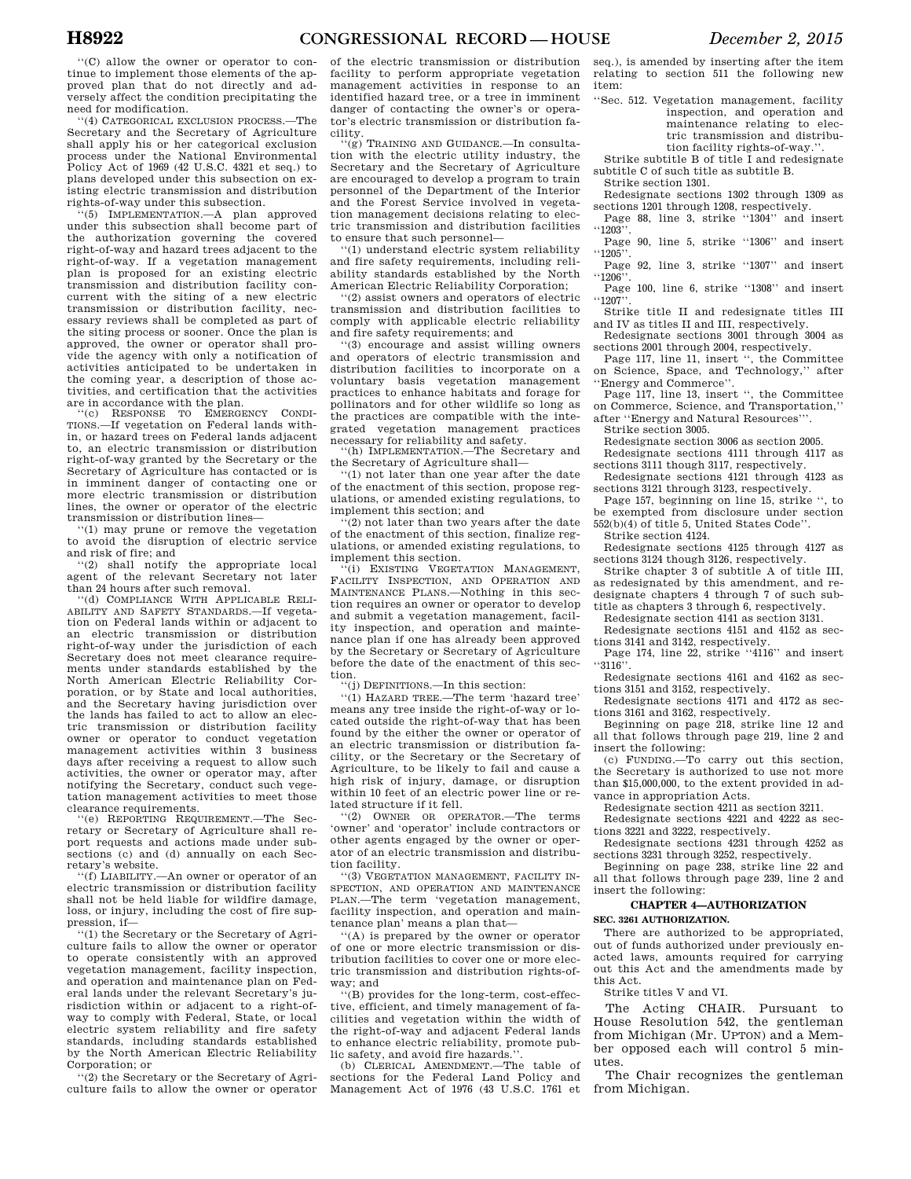''(C) allow the owner or operator to continue to implement those elements of the approved plan that do not directly and adversely affect the condition precipitating the need for modification.

''(4) CATEGORICAL EXCLUSION PROCESS.—The Secretary and the Secretary of Agriculture shall apply his or her categorical exclusion process under the National Environmental Policy Act of 1969 (42 U.S.C. 4321 et seq.) to plans developed under this subsection on existing electric transmission and distribution rights-of-way under this subsection.

''(5) IMPLEMENTATION.—A plan approved under this subsection shall become part of the authorization governing the covered right-of-way and hazard trees adjacent to the right-of-way. If a vegetation management plan is proposed for an existing electric transmission and distribution facility concurrent with the siting of a new electric transmission or distribution facility, necessary reviews shall be completed as part of the siting process or sooner. Once the plan is approved, the owner or operator shall provide the agency with only a notification of activities anticipated to be undertaken in the coming year, a description of those activities, and certification that the activities

are in accordance with the plan. ''(c) RESPONSE TO EMERGENCY CONDI-TIONS.—If vegetation on Federal lands within, or hazard trees on Federal lands adjacent to, an electric transmission or distribution right-of-way granted by the Secretary or the Secretary of Agriculture has contacted or is in imminent danger of contacting one or more electric transmission or distribution lines, the owner or operator of the electric transmission or distribution lines—

''(1) may prune or remove the vegetation to avoid the disruption of electric service and risk of fire; and

''(2) shall notify the appropriate local agent of the relevant Secretary not later than 24 hours after such removal.

''(d) COMPLIANCE WITH APPLICABLE RELI-ABILITY AND SAFETY STANDARDS.—If vegetation on Federal lands within or adjacent to an electric transmission or distribution right-of-way under the jurisdiction of each Secretary does not meet clearance requirements under standards established by the North American Electric Reliability Corporation, or by State and local authorities, and the Secretary having jurisdiction over the lands has failed to act to allow an electric transmission or distribution facility owner or operator to conduct vegetation management activities within 3 business days after receiving a request to allow such activities, the owner or operator may, after notifying the Secretary, conduct such vegetation management activities to meet those clearance requirements.

''(e) REPORTING REQUIREMENT.—The Sec-retary or Secretary of Agriculture shall report requests and actions made under subsections (c) and (d) annually on each Secretary's website.

''(f) LIABILITY.—An owner or operator of an electric transmission or distribution facility shall not be held liable for wildfire damage, loss, or injury, including the cost of fire suppression, if—

''(1) the Secretary or the Secretary of Agriculture fails to allow the owner or operator to operate consistently with an approved vegetation management, facility inspection, and operation and maintenance plan on Federal lands under the relevant Secretary's jurisdiction within or adjacent to a right-ofway to comply with Federal, State, or local electric system reliability and fire safety standards, including standards established by the North American Electric Reliability Corporation; or

''(2) the Secretary or the Secretary of Agriculture fails to allow the owner or operator

of the electric transmission or distribution facility to perform appropriate vegetation management activities in response to an identified hazard tree, or a tree in imminent danger of contacting the owner's or operator's electric transmission or distribution facility.

---, .<br>"(g) TRAINING AND GUIDANCE.—In consultation with the electric utility industry, the Secretary and the Secretary of Agriculture are encouraged to develop a program to train personnel of the Department of the Interior and the Forest Service involved in vegetation management decisions relating to electric transmission and distribution facilities to ensure that such personnel—

''(1) understand electric system reliability and fire safety requirements, including reliability standards established by the North American Electric Reliability Corporation;

''(2) assist owners and operators of electric transmission and distribution facilities to comply with applicable electric reliability and fire safety requirements; and

''(3) encourage and assist willing owners and operators of electric transmission and distribution facilities to incorporate on a voluntary basis vegetation management practices to enhance habitats and forage for pollinators and for other wildlife so long as the practices are compatible with the integrated vegetation management practices necessary for reliability and safety.

(h) IMPLEMENTATION.—The Secretary and the Secretary of Agriculture shall—

''(1) not later than one year after the date of the enactment of this section, propose regulations, or amended existing regulations, to implement this section; and

(2) not later than two years after the date of the enactment of this section, finalize regulations, or amended existing regulations, to implement this section.

(i) EXISTING VEGETATION MANAGEMENT, FACILITY INSPECTION, AND OPERATION AND MAINTENANCE PLANS.—Nothing in this section requires an owner or operator to develop and submit a vegetation management, facility inspection, and operation and maintenance plan if one has already been approved by the Secretary or Secretary of Agriculture before the date of the enactment of this section.

''(j) DEFINITIONS.—In this section:

''(1) HAZARD TREE.—The term 'hazard tree' means any tree inside the right-of-way or located outside the right-of-way that has been found by the either the owner or operator of an electric transmission or distribution facility, or the Secretary or the Secretary of Agriculture, to be likely to fail and cause a high risk of injury, damage, or disruption within 10 feet of an electric power line or related structure if it fell.

''(2) OWNER OR OPERATOR.—The terms 'owner' and 'operator' include contractors or other agents engaged by the owner or operator of an electric transmission and distribution facility.

''(3) VEGETATION MANAGEMENT, FACILITY IN-SPECTION, AND OPERATION AND MAINTENANCE PLAN.—The term 'vegetation management, facility inspection, and operation and maintenance plan' means a plan that—

''(A) is prepared by the owner or operator of one or more electric transmission or distribution facilities to cover one or more electric transmission and distribution rights-ofway; and

''(B) provides for the long-term, cost-effective, efficient, and timely management of facilities and vegetation within the width of the right-of-way and adjacent Federal lands to enhance electric reliability, promote public safety, and avoid fire hazards."

(b) CLERICAL AMENDMENT.—The table of sections for the Federal Land Policy and Management Act of 1976 (43 U.S.C. 1761 et seq.), is amended by inserting after the item relating to section 511 the following new item:

''Sec. 512. Vegetation management, facility inspection, and operation and maintenance relating to electric transmission and distribution facility rights-of-way.''.

Strike subtitle B of title I and redesignate subtitle C of such title as subtitle B.

Strike section 1301. Redesignate sections 1302 through 1309 as sections 1201 through 1208, respectively.

Page 88, line 3, strike "1304" and insert ''1203''.

Page 90, line 5, strike "1306" and insert  $``1205"$ .

Page 92, line 3, strike "1307" and insert

''1206''. Page 100, line 6, strike "1308" and insert ''1207''.

Strike title II and redesignate titles III and IV as titles II and III, respectively.

Redesignate sections 3001 through 3004 as

sections 2001 through 2004, respectively. Page 117, line 11, insert '', the Committee on Science, Space, and Technology,'' after ''Energy and Commerce''.

Page 117, line 13, insert '', the Committee on Commerce, Science, and Transportation,'' after ''Energy and Natural Resources'''.

Strike section 3005.

Redesignate section 3006 as section 2005.

Redesignate sections 4111 through 4117 as sections 3111 though 3117, respectively.

Redesignate sections 4121 through 4123 as sections 3121 through 3123, respectively.

Page 157, beginning on line 15, strike '', to be exempted from disclosure under section 552(b)(4) of title 5, United States Code''.

Strike section 4124.

Redesignate sections 4125 through 4127 as sections 3124 though 3126, respectively.

Strike chapter 3 of subtitle A of title III, as redesignated by this amendment, and redesignate chapters 4 through 7 of such subtitle as chapters 3 through 6, respectively.

Redesignate section 4141 as section 3131.

Redesignate sections 4151 and 4152 as sections 3141 and 3142, respectively.

Page 174, line 22, strike "4116" and insert  $\lq 3116'$ 

Redesignate sections 4161 and 4162 as sections 3151 and 3152, respectively.

Redesignate sections 4171 and 4172 as sections 3161 and 3162, respectively.

Beginning on page 218, strike line 12 and all that follows through page 219, line 2 and insert the following:

(c) FUNDING.—To carry out this section, the Secretary is authorized to use not more than \$15,000,000, to the extent provided in advance in appropriation Acts.

Redesignate section 4211 as section 3211.

Redesignate sections 4221 and 4222 as sections 3221 and 3222, respectively.

Redesignate sections 4231 through 4252 as sections 3231 through 3252, respectively.

Beginning on page 238, strike line 22 and all that follows through page 239, line 2 and insert the following:

### **CHAPTER 4—AUTHORIZATION**

### **SEC. 3261 AUTHORIZATION.**

There are authorized to be appropriated, out of funds authorized under previously enacted laws, amounts required for carrying out this Act and the amendments made by this Act.

Strike titles V and VI.

The Acting CHAIR. Pursuant to House Resolution 542, the gentleman from Michigan (Mr. UPTON) and a Member opposed each will control 5 minutes.

The Chair recognizes the gentleman from Michigan.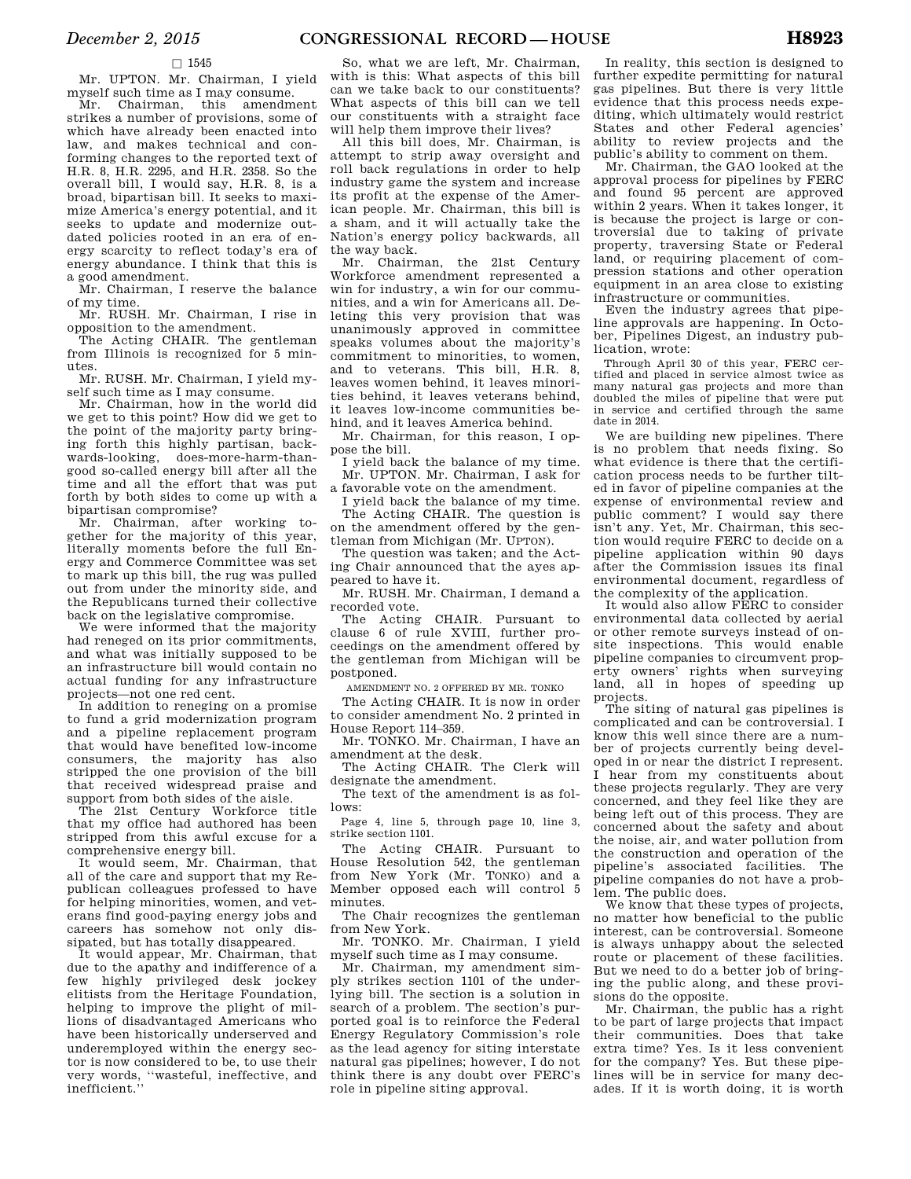### $\square$  1545

Mr. UPTON. Mr. Chairman, I yield myself such time as I may consume.

Mr. Chairman, this amendment strikes a number of provisions, some of which have already been enacted into law, and makes technical and conforming changes to the reported text of H.R. 8, H.R. 2295, and H.R. 2358. So the overall bill, I would say, H.R. 8, is a broad, bipartisan bill. It seeks to maximize America's energy potential, and it seeks to update and modernize outdated policies rooted in an era of energy scarcity to reflect today's era of energy abundance. I think that this is a good amendment.

Mr. Chairman, I reserve the balance of my time.

Mr. RUSH. Mr. Chairman, I rise in opposition to the amendment.

The Acting CHAIR. The gentleman from Illinois is recognized for 5 minutes.

Mr. RUSH. Mr. Chairman, I yield myself such time as I may consume.

Mr. Chairman, how in the world did we get to this point? How did we get to the point of the majority party bringing forth this highly partisan, backwards-looking, does-more-harm-thangood so-called energy bill after all the time and all the effort that was put forth by both sides to come up with a bipartisan compromise?

Mr. Chairman, after working together for the majority of this year, literally moments before the full Energy and Commerce Committee was set to mark up this bill, the rug was pulled out from under the minority side, and the Republicans turned their collective back on the legislative compromise.

We were informed that the majority had reneged on its prior commitments, and what was initially supposed to be an infrastructure bill would contain no actual funding for any infrastructure projects—not one red cent.

In addition to reneging on a promise to fund a grid modernization program and a pipeline replacement program that would have benefited low-income consumers, the majority has also stripped the one provision of the bill that received widespread praise and support from both sides of the aisle.

The 21st Century Workforce title that my office had authored has been stripped from this awful excuse for a comprehensive energy bill.

It would seem, Mr. Chairman, that all of the care and support that my Republican colleagues professed to have for helping minorities, women, and veterans find good-paying energy jobs and careers has somehow not only dissipated, but has totally disappeared.

It would appear, Mr. Chairman, that due to the apathy and indifference of a few highly privileged desk jockey elitists from the Heritage Foundation, helping to improve the plight of millions of disadvantaged Americans who have been historically underserved and underemployed within the energy sector is now considered to be, to use their very words, ''wasteful, ineffective, and inefficient.''

So, what we are left, Mr. Chairman, with is this: What aspects of this bill can we take back to our constituents? What aspects of this bill can we tell our constituents with a straight face will help them improve their lives?

All this bill does, Mr. Chairman, is attempt to strip away oversight and roll back regulations in order to help industry game the system and increase its profit at the expense of the American people. Mr. Chairman, this bill is a sham, and it will actually take the Nation's energy policy backwards, all the way back.

Mr. Chairman, the 21st Century Workforce amendment represented a win for industry, a win for our communities, and a win for Americans all. Deleting this very provision that was unanimously approved in committee speaks volumes about the majority's commitment to minorities, to women, and to veterans. This bill, H.R. 8, leaves women behind, it leaves minorities behind, it leaves veterans behind, it leaves low-income communities behind, and it leaves America behind.

Mr. Chairman, for this reason, I oppose the bill.

I yield back the balance of my time. Mr. UPTON. Mr. Chairman, I ask for a favorable vote on the amendment.

I yield back the balance of my time. The Acting CHAIR. The question is on the amendment offered by the gen-

tleman from Michigan (Mr. UPTON). The question was taken; and the Act-

ing Chair announced that the ayes appeared to have it.

Mr. RUSH. Mr. Chairman, I demand a recorded vote.

The Acting CHAIR. Pursuant to clause 6 of rule XVIII, further proceedings on the amendment offered by the gentleman from Michigan will be postponed.

AMENDMENT NO. 2 OFFERED BY MR. TONKO

The Acting CHAIR. It is now in order to consider amendment No. 2 printed in House Report 114–359.

Mr. TONKO. Mr. Chairman, I have an amendment at the desk.

The Acting CHAIR. The Clerk will designate the amendment.

The text of the amendment is as follows:

Page 4, line 5, through page 10, line 3, strike section 1101.

The Acting CHAIR. Pursuant to House Resolution 542, the gentleman from New York (Mr. TONKO) and a Member opposed each will control 5 minutes.

The Chair recognizes the gentleman from New York.

Mr. TONKO. Mr. Chairman, I yield myself such time as I may consume.

Mr. Chairman, my amendment simply strikes section 1101 of the underlying bill. The section is a solution in search of a problem. The section's purported goal is to reinforce the Federal Energy Regulatory Commission's role as the lead agency for siting interstate natural gas pipelines; however, I do not think there is any doubt over FERC's role in pipeline siting approval.

In reality, this section is designed to further expedite permitting for natural gas pipelines. But there is very little evidence that this process needs expediting, which ultimately would restrict States and other Federal agencies' ability to review projects and the public's ability to comment on them.

Mr. Chairman, the GAO looked at the approval process for pipelines by FERC and found 95 percent are approved within 2 years. When it takes longer, it is because the project is large or controversial due to taking of private property, traversing State or Federal land, or requiring placement of compression stations and other operation equipment in an area close to existing infrastructure or communities.

Even the industry agrees that pipeline approvals are happening. In October, Pipelines Digest, an industry publication, wrote:

Through April 30 of this year, FERC certified and placed in service almost twice as many natural gas projects and more than doubled the miles of pipeline that were put in service and certified through the same date in 2014.

We are building new pipelines. There is no problem that needs fixing. So what evidence is there that the certification process needs to be further tilted in favor of pipeline companies at the expense of environmental review and public comment? I would say there isn't any. Yet, Mr. Chairman, this section would require FERC to decide on a pipeline application within 90 days after the Commission issues its final environmental document, regardless of the complexity of the application.

It would also allow FERC to consider environmental data collected by aerial or other remote surveys instead of onsite inspections. This would enable pipeline companies to circumvent property owners' rights when surveying land, all in hopes of speeding up projects.

The siting of natural gas pipelines is complicated and can be controversial. I know this well since there are a number of projects currently being developed in or near the district I represent. I hear from my constituents about these projects regularly. They are very concerned, and they feel like they are being left out of this process. They are concerned about the safety and about the noise, air, and water pollution from the construction and operation of the pipeline's associated facilities. The pipeline companies do not have a problem. The public does.

We know that these types of projects. no matter how beneficial to the public interest, can be controversial. Someone is always unhappy about the selected route or placement of these facilities. But we need to do a better job of bringing the public along, and these provisions do the opposite.

Mr. Chairman, the public has a right to be part of large projects that impact their communities. Does that take extra time? Yes. Is it less convenient for the company? Yes. But these pipelines will be in service for many decades. If it is worth doing, it is worth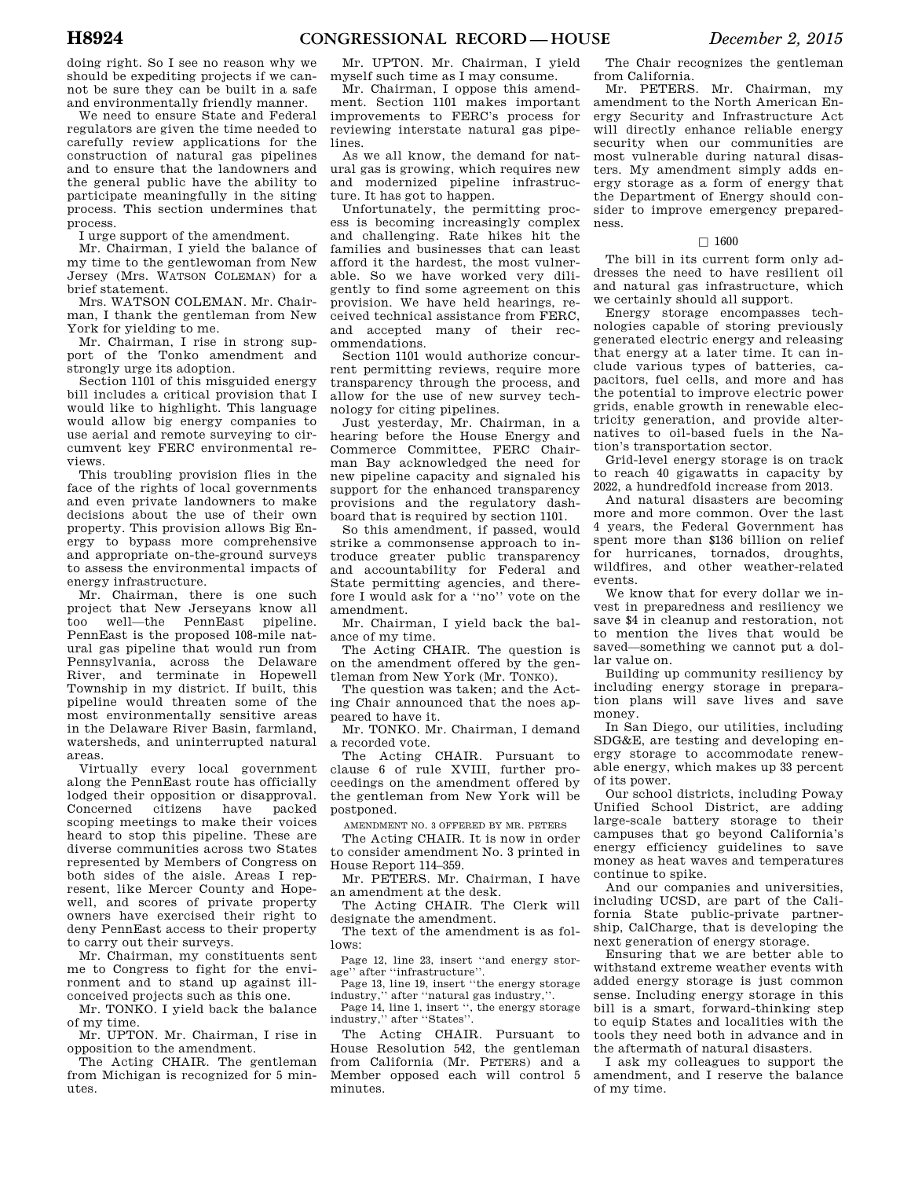doing right. So I see no reason why we should be expediting projects if we cannot be sure they can be built in a safe and environmentally friendly manner.

We need to ensure State and Federal regulators are given the time needed to carefully review applications for the construction of natural gas pipelines and to ensure that the landowners and the general public have the ability to participate meaningfully in the siting process. This section undermines that process.

I urge support of the amendment.

Mr. Chairman, I yield the balance of my time to the gentlewoman from New Jersey (Mrs. WATSON COLEMAN) for a brief statement.

Mrs. WATSON COLEMAN. Mr. Chairman, I thank the gentleman from New York for yielding to me.

Mr. Chairman, I rise in strong support of the Tonko amendment and strongly urge its adoption.

Section 1101 of this misguided energy bill includes a critical provision that I would like to highlight. This language would allow big energy companies to use aerial and remote surveying to circumvent key FERC environmental reviews.

This troubling provision flies in the face of the rights of local governments and even private landowners to make decisions about the use of their own property. This provision allows Big Energy to bypass more comprehensive and appropriate on-the-ground surveys to assess the environmental impacts of energy infrastructure.

Mr. Chairman, there is one such project that New Jerseyans know all too well—the PennEast pipeline. PennEast is the proposed 108-mile natural gas pipeline that would run from Pennsylvania, across the Delaware River, and terminate in Hopewell Township in my district. If built, this pipeline would threaten some of the most environmentally sensitive areas in the Delaware River Basin, farmland, watersheds, and uninterrupted natural areas.

Virtually every local government along the PennEast route has officially lodged their opposition or disapproval. Concerned citizens have packed scoping meetings to make their voices heard to stop this pipeline. These are diverse communities across two States represented by Members of Congress on both sides of the aisle. Areas I represent, like Mercer County and Hopewell, and scores of private property owners have exercised their right to deny PennEast access to their property to carry out their surveys.

Mr. Chairman, my constituents sent me to Congress to fight for the environment and to stand up against illconceived projects such as this one.

Mr. TONKO. I yield back the balance of my time.

Mr. UPTON. Mr. Chairman, I rise in opposition to the amendment.

The Acting CHAIR. The gentleman from Michigan is recognized for 5 minutes.

Mr. UPTON. Mr. Chairman, I yield myself such time as I may consume.

Mr. Chairman, I oppose this amendment. Section 1101 makes important improvements to FERC's process for reviewing interstate natural gas pipelines.

As we all know, the demand for natural gas is growing, which requires new and modernized pipeline infrastructure. It has got to happen.

Unfortunately, the permitting process is becoming increasingly complex and challenging. Rate hikes hit the families and businesses that can least afford it the hardest, the most vulnerable. So we have worked very diligently to find some agreement on this provision. We have held hearings, received technical assistance from FERC, and accepted many of their recommendations.

Section 1101 would authorize concurrent permitting reviews, require more transparency through the process, and allow for the use of new survey technology for citing pipelines.

Just yesterday, Mr. Chairman, in a hearing before the House Energy and Commerce Committee, FERC Chairman Bay acknowledged the need for new pipeline capacity and signaled his support for the enhanced transparency provisions and the regulatory dashboard that is required by section 1101.

So this amendment, if passed, would strike a commonsense approach to introduce greater public transparency and accountability for Federal and State permitting agencies, and therefore I would ask for a ''no'' vote on the amendment.

Mr. Chairman, I yield back the balance of my time.

The Acting CHAIR. The question is on the amendment offered by the gentleman from New York (Mr. TONKO).

The question was taken; and the Acting Chair announced that the noes appeared to have it.

Mr. TONKO. Mr. Chairman, I demand a recorded vote.

The Acting CHAIR. Pursuant to clause 6 of rule XVIII, further proceedings on the amendment offered by the gentleman from New York will be postponed.

AMENDMENT NO. 3 OFFERED BY MR. PETERS

The Acting CHAIR. It is now in order to consider amendment No. 3 printed in House Report 114–359.

Mr. PETERS. Mr. Chairman, I have an amendment at the desk.

The Acting CHAIR. The Clerk will designate the amendment.

The text of the amendment is as follows:

Page 12, line 23, insert ''and energy storage'' after ''infrastructure''.

Page 13, line 19, insert ''the energy storage industry,'' after ''natural gas industry,''.

Page 14, line 1, insert '', the energy storage industry,'' after ''States''.

The Acting CHAIR. Pursuant to House Resolution 542, the gentleman from California (Mr. PETERS) and a Member opposed each will control 5 minutes.

The Chair recognizes the gentleman from California.

Mr. PETERS. Mr. Chairman, my amendment to the North American Energy Security and Infrastructure Act will directly enhance reliable energy security when our communities are most vulnerable during natural disasters. My amendment simply adds energy storage as a form of energy that the Department of Energy should consider to improve emergency preparedness.

### $\Box$  1600

The bill in its current form only addresses the need to have resilient oil and natural gas infrastructure, which we certainly should all support.

Energy storage encompasses technologies capable of storing previously generated electric energy and releasing that energy at a later time. It can include various types of batteries, capacitors, fuel cells, and more and has the potential to improve electric power grids, enable growth in renewable electricity generation, and provide alternatives to oil-based fuels in the Nation's transportation sector.

Grid-level energy storage is on track to reach 40 gigawatts in capacity by 2022, a hundredfold increase from 2013.

And natural disasters are becoming more and more common. Over the last 4 years, the Federal Government has spent more than \$136 billion on relief for hurricanes, tornados, droughts, wildfires, and other weather-related events.

We know that for every dollar we invest in preparedness and resiliency we save \$4 in cleanup and restoration, not to mention the lives that would be saved—something we cannot put a dollar value on.

Building up community resiliency by including energy storage in preparation plans will save lives and save money.

In San Diego, our utilities, including SDG&E, are testing and developing energy storage to accommodate renewable energy, which makes up 33 percent of its power.

Our school districts, including Poway Unified School District, are adding large-scale battery storage to their campuses that go beyond California's energy efficiency guidelines to save money as heat waves and temperatures continue to spike.

And our companies and universities, including UCSD, are part of the California State public-private partnership, CalCharge, that is developing the next generation of energy storage.

Ensuring that we are better able to withstand extreme weather events with added energy storage is just common sense. Including energy storage in this bill is a smart, forward-thinking step to equip States and localities with the tools they need both in advance and in the aftermath of natural disasters.

I ask my colleagues to support the amendment, and I reserve the balance of my time.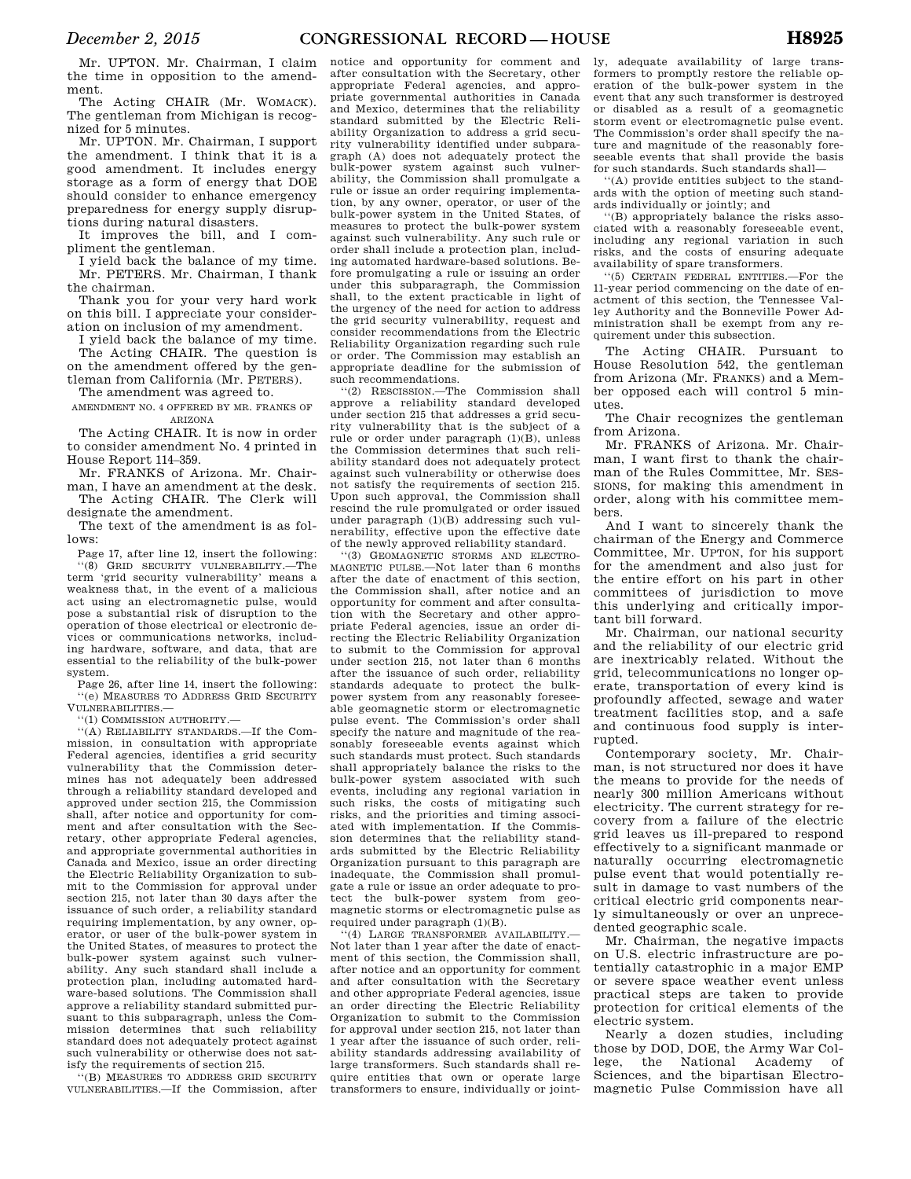Mr. UPTON. Mr. Chairman, I claim the time in opposition to the amendment.

The Acting CHAIR (Mr. WOMACK). The gentleman from Michigan is recognized for 5 minutes.

Mr. UPTON. Mr. Chairman, I support the amendment. I think that it is a good amendment. It includes energy storage as a form of energy that DOE should consider to enhance emergency preparedness for energy supply disruptions during natural disasters.

It improves the bill, and I compliment the gentleman.

I yield back the balance of my time. Mr. PETERS. Mr. Chairman, I thank the chairman.

Thank you for your very hard work on this bill. I appreciate your consideration on inclusion of my amendment.

I yield back the balance of my time. The Acting CHAIR. The question is on the amendment offered by the gen-

tleman from California (Mr. PETERS). The amendment was agreed to.

### AMENDMENT NO. 4 OFFERED BY MR. FRANKS OF ARIZONA

The Acting CHAIR. It is now in order to consider amendment No. 4 printed in House Report 114–359.

Mr. FRANKS of Arizona. Mr. Chairman, I have an amendment at the desk. The Acting CHAIR. The Clerk will

designate the amendment. The text of the amendment is as fol-

lows:

Page 17, after line 12, insert the following: ''(8) GRID SECURITY VULNERABILITY.—The term 'grid security vulnerability' means a weakness that, in the event of a malicious act using an electromagnetic pulse, would pose a substantial risk of disruption to the operation of those electrical or electronic devices or communications networks, including hardware, software, and data, that are essential to the reliability of the bulk-power system.

Page 26, after line 14, insert the following: ''(e) MEASURES TO ADDRESS GRID SECURITY VULNERABILITIES.—

''(1) COMMISSION AUTHORITY.—

''(A) RELIABILITY STANDARDS.—If the Commission, in consultation with appropriate Federal agencies, identifies a grid security vulnerability that the Commission determines has not adequately been addressed through a reliability standard developed and approved under section 215, the Commission shall, after notice and opportunity for comment and after consultation with the Secretary, other appropriate Federal agencies, and appropriate governmental authorities in Canada and Mexico, issue an order directing the Electric Reliability Organization to submit to the Commission for approval under section 215, not later than 30 days after the issuance of such order, a reliability standard requiring implementation, by any owner, operator, or user of the bulk-power system in the United States, of measures to protect the bulk-power system against such vulnerability. Any such standard shall include a protection plan, including automated hardware-based solutions. The Commission shall approve a reliability standard submitted pursuant to this subparagraph, unless the Commission determines that such reliability standard does not adequately protect against such vulnerability or otherwise does not satisfy the requirements of section 215.

'(B) MEASURES TO ADDRESS GRID SECURITY VULNERABILITIES.—If the Commission, after

notice and opportunity for comment and after consultation with the Secretary, other appropriate Federal agencies, and appropriate governmental authorities in Canada and Mexico, determines that the reliability standard submitted by the Electric Reliability Organization to address a grid security vulnerability identified under subparagraph (A) does not adequately protect the bulk-power system against such vulnerability, the Commission shall promulgate a rule or issue an order requiring implementation, by any owner, operator, or user of the bulk-power system in the United States, of measures to protect the bulk-power system against such vulnerability. Any such rule or order shall include a protection plan, including automated hardware-based solutions. Before promulgating a rule or issuing an order under this subparagraph, the Commission shall, to the extent practicable in light of the urgency of the need for action to address the grid security vulnerability, request and consider recommendations from the Electric Reliability Organization regarding such rule or order. The Commission may establish an appropriate deadline for the submission of such recommendations.

''(2) RESCISSION.—The Commission shall approve a reliability standard developed under section 215 that addresses a grid security vulnerability that is the subject of a rule or order under paragraph (1)(B), unless the Commission determines that such reliability standard does not adequately protect against such vulnerability or otherwise does not satisfy the requirements of section 215. Upon such approval, the Commission shall rescind the rule promulgated or order issued under paragraph (1)(B) addressing such vulnerability, effective upon the effective date of the newly approved reliability standard.

''(3) GEOMAGNETIC STORMS AND ELECTRO-MAGNETIC PULSE.—Not later than 6 months after the date of enactment of this section, the Commission shall, after notice and an opportunity for comment and after consultation with the Secretary and other appro-priate Federal agencies, issue an order directing the Electric Reliability Organization to submit to the Commission for approval under section 215, not later than 6 months after the issuance of such order, reliability standards adequate to protect the bulk-power system from any reasonably foreseeable geomagnetic storm or electromagnetic pulse event. The Commission's order shall specify the nature and magnitude of the reasonably foreseeable events against which such standards must protect. Such standards shall appropriately balance the risks to the bulk-power system associated with such events, including any regional variation in such risks, the costs of mitigating such risks, and the priorities and timing associated with implementation. If the Commission determines that the reliability standards submitted by the Electric Reliability Organization pursuant to this paragraph are inadequate, the Commission shall promulgate a rule or issue an order adequate to protect the bulk-power system from geomagnetic storms or electromagnetic pulse as required under paragraph (1)(B).

''(4) LARGE TRANSFORMER AVAILABILITY.— Not later than 1 year after the date of enactment of this section, the Commission shall, after notice and an opportunity for comment and after consultation with the Secretary and other appropriate Federal agencies, issue an order directing the Electric Reliability Organization to submit to the Commission for approval under section 215, not later than 1 year after the issuance of such order, reliability standards addressing availability of large transformers. Such standards shall require entities that own or operate large transformers to ensure, individually or joint-

ly, adequate availability of large transformers to promptly restore the reliable operation of the bulk-power system in the event that any such transformer is destroyed or disabled as a result of a geomagnetic storm event or electromagnetic pulse event. The Commission's order shall specify the nature and magnitude of the reasonably foreseeable events that shall provide the basis for such standards. Such standards shall—

''(A) provide entities subject to the standards with the option of meeting such standards individually or jointly; and

''(B) appropriately balance the risks associated with a reasonably foreseeable event, including any regional variation in such risks, and the costs of ensuring adequate availability of spare transformers.

''(5) CERTAIN FEDERAL ENTITIES.—For the 11-year period commencing on the date of enactment of this section, the Tennessee Valley Authority and the Bonneville Power Administration shall be exempt from any requirement under this subsection.

The Acting CHAIR. Pursuant to House Resolution 542, the gentleman from Arizona (Mr. FRANKS) and a Member opposed each will control 5 minutes.

The Chair recognizes the gentleman from Arizona.

Mr. FRANKS of Arizona. Mr. Chairman, I want first to thank the chairman of the Rules Committee, Mr. SES-SIONS, for making this amendment in order, along with his committee members.

And I want to sincerely thank the chairman of the Energy and Commerce Committee, Mr. UPTON, for his support for the amendment and also just for the entire effort on his part in other committees of jurisdiction to move this underlying and critically important bill forward.

Mr. Chairman, our national security and the reliability of our electric grid are inextricably related. Without the grid, telecommunications no longer operate, transportation of every kind is profoundly affected, sewage and water treatment facilities stop, and a safe and continuous food supply is interrupted.

Contemporary society, Mr. Chairman, is not structured nor does it have the means to provide for the needs of nearly 300 million Americans without electricity. The current strategy for recovery from a failure of the electric grid leaves us ill-prepared to respond effectively to a significant manmade or naturally occurring electromagnetic pulse event that would potentially result in damage to vast numbers of the critical electric grid components nearly simultaneously or over an unprecedented geographic scale.

Mr. Chairman, the negative impacts on U.S. electric infrastructure are potentially catastrophic in a major EMP or severe space weather event unless practical steps are taken to provide protection for critical elements of the electric system.

Nearly a dozen studies, including those by DOD, DOE, the Army War College, the National Academy of Sciences, and the bipartisan Electromagnetic Pulse Commission have all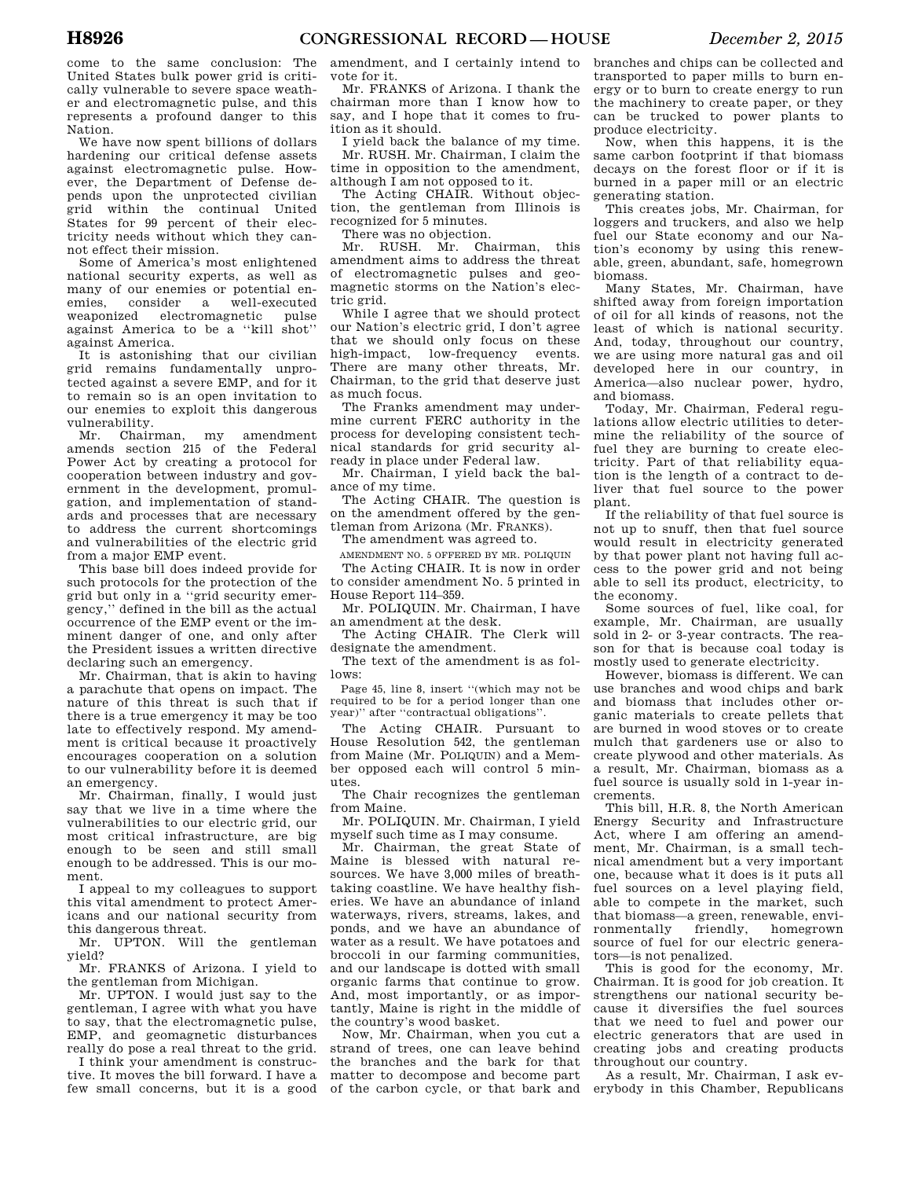come to the same conclusion: The United States bulk power grid is critically vulnerable to severe space weather and electromagnetic pulse, and this represents a profound danger to this Nation.

We have now spent billions of dollars hardening our critical defense assets against electromagnetic pulse. However, the Department of Defense depends upon the unprotected civilian grid within the continual United States for 99 percent of their electricity needs without which they cannot effect their mission.

Some of America's most enlightened national security experts, as well as many of our enemies or potential enemies, consider a well-executed weaponized electromagnetic pulse against America to be a ''kill shot'' against America.

It is astonishing that our civilian grid remains fundamentally unprotected against a severe EMP, and for it to remain so is an open invitation to our enemies to exploit this dangerous vulnerability.

Mr. Chairman, my amendment amends section 215 of the Federal Power Act by creating a protocol for cooperation between industry and government in the development, promulgation, and implementation of standards and processes that are necessary to address the current shortcomings and vulnerabilities of the electric grid from a major EMP event.

This base bill does indeed provide for such protocols for the protection of the grid but only in a ''grid security emergency,'' defined in the bill as the actual occurrence of the EMP event or the imminent danger of one, and only after the President issues a written directive declaring such an emergency.

Mr. Chairman, that is akin to having a parachute that opens on impact. The nature of this threat is such that if there is a true emergency it may be too late to effectively respond. My amendment is critical because it proactively encourages cooperation on a solution to our vulnerability before it is deemed an emergency.

Mr. Chairman, finally, I would just say that we live in a time where the vulnerabilities to our electric grid, our most critical infrastructure, are big enough to be seen and still small enough to be addressed. This is our moment.

I appeal to my colleagues to support this vital amendment to protect Americans and our national security from this dangerous threat.

Mr. UPTON. Will the gentleman yield?

Mr. FRANKS of Arizona. I yield to the gentleman from Michigan.

Mr. UPTON. I would just say to the gentleman, I agree with what you have to say, that the electromagnetic pulse, EMP, and geomagnetic disturbances really do pose a real threat to the grid.

I think your amendment is constructive. It moves the bill forward. I have a few small concerns, but it is a good

amendment, and I certainly intend to vote for it.

Mr. FRANKS of Arizona. I thank the chairman more than I know how to say, and I hope that it comes to fruition as it should.

I yield back the balance of my time. Mr. RUSH. Mr. Chairman, I claim the time in opposition to the amendment, although I am not opposed to it.

The Acting CHAIR. Without objection, the gentleman from Illinois is recognized for 5 minutes.

There was no objection.

Mr. RUSH. Mr. Chairman, this amendment aims to address the threat of electromagnetic pulses and geomagnetic storms on the Nation's electric grid.

While I agree that we should protect our Nation's electric grid, I don't agree that we should only focus on these high-impact, low-frequency events. There are many other threats, Mr. Chairman, to the grid that deserve just as much focus.

The Franks amendment may undermine current FERC authority in the process for developing consistent technical standards for grid security already in place under Federal law.

Mr. Chairman, I yield back the balance of my time.

The Acting CHAIR. The question is on the amendment offered by the gentleman from Arizona (Mr. FRANKS).

The amendment was agreed to.

AMENDMENT NO. 5 OFFERED BY MR. POLIQUIN The Acting CHAIR. It is now in order to consider amendment No. 5 printed in House Report 114–359.

Mr. POLIQUIN. Mr. Chairman, I have an amendment at the desk.

The Acting CHAIR. The Clerk will designate the amendment.

The text of the amendment is as follows:

Page 45, line 8, insert ''(which may not be required to be for a period longer than one year)'' after ''contractual obligations''.

The Acting CHAIR. Pursuant to House Resolution 542, the gentleman from Maine (Mr. POLIQUIN) and a Member opposed each will control 5 minutes.

The Chair recognizes the gentleman from Maine.

Mr. POLIQUIN. Mr. Chairman, I yield myself such time as I may consume.

Mr. Chairman, the great State of Maine is blessed with natural resources. We have 3,000 miles of breathtaking coastline. We have healthy fisheries. We have an abundance of inland waterways, rivers, streams, lakes, and ponds, and we have an abundance of water as a result. We have potatoes and broccoli in our farming communities, and our landscape is dotted with small organic farms that continue to grow. And, most importantly, or as importantly, Maine is right in the middle of the country's wood basket.

Now, Mr. Chairman, when you cut a strand of trees, one can leave behind the branches and the bark for that matter to decompose and become part of the carbon cycle, or that bark and

branches and chips can be collected and transported to paper mills to burn energy or to burn to create energy to run the machinery to create paper, or they can be trucked to power plants to produce electricity.

Now, when this happens, it is the same carbon footprint if that biomass decays on the forest floor or if it is burned in a paper mill or an electric generating station.

This creates jobs, Mr. Chairman, for loggers and truckers, and also we help fuel our State economy and our Nation's economy by using this renewable, green, abundant, safe, homegrown biomass.

Many States, Mr. Chairman, have shifted away from foreign importation of oil for all kinds of reasons, not the least of which is national security. And, today, throughout our country, we are using more natural gas and oil developed here in our country, in America—also nuclear power, hydro, and biomass.

Today, Mr. Chairman, Federal regulations allow electric utilities to determine the reliability of the source of fuel they are burning to create electricity. Part of that reliability equation is the length of a contract to deliver that fuel source to the power plant.

If the reliability of that fuel source is not up to snuff, then that fuel source would result in electricity generated by that power plant not having full access to the power grid and not being able to sell its product, electricity, to the economy.

Some sources of fuel, like coal, for example, Mr. Chairman, are usually sold in 2- or 3-year contracts. The reason for that is because coal today is mostly used to generate electricity.

However, biomass is different. We can use branches and wood chips and bark and biomass that includes other organic materials to create pellets that are burned in wood stoves or to create mulch that gardeners use or also to create plywood and other materials. As a result, Mr. Chairman, biomass as a fuel source is usually sold in 1-year increments.

This bill, H.R. 8, the North American Energy Security and Infrastructure Act, where I am offering an amendment, Mr. Chairman, is a small technical amendment but a very important one, because what it does is it puts all fuel sources on a level playing field, able to compete in the market, such that biomass—a green, renewable, environmentally friendly, homegrown source of fuel for our electric generators—is not penalized.

This is good for the economy, Mr. Chairman. It is good for job creation. It strengthens our national security because it diversifies the fuel sources that we need to fuel and power our electric generators that are used in creating jobs and creating products throughout our country.

As a result, Mr. Chairman, I ask everybody in this Chamber, Republicans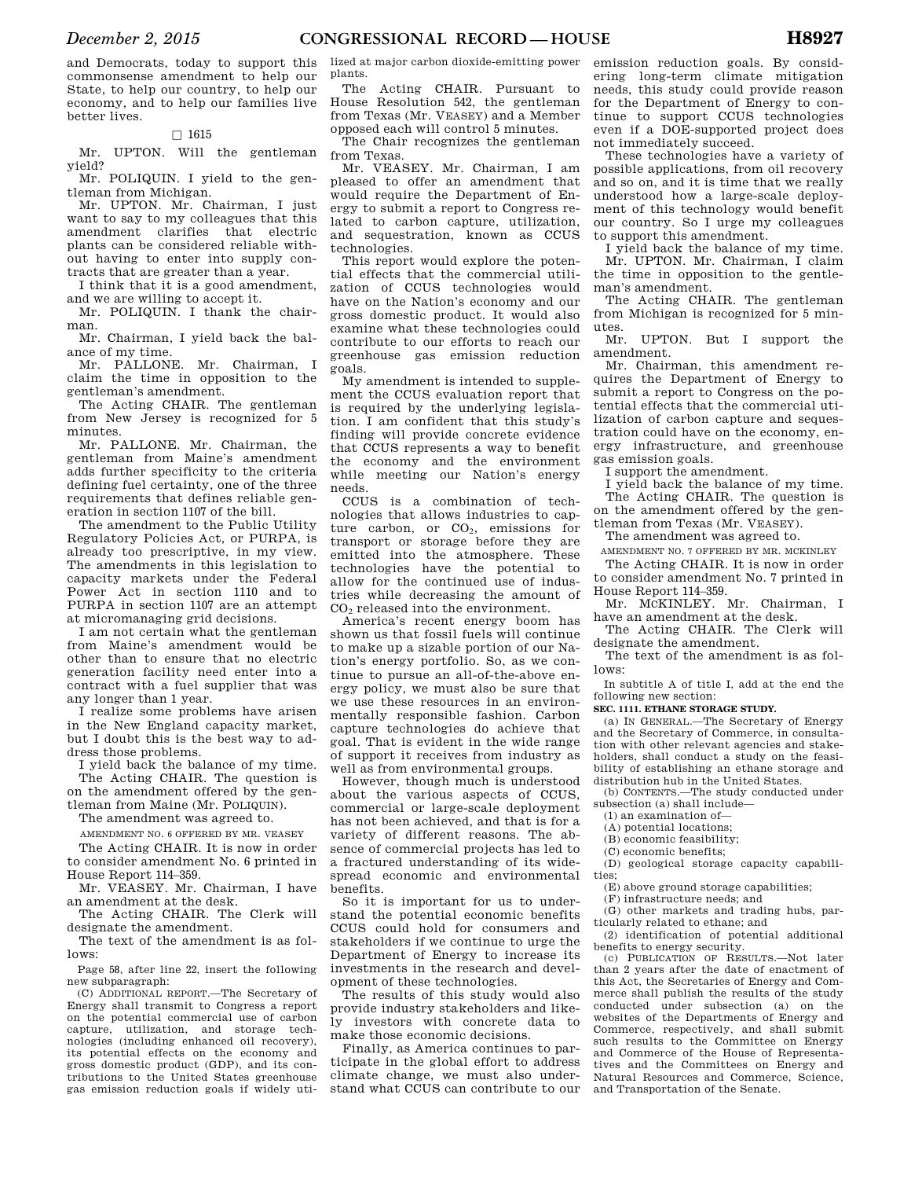and Democrats, today to support this commonsense amendment to help our State, to help our country, to help our economy, and to help our families live better lives.

### $\square$  1615

Mr. UPTON. Will the gentleman yield?

Mr. POLIQUIN. I yield to the gentleman from Michigan.

Mr. UPTON. Mr. Chairman, I just want to say to my colleagues that this amendment clarifies that electric plants can be considered reliable without having to enter into supply contracts that are greater than a year.

I think that it is a good amendment, and we are willing to accept it.

Mr. POLIQUIN. I thank the chairman.

Mr. Chairman, I yield back the balance of my time.

Mr. PALLONE. Mr. Chairman, I claim the time in opposition to the gentleman's amendment.

The Acting CHAIR. The gentleman from New Jersey is recognized for 5 minutes.

Mr. PALLONE. Mr. Chairman, the gentleman from Maine's amendment adds further specificity to the criteria defining fuel certainty, one of the three requirements that defines reliable generation in section 1107 of the bill.

The amendment to the Public Utility Regulatory Policies Act, or PURPA, is already too prescriptive, in my view. The amendments in this legislation to capacity markets under the Federal Power Act in section 1110 and to PURPA in section 1107 are an attempt at micromanaging grid decisions.

I am not certain what the gentleman from Maine's amendment would be other than to ensure that no electric generation facility need enter into a contract with a fuel supplier that was any longer than 1 year.

I realize some problems have arisen in the New England capacity market, but I doubt this is the best way to address those problems.

I yield back the balance of my time. The Acting CHAIR. The question is on the amendment offered by the gentleman from Maine (Mr. POLIQUIN).

The amendment was agreed to.

AMENDMENT NO. 6 OFFERED BY MR. VEASEY

The Acting CHAIR. It is now in order to consider amendment No. 6 printed in House Report 114–359.

Mr. VEASEY. Mr. Chairman, I have an amendment at the desk.

The Acting CHAIR. The Clerk will designate the amendment.

The text of the amendment is as follows:

Page 58, after line 22, insert the following new subparagraph:

(C) ADDITIONAL REPORT.—The Secretary of Energy shall transmit to Congress a report on the potential commercial use of carbon capture, utilization, and storage technologies (including enhanced oil recovery), its potential effects on the economy and gross domestic product (GDP), and its contributions to the United States greenhouse gas emission reduction goals if widely uti-

lized at major carbon dioxide-emitting power plants.

The Acting CHAIR. Pursuant to House Resolution 542, the gentleman from Texas (Mr. VEASEY) and a Member opposed each will control 5 minutes.

The Chair recognizes the gentleman from Texas.

Mr. VEASEY. Mr. Chairman, I am pleased to offer an amendment that would require the Department of Energy to submit a report to Congress related to carbon capture, utilization, and sequestration, known as CCUS technologies.

This report would explore the potential effects that the commercial utilization of CCUS technologies would have on the Nation's economy and our gross domestic product. It would also examine what these technologies could contribute to our efforts to reach our greenhouse gas emission reduction goals.

My amendment is intended to supplement the CCUS evaluation report that is required by the underlying legislation. I am confident that this study's finding will provide concrete evidence that CCUS represents a way to benefit the economy and the environment while meeting our Nation's energy needs.

CCUS is a combination of technologies that allows industries to capture carbon, or  $CO<sub>2</sub>$ , emissions for transport or storage before they are emitted into the atmosphere. These technologies have the potential to allow for the continued use of industries while decreasing the amount of CO<sup>2</sup> released into the environment.

America's recent energy boom has shown us that fossil fuels will continue to make up a sizable portion of our Nation's energy portfolio. So, as we continue to pursue an all-of-the-above energy policy, we must also be sure that we use these resources in an environmentally responsible fashion. Carbon capture technologies do achieve that goal. That is evident in the wide range of support it receives from industry as well as from environmental groups.

However, though much is understood about the various aspects of CCUS, commercial or large-scale deployment has not been achieved, and that is for a variety of different reasons. The absence of commercial projects has led to a fractured understanding of its widespread economic and environmental benefits.

So it is important for us to understand the potential economic benefits CCUS could hold for consumers and stakeholders if we continue to urge the Department of Energy to increase its investments in the research and development of these technologies.

The results of this study would also provide industry stakeholders and likely investors with concrete data to make those economic decisions.

Finally, as America continues to participate in the global effort to address climate change, we must also understand what CCUS can contribute to our

emission reduction goals. By considering long-term climate mitigation needs, this study could provide reason for the Department of Energy to continue to support CCUS technologies even if a DOE-supported project does not immediately succeed.

These technologies have a variety of possible applications, from oil recovery and so on, and it is time that we really understood how a large-scale deployment of this technology would benefit our country. So I urge my colleagues to support this amendment.

I yield back the balance of my time. Mr. UPTON. Mr. Chairman, I claim the time in opposition to the gentleman's amendment.

The Acting CHAIR. The gentleman from Michigan is recognized for 5 minutes.

Mr. UPTON. But I support the amendment.

Mr. Chairman, this amendment requires the Department of Energy to submit a report to Congress on the potential effects that the commercial utilization of carbon capture and sequestration could have on the economy, energy infrastructure, and greenhouse gas emission goals.

I support the amendment.

I yield back the balance of my time. The Acting CHAIR. The question is on the amendment offered by the gentleman from Texas (Mr. VEASEY).

The amendment was agreed to.

AMENDMENT NO. 7 OFFERED BY MR. MCKINLEY The Acting CHAIR. It is now in order to consider amendment No. 7 printed in

House Report 114–359. Mr. MCKINLEY. Mr. Chairman, I

have an amendment at the desk. The Acting CHAIR. The Clerk will

designate the amendment.

The text of the amendment is as follows:

In subtitle A of title I, add at the end the

following new section:

**SEC. 1111. ETHANE STORAGE STUDY.** 

(a) IN GENERAL.—The Secretary of Energy and the Secretary of Commerce, in consultation with other relevant agencies and stakeholders, shall conduct a study on the feasibility of establishing an ethane storage and distribution hub in the United States.

(b) CONTENTS.—The study conducted under subsection (a) shall include—

- (1) an examination of—
- (A) potential locations;
- (B) economic feasibility;
- (C) economic benefits;

(D) geological storage capacity capabilities;

(E) above ground storage capabilities;

(F) infrastructure needs; and

(G) other markets and trading hubs, particularly related to ethane; and

(2) identification of potential additional benefits to energy security.

(c) PUBLICATION OF RESULTS.—Not later than 2 years after the date of enactment of this Act, the Secretaries of Energy and Commerce shall publish the results of the study conducted under subsection (a) on the websites of the Departments of Energy and Commerce, respectively, and shall submit such results to the Committee on Energy and Commerce of the House of Representatives and the Committees on Energy and Natural Resources and Commerce, Science, and Transportation of the Senate.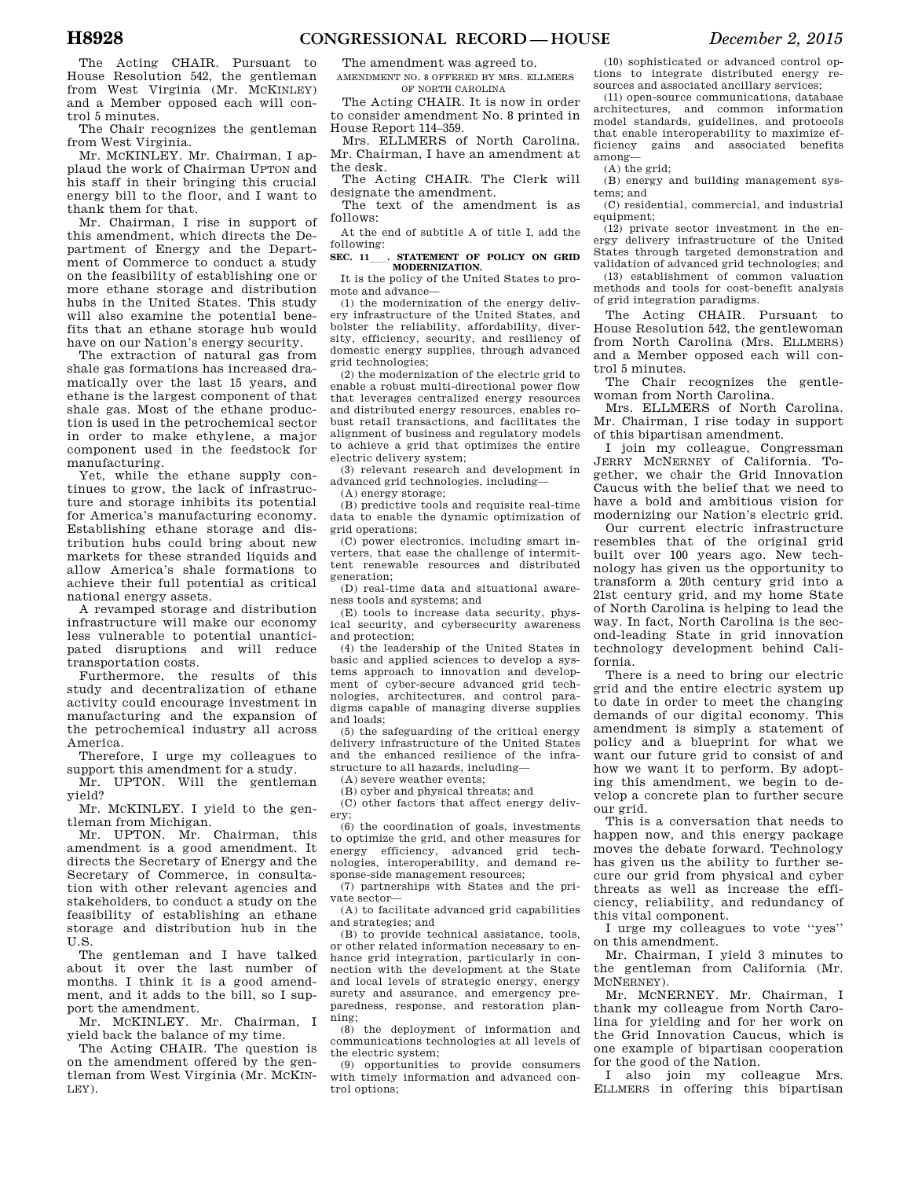The Acting CHAIR. Pursuant to House Resolution 542, the gentleman from West Virginia (Mr. MCKINLEY) and a Member opposed each will control 5 minutes.

The Chair recognizes the gentleman from West Virginia.

Mr. MCKINLEY. Mr. Chairman, I applaud the work of Chairman UPTON and his staff in their bringing this crucial energy bill to the floor, and I want to thank them for that.

Mr. Chairman, I rise in support of this amendment, which directs the Department of Energy and the Department of Commerce to conduct a study on the feasibility of establishing one or more ethane storage and distribution hubs in the United States. This study will also examine the potential benefits that an ethane storage hub would have on our Nation's energy security.

The extraction of natural gas from shale gas formations has increased dramatically over the last 15 years, and ethane is the largest component of that shale gas. Most of the ethane production is used in the petrochemical sector in order to make ethylene, a major component used in the feedstock for manufacturing.

Yet, while the ethane supply continues to grow, the lack of infrastructure and storage inhibits its potential for America's manufacturing economy. Establishing ethane storage and distribution hubs could bring about new markets for these stranded liquids and allow America's shale formations to achieve their full potential as critical national energy assets.

A revamped storage and distribution infrastructure will make our economy less vulnerable to potential unanticipated disruptions and will reduce transportation costs.

Furthermore, the results of this study and decentralization of ethane activity could encourage investment in manufacturing and the expansion of the petrochemical industry all across America.

Therefore, I urge my colleagues to support this amendment for a study.

Mr. UPTON. Will the gentleman yield?

Mr. MCKINLEY. I yield to the gentleman from Michigan.

Mr. UPTON. Mr. Chairman, this amendment is a good amendment. It directs the Secretary of Energy and the Secretary of Commerce, in consultation with other relevant agencies and stakeholders, to conduct a study on the feasibility of establishing an ethane storage and distribution hub in the U.S.

The gentleman and I have talked about it over the last number of months. I think it is a good amendment, and it adds to the bill, so I support the amendment.

Mr. MCKINLEY. Mr. Chairman, I yield back the balance of my time.

The Acting CHAIR. The question is on the amendment offered by the gentleman from West Virginia (Mr. MCKIN-LEY).

The amendment was agreed to.

AMENDMENT NO. 8 OFFERED BY MRS. ELLMERS OF NORTH CAROLINA

The Acting CHAIR. It is now in order to consider amendment No. 8 printed in House Report 114–359.

Mrs. ELLMERS of North Carolina. Mr. Chairman, I have an amendment at the desk.

The Acting CHAIR. The Clerk will designate the amendment.

The text of the amendment is as follows:

At the end of subtitle A of title I, add the following:

SEC. 11 **CONTRIGHT OF POLICY ON GRID MODERNIZATION.** 

It is the policy of the United States to promote and advance—

(1) the modernization of the energy delivery infrastructure of the United States, and bolster the reliability, affordability, diversity, efficiency, security, and resiliency of domestic energy supplies, through advanced grid technologies;

(2) the modernization of the electric grid to enable a robust multi-directional power flow that leverages centralized energy resources and distributed energy resources, enables robust retail transactions, and facilitates the alignment of business and regulatory models to achieve a grid that optimizes the entire electric delivery system;

(3) relevant research and development in advanced grid technologies, including—

(A) energy storage;

(B) predictive tools and requisite real-time data to enable the dynamic optimization of grid operations;

(C) power electronics, including smart inverters, that ease the challenge of intermittent renewable resources and distributed generation;

(D) real-time data and situational awareness tools and systems; and

(E) tools to increase data security, physical security, and cybersecurity awareness and protection;

(4) the leadership of the United States in basic and applied sciences to develop a systems approach to innovation and development of cyber-secure advanced grid technologies, architectures, and control paradigms capable of managing diverse supplies and loads;

(5) the safeguarding of the critical energy delivery infrastructure of the United States and the enhanced resilience of the infrastructure to all hazards, including—

(A) severe weather events; (B) cyber and physical threats; and

(C) other factors that affect energy delivery;

 $(6)$  the coordination of goals, investments to optimize the grid, and other measures for energy efficiency, advanced grid technologies, interoperability, and demand response-side management resources;

(7) partnerships with States and the private sector—

(A) to facilitate advanced grid capabilities and strategies; and

(B) to provide technical assistance, tools, or other related information necessary to enhance grid integration, particularly in connection with the development at the State and local levels of strategic energy, energy surety and assurance, and emergency preparedness, response, and restoration plan- $\frac{\text{ning}}{(8)}$ 

the deployment of information and communications technologies at all levels of the electric system;

(9) opportunities to provide consumers with timely information and advanced control options;

(10) sophisticated or advanced control options to integrate distributed energy resources and associated ancillary services;

(11) open-source communications, database architectures, and common information model standards, guidelines, and protocols that enable interoperability to maximize efficiency gains and associated benefits among—

(A) the grid;

(B) energy and building management systems; and

(C) residential, commercial, and industrial equipment;

(12) private sector investment in the energy delivery infrastructure of the United States through targeted demonstration and validation of advanced grid technologies; and

(13) establishment of common valuation methods and tools for cost-benefit analysis of grid integration paradigms.

The Acting CHAIR. Pursuant to House Resolution 542, the gentlewoman from North Carolina (Mrs. ELLMERS) and a Member opposed each will control 5 minutes.

The Chair recognizes the gentlewoman from North Carolina.

Mrs. ELLMERS of North Carolina. Mr. Chairman, I rise today in support of this bipartisan amendment.

I join my colleague, Congressman JERRY MCNERNEY of California. Together, we chair the Grid Innovation Caucus with the belief that we need to have a bold and ambitious vision for modernizing our Nation's electric grid.

Our current electric infrastructure resembles that of the original grid built over 100 years ago. New technology has given us the opportunity to transform a 20th century grid into a 21st century grid, and my home State of North Carolina is helping to lead the way. In fact, North Carolina is the second-leading State in grid innovation technology development behind California.

There is a need to bring our electric grid and the entire electric system up to date in order to meet the changing demands of our digital economy. This amendment is simply a statement of policy and a blueprint for what we want our future grid to consist of and how we want it to perform. By adopting this amendment, we begin to develop a concrete plan to further secure our grid.

This is a conversation that needs to happen now, and this energy package moves the debate forward. Technology has given us the ability to further secure our grid from physical and cyber threats as well as increase the efficiency, reliability, and redundancy of this vital component.

I urge my colleagues to vote ''yes'' on this amendment.

Mr. Chairman, I yield 3 minutes to the gentleman from California (Mr. MCNERNEY).

Mr. MCNERNEY. Mr. Chairman, I thank my colleague from North Carolina for yielding and for her work on the Grid Innovation Caucus, which is one example of bipartisan cooperation for the good of the Nation.

I also join my colleague Mrs. ELLMERS in offering this bipartisan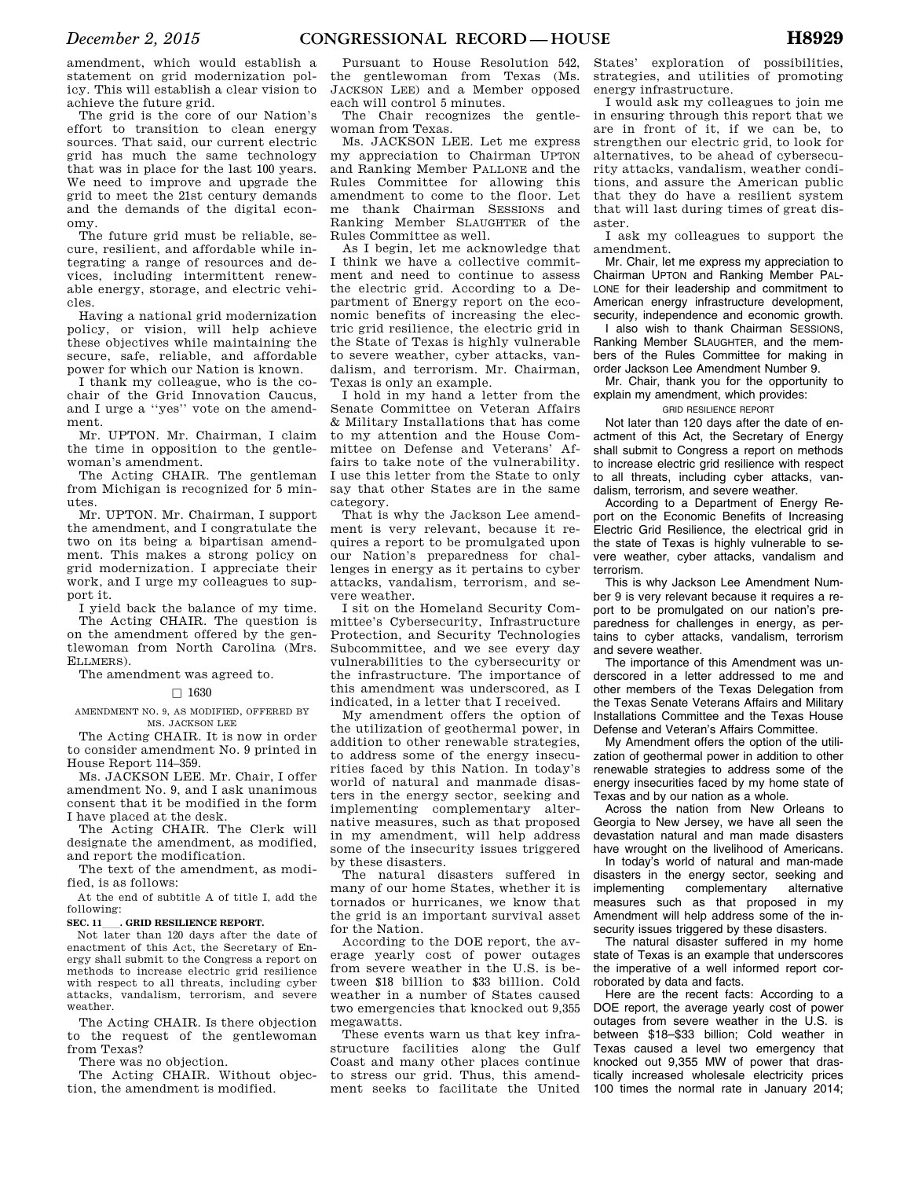amendment, which would establish a statement on grid modernization policy. This will establish a clear vision to achieve the future grid.

The grid is the core of our Nation's effort to transition to clean energy sources. That said, our current electric grid has much the same technology that was in place for the last 100 years. We need to improve and upgrade the grid to meet the 21st century demands and the demands of the digital economy.

The future grid must be reliable, secure, resilient, and affordable while integrating a range of resources and devices, including intermittent renewable energy, storage, and electric vehicles.

Having a national grid modernization policy, or vision, will help achieve these objectives while maintaining the secure, safe, reliable, and affordable power for which our Nation is known.

I thank my colleague, who is the cochair of the Grid Innovation Caucus, and I urge a ''yes'' vote on the amendment.

Mr. UPTON. Mr. Chairman, I claim the time in opposition to the gentlewoman's amendment.

The Acting CHAIR. The gentleman from Michigan is recognized for 5 minutes.

Mr. UPTON. Mr. Chairman, I support the amendment, and I congratulate the two on its being a bipartisan amendment. This makes a strong policy on grid modernization. I appreciate their work, and I urge my colleagues to support it.

I yield back the balance of my time.

The Acting CHAIR. The question is on the amendment offered by the gentlewoman from North Carolina (Mrs. ELLMERS).

The amendment was agreed to.

### $\Box$  1630

AMENDMENT NO. 9, AS MODIFIED, OFFERED BY MS. JACKSON LEE

The Acting CHAIR. It is now in order to consider amendment No. 9 printed in House Report 114–359.

Ms. JACKSON LEE. Mr. Chair, I offer amendment No. 9, and I ask unanimous consent that it be modified in the form I have placed at the desk.

The Acting CHAIR. The Clerk will designate the amendment, as modified, and report the modification.

The text of the amendment, as modified, is as follows:

At the end of subtitle A of title I, add the following:

**SEC. 11 CRID RESILIENCE REPORT.** 

Not later than 120 days after the date of enactment of this Act, the Secretary of Energy shall submit to the Congress a report on methods to increase electric grid resilience with respect to all threats, including cyber attacks, vandalism, terrorism, and severe weather.

The Acting CHAIR. Is there objection to the request of the gentlewoman from Texas?

There was no objection.

The Acting CHAIR. Without objection, the amendment is modified.

Pursuant to House Resolution 542, the gentlewoman from Texas (Ms. JACKSON LEE) and a Member opposed each will control 5 minutes.

The Chair recognizes the gentlewoman from Texas.

Ms. JACKSON LEE. Let me express my appreciation to Chairman UPTON and Ranking Member PALLONE and the Rules Committee for allowing this amendment to come to the floor. Let me thank Chairman SESSIONS and Ranking Member SLAUGHTER of the Rules Committee as well.

As I begin, let me acknowledge that I think we have a collective commitment and need to continue to assess the electric grid. According to a Department of Energy report on the economic benefits of increasing the electric grid resilience, the electric grid in the State of Texas is highly vulnerable to severe weather, cyber attacks, vandalism, and terrorism. Mr. Chairman, Texas is only an example.

I hold in my hand a letter from the Senate Committee on Veteran Affairs & Military Installations that has come to my attention and the House Committee on Defense and Veterans' Affairs to take note of the vulnerability. I use this letter from the State to only say that other States are in the same category.

That is why the Jackson Lee amendment is very relevant, because it requires a report to be promulgated upon our Nation's preparedness for challenges in energy as it pertains to cyber attacks, vandalism, terrorism, and severe weather.

I sit on the Homeland Security Committee's Cybersecurity, Infrastructure Protection, and Security Technologies Subcommittee, and we see every day vulnerabilities to the cybersecurity or the infrastructure. The importance of this amendment was underscored, as I indicated, in a letter that I received.

My amendment offers the option of the utilization of geothermal power, in addition to other renewable strategies, to address some of the energy insecurities faced by this Nation. In today's world of natural and manmade disasters in the energy sector, seeking and implementing complementary alternative measures, such as that proposed in my amendment, will help address some of the insecurity issues triggered by these disasters.

The natural disasters suffered in many of our home States, whether it is tornados or hurricanes, we know that the grid is an important survival asset for the Nation.

According to the DOE report, the average yearly cost of power outages from severe weather in the U.S. is between \$18 billion to \$33 billion. Cold weather in a number of States caused two emergencies that knocked out 9,355 megawatts.

These events warn us that key infrastructure facilities along the Gulf Coast and many other places continue to stress our grid. Thus, this amendment seeks to facilitate the United

States' exploration of possibilities, strategies, and utilities of promoting energy infrastructure.

I would ask my colleagues to join me in ensuring through this report that we are in front of it, if we can be, to strengthen our electric grid, to look for alternatives, to be ahead of cybersecurity attacks, vandalism, weather conditions, and assure the American public that they do have a resilient system that will last during times of great disaster.

I ask my colleagues to support the amendment.

Mr. Chair, let me express my appreciation to Chairman UPTON and Ranking Member PAL-LONE for their leadership and commitment to American energy infrastructure development, security, independence and economic growth.

I also wish to thank Chairman SESSIONS, Ranking Member SLAUGHTER, and the members of the Rules Committee for making in order Jackson Lee Amendment Number 9.

Mr. Chair, thank you for the opportunity to explain my amendment, which provides:

### GRID RESILIENCE REPORT

Not later than 120 days after the date of enactment of this Act, the Secretary of Energy shall submit to Congress a report on methods to increase electric grid resilience with respect to all threats, including cyber attacks, vandalism, terrorism, and severe weather.

According to a Department of Energy Report on the Economic Benefits of Increasing Electric Grid Resilience, the electrical grid in the state of Texas is highly vulnerable to severe weather, cyber attacks, vandalism and terrorism.

This is why Jackson Lee Amendment Number 9 is very relevant because it requires a report to be promulgated on our nation's preparedness for challenges in energy, as pertains to cyber attacks, vandalism, terrorism and severe weather.

The importance of this Amendment was underscored in a letter addressed to me and other members of the Texas Delegation from the Texas Senate Veterans Affairs and Military Installations Committee and the Texas House Defense and Veteran's Affairs Committee.

My Amendment offers the option of the utilization of geothermal power in addition to other renewable strategies to address some of the energy insecurities faced by my home state of Texas and by our nation as a whole.

Across the nation from New Orleans to Georgia to New Jersey, we have all seen the devastation natural and man made disasters have wrought on the livelihood of Americans.

In today's world of natural and man-made disasters in the energy sector, seeking and<br>implementing complementary alternative complementary measures such as that proposed in my Amendment will help address some of the insecurity issues triggered by these disasters.

The natural disaster suffered in my home state of Texas is an example that underscores the imperative of a well informed report corroborated by data and facts.

Here are the recent facts: According to a DOE report, the average yearly cost of power outages from severe weather in the U.S. is between \$18–\$33 billion; Cold weather in Texas caused a level two emergency that knocked out 9,355 MW of power that drastically increased wholesale electricity prices 100 times the normal rate in January 2014;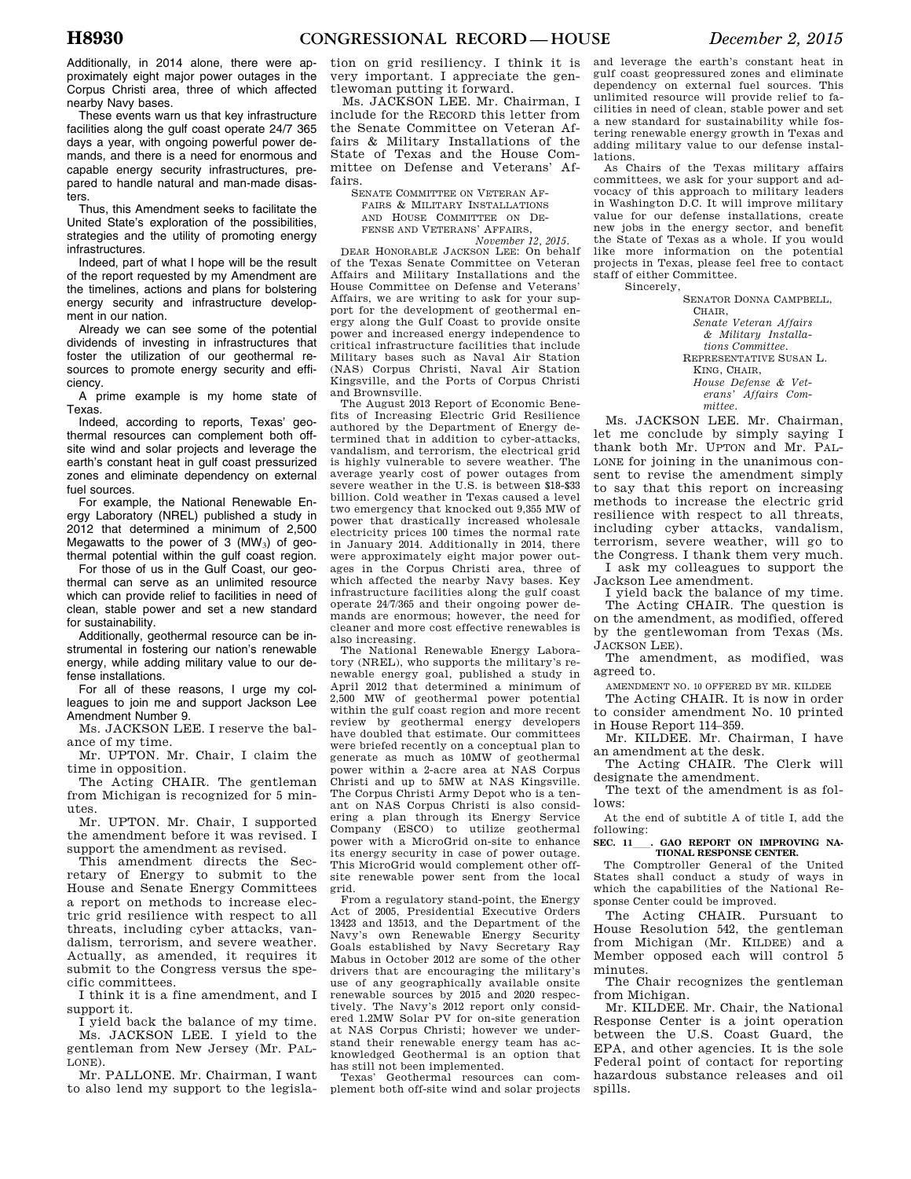Additionally, in 2014 alone, there were approximately eight major power outages in the Corpus Christi area, three of which affected nearby Navy bases.

These events warn us that key infrastructure facilities along the gulf coast operate 24/7 365 days a year, with ongoing powerful power demands, and there is a need for enormous and capable energy security infrastructures, prepared to handle natural and man-made disasters.

Thus, this Amendment seeks to facilitate the United State's exploration of the possibilities, strategies and the utility of promoting energy infrastructures.

Indeed, part of what I hope will be the result of the report requested by my Amendment are the timelines, actions and plans for bolstering energy security and infrastructure development in our nation.

Already we can see some of the potential dividends of investing in infrastructures that foster the utilization of our geothermal resources to promote energy security and efficiency.

A prime example is my home state of Texas.

Indeed, according to reports, Texas' geothermal resources can complement both offsite wind and solar projects and leverage the earth's constant heat in gulf coast pressurized zones and eliminate dependency on external fuel sources.

For example, the National Renewable Energy Laboratory (NREL) published a study in 2012 that determined a minimum of 2,500 Megawatts to the power of 3  $(MW<sub>3</sub>)$  of geothermal potential within the gulf coast region.

For those of us in the Gulf Coast, our geothermal can serve as an unlimited resource which can provide relief to facilities in need of clean, stable power and set a new standard for sustainability.

Additionally, geothermal resource can be instrumental in fostering our nation's renewable energy, while adding military value to our defense installations.

For all of these reasons, I urge my colleagues to join me and support Jackson Lee Amendment Number 9.

Ms. JACKSON LEE. I reserve the balance of my time.

Mr. UPTON. Mr. Chair, I claim the time in opposition.

The Acting CHAIR. The gentleman from Michigan is recognized for 5 minutes.

Mr. UPTON. Mr. Chair, I supported the amendment before it was revised. I support the amendment as revised.

This amendment directs the Secretary of Energy to submit to the House and Senate Energy Committees a report on methods to increase electric grid resilience with respect to all threats, including cyber attacks, vandalism, terrorism, and severe weather. Actually, as amended, it requires it submit to the Congress versus the specific committees.

I think it is a fine amendment, and I support it.

I yield back the balance of my time. Ms. JACKSON LEE. I yield to the gentleman from New Jersey (Mr. PAL-LONE).

Mr. PALLONE. Mr. Chairman, I want to also lend my support to the legislation on grid resiliency. I think it is very important. I appreciate the gentlewoman putting it forward.

Ms. JACKSON LEE. Mr. Chairman, I include for the RECORD this letter from the Senate Committee on Veteran Affairs & Military Installations of the State of Texas and the House Committee on Defense and Veterans' Affairs.

SENATE COMMITTEE ON VETERAN AF-FAIRS & MILITARY INSTALLATIONS AND HOUSE COMMITTEE ON DE-FENSE AND VETERANS' AFFAIRS, *November 12, 2015.* 

DEAR HONORABLE JACKSON LEE: On behalf of the Texas Senate Committee on Veteran Affairs and Military Installations and the House Committee on Defense and Veterans' Affairs, we are writing to ask for your support for the development of geothermal energy along the Gulf Coast to provide onsite power and increased energy independence to critical infrastructure facilities that include Military bases such as Naval Air Station (NAS) Corpus Christi, Naval Air Station Kingsville, and the Ports of Corpus Christi and Brownsville.

The August 2013 Report of Economic Benefits of Increasing Electric Grid Resilience authored by the Department of Energy determined that in addition to cyber-attacks, vandalism, and terrorism, the electrical grid is highly vulnerable to severe weather. The average yearly cost of power outages from severe weather in the U.S. is between \$18-\$33 billion. Cold weather in Texas caused a level two emergency that knocked out 9,355 MW of power that drastically increased wholesale electricity prices 100 times the normal rate in January 2014. Additionally in 2014, there were approximately eight major power outages in the Corpus Christi area, three of which affected the nearby Navy bases. Key infrastructure facilities along the gulf coast operate 24/7/365 and their ongoing power demands are enormous; however, the need for cleaner and more cost effective renewables is

also increasing. The National Renewable Energy Laboratory (NREL), who supports the military's renewable energy goal, published a study in April 2012 that determined a minimum of 2,500 MW of geothermal power potential within the gulf coast region and more recent review by geothermal energy developers have doubled that estimate. Our committees were briefed recently on a conceptual plan to generate as much as 10MW of geothermal power within a 2-acre area at NAS Corpus Christi and up to 5MW at NAS Kingsville. The Corpus Christi Army Depot who is a tenant on NAS Corpus Christi is also considering a plan through its Energy Service Company (ESCO) to utilize geothermal power with a MicroGrid on-site to enhance its energy security in case of power outage. This MicroGrid would complement other offsite renewable power sent from the local grid.

From a regulatory stand-point, the Energy Act of 2005, Presidential Executive Orders 13423 and 13513, and the Department of the Navy's own Renewable Energy Security Goals established by Navy Secretary Ray Mabus in October 2012 are some of the other drivers that are encouraging the military's use of any geographically available onsite renewable sources by 2015 and 2020 respectively. The Navy's 2012 report only considered 1.2MW Solar PV for on-site generation at NAS Corpus Christi; however we understand their renewable energy team has acknowledged Geothermal is an option that has still not been implemented.<br>Texas' Geothermal resource

Geothermal resources can complement both off-site wind and solar projects and leverage the earth's constant heat in gulf coast geopressured zones and eliminate dependency on external fuel sources. This unlimited resource will provide relief to facilities in need of clean, stable power and set a new standard for sustainability while fostering renewable energy growth in Texas and adding military value to our defense installations.

As Chairs of the Texas military affairs committees, we ask for your support and advocacy of this approach to military leaders in Washington D.C. It will improve military value for our defense installations, create new jobs in the energy sector, and benefit the State of Texas as a whole. If you would like more information on the potential projects in Texas, please feel free to contact staff of either Committee.

Sincerely,

SENATOR DONNA CAMPBELL, CHAIR, *Senate Veteran Affairs & Military Installations Committee.*  REPRESENTATIVE SUSAN L. KING, CHAIR, *House Defense & Veterans' Affairs Committee.* 

Ms. JACKSON LEE. Mr. Chairman, let me conclude by simply saying I thank both Mr. UPTON and Mr. PAL-LONE for joining in the unanimous consent to revise the amendment simply to say that this report on increasing methods to increase the electric grid resilience with respect to all threats, including cyber attacks, vandalism, terrorism, severe weather, will go to the Congress. I thank them very much. I ask my colleagues to support the

Jackson Lee amendment. I yield back the balance of my time.

The Acting CHAIR. The question is on the amendment, as modified, offered by the gentlewoman from Texas (Ms. JACKSON LEE).

The amendment, as modified, was agreed to.

AMENDMENT NO. 10 OFFERED BY MR. KILDEE

The Acting CHAIR. It is now in order to consider amendment No. 10 printed in House Report 114–359.

Mr. KILDEE. Mr. Chairman, I have an amendment at the desk.

The Acting CHAIR. The Clerk will designate the amendment.

The text of the amendment is as follows:

At the end of subtitle A of title I, add the following:

## SEC. 11\_\_\_\_. GAO REPORT ON IMPROVING NA-<br>TIONAL RESPONSE CENTER.

The Comptroller General of the United States shall conduct a study of ways in which the capabilities of the National Response Center could be improved.

The Acting CHAIR. Pursuant to House Resolution 542, the gentleman from Michigan (Mr. KILDEE) and a Member opposed each will control 5 minutes.

The Chair recognizes the gentleman from Michigan.

Mr. KILDEE. Mr. Chair, the National Response Center is a joint operation between the U.S. Coast Guard, the EPA, and other agencies. It is the sole Federal point of contact for reporting hazardous substance releases and oil spills.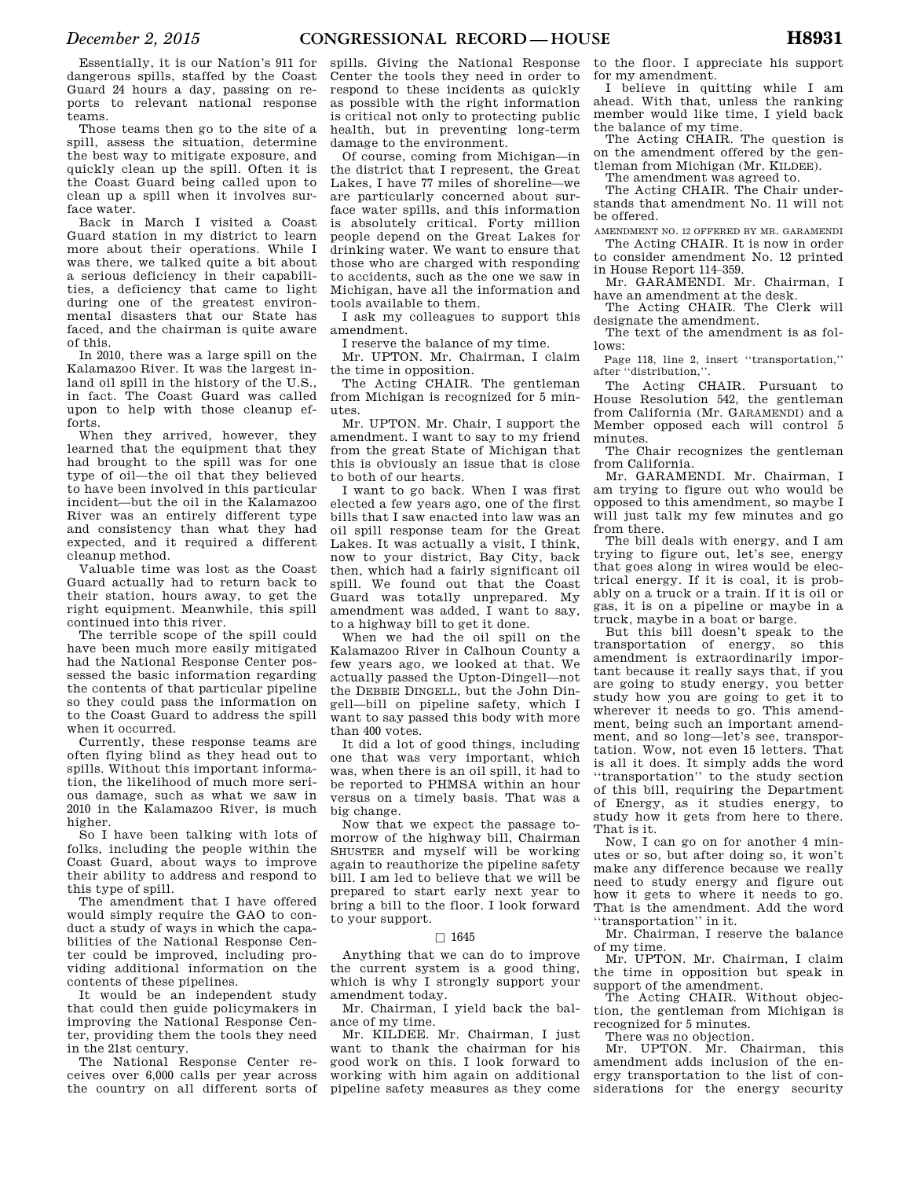Essentially, it is our Nation's 911 for dangerous spills, staffed by the Coast Guard 24 hours a day, passing on reports to relevant national response teams.

Those teams then go to the site of a spill, assess the situation, determine the best way to mitigate exposure, and quickly clean up the spill. Often it is the Coast Guard being called upon to clean up a spill when it involves surface water.

Back in March I visited a Coast Guard station in my district to learn more about their operations. While I was there, we talked quite a bit about a serious deficiency in their capabilities, a deficiency that came to light during one of the greatest environmental disasters that our State has faced, and the chairman is quite aware of this.

In 2010, there was a large spill on the Kalamazoo River. It was the largest inland oil spill in the history of the U.S. in fact. The Coast Guard was called upon to help with those cleanup efforts.

When they arrived, however, they learned that the equipment that they had brought to the spill was for one type of oil—the oil that they believed to have been involved in this particular incident—but the oil in the Kalamazoo River was an entirely different type and consistency than what they had expected, and it required a different cleanup method.

Valuable time was lost as the Coast Guard actually had to return back to their station, hours away, to get the right equipment. Meanwhile, this spill continued into this river.

The terrible scope of the spill could have been much more easily mitigated had the National Response Center possessed the basic information regarding the contents of that particular pipeline so they could pass the information on to the Coast Guard to address the spill when it occurred.

Currently, these response teams are often flying blind as they head out to spills. Without this important information, the likelihood of much more serious damage, such as what we saw in 2010 in the Kalamazoo River, is much higher.

So I have been talking with lots of folks, including the people within the Coast Guard, about ways to improve their ability to address and respond to this type of spill.

The amendment that I have offered would simply require the GAO to conduct a study of ways in which the capabilities of the National Response Center could be improved, including providing additional information on the contents of these pipelines.

It would be an independent study that could then guide policymakers in improving the National Response Center, providing them the tools they need in the 21st century.

The National Response Center receives over 6,000 calls per year across the country on all different sorts of

spills. Giving the National Response Center the tools they need in order to respond to these incidents as quickly as possible with the right information is critical not only to protecting public health, but in preventing long-term damage to the environment.

Of course, coming from Michigan—in the district that I represent, the Great Lakes, I have 77 miles of shoreline—we are particularly concerned about surface water spills, and this information is absolutely critical. Forty million people depend on the Great Lakes for drinking water. We want to ensure that those who are charged with responding to accidents, such as the one we saw in Michigan, have all the information and tools available to them.

I ask my colleagues to support this amendment.

I reserve the balance of my time.

Mr. UPTON. Mr. Chairman, I claim the time in opposition.

The Acting CHAIR. The gentleman from Michigan is recognized for 5 minutes.

Mr. UPTON. Mr. Chair, I support the amendment. I want to say to my friend from the great State of Michigan that this is obviously an issue that is close to both of our hearts.

I want to go back. When I was first elected a few years ago, one of the first bills that I saw enacted into law was an oil spill response team for the Great Lakes. It was actually a visit, I think, now to your district, Bay City, back then, which had a fairly significant oil spill. We found out that the Coast Guard was totally unprepared. My amendment was added, I want to say, to a highway bill to get it done.

When we had the oil spill on the Kalamazoo River in Calhoun County a few years ago, we looked at that. We actually passed the Upton-Dingell—not the DEBBIE DINGELL, but the John Dingell—bill on pipeline safety, which I want to say passed this body with more than 400 votes.

It did a lot of good things, including one that was very important, which was, when there is an oil spill, it had to be reported to PHMSA within an hour versus on a timely basis. That was a big change.

Now that we expect the passage tomorrow of the highway bill, Chairman SHUSTER and myself will be working again to reauthorize the pipeline safety bill. I am led to believe that we will be prepared to start early next year to bring a bill to the floor. I look forward to your support.

### $\Box$  1645

Anything that we can do to improve the current system is a good thing, which is why I strongly support your amendment today.

Mr. Chairman, I yield back the balance of my time.

Mr. KILDEE. Mr. Chairman, I just want to thank the chairman for his good work on this. I look forward to working with him again on additional pipeline safety measures as they come

to the floor. I appreciate his support for my amendment.

I believe in quitting while I am ahead. With that, unless the ranking member would like time, I yield back the balance of my time.

The Acting CHAIR. The question is on the amendment offered by the gentleman from Michigan (Mr. KILDEE).

The amendment was agreed to.

The Acting CHAIR. The Chair understands that amendment No. 11 will not be offered.

AMENDMENT NO. 12 OFFERED BY MR. GARAMENDI The Acting CHAIR. It is now in order

to consider amendment No. 12 printed in House Report 114–359.

Mr. GARAMENDI. Mr. Chairman, I have an amendment at the desk.

The Acting CHAIR. The Clerk will designate the amendment.

The text of the amendment is as follows:

Page 118, line 2, insert ''transportation,'' after ''distribution,''.

The Acting CHAIR. Pursuant to House Resolution 542, the gentleman from California (Mr. GARAMENDI) and a Member opposed each will control 5 minutes.

The Chair recognizes the gentleman from California.

Mr. GARAMENDI. Mr. Chairman, I am trying to figure out who would be opposed to this amendment, so maybe I will just talk my few minutes and go from there.

The bill deals with energy, and I am trying to figure out, let's see, energy that goes along in wires would be electrical energy. If it is coal, it is probably on a truck or a train. If it is oil or gas, it is on a pipeline or maybe in a truck, maybe in a boat or barge.

But this bill doesn't speak to the transportation of energy, so this amendment is extraordinarily important because it really says that, if you are going to study energy, you better study how you are going to get it to wherever it needs to go. This amendment, being such an important amendment, and so long—let's see, transportation. Wow, not even 15 letters. That is all it does. It simply adds the word ''transportation'' to the study section of this bill, requiring the Department of Energy, as it studies energy, to study how it gets from here to there. That is it.

Now, I can go on for another 4 minutes or so, but after doing so, it won't make any difference because we really need to study energy and figure out how it gets to where it needs to go. That is the amendment. Add the word 'transportation'' in it.

Mr. Chairman, I reserve the balance of my time.

Mr. UPTON. Mr. Chairman, I claim the time in opposition but speak in support of the amendment.

The Acting CHAIR. Without objection, the gentleman from Michigan is recognized for 5 minutes.

There was no objection.

Mr. UPTON. Mr. Chairman, this amendment adds inclusion of the energy transportation to the list of considerations for the energy security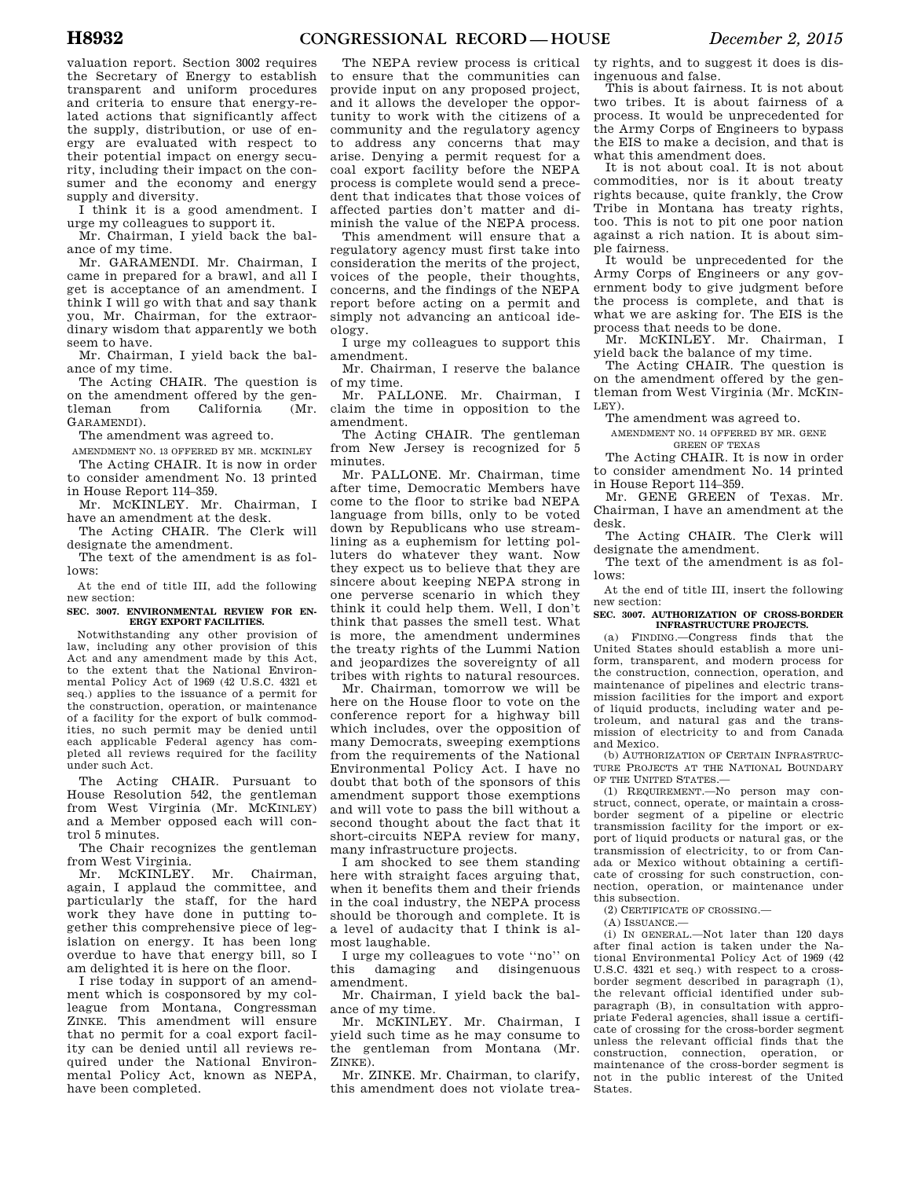valuation report. Section 3002 requires the Secretary of Energy to establish transparent and uniform procedures and criteria to ensure that energy-related actions that significantly affect the supply, distribution, or use of energy are evaluated with respect to their potential impact on energy security, including their impact on the consumer and the economy and energy supply and diversity.

I think it is a good amendment. I urge my colleagues to support it.

Mr. Chairman, I yield back the balance of my time.

Mr. GARAMENDI. Mr. Chairman, I came in prepared for a brawl, and all I get is acceptance of an amendment. I think I will go with that and say thank you, Mr. Chairman, for the extraordinary wisdom that apparently we both seem to have.

Mr. Chairman, I yield back the balance of my time.

The Acting CHAIR. The question is on the amendment offered by the gen-<br>tleman from California (Mr. California f GARAMENDI).

The amendment was agreed to.

AMENDMENT NO. 13 OFFERED BY MR. MCKINLEY The Acting CHAIR. It is now in order to consider amendment No. 13 printed in House Report 114–359.

Mr. MCKINLEY. Mr. Chairman, I have an amendment at the desk.

The Acting CHAIR. The Clerk will designate the amendment.

The text of the amendment is as follows:

At the end of title III, add the following new section:

**SEC. 3007. ENVIRONMENTAL REVIEW FOR EN-ERGY EXPORT FACILITIES.** 

Notwithstanding any other provision of law, including any other provision of this Act and any amendment made by this Act, to the extent that the National Environmental Policy Act of 1969 (42 U.S.C. 4321 et seq.) applies to the issuance of a permit for the construction, operation, or maintenance of a facility for the export of bulk commodities, no such permit may be denied until each applicable Federal agency has completed all reviews required for the facility under such Act.

The Acting CHAIR. Pursuant to House Resolution 542, the gentleman from West Virginia (Mr. MCKINLEY) and a Member opposed each will control 5 minutes.

The Chair recognizes the gentleman from West Virginia.

Mr. MCKINLEY. Mr. Chairman, again, I applaud the committee, and particularly the staff, for the hard work they have done in putting together this comprehensive piece of legislation on energy. It has been long overdue to have that energy bill, so I am delighted it is here on the floor.

I rise today in support of an amendment which is cosponsored by my colleague from Montana, Congressman ZINKE. This amendment will ensure that no permit for a coal export facility can be denied until all reviews required under the National Environmental Policy Act, known as NEPA, have been completed.

The NEPA review process is critical to ensure that the communities can provide input on any proposed project, and it allows the developer the opportunity to work with the citizens of a community and the regulatory agency to address any concerns that may arise. Denying a permit request for a coal export facility before the NEPA process is complete would send a precedent that indicates that those voices of affected parties don't matter and diminish the value of the NEPA process.

This amendment will ensure that a regulatory agency must first take into consideration the merits of the project, voices of the people, their thoughts, concerns, and the findings of the NEPA report before acting on a permit and simply not advancing an anticoal ideology.

I urge my colleagues to support this amendment.

Mr. Chairman, I reserve the balance of my time.

Mr. PALLONE. Mr. Chairman, I claim the time in opposition to the amendment.

The Acting CHAIR. The gentleman from New Jersey is recognized for 5 minutes.

Mr. PALLONE. Mr. Chairman, time after time, Democratic Members have come to the floor to strike bad NEPA language from bills, only to be voted down by Republicans who use streamlining as a euphemism for letting polluters do whatever they want. Now they expect us to believe that they are sincere about keeping NEPA strong in one perverse scenario in which they think it could help them. Well, I don't think that passes the smell test. What is more, the amendment undermines the treaty rights of the Lummi Nation and jeopardizes the sovereignty of all tribes with rights to natural resources.

Mr. Chairman, tomorrow we will be here on the House floor to vote on the conference report for a highway bill which includes, over the opposition of many Democrats, sweeping exemptions from the requirements of the National Environmental Policy Act. I have no doubt that both of the sponsors of this amendment support those exemptions and will vote to pass the bill without a second thought about the fact that it short-circuits NEPA review for many, many infrastructure projects.

I am shocked to see them standing here with straight faces arguing that, when it benefits them and their friends in the coal industry, the NEPA process should be thorough and complete. It is a level of audacity that I think is almost laughable.

I urge my colleagues to vote ''no'' on this damaging and disingenuous amendment.

Mr. Chairman, I yield back the balance of my time.

Mr. MCKINLEY. Mr. Chairman, I yield such time as he may consume to the gentleman from Montana (Mr. ZINKE).

Mr. ZINKE. Mr. Chairman, to clarify, this amendment does not violate trea-

ty rights, and to suggest it does is disingenuous and false.

This is about fairness. It is not about two tribes. It is about fairness of a process. It would be unprecedented for the Army Corps of Engineers to bypass the EIS to make a decision, and that is what this amendment does.

It is not about coal. It is not about commodities, nor is it about treaty rights because, quite frankly, the Crow Tribe in Montana has treaty rights, too. This is not to pit one poor nation against a rich nation. It is about simple fairness.

It would be unprecedented for the Army Corps of Engineers or any government body to give judgment before the process is complete, and that is what we are asking for. The EIS is the process that needs to be done.

Mr. MCKINLEY. Mr. Chairman, I yield back the balance of my time.

The Acting CHAIR. The question is on the amendment offered by the gentleman from West Virginia (Mr. MCKIN-LEY).

The amendment was agreed to.

AMENDMENT NO. 14 OFFERED BY MR. GENE GREEN OF TEXAS

The Acting CHAIR. It is now in order to consider amendment No. 14 printed in House Report 114–359.

Mr. GENE GREEN of Texas. Mr. Chairman, I have an amendment at the desk.

The Acting CHAIR. The Clerk will designate the amendment.

The text of the amendment is as follows:

At the end of title III, insert the following new section:

#### **SEC. 3007. AUTHORIZATION OF CROSS-BORDER INFRASTRUCTURE PROJECTS.**

(a) FINDING.—Congress finds that the United States should establish a more uniform, transparent, and modern process for the construction, connection, operation, and maintenance of pipelines and electric transmission facilities for the import and export of liquid products, including water and petroleum, and natural gas and the transmission of electricity to and from Canada and Mexico.

(b) AUTHORIZATION OF CERTAIN INFRASTRUC-TURE PROJECTS AT THE NATIONAL BOUNDARY OF THE UNITED STATES.

(1) REQUIREMENT.—No person may construct, connect, operate, or maintain a crossborder segment of a pipeline or electric transmission facility for the import or export of liquid products or natural gas, or the transmission of electricity, to or from Canada or Mexico without obtaining a certificate of crossing for such construction, connection, operation, or maintenance under this subsection.

(2) CERTIFICATE OF CROSSING.—

 $(A)$  ISSUANCE  $-$ 

(i) IN GENERAL.—Not later than 120 days after final action is taken under the National Environmental Policy Act of 1969 (42 U.S.C. 4321 et seq.) with respect to a crossborder segment described in paragraph (1), the relevant official identified under subparagraph (B), in consultation with appropriate Federal agencies, shall issue a certificate of crossing for the cross-border segment unless the relevant official finds that the construction, connection, operation, or maintenance of the cross-border segment is not in the public interest of the United States.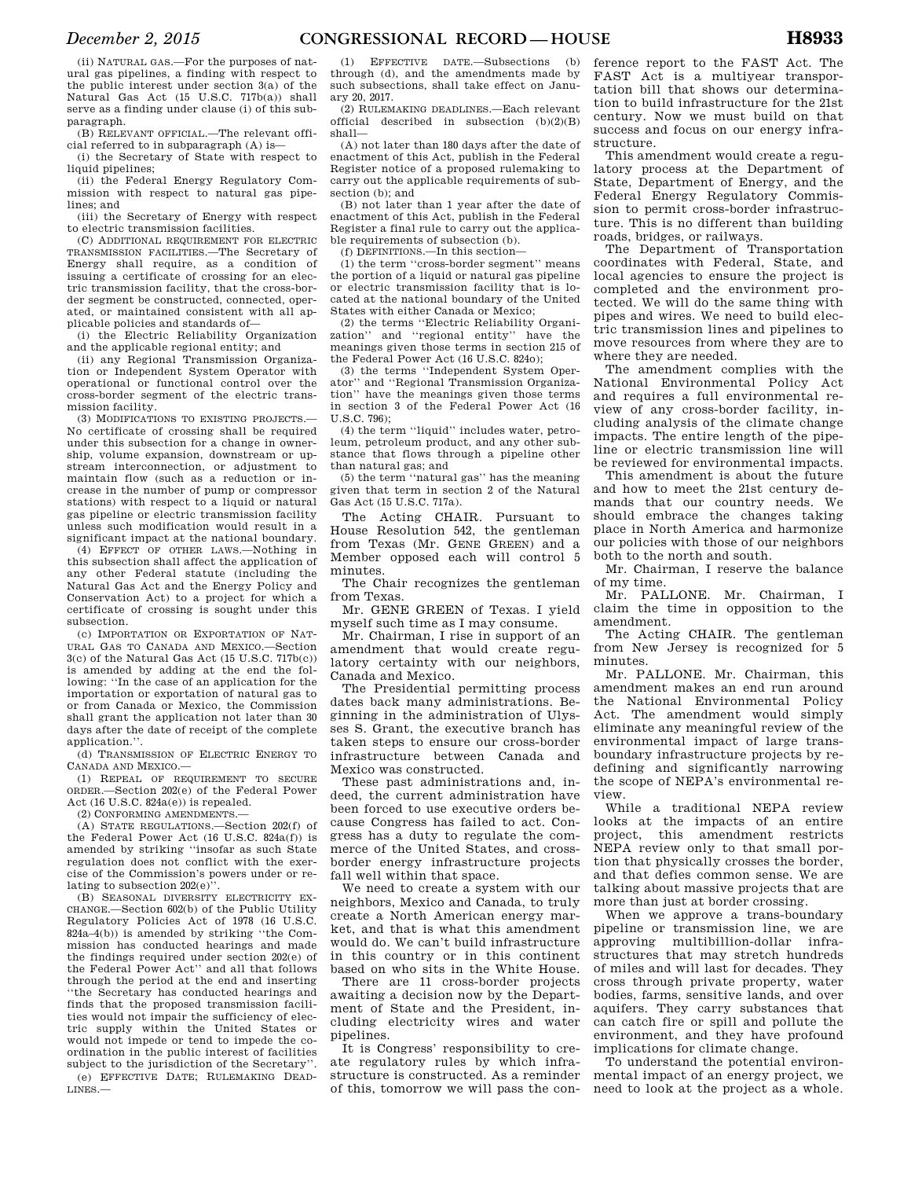(ii) NATURAL GAS.—For the purposes of natural gas pipelines, a finding with respect to the public interest under section 3(a) of the Natural Gas Act (15 U.S.C. 717b(a)) shall serve as a finding under clause (i) of this subparagraph.

(B) RELEVANT OFFICIAL.—The relevant official referred to in subparagraph (A) is—

(i) the Secretary of State with respect to liquid pipelines;

(ii) the Federal Energy Regulatory Commission with respect to natural gas pipelines; and

(iii) the Secretary of Energy with respect to electric transmission facilities.

(C) ADDITIONAL REQUIREMENT FOR ELECTRIC TRANSMISSION FACILITIES.—The Secretary of Energy shall require, as a condition of issuing a certificate of crossing for an electric transmission facility, that the cross-border segment be constructed, connected, operated, or maintained consistent with all applicable policies and standards of—

(i) the Electric Reliability Organization and the applicable regional entity; and

(ii) any Regional Transmission Organization or Independent System Operator with operational or functional control over the cross-border segment of the electric transmission facility.

(3) MODIFICATIONS TO EXISTING PROJECTS.— No certificate of crossing shall be required under this subsection for a change in ownership, volume expansion, downstream or upstream interconnection, or adjustment to maintain flow (such as a reduction or increase in the number of pump or compressor stations) with respect to a liquid or natural gas pipeline or electric transmission facility unless such modification would result in a significant impact at the national boundary.

(4) EFFECT OF OTHER LAWS.—Nothing in this subsection shall affect the application of any other Federal statute (including the Natural Gas Act and the Energy Policy and Conservation Act) to a project for which a certificate of crossing is sought under this subsection.

(c) IMPORTATION OR EXPORTATION OF NAT-URAL GAS TO CANADA AND MEXICO.—Section 3(c) of the Natural Gas Act (15 U.S.C. 717b(c)) is amended by adding at the end the following: ''In the case of an application for the importation or exportation of natural gas to or from Canada or Mexico, the Commission shall grant the application not later than 30 days after the date of receipt of the complete application.''.

(d) TRANSMISSION OF ELECTRIC ENERGY TO CANADA AND MEXICO.—

(1) REPEAL OF REQUIREMENT TO SECURE ORDER.—Section 202(e) of the Federal Power Act (16 U.S.C. 824a(e)) is repealed.

(2) CONFORMING AMENDMENTS.—

(A) STATE REGULATIONS.—Section 202(f) of the Federal Power Act (16 U.S.C. 824a(f)) is amended by striking ''insofar as such State regulation does not conflict with the exercise of the Commission's powers under or relating to subsection 202(e)''.

(B) SEASONAL DIVERSITY ELECTRICITY EX-CHANGE.—Section 602(b) of the Public Utility Regulatory Policies Act of 1978 (16 U.S.C. 824a–4(b)) is amended by striking ''the Commission has conducted hearings and made the findings required under section 202(e) of the Federal Power Act'' and all that follows through the period at the end and inserting ''the Secretary has conducted hearings and finds that the proposed transmission facilities would not impair the sufficiency of electric supply within the United States or would not impede or tend to impede the coordination in the public interest of facilities subject to the jurisdiction of the Secretary''. (e) EFFECTIVE DATE; RULEMAKING DEAD-

LINES.—

(1) EFFECTIVE DATE.-Subsections through (d), and the amendments made by such subsections, shall take effect on January 20, 2017.

(2) RULEMAKING DEADLINES.—Each relevant official described in subsection  $(b)(2)(B)$ shall—

(A) not later than 180 days after the date of enactment of this Act, publish in the Federal Register notice of a proposed rulemaking to carry out the applicable requirements of subsection (b); and

(B) not later than 1 year after the date of enactment of this Act, publish in the Federal Register a final rule to carry out the applicable requirements of subsection (b).

(f) DEFINITIONS.—In this section—

(1) the term ''cross-border segment'' means the portion of a liquid or natural gas pipeline or electric transmission facility that is located at the national boundary of the United States with either Canada or Mexico;

(2) the terms ''Electric Reliability Organization" and "regional entity" have the meanings given those terms in section 215 of the Federal Power Act (16 U.S.C. 824o);

(3) the terms ''Independent System Operator'' and ''Regional Transmission Organization'' have the meanings given those terms in section 3 of the Federal Power Act (16 U.S.C. 796);

(4) the term ''liquid'' includes water, petroleum, petroleum product, and any other substance that flows through a pipeline other than natural gas; and

(5) the term ''natural gas'' has the meaning given that term in section 2 of the Natural Gas Act (15 U.S.C. 717a).

The Acting CHAIR. Pursuant to House Resolution 542, the gentleman from Texas (Mr. GENE GREEN) and a Member opposed each will control 5 minutes.

The Chair recognizes the gentleman from Texas.

Mr. GENE GREEN of Texas. I yield myself such time as I may consume.

Mr. Chairman, I rise in support of an amendment that would create regulatory certainty with our neighbors, Canada and Mexico.

The Presidential permitting process dates back many administrations. Beginning in the administration of Ulysses S. Grant, the executive branch has taken steps to ensure our cross-border infrastructure between Canada and Mexico was constructed.

These past administrations and, indeed, the current administration have been forced to use executive orders because Congress has failed to act. Congress has a duty to regulate the commerce of the United States, and crossborder energy infrastructure projects fall well within that space.

We need to create a system with our neighbors, Mexico and Canada, to truly create a North American energy market, and that is what this amendment would do. We can't build infrastructure in this country or in this continent based on who sits in the White House.

There are 11 cross-border projects awaiting a decision now by the Department of State and the President, including electricity wires and water pipelines.

It is Congress' responsibility to create regulatory rules by which infrastructure is constructed. As a reminder of this, tomorrow we will pass the con-

ference report to the FAST Act. The FAST Act is a multiyear transportation bill that shows our determination to build infrastructure for the 21st century. Now we must build on that success and focus on our energy infrastructure.

This amendment would create a regulatory process at the Department of State, Department of Energy, and the Federal Energy Regulatory Commission to permit cross-border infrastructure. This is no different than building roads, bridges, or railways.

The Department of Transportation coordinates with Federal, State, and local agencies to ensure the project is completed and the environment protected. We will do the same thing with pipes and wires. We need to build electric transmission lines and pipelines to move resources from where they are to where they are needed.

The amendment complies with the National Environmental Policy Act and requires a full environmental review of any cross-border facility, including analysis of the climate change impacts. The entire length of the pipeline or electric transmission line will be reviewed for environmental impacts.

This amendment is about the future and how to meet the 21st century demands that our country needs. We should embrace the changes taking place in North America and harmonize our policies with those of our neighbors both to the north and south.

Mr. Chairman, I reserve the balance of my time.

Mr. PALLONE. Mr. Chairman, I claim the time in opposition to the amendment.

The Acting CHAIR. The gentleman from New Jersey is recognized for 5 minutes.

Mr. PALLONE. Mr. Chairman, this amendment makes an end run around the National Environmental Policy Act. The amendment would simply eliminate any meaningful review of the environmental impact of large transboundary infrastructure projects by redefining and significantly narrowing the scope of NEPA's environmental review.

While a traditional NEPA review looks at the impacts of an entire project, this amendment restricts NEPA review only to that small portion that physically crosses the border, and that defies common sense. We are talking about massive projects that are more than just at border crossing.

When we approve a trans-boundary pipeline or transmission line, we are approving multibillion-dollar infrastructures that may stretch hundreds of miles and will last for decades. They cross through private property, water bodies, farms, sensitive lands, and over aquifers. They carry substances that can catch fire or spill and pollute the environment, and they have profound implications for climate change.

To understand the potential environmental impact of an energy project, we need to look at the project as a whole.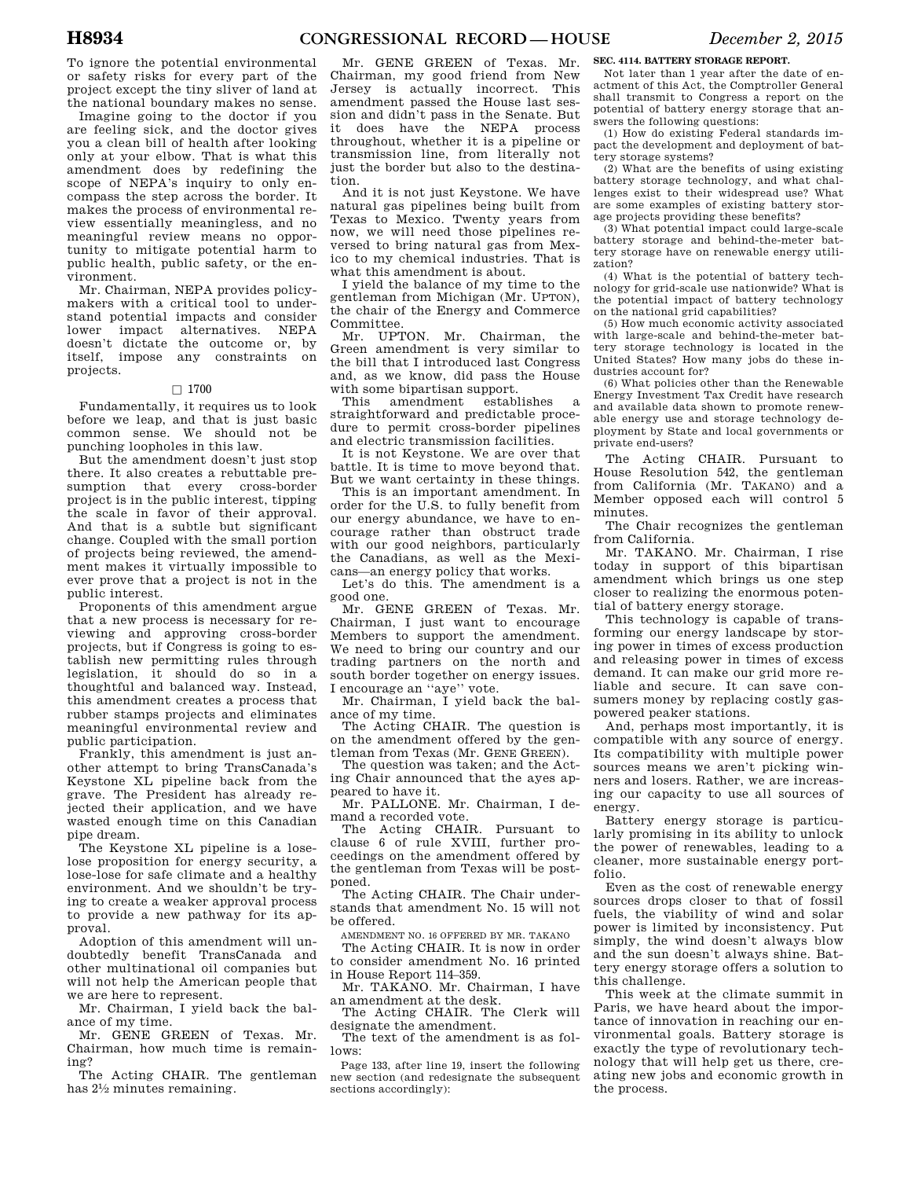To ignore the potential environmental or safety risks for every part of the project except the tiny sliver of land at the national boundary makes no sense.

Imagine going to the doctor if you are feeling sick, and the doctor gives you a clean bill of health after looking only at your elbow. That is what this amendment does by redefining the scope of NEPA's inquiry to only encompass the step across the border. It makes the process of environmental review essentially meaningless, and no meaningful review means no opportunity to mitigate potential harm to public health, public safety, or the environment.

Mr. Chairman, NEPA provides policymakers with a critical tool to understand potential impacts and consider lower impact alternatives. NEPA doesn't dictate the outcome or, by itself, impose any constraints on projects.

### $\square$  1700

Fundamentally, it requires us to look before we leap, and that is just basic common sense. We should not be punching loopholes in this law.

But the amendment doesn't just stop there. It also creates a rebuttable presumption that every cross-border project is in the public interest, tipping the scale in favor of their approval. And that is a subtle but significant change. Coupled with the small portion of projects being reviewed, the amendment makes it virtually impossible to ever prove that a project is not in the public interest.

Proponents of this amendment argue that a new process is necessary for reviewing and approving cross-border projects, but if Congress is going to establish new permitting rules through legislation, it should do so in a thoughtful and balanced way. Instead, this amendment creates a process that rubber stamps projects and eliminates meaningful environmental review and public participation.

Frankly, this amendment is just another attempt to bring TransCanada's Keystone XL pipeline back from the grave. The President has already rejected their application, and we have wasted enough time on this Canadian pipe dream.

The Keystone XL pipeline is a loselose proposition for energy security, a lose-lose for safe climate and a healthy environment. And we shouldn't be trying to create a weaker approval process to provide a new pathway for its approval.

Adoption of this amendment will undoubtedly benefit TransCanada and other multinational oil companies but will not help the American people that we are here to represent.

Mr. Chairman, I yield back the balance of my time.

Mr. GENE GREEN of Texas. Mr. Chairman, how much time is remaining?

The Acting CHAIR. The gentleman has 21⁄2 minutes remaining.

Mr. GENE GREEN of Texas. Mr. Chairman, my good friend from New<br>Jersey is actually incorrect. This Jersey is actually incorrect. amendment passed the House last session and didn't pass in the Senate. But it does have the NEPA process throughout, whether it is a pipeline or transmission line, from literally not just the border but also to the destination.

And it is not just Keystone. We have natural gas pipelines being built from Texas to Mexico. Twenty years from now, we will need those pipelines reversed to bring natural gas from Mexico to my chemical industries. That is what this amendment is about.

I yield the balance of my time to the gentleman from Michigan (Mr. UPTON), the chair of the Energy and Commerce Committee.

Mr. UPTON. Mr. Chairman, the Green amendment is very similar to the bill that I introduced last Congress and, as we know, did pass the House with some bipartisan support.<br>This amendment establishes

amendment establishes a straightforward and predictable procedure to permit cross-border pipelines and electric transmission facilities.

It is not Keystone. We are over that battle. It is time to move beyond that. But we want certainty in these things.

This is an important amendment. In order for the U.S. to fully benefit from our energy abundance, we have to encourage rather than obstruct trade with our good neighbors, particularly the Canadians, as well as the Mexicans—an energy policy that works.

Let's do this. The amendment is a good one.

Mr. GENE GREEN of Texas. Mr. Chairman, I just want to encourage Members to support the amendment. We need to bring our country and our trading partners on the north and south border together on energy issues. I encourage an ''aye'' vote.

Mr. Chairman, I yield back the balance of my time.

The Acting CHAIR. The question is on the amendment offered by the gentleman from Texas (Mr. GENE GREEN).

The question was taken; and the Acting Chair announced that the ayes appeared to have it.

Mr. PALLONE. Mr. Chairman, I demand a recorded vote.

The Acting CHAIR. Pursuant to clause 6 of rule XVIII, further proceedings on the amendment offered by the gentleman from Texas will be postponed.

The Acting CHAIR. The Chair understands that amendment No. 15 will not be offered.

AMENDMENT NO. 16 OFFERED BY MR. TAKANO

The Acting CHAIR. It is now in order to consider amendment No. 16 printed in House Report 114–359.

Mr. TAKANO. Mr. Chairman, I have an amendment at the desk.

The Acting CHAIR. The Clerk will designate the amendment.

The text of the amendment is as follows:

Page 133, after line 19, insert the following new section (and redesignate the subsequent sections accordingly):

### **SEC. 4114. BATTERY STORAGE REPORT.**

Not later than 1 year after the date of enactment of this Act, the Comptroller General shall transmit to Congress a report on the potential of battery energy storage that answers the following questions:

(1) How do existing Federal standards impact the development and deployment of battery storage systems?

(2) What are the benefits of using existing battery storage technology, and what challenges exist to their widespread use? What are some examples of existing battery storage projects providing these benefits?

(3) What potential impact could large-scale battery storage and behind-the-meter battery storage have on renewable energy utilization?

(4) What is the potential of battery technology for grid-scale use nationwide? What is the potential impact of battery technology on the national grid capabilities?

(5) How much economic activity associated with large-scale and behind-the-meter battery storage technology is located in the United States? How many jobs do these industries account for?

(6) What policies other than the Renewable Energy Investment Tax Credit have research and available data shown to promote renewable energy use and storage technology deployment by State and local governments or private end-users?

The Acting CHAIR. Pursuant to House Resolution 542, the gentleman from California (Mr. TAKANO) and a Member opposed each will control 5 minutes.

The Chair recognizes the gentleman from California.

Mr. TAKANO. Mr. Chairman, I rise today in support of this bipartisan amendment which brings us one step closer to realizing the enormous potential of battery energy storage.

This technology is capable of transforming our energy landscape by storing power in times of excess production and releasing power in times of excess demand. It can make our grid more reliable and secure. It can save consumers money by replacing costly gaspowered peaker stations.

And, perhaps most importantly, it is compatible with any source of energy. Its compatibility with multiple power sources means we aren't picking winners and losers. Rather, we are increasing our capacity to use all sources of energy.

Battery energy storage is particularly promising in its ability to unlock the power of renewables, leading to a cleaner, more sustainable energy portfolio.

Even as the cost of renewable energy sources drops closer to that of fossil fuels, the viability of wind and solar power is limited by inconsistency. Put simply, the wind doesn't always blow and the sun doesn't always shine. Battery energy storage offers a solution to this challenge.

This week at the climate summit in Paris, we have heard about the importance of innovation in reaching our environmental goals. Battery storage is exactly the type of revolutionary technology that will help get us there, creating new jobs and economic growth in the process.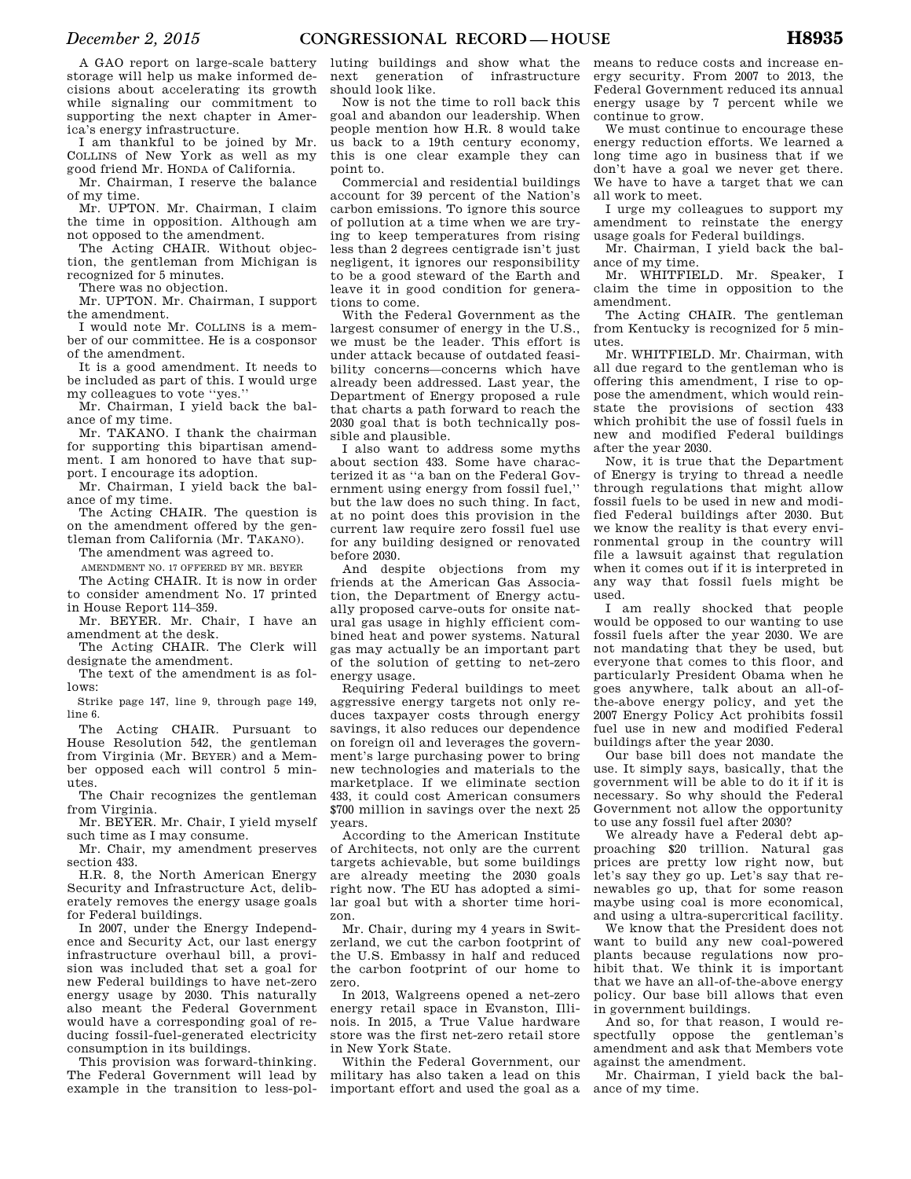A GAO report on large-scale battery storage will help us make informed decisions about accelerating its growth while signaling our commitment to supporting the next chapter in America's energy infrastructure.

I am thankful to be joined by Mr. COLLINS of New York as well as my good friend Mr. HONDA of California.

Mr. Chairman, I reserve the balance of my time.

Mr. UPTON. Mr. Chairman, I claim the time in opposition. Although am not opposed to the amendment.

The Acting CHAIR. Without objection, the gentleman from Michigan is recognized for 5 minutes.

There was no objection.

Mr. UPTON. Mr. Chairman, I support the amendment.

I would note Mr. COLLINS is a member of our committee. He is a cosponsor of the amendment.

It is a good amendment. It needs to be included as part of this. I would urge my colleagues to vote ''yes.''

Mr. Chairman, I yield back the balance of my time.

Mr. TAKANO. I thank the chairman for supporting this bipartisan amendment. I am honored to have that support. I encourage its adoption.

Mr. Chairman, I yield back the balance of my time.

The Acting CHAIR. The question is on the amendment offered by the gen-

tleman from California (Mr. TAKANO).

The amendment was agreed to.

AMENDMENT NO. 17 OFFERED BY MR. BEYER The Acting CHAIR. It is now in order

to consider amendment No. 17 printed in House Report 114–359.

Mr. BEYER. Mr. Chair, I have an amendment at the desk.

The Acting CHAIR. The Clerk will designate the amendment.

The text of the amendment is as follows:

Strike page 147, line 9, through page 149, line 6.

The Acting CHAIR. Pursuant to House Resolution 542, the gentleman from Virginia (Mr. BEYER) and a Member opposed each will control 5 minutes.

The Chair recognizes the gentleman from Virginia.

Mr. BEYER. Mr. Chair, I yield myself such time as I may consume.

Mr. Chair, my amendment preserves section 433.

H.R. 8, the North American Energy Security and Infrastructure Act, deliberately removes the energy usage goals for Federal buildings.

In 2007, under the Energy Independence and Security Act, our last energy infrastructure overhaul bill, a provision was included that set a goal for new Federal buildings to have net-zero energy usage by 2030. This naturally also meant the Federal Government would have a corresponding goal of reducing fossil-fuel-generated electricity consumption in its buildings.

This provision was forward-thinking. The Federal Government will lead by example in the transition to less-pol-

luting buildings and show what the next generation of infrastructure should look like.

Now is not the time to roll back this goal and abandon our leadership. When people mention how H.R. 8 would take us back to a 19th century economy, this is one clear example they can point to.

Commercial and residential buildings account for 39 percent of the Nation's carbon emissions. To ignore this source of pollution at a time when we are trying to keep temperatures from rising less than 2 degrees centigrade isn't just negligent, it ignores our responsibility to be a good steward of the Earth and leave it in good condition for generations to come.

With the Federal Government as the largest consumer of energy in the U.S., we must be the leader. This effort is under attack because of outdated feasibility concerns—concerns which have already been addressed. Last year, the Department of Energy proposed a rule that charts a path forward to reach the 2030 goal that is both technically possible and plausible.

I also want to address some myths about section 433. Some have characterized it as ''a ban on the Federal Government using energy from fossil fuel,'' but the law does no such thing. In fact, at no point does this provision in the current law require zero fossil fuel use for any building designed or renovated before 2030.

And despite objections from my friends at the American Gas Association, the Department of Energy actually proposed carve-outs for onsite natural gas usage in highly efficient combined heat and power systems. Natural gas may actually be an important part of the solution of getting to net-zero energy usage.

Requiring Federal buildings to meet aggressive energy targets not only reduces taxpayer costs through energy savings, it also reduces our dependence on foreign oil and leverages the government's large purchasing power to bring new technologies and materials to the marketplace. If we eliminate section 433, it could cost American consumers \$700 million in savings over the next 25 years.

According to the American Institute of Architects, not only are the current targets achievable, but some buildings are already meeting the 2030 goals right now. The EU has adopted a similar goal but with a shorter time horizon.

Mr. Chair, during my 4 years in Switzerland, we cut the carbon footprint of the U.S. Embassy in half and reduced the carbon footprint of our home to zero.

In 2013, Walgreens opened a net-zero energy retail space in Evanston, Illinois. In 2015, a True Value hardware store was the first net-zero retail store in New York State.

Within the Federal Government, our military has also taken a lead on this important effort and used the goal as a

means to reduce costs and increase energy security. From 2007 to 2013, the Federal Government reduced its annual energy usage by 7 percent while we continue to grow.

We must continue to encourage these energy reduction efforts. We learned a long time ago in business that if we don't have a goal we never get there. We have to have a target that we can all work to meet.

I urge my colleagues to support my amendment to reinstate the energy usage goals for Federal buildings.

Mr. Chairman, I yield back the balance of my time.

Mr. WHITFIELD. Mr. Speaker, I claim the time in opposition to the amendment.

The Acting CHAIR. The gentleman from Kentucky is recognized for 5 minutes.

Mr. WHITFIELD. Mr. Chairman, with all due regard to the gentleman who is offering this amendment, I rise to oppose the amendment, which would reinstate the provisions of section 433 which prohibit the use of fossil fuels in new and modified Federal buildings after the year 2030.

Now, it is true that the Department of Energy is trying to thread a needle through regulations that might allow fossil fuels to be used in new and modified Federal buildings after 2030. But we know the reality is that every environmental group in the country will file a lawsuit against that regulation when it comes out if it is interpreted in any way that fossil fuels might be used.

I am really shocked that people would be opposed to our wanting to use fossil fuels after the year 2030. We are not mandating that they be used, but everyone that comes to this floor, and particularly President Obama when he goes anywhere, talk about an all-ofthe-above energy policy, and yet the 2007 Energy Policy Act prohibits fossil fuel use in new and modified Federal buildings after the year 2030.

Our base bill does not mandate the use. It simply says, basically, that the government will be able to do it if it is necessary. So why should the Federal Government not allow the opportunity to use any fossil fuel after 2030?

We already have a Federal debt approaching \$20 trillion. Natural gas prices are pretty low right now, but let's say they go up. Let's say that renewables go up, that for some reason maybe using coal is more economical, and using a ultra-supercritical facility.

We know that the President does not want to build any new coal-powered plants because regulations now prohibit that. We think it is important that we have an all-of-the-above energy policy. Our base bill allows that even in government buildings.

And so, for that reason, I would respectfully oppose the gentleman's amendment and ask that Members vote against the amendment.

Mr. Chairman, I yield back the balance of my time.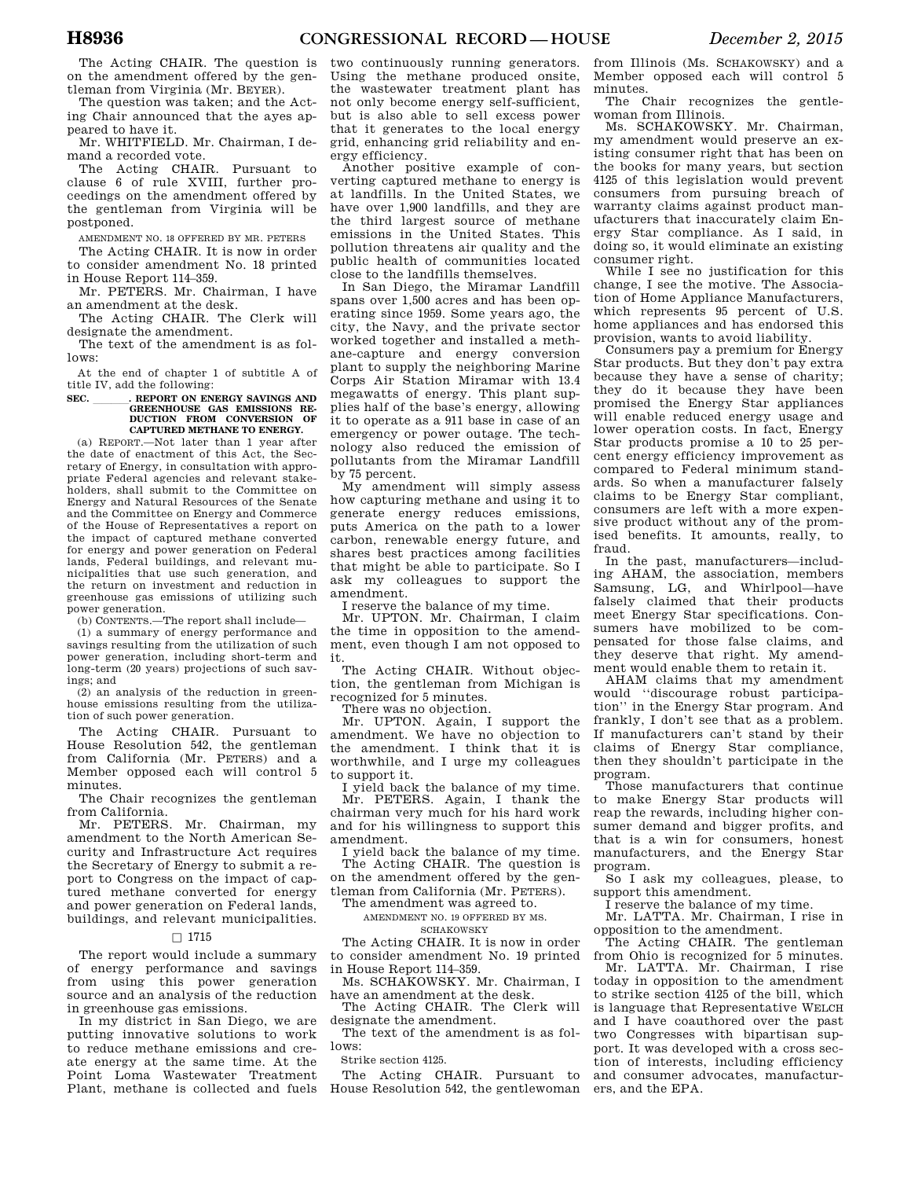The Acting CHAIR. The question is on the amendment offered by the gentleman from Virginia (Mr. BEYER).

The question was taken; and the Acting Chair announced that the ayes appeared to have it.

Mr. WHITFIELD. Mr. Chairman, I demand a recorded vote.

The Acting CHAIR. Pursuant to clause 6 of rule XVIII, further proceedings on the amendment offered by the gentleman from Virginia will be postponed.

AMENDMENT NO. 18 OFFERED BY MR. PETERS

The Acting CHAIR. It is now in order to consider amendment No. 18 printed in House Report 114–359.

Mr. PETERS. Mr. Chairman, I have an amendment at the desk.

The Acting CHAIR. The Clerk will designate the amendment.

The text of the amendment is as follows:

At the end of chapter 1 of subtitle A of title IV, add the following:

## **SEC. \_\_\_\_\_\_\_\_. REPORT ON ENERGY SAVINGS AND GREENHOUSE GAS EMISSIONS RE-DUCTION FROM CONVERSION OF CAPTURED METHANE TO ENERGY.**

(a) REPORT.—Not later than 1 year after the date of enactment of this Act, the Secretary of Energy, in consultation with appropriate Federal agencies and relevant stakeholders, shall submit to the Committee on Energy and Natural Resources of the Senate and the Committee on Energy and Commerce of the House of Representatives a report on the impact of captured methane converted for energy and power generation on Federal lands, Federal buildings, and relevant municipalities that use such generation, and the return on investment and reduction in greenhouse gas emissions of utilizing such power generation.

(b) CONTENTS.—The report shall include—

(1) a summary of energy performance and savings resulting from the utilization of such power generation, including short-term and long-term (20 years) projections of such savings; and

(2) an analysis of the reduction in greenhouse emissions resulting from the utilization of such power generation.

The Acting CHAIR. Pursuant to House Resolution 542, the gentleman from California (Mr. PETERS) and a Member opposed each will control 5 minutes.

The Chair recognizes the gentleman from California.

Mr. PETERS. Mr. Chairman, my amendment to the North American Security and Infrastructure Act requires the Secretary of Energy to submit a report to Congress on the impact of captured methane converted for energy and power generation on Federal lands, buildings, and relevant municipalities.

### $\Box$  1715

The report would include a summary of energy performance and savings from using this power generation source and an analysis of the reduction in greenhouse gas emissions.

In my district in San Diego, we are putting innovative solutions to work to reduce methane emissions and create energy at the same time. At the Point Loma Wastewater Treatment Plant, methane is collected and fuels two continuously running generators. Using the methane produced onsite, the wastewater treatment plant has not only become energy self-sufficient, but is also able to sell excess power that it generates to the local energy grid, enhancing grid reliability and energy efficiency.

Another positive example of converting captured methane to energy is at landfills. In the United States, we have over 1,900 landfills, and they are the third largest source of methane emissions in the United States. This pollution threatens air quality and the public health of communities located close to the landfills themselves.

In San Diego, the Miramar Landfill spans over 1,500 acres and has been operating since 1959. Some years ago, the city, the Navy, and the private sector worked together and installed a methane-capture and energy conversion plant to supply the neighboring Marine Corps Air Station Miramar with 13.4 megawatts of energy. This plant supplies half of the base's energy, allowing it to operate as a 911 base in case of an emergency or power outage. The technology also reduced the emission of pollutants from the Miramar Landfill by 75 percent.

My amendment will simply assess how capturing methane and using it to generate energy reduces emissions, puts America on the path to a lower carbon, renewable energy future, and shares best practices among facilities that might be able to participate. So I ask my colleagues to support the amendment.

I reserve the balance of my time.

Mr. UPTON. Mr. Chairman, I claim the time in opposition to the amendment, even though I am not opposed to it.

The Acting CHAIR. Without objection, the gentleman from Michigan is recognized for 5 minutes.

There was no objection.

Mr. UPTON. Again, I support the amendment. We have no objection to the amendment. I think that it is worthwhile, and I urge my colleagues to support it.

I yield back the balance of my time.

Mr. PETERS. Again, I thank the chairman very much for his hard work and for his willingness to support this amendment.

I yield back the balance of my time. The Acting CHAIR. The question is on the amendment offered by the gentleman from California (Mr. PETERS).

The amendment was agreed to.

AMENDMENT NO. 19 OFFERED BY MS.

**SCHAKOWSKY** 

The Acting CHAIR. It is now in order to consider amendment No. 19 printed in House Report 114–359.

Ms. SCHAKOWSKY. Mr. Chairman, I have an amendment at the desk.

The Acting CHAIR. The Clerk will designate the amendment.

The text of the amendment is as follows:

Strike section 4125.

The Acting CHAIR. Pursuant to House Resolution 542, the gentlewoman ers, and the EPA.

from Illinois (Ms. SCHAKOWSKY) and a Member opposed each will control 5 minutes.

The Chair recognizes the gentlewoman from Illinois.

Ms. SCHAKOWSKY. Mr. Chairman, my amendment would preserve an existing consumer right that has been on the books for many years, but section 4125 of this legislation would prevent consumers from pursuing breach of warranty claims against product manufacturers that inaccurately claim Energy Star compliance. As I said, in doing so, it would eliminate an existing consumer right.

While I see no justification for this change, I see the motive. The Association of Home Appliance Manufacturers, which represents 95 percent of U.S. home appliances and has endorsed this provision, wants to avoid liability.

Consumers pay a premium for Energy Star products. But they don't pay extra because they have a sense of charity; they do it because they have been promised the Energy Star appliances will enable reduced energy usage and lower operation costs. In fact, Energy Star products promise a 10 to 25 percent energy efficiency improvement as compared to Federal minimum standards. So when a manufacturer falsely claims to be Energy Star compliant, consumers are left with a more expensive product without any of the promised benefits. It amounts, really, to fraud.

In the past, manufacturers—including AHAM, the association, members Samsung, LG, and Whirlpool—have falsely claimed that their products meet Energy Star specifications. Consumers have mobilized to be compensated for those false claims, and they deserve that right. My amendment would enable them to retain it.

AHAM claims that my amendment would ''discourage robust participation'' in the Energy Star program. And frankly, I don't see that as a problem. If manufacturers can't stand by their claims of Energy Star compliance, then they shouldn't participate in the program.

Those manufacturers that continue to make Energy Star products will reap the rewards, including higher consumer demand and bigger profits, and that is a win for consumers, honest manufacturers, and the Energy Star program.

So I ask my colleagues, please, to support this amendment.

I reserve the balance of my time.

Mr. LATTA. Mr. Chairman, I rise in opposition to the amendment.

The Acting CHAIR. The gentleman from Ohio is recognized for 5 minutes.

Mr. LATTA. Mr. Chairman, I rise today in opposition to the amendment to strike section 4125 of the bill, which is language that Representative WELCH and I have coauthored over the past two Congresses with bipartisan support. It was developed with a cross section of interests, including efficiency and consumer advocates, manufactur-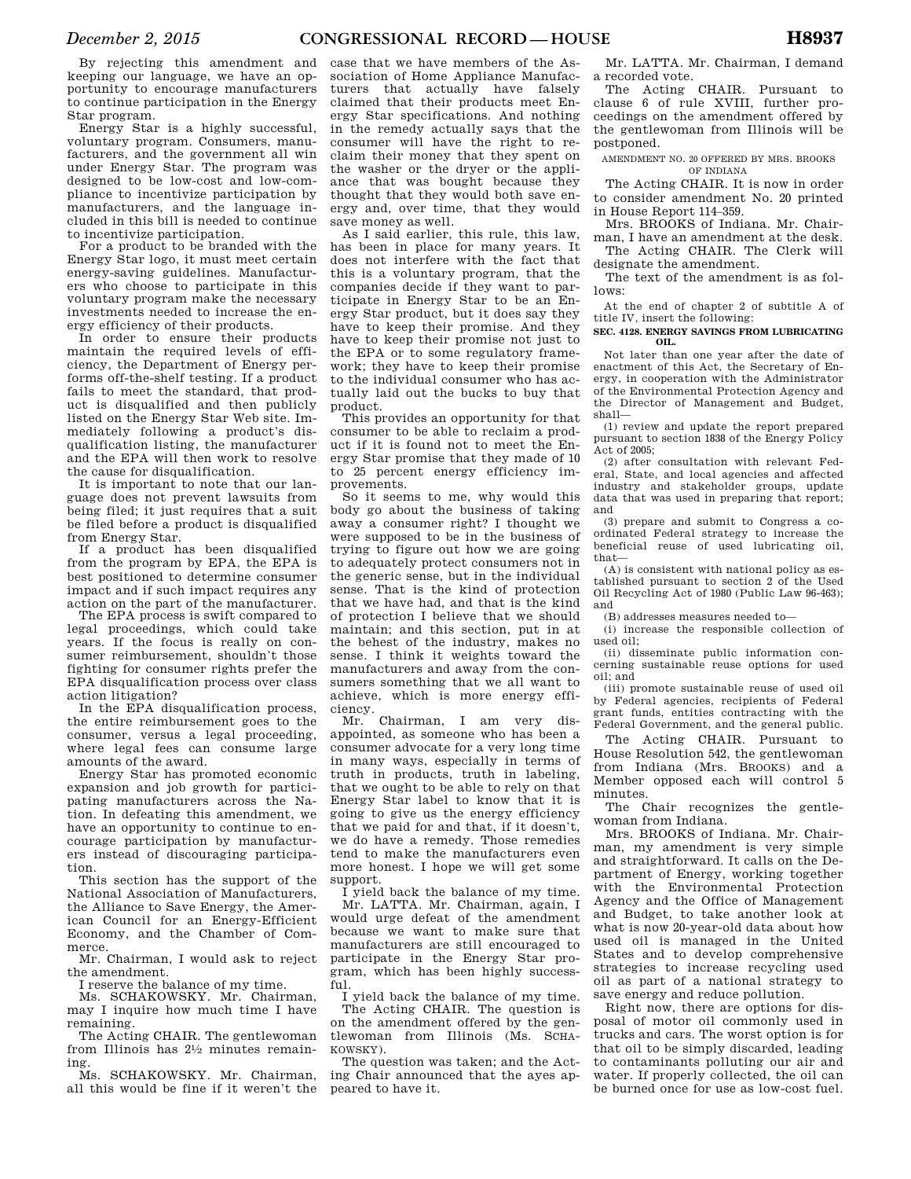By rejecting this amendment and keeping our language, we have an opportunity to encourage manufacturers to continue participation in the Energy Star program.

Energy Star is a highly successful, voluntary program. Consumers, manufacturers, and the government all win under Energy Star. The program was designed to be low-cost and low-compliance to incentivize participation by manufacturers, and the language included in this bill is needed to continue to incentivize participation.

For a product to be branded with the Energy Star logo, it must meet certain energy-saving guidelines. Manufacturers who choose to participate in this voluntary program make the necessary investments needed to increase the energy efficiency of their products.

In order to ensure their products maintain the required levels of efficiency, the Department of Energy performs off-the-shelf testing. If a product fails to meet the standard, that product is disqualified and then publicly listed on the Energy Star Web site. Immediately following a product's disqualification listing, the manufacturer and the EPA will then work to resolve the cause for disqualification.

It is important to note that our language does not prevent lawsuits from being filed; it just requires that a suit be filed before a product is disqualified from Energy Star.

If a product has been disqualified from the program by EPA, the EPA is best positioned to determine consumer impact and if such impact requires any action on the part of the manufacturer.

The EPA process is swift compared to legal proceedings, which could take years. If the focus is really on consumer reimbursement, shouldn't those fighting for consumer rights prefer the EPA disqualification process over class action litigation?

In the EPA disqualification process, the entire reimbursement goes to the consumer, versus a legal proceeding, where legal fees can consume large amounts of the award.

Energy Star has promoted economic expansion and job growth for participating manufacturers across the Nation. In defeating this amendment, we have an opportunity to continue to encourage participation by manufacturers instead of discouraging participation.

This section has the support of the National Association of Manufacturers, the Alliance to Save Energy, the American Council for an Energy-Efficient Economy, and the Chamber of Commerce.

Mr. Chairman, I would ask to reject the amendment.

I reserve the balance of my time.

Ms. SCHAKOWSKY. Mr. Chairman, may I inquire how much time I have remaining.

The Acting CHAIR. The gentlewoman from Illinois has 21⁄2 minutes remaining.

Ms. SCHAKOWSKY. Mr. Chairman, all this would be fine if it weren't the

case that we have members of the Association of Home Appliance Manufacturers that actually have falsely claimed that their products meet Energy Star specifications. And nothing in the remedy actually says that the consumer will have the right to reclaim their money that they spent on the washer or the dryer or the appliance that was bought because they thought that they would both save energy and, over time, that they would save money as well.

As I said earlier, this rule, this law, has been in place for many years. It does not interfere with the fact that this is a voluntary program, that the companies decide if they want to participate in Energy Star to be an Energy Star product, but it does say they have to keep their promise. And they have to keep their promise not just to the EPA or to some regulatory framework; they have to keep their promise to the individual consumer who has actually laid out the bucks to buy that product.

This provides an opportunity for that consumer to be able to reclaim a product if it is found not to meet the Energy Star promise that they made of 10 to 25 percent energy efficiency improvements.

So it seems to me, why would this body go about the business of taking away a consumer right? I thought we were supposed to be in the business of trying to figure out how we are going to adequately protect consumers not in the generic sense, but in the individual sense. That is the kind of protection that we have had, and that is the kind of protection I believe that we should maintain; and this section, put in at the behest of the industry, makes no sense. I think it weights toward the manufacturers and away from the consumers something that we all want to achieve, which is more energy efficiency.

Mr. Chairman, I am very disappointed, as someone who has been a consumer advocate for a very long time in many ways, especially in terms of truth in products, truth in labeling, that we ought to be able to rely on that Energy Star label to know that it is going to give us the energy efficiency that we paid for and that, if it doesn't, we do have a remedy. Those remedies tend to make the manufacturers even more honest. I hope we will get some support.

I yield back the balance of my time. Mr. LATTA. Mr. Chairman, again, I would urge defeat of the amendment because we want to make sure that manufacturers are still encouraged to participate in the Energy Star program, which has been highly successful.

I yield back the balance of my time. The Acting CHAIR. The question is on the amendment offered by the gentlewoman from Illinois (Ms. SCHA-

KOWSKY). The question was taken; and the Acting Chair announced that the ayes appeared to have it.

Mr. LATTA. Mr. Chairman, I demand a recorded vote.

The Acting CHAIR. Pursuant to clause 6 of rule XVIII, further proceedings on the amendment offered by the gentlewoman from Illinois will be postponed.

AMENDMENT NO. 20 OFFERED BY MRS. BROOKS OF INDIANA

The Acting CHAIR. It is now in order to consider amendment No. 20 printed in House Report 114–359.

Mrs. BROOKS of Indiana. Mr. Chairman, I have an amendment at the desk. The Acting CHAIR. The Clerk will

designate the amendment. The text of the amendment is as fol-

lows:

At the end of chapter 2 of subtitle A of title IV, insert the following:

**SEC. 4128. ENERGY SAVINGS FROM LUBRICATING OIL.** 

Not later than one year after the date of enactment of this Act, the Secretary of Energy, in cooperation with the Administrator of the Environmental Protection Agency and the Director of Management and Budget, shall—

(1) review and update the report prepared pursuant to section 1838 of the Energy Policy Act of 2005;

(2) after consultation with relevant Federal, State, and local agencies and affected industry and stakeholder groups, update data that was used in preparing that report; and

(3) prepare and submit to Congress a coordinated Federal strategy to increase the beneficial reuse of used lubricating oil, that—

(A) is consistent with national policy as established pursuant to section 2 of the Used Oil Recycling Act of 1980 (Public Law 96-463); and

(B) addresses measures needed to—

(i) increase the responsible collection of used oil;

(ii) disseminate public information concerning sustainable reuse options for used oil; and

(iii) promote sustainable reuse of used oil by Federal agencies, recipients of Federal grant funds, entities contracting with the Federal Government, and the general public.

The Acting CHAIR. Pursuant to House Resolution 542, the gentlewoman from Indiana (Mrs. BROOKS) and a Member opposed each will control 5 minutes.

The Chair recognizes the gentlewoman from Indiana.

Mrs. BROOKS of Indiana. Mr. Chairman, my amendment is very simple and straightforward. It calls on the Department of Energy, working together with the Environmental Protection Agency and the Office of Management and Budget, to take another look at what is now 20-year-old data about how used oil is managed in the United States and to develop comprehensive strategies to increase recycling used oil as part of a national strategy to save energy and reduce pollution.

Right now, there are options for disposal of motor oil commonly used in trucks and cars. The worst option is for that oil to be simply discarded, leading to contaminants polluting our air and water. If properly collected, the oil can be burned once for use as low-cost fuel.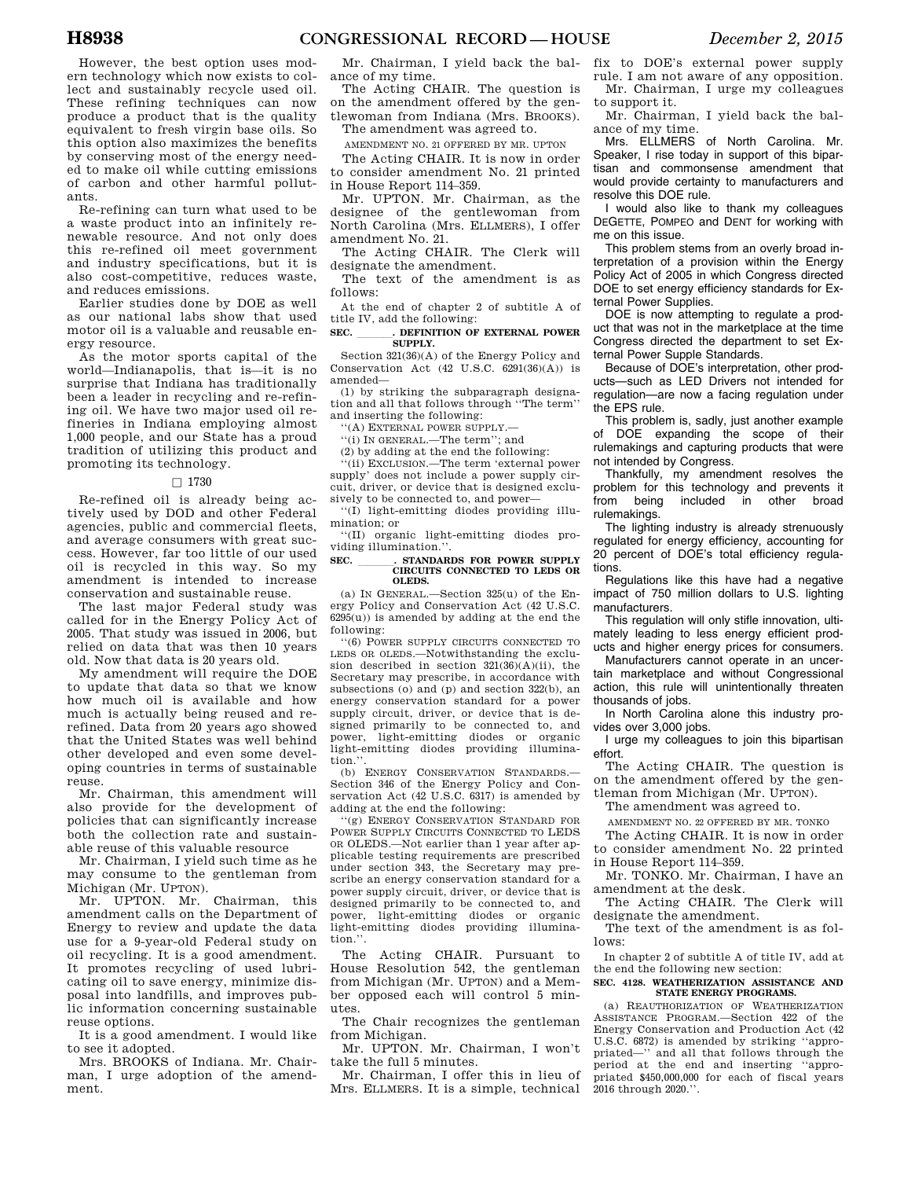Re-refining can turn what used to be a waste product into an infinitely renewable resource. And not only does this re-refined oil meet government and industry specifications, but it is also cost-competitive, reduces waste, and reduces emissions.

Earlier studies done by DOE as well as our national labs show that used motor oil is a valuable and reusable energy resource.

As the motor sports capital of the world—Indianapolis, that is—it is no surprise that Indiana has traditionally been a leader in recycling and re-refining oil. We have two major used oil refineries in Indiana employing almost 1,000 people, and our State has a proud tradition of utilizing this product and promoting its technology.

### $\square$  1730

Re-refined oil is already being actively used by DOD and other Federal agencies, public and commercial fleets, and average consumers with great success. However, far too little of our used oil is recycled in this way. So my amendment is intended to increase conservation and sustainable reuse.

The last major Federal study was called for in the Energy Policy Act of 2005. That study was issued in 2006, but relied on data that was then 10 years old. Now that data is 20 years old.

My amendment will require the DOE to update that data so that we know how much oil is available and how much is actually being reused and rerefined. Data from 20 years ago showed that the United States was well behind other developed and even some developing countries in terms of sustainable reuse.

Mr. Chairman, this amendment will also provide for the development of policies that can significantly increase both the collection rate and sustainable reuse of this valuable resource

Mr. Chairman, I yield such time as he may consume to the gentleman from Michigan (Mr. UPTON).

Mr. UPTON. Mr. Chairman, this amendment calls on the Department of Energy to review and update the data use for a 9-year-old Federal study on oil recycling. It is a good amendment. It promotes recycling of used lubricating oil to save energy, minimize disposal into landfills, and improves public information concerning sustainable reuse options.

It is a good amendment. I would like to see it adopted.

Mrs. BROOKS of Indiana. Mr. Chairman, I urge adoption of the amendment.

Mr. Chairman, I yield back the balance of my time.

The Acting CHAIR. The question is on the amendment offered by the gentlewoman from Indiana (Mrs. BROOKS). The amendment was agreed to.

AMENDMENT NO. 21 OFFERED BY MR. UPTON

The Acting CHAIR. It is now in order to consider amendment No. 21 printed in House Report 114–359.

Mr. UPTON. Mr. Chairman, as the designee of the gentlewoman from North Carolina (Mrs. ELLMERS), I offer amendment No. 21.

The Acting CHAIR. The Clerk will designate the amendment.

The text of the amendment is as follows:

At the end of chapter 2 of subtitle A of title IV, add the following:

**SEC. ll DEFINITION OF EXTERNAL POWER SUPPLY.** 

Section 321(36)(A) of the Energy Policy and Conservation Act (42 U.S.C. 6291(36)(A)) is amended—

(1) by striking the subparagraph designation and all that follows through ''The term'' and inserting the following:

''(A) EXTERNAL POWER SUPPLY.—

''(i) IN GENERAL.—The term''; and

(2) by adding at the end the following:

''(ii) EXCLUSION.—The term 'external power supply' does not include a power supply circuit, driver, or device that is designed exclusively to be connected to, and power—

''(I) light-emitting diodes providing illumination; or

''(II) organic light-emitting diodes providing illumination.''.

## **SEC. \_\_\_\_\_\_\_\_. STANDARDS FOR POWER SUPPLY CIRCUITS CONNECTED TO LEDS OR OLEDS.**

(a) IN GENERAL.—Section 325(u) of the Energy Policy and Conservation Act (42 U.S.C.  $6295(u)$  is amended by adding at the end the following:

''(6) POWER SUPPLY CIRCUITS CONNECTED TO LEDS OR OLEDS.—Notwithstanding the exclusion described in section  $321(36)(A)(ii)$ , the Secretary may prescribe, in accordance with subsections (o) and (p) and section 322(b), an energy conservation standard for a power supply circuit, driver, or device that is designed primarily to be connected to, and power, light-emitting diodes or organic light-emitting diodes providing illumination.'

(b) ENERGY CONSERVATION STANDARDS.— Section 346 of the Energy Policy and Conservation Act (42 U.S.C. 6317) is amended by adding at the end the following:

''(g) ENERGY CONSERVATION STANDARD FOR POWER SUPPLY CIRCUITS CONNECTED TO LEDS OR OLEDS.—Not earlier than 1 year after applicable testing requirements are prescribed under section 343, the Secretary may prescribe an energy conservation standard for a power supply circuit, driver, or device that is designed primarily to be connected to, and power, light-emitting diodes or organic light-emitting diodes providing illumination.''.

The Acting CHAIR. Pursuant to House Resolution 542, the gentleman from Michigan (Mr. UPTON) and a Member opposed each will control 5 minutes.

The Chair recognizes the gentleman from Michigan.

Mr. UPTON. Mr. Chairman, I won't take the full 5 minutes.

Mr. Chairman, I offer this in lieu of Mrs. ELLMERS. It is a simple, technical fix to DOE's external power supply rule. I am not aware of any opposition. Mr. Chairman, I urge my colleagues

to support it. Mr. Chairman, I yield back the balance of my time.

Mrs. ELLMERS of North Carolina. Mr. Speaker, I rise today in support of this bipartisan and commonsense amendment that would provide certainty to manufacturers and resolve this DOE rule.

I would also like to thank my colleagues DEGETTE, POMPEO and DENT for working with me on this issue.

This problem stems from an overly broad interpretation of a provision within the Energy Policy Act of 2005 in which Congress directed DOE to set energy efficiency standards for External Power Supplies.

DOE is now attempting to regulate a product that was not in the marketplace at the time Congress directed the department to set External Power Supple Standards.

Because of DOE's interpretation, other products—such as LED Drivers not intended for regulation—are now a facing regulation under the EPS rule.

This problem is, sadly, just another example of DOE expanding the scope of their rulemakings and capturing products that were not intended by Congress.

Thankfully, my amendment resolves the problem for this technology and prevents it from being included in other broad rulemakings.

The lighting industry is already strenuously regulated for energy efficiency, accounting for 20 percent of DOE's total efficiency regulations.

Regulations like this have had a negative impact of 750 million dollars to U.S. lighting manufacturers.

This regulation will only stifle innovation, ultimately leading to less energy efficient products and higher energy prices for consumers.

Manufacturers cannot operate in an uncertain marketplace and without Congressional action, this rule will unintentionally threaten thousands of jobs.

In North Carolina alone this industry provides over 3,000 jobs.

I urge my colleagues to join this bipartisan effort.

The Acting CHAIR. The question is on the amendment offered by the gentleman from Michigan (Mr. UPTON).

The amendment was agreed to.

AMENDMENT NO. 22 OFFERED BY MR. TONKO

The Acting CHAIR. It is now in order to consider amendment No. 22 printed in House Report 114–359.

Mr. TONKO. Mr. Chairman, I have an amendment at the desk.

The Acting CHAIR. The Clerk will designate the amendment.

The text of the amendment is as follows:

In chapter 2 of subtitle A of title IV, add at the end the following new section:

#### **SEC. 4128. WEATHERIZATION ASSISTANCE AND STATE ENERGY PROGRAMS.**

(a) REAUTHORIZATION OF WEATHERIZATION ASSISTANCE PROGRAM.—Section 422 of the Energy Conservation and Production Act (42 U.S.C. 6872) is amended by striking ''appropriated—'' and all that follows through the period at the end and inserting ''appropriated \$450,000,000 for each of fiscal years 2016 through 2020.''.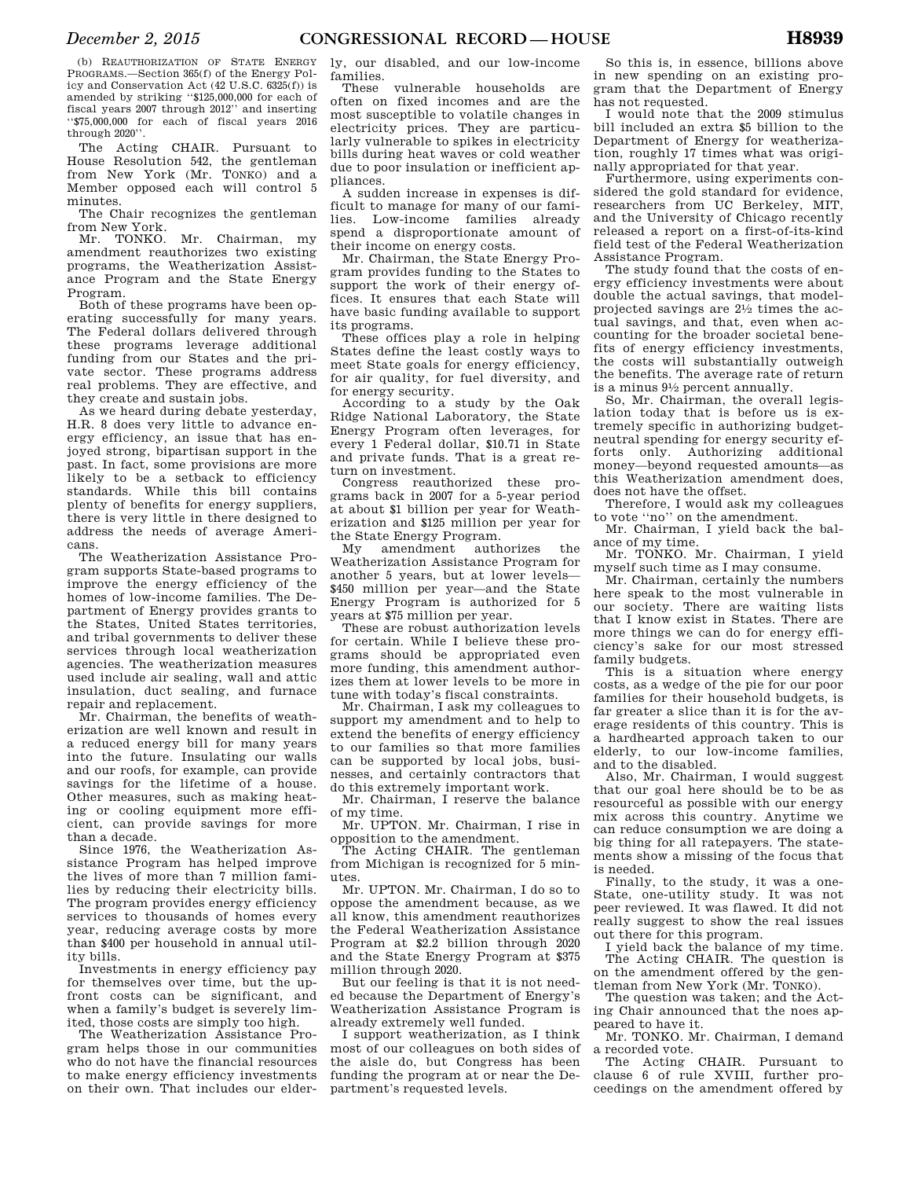(b) REAUTHORIZATION OF STATE ENERGY PROGRAMS.—Section 365(f) of the Energy Policy and Conservation Act (42 U.S.C. 6325(f)) is amended by striking ''\$125,000,000 for each of fiscal years 2007 through 2012'' and inserting ''\$75,000,000 for each of fiscal years 2016 through 2020''.

The Acting CHAIR. Pursuant to House Resolution 542, the gentleman from New York (Mr. TONKO) and a Member opposed each will control 5 minutes.

The Chair recognizes the gentleman from New York.

Mr. TONKO. Mr. Chairman, my amendment reauthorizes two existing programs, the Weatherization Assistance Program and the State Energy Program.

Both of these programs have been operating successfully for many years. The Federal dollars delivered through these programs leverage additional funding from our States and the private sector. These programs address real problems. They are effective, and they create and sustain jobs.

As we heard during debate yesterday, H.R. 8 does very little to advance energy efficiency, an issue that has enjoyed strong, bipartisan support in the past. In fact, some provisions are more likely to be a setback to efficiency standards. While this bill contains plenty of benefits for energy suppliers, there is very little in there designed to address the needs of average Americans.

The Weatherization Assistance Program supports State-based programs to improve the energy efficiency of the homes of low-income families. The Department of Energy provides grants to the States, United States territories, and tribal governments to deliver these services through local weatherization agencies. The weatherization measures used include air sealing, wall and attic insulation, duct sealing, and furnace repair and replacement.

Mr. Chairman, the benefits of weatherization are well known and result in a reduced energy bill for many years into the future. Insulating our walls and our roofs, for example, can provide savings for the lifetime of a house. Other measures, such as making heating or cooling equipment more efficient, can provide savings for more than a decade.

Since 1976, the Weatherization Assistance Program has helped improve the lives of more than 7 million families by reducing their electricity bills. The program provides energy efficiency services to thousands of homes every year, reducing average costs by more than \$400 per household in annual utility bills.

Investments in energy efficiency pay for themselves over time, but the upfront costs can be significant, and when a family's budget is severely limited, those costs are simply too high.

The Weatherization Assistance Program helps those in our communities who do not have the financial resources to make energy efficiency investments on their own. That includes our elder-

ly, our disabled, and our low-income families.

These vulnerable households are often on fixed incomes and are the most susceptible to volatile changes in electricity prices. They are particularly vulnerable to spikes in electricity bills during heat waves or cold weather due to poor insulation or inefficient appliances.

A sudden increase in expenses is difficult to manage for many of our families. Low-income families already spend a disproportionate amount of their income on energy costs.

Mr. Chairman, the State Energy Program provides funding to the States to support the work of their energy offices. It ensures that each State will have basic funding available to support its programs.

These offices play a role in helping States define the least costly ways to meet State goals for energy efficiency, for air quality, for fuel diversity, and for energy security.

According to a study by the Oak Ridge National Laboratory, the State Energy Program often leverages, for every 1 Federal dollar, \$10.71 in State and private funds. That is a great return on investment.

Congress reauthorized these programs back in 2007 for a 5-year period at about \$1 billion per year for Weatherization and \$125 million per year for

the State Energy Program.<br>My amendment authorizes My amendment authorizes the Weatherization Assistance Program for another 5 years, but at lower levels— \$450 million per year—and the State Energy Program is authorized for 5 years at \$75 million per year.

These are robust authorization levels for certain. While I believe these programs should be appropriated even more funding, this amendment authorizes them at lower levels to be more in tune with today's fiscal constraints.

Mr. Chairman, I ask my colleagues to support my amendment and to help to extend the benefits of energy efficiency to our families so that more families can be supported by local jobs, businesses, and certainly contractors that do this extremely important work.

Mr. Chairman, I reserve the balance of my time.

Mr. UPTON. Mr. Chairman, I rise in opposition to the amendment.

The Acting CHAIR. The gentleman from Michigan is recognized for 5 minutes.

Mr. UPTON. Mr. Chairman, I do so to oppose the amendment because, as we all know, this amendment reauthorizes the Federal Weatherization Assistance Program at \$2.2 billion through 2020 and the State Energy Program at \$375 million through 2020.

But our feeling is that it is not needed because the Department of Energy's Weatherization Assistance Program is already extremely well funded.

I support weatherization, as I think most of our colleagues on both sides of the aisle do, but Congress has been funding the program at or near the Department's requested levels.

So this is, in essence, billions above in new spending on an existing program that the Department of Energy has not requested.

I would note that the 2009 stimulus bill included an extra \$5 billion to the Department of Energy for weatherization, roughly 17 times what was originally appropriated for that year.

Furthermore, using experiments considered the gold standard for evidence, researchers from UC Berkeley, MIT, and the University of Chicago recently released a report on a first-of-its-kind field test of the Federal Weatherization Assistance Program.

The study found that the costs of energy efficiency investments were about double the actual savings, that modelprojected savings are 21⁄2 times the actual savings, and that, even when accounting for the broader societal benefits of energy efficiency investments, the costs will substantially outweigh the benefits. The average rate of return is a minus 91⁄2 percent annually.

So, Mr. Chairman, the overall legislation today that is before us is extremely specific in authorizing budgetneutral spending for energy security efforts only. Authorizing additional money—beyond requested amounts—as this Weatherization amendment does, does not have the offset.

Therefore, I would ask my colleagues to vote ''no'' on the amendment.

Mr. Chairman, I yield back the balance of my time.

Mr. TONKO. Mr. Chairman, I yield myself such time as I may consume.

Mr. Chairman, certainly the numbers here speak to the most vulnerable in our society. There are waiting lists that I know exist in States. There are more things we can do for energy efficiency's sake for our most stressed family budgets.

This is a situation where energy costs, as a wedge of the pie for our poor families for their household budgets, is far greater a slice than it is for the average residents of this country. This is a hardhearted approach taken to our elderly, to our low-income families, and to the disabled.

Also, Mr. Chairman, I would suggest that our goal here should be to be as resourceful as possible with our energy mix across this country. Anytime we can reduce consumption we are doing a big thing for all ratepayers. The statements show a missing of the focus that is needed.

Finally, to the study, it was a one-State, one-utility study. It was not peer reviewed. It was flawed. It did not really suggest to show the real issues out there for this program.

I yield back the balance of my time. The Acting CHAIR. The question is on the amendment offered by the gentleman from New York (Mr. TONKO).

The question was taken; and the Acting Chair announced that the noes appeared to have it.

Mr. TONKO. Mr. Chairman, I demand a recorded vote.

The Acting CHAIR. Pursuant to clause 6 of rule XVIII, further proceedings on the amendment offered by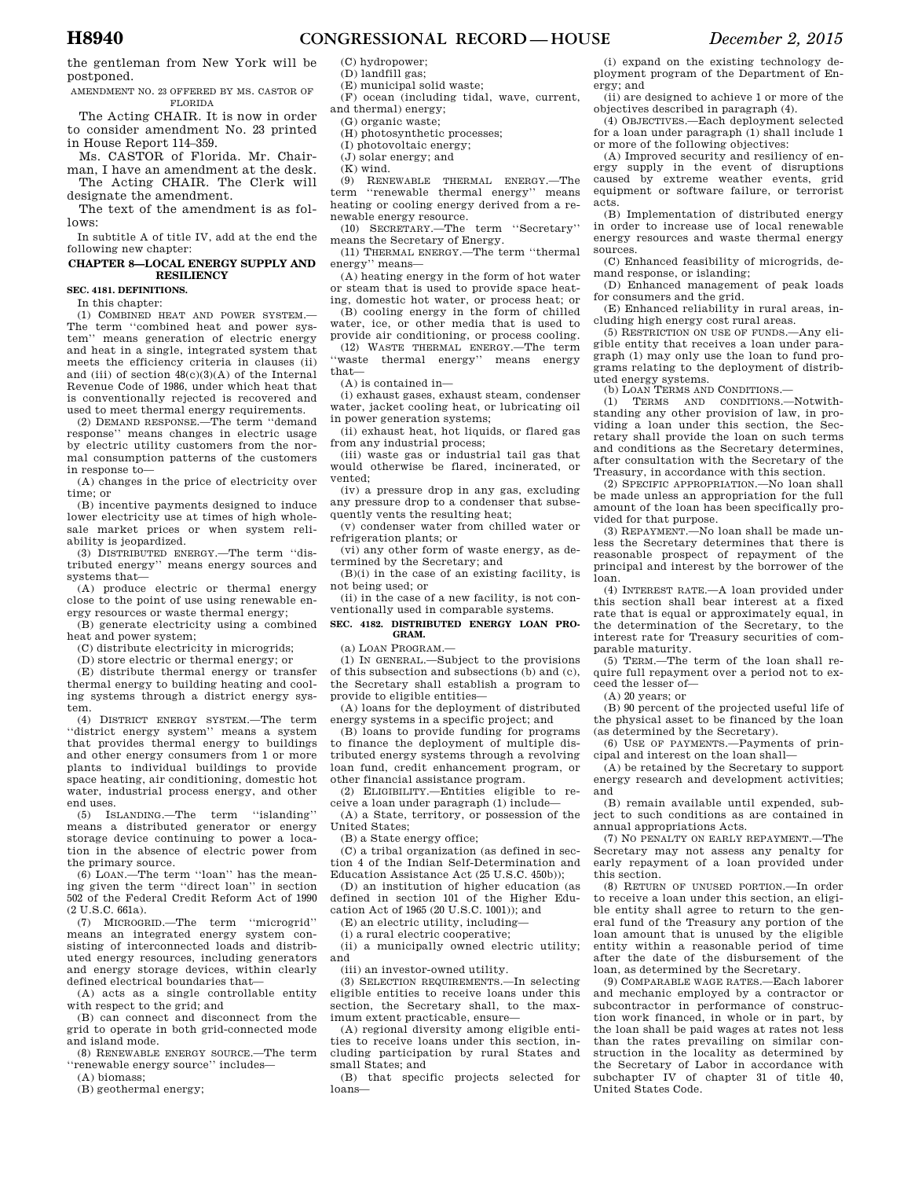the gentleman from New York will be postponed.

AMENDMENT NO. 23 OFFERED BY MS. CASTOR OF FLORIDA

The Acting CHAIR. It is now in order to consider amendment No. 23 printed in House Report 114–359.

Ms. CASTOR of Florida. Mr. Chairman, I have an amendment at the desk. The Acting CHAIR. The Clerk will

designate the amendment. The text of the amendment is as follows:

In subtitle A of title IV, add at the end the following new chapter:

#### **CHAPTER 8—LOCAL ENERGY SUPPLY AND RESILIENCY**

**SEC. 4181. DEFINITIONS.** 

In this chapter:

(1) COMBINED HEAT AND POWER SYSTEM.— The term ''combined heat and power system'' means generation of electric energy and heat in a single, integrated system that meets the efficiency criteria in clauses (ii) and (iii) of section  $48(c)(3)(A)$  of the Internal Revenue Code of 1986, under which heat that is conventionally rejected is recovered and used to meet thermal energy requirements.

(2) DEMAND RESPONSE.—The term ''demand response'' means changes in electric usage by electric utility customers from the normal consumption patterns of the customers in response to—

(A) changes in the price of electricity over time; or

(B) incentive payments designed to induce lower electricity use at times of high wholesale market prices or when system reliability is jeopardized.

(3) DISTRIBUTED ENERGY.—The term ''distributed energy'' means energy sources and systems that—

(A) produce electric or thermal energy close to the point of use using renewable energy resources or waste thermal energy;

(B) generate electricity using a combined heat and power system;

- (C) distribute electricity in microgrids;
- (D) store electric or thermal energy; or

(E) distribute thermal energy or transfer thermal energy to building heating and cooling systems through a district energy system.

(4) DISTRICT ENERGY SYSTEM.—The term 'district energy system'' means a system that provides thermal energy to buildings and other energy consumers from 1 or more plants to individual buildings to provide space heating, air conditioning, domestic hot water, industrial process energy, and other end uses.

(5) ISLANDING.—The term ''islanding'' means a distributed generator or energy storage device continuing to power a location in the absence of electric power from the primary source.

(6) LOAN.—The term ''loan'' has the mean-ing given the term ''direct loan'' in section 502 of the Federal Credit Reform Act of 1990 (2 U.S.C. 661a).

(7) MICROGRID.—The term ''microgrid'' means an integrated energy system consisting of interconnected loads and distributed energy resources, including generators and energy storage devices, within clearly defined electrical boundaries that—

(A) acts as a single controllable entity with respect to the grid; and

(B) can connect and disconnect from the grid to operate in both grid-connected mode and island mode.

(8) RENEWABLE ENERGY SOURCE.—The term ''renewable energy source'' includes—

(A) biomass;

(B) geothermal energy;

(C) hydropower; (D) landfill gas;

(E) municipal solid waste;

(F) ocean (including tidal, wave, current,

and thermal) energy; (G) organic waste;

- (H) photosynthetic processes;
- (I) photovoltaic energy;

(J) solar energy; and

(K) wind.

(9) RENEWABLE THERMAL ENERGY.—The term ''renewable thermal energy'' means heating or cooling energy derived from a renewable energy resource.

(10) SECRETARY.—The term ''Secretary'' means the Secretary of Energy.

(11) THERMAL ENERGY.—The term ''thermal energy'' means—

(A) heating energy in the form of hot water or steam that is used to provide space heat-

ing, domestic hot water, or process heat; or (B) cooling energy in the form of chilled water, ice, or other media that is used to provide air conditioning, or process cooling. (12) WASTE THERMAL ENERGY.—The term

'waste thermal energy'' means energy that— (A) is contained in—

(i) exhaust gases, exhaust steam, condenser water, jacket cooling heat, or lubricating oil in power generation systems;

(ii) exhaust heat, hot liquids, or flared gas from any industrial process;

(iii) waste gas or industrial tail gas that would otherwise be flared, incinerated, or vented;

(iv) a pressure drop in any gas, excluding any pressure drop to a condenser that subsequently vents the resulting heat;

(v) condenser water from chilled water or refrigeration plants; or

(vi) any other form of waste energy, as determined by the Secretary; and

(B)(i) in the case of an existing facility, is not being used; or

(ii) in the case of a new facility, is not conventionally used in comparable systems.

**SEC. 4182. DISTRIBUTED ENERGY LOAN PRO-GRAM.** 

(a) LOAN PROGRAM.—

(1) IN GENERAL.—Subject to the provisions of this subsection and subsections (b) and (c), the Secretary shall establish a program to provide to eligible entities—

(A) loans for the deployment of distributed energy systems in a specific project; and

(B) loans to provide funding for programs to finance the deployment of multiple distributed energy systems through a revolving loan fund, credit enhancement program, or other financial assistance program.

(2) ELIGIBILITY.—Entities eligible to receive a loan under paragraph (1) include—

(A) a State, territory, or possession of the United States;

(B) a State energy office;

(C) a tribal organization (as defined in section 4 of the Indian Self-Determination and Education Assistance Act (25 U.S.C. 450b));

(D) an institution of higher education (as defined in section 101 of the Higher Education Act of 1965 (20 U.S.C. 1001)); and

(E) an electric utility, including—

(i) a rural electric cooperative;

(ii) a municipally owned electric utility; and

(iii) an investor-owned utility.

(3) SELECTION REQUIREMENTS.—In selecting eligible entities to receive loans under this section, the Secretary shall, to the maximum extent practicable, ensure—

(A) regional diversity among eligible entities to receive loans under this section, including participation by rural States and small States; and

(B) that specific projects selected for loans—

(i) expand on the existing technology deployment program of the Department of Energy; and

(ii) are designed to achieve 1 or more of the objectives described in paragraph (4).

(4) OBJECTIVES.—Each deployment selected for a loan under paragraph (1) shall include 1 or more of the following objectives:

(A) Improved security and resiliency of energy supply in the event of disruptions caused by extreme weather events, grid equipment or software failure, or terrorist acts.

(B) Implementation of distributed energy in order to increase use of local renewable energy resources and waste thermal energy sources.

(C) Enhanced feasibility of microgrids, demand response, or islanding;

(D) Enhanced management of peak loads for consumers and the grid.

(E) Enhanced reliability in rural areas, including high energy cost rural areas.

(5) RESTRICTION ON USE OF FUNDS.—Any eligible entity that receives a loan under paragraph (1) may only use the loan to fund programs relating to the deployment of distributed energy systems.

(b) LOAN TERMS AND CONDITIONS.—

(1) TERMS AND CONDITIONS.—Notwithstanding any other provision of law, in providing a loan under this section, the Secretary shall provide the loan on such terms and conditions as the Secretary determines, after consultation with the Secretary of the Treasury, in accordance with this section.

(2) SPECIFIC APPROPRIATION.—No loan shall be made unless an appropriation for the full amount of the loan has been specifically provided for that purpose.

(3) REPAYMENT.—No loan shall be made unless the Secretary determines that there is reasonable prospect of repayment of the principal and interest by the borrower of the loan.

(4) INTEREST RATE.—A loan provided under this section shall bear interest at a fixed rate that is equal or approximately equal, in the determination of the Secretary, to the interest rate for Treasury securities of comparable maturity.

(5) TERM.—The term of the loan shall require full repayment over a period not to exceed the lesser of—

(A) 20 years; or

(B) 90 percent of the projected useful life of the physical asset to be financed by the loan (as determined by the Secretary).

(6) USE OF PAYMENTS.—Payments of principal and interest on the loan shall—

(A) be retained by the Secretary to support energy research and development activities; and

(B) remain available until expended, subject to such conditions as are contained in annual appropriations Acts.

(7) NO PENALTY ON EARLY REPAYMENT.—The Secretary may not assess any penalty for early repayment of a loan provided under this section.

(8) RETURN OF UNUSED PORTION.—In order to receive a loan under this section, an eligible entity shall agree to return to the general fund of the Treasury any portion of the loan amount that is unused by the eligible entity within a reasonable period of time after the date of the disbursement of the loan, as determined by the Secretary.

(9) COMPARABLE WAGE RATES.—Each laborer and mechanic employed by a contractor or subcontractor in performance of construction work financed, in whole or in part, by the loan shall be paid wages at rates not less than the rates prevailing on similar construction in the locality as determined by the Secretary of Labor in accordance with subchapter IV of chapter 31 of title 40, United States Code.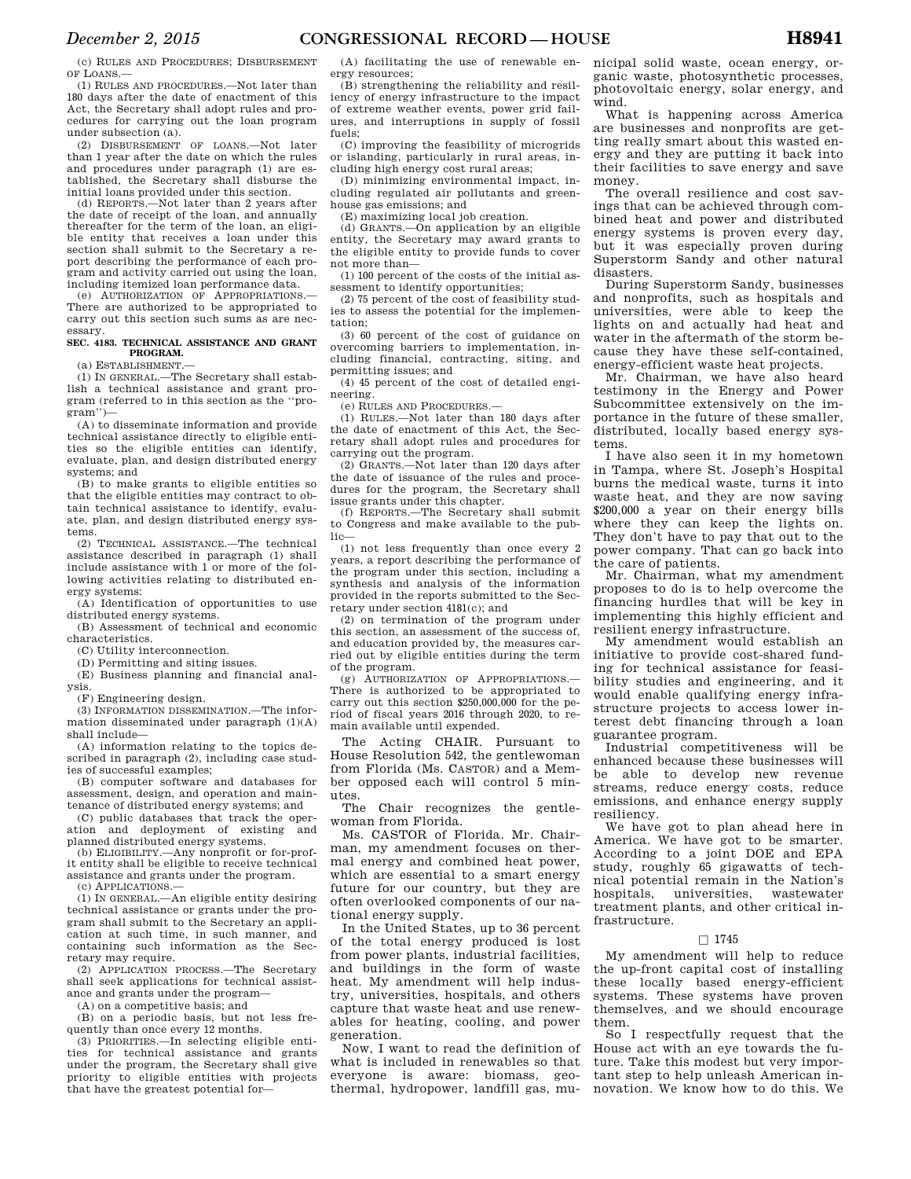(c) RULES AND PROCEDURES; DISBURSEMENT OF LOANS.—

(1) RULES AND PROCEDURES.—Not later than 180 days after the date of enactment of this Act, the Secretary shall adopt rules and procedures for carrying out the loan program under subsection (a).

(2) DISBURSEMENT OF LOANS.—Not later than 1 year after the date on which the rules and procedures under paragraph (1) are established, the Secretary shall disburse the initial loans provided under this section.

(d) REPORTS.—Not later than 2 years after the date of receipt of the loan, and annually thereafter for the term of the loan, an eligible entity that receives a loan under this section shall submit to the Secretary a report describing the performance of each program and activity carried out using the loan, including itemized loan performance data.

(e) AUTHORIZATION OF APPROPRIATIONS.— There are authorized to be appropriated to carry out this section such sums as are necessary.

### **SEC. 4183. TECHNICAL ASSISTANCE AND GRANT PROGRAM.**

(a) ESTABLISHMENT.—

(1) IN GENERAL.—The Secretary shall establish a technical assistance and grant program (referred to in this section as the ''program'')—

(A) to disseminate information and provide technical assistance directly to eligible entities so the eligible entities can identify, evaluate, plan, and design distributed energy systems; and

(B) to make grants to eligible entities so that the eligible entities may contract to obtain technical assistance to identify, evaluate, plan, and design distributed energy systems.

(2) TECHNICAL ASSISTANCE.—The technical assistance described in paragraph (1) shall include assistance with 1 or more of the following activities relating to distributed energy systems:

(A) Identification of opportunities to use distributed energy systems.

(B) Assessment of technical and economic characteristics.

(C) Utility interconnection.

(D) Permitting and siting issues.

(E) Business planning and financial anal-

ysis.

(F) Engineering design.

(3) INFORMATION DISSEMINATION.—The information disseminated under paragraph (1)(A) shall include—

(A) information relating to the topics described in paragraph (2), including case studies of successful examples;

(B) computer software and databases for assessment, design, and operation and maintenance of distributed energy systems; and

(C) public databases that track the operation and deployment of existing and planned distributed energy systems.

(b) ELIGIBILITY.—Any nonprofit or for-profit entity shall be eligible to receive technical assistance and grants under the program.

(c) APPLICATIONS.—

(1) IN GENERAL.—An eligible entity desiring technical assistance or grants under the program shall submit to the Secretary an application at such time, in such manner, and containing such information as the Secretary may require.

(2) APPLICATION PROCESS.—The Secretary shall seek applications for technical assistance and grants under the program—

(A) on a competitive basis; and

(B) on a periodic basis, but not less frequently than once every 12 months.

(3) PRIORITIES.—In selecting eligible entities for technical assistance and grants under the program, the Secretary shall give priority to eligible entities with projects that have the greatest potential for—

(A) facilitating the use of renewable energy resources;

(B) strengthening the reliability and resiliency of energy infrastructure to the impact of extreme weather events, power grid failures, and interruptions in supply of fossil fuels;

(C) improving the feasibility of microgrids or islanding, particularly in rural areas, including high energy cost rural areas;

(D) minimizing environmental impact, including regulated air pollutants and green-

house gas emissions; and

(E) maximizing local job creation.

(d) GRANTS.—On application by an eligible entity, the Secretary may award grants to the eligible entity to provide funds to cover not more than—

(1) 100 percent of the costs of the initial assessment to identify opportunities;

(2) 75 percent of the cost of feasibility studies to assess the potential for the implementation;

(3) 60 percent of the cost of guidance on overcoming barriers to implementation, including financial, contracting, siting, and permitting issues; and

(4) 45 percent of the cost of detailed engineering.

(e) RULES AND PROCEDURES.—

(1) RULES.—Not later than 180 days after the date of enactment of this Act, the Secretary shall adopt rules and procedures for carrying out the program.

 $(2)$  GRANTS  $-N$ ot later than 120 days after the date of issuance of the rules and procedures for the program, the Secretary shall issue grants under this chapter.

(f) REPORTS.—The Secretary shall submit to Congress and make available to the public—

(1) not less frequently than once every 2 years, a report describing the performance of the program under this section, including a synthesis and analysis of the information provided in the reports submitted to the Secretary under section 4181(c); and

(2) on termination of the program under this section, an assessment of the success of, and education provided by, the measures carried out by eligible entities during the term of the program.

(g) AUTHORIZATION OF APPROPRIATIONS.— There is authorized to be appropriated to carry out this section \$250,000,000 for the period of fiscal years 2016 through 2020, to remain available until expended.

The Acting CHAIR. Pursuant to House Resolution 542, the gentlewoman from Florida (Ms. CASTOR) and a Member opposed each will control 5 minutes.

The Chair recognizes the gentlewoman from Florida.

Ms. CASTOR of Florida. Mr. Chairman, my amendment focuses on thermal energy and combined heat power, which are essential to a smart energy future for our country, but they are often overlooked components of our national energy supply.

In the United States, up to 36 percent of the total energy produced is lost from power plants, industrial facilities, and buildings in the form of waste heat. My amendment will help industry, universities, hospitals, and others capture that waste heat and use renewables for heating, cooling, and power generation.

Now, I want to read the definition of what is included in renewables so that everyone is aware: biomass, geothermal, hydropower, landfill gas, municipal solid waste, ocean energy, organic waste, photosynthetic processes, photovoltaic energy, solar energy, and wind.

What is happening across America are businesses and nonprofits are getting really smart about this wasted energy and they are putting it back into their facilities to save energy and save money.

The overall resilience and cost savings that can be achieved through combined heat and power and distributed energy systems is proven every day, but it was especially proven during Superstorm Sandy and other natural disasters.

During Superstorm Sandy, businesses and nonprofits, such as hospitals and universities, were able to keep the lights on and actually had heat and water in the aftermath of the storm because they have these self-contained, energy-efficient waste heat projects.

Mr. Chairman, we have also heard testimony in the Energy and Power Subcommittee extensively on the importance in the future of these smaller, distributed, locally based energy systems.

I have also seen it in my hometown in Tampa, where St. Joseph's Hospital burns the medical waste, turns it into waste heat, and they are now saving \$200,000 a year on their energy bills where they can keep the lights on. They don't have to pay that out to the power company. That can go back into the care of patients.

Mr. Chairman, what my amendment proposes to do is to help overcome the financing hurdles that will be key in implementing this highly efficient and resilient energy infrastructure.

My amendment would establish an initiative to provide cost-shared funding for technical assistance for feasibility studies and engineering, and it would enable qualifying energy infrastructure projects to access lower interest debt financing through a loan guarantee program.

Industrial competitiveness will be enhanced because these businesses will be able to develop new revenue streams, reduce energy costs, reduce emissions, and enhance energy supply resiliency.

We have got to plan ahead here in America. We have got to be smarter. According to a joint DOE and EPA study, roughly 65 gigawatts of technical potential remain in the Nation's hospitals, universities, wastewater treatment plants, and other critical infrastructure.

### $\square$  1745

My amendment will help to reduce the up-front capital cost of installing these locally based energy-efficient systems. These systems have proven themselves, and we should encourage them.

So I respectfully request that the House act with an eye towards the future. Take this modest but very important step to help unleash American innovation. We know how to do this. We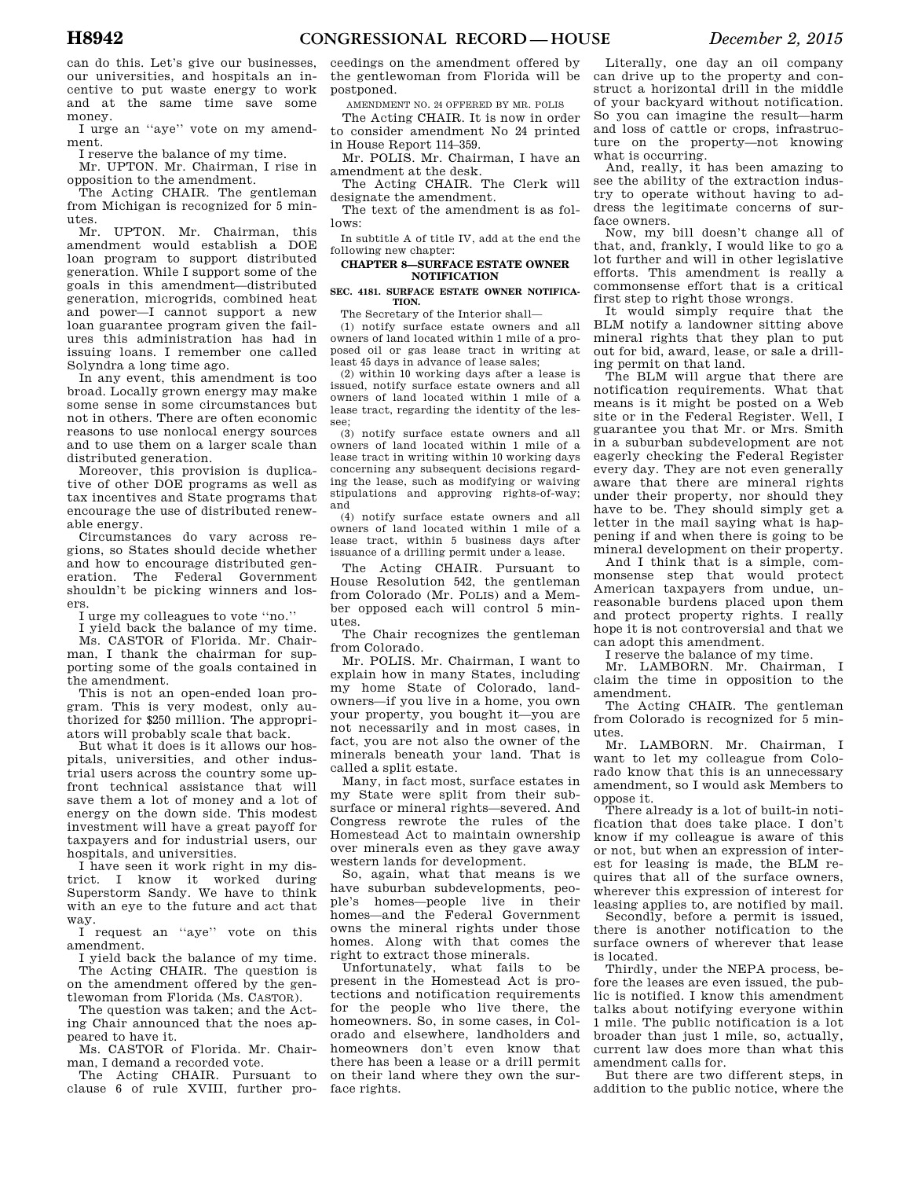can do this. Let's give our businesses, our universities, and hospitals an incentive to put waste energy to work and at the same time save some money.

I urge an ''aye'' vote on my amendment.

I reserve the balance of my time.

Mr. UPTON. Mr. Chairman, I rise in opposition to the amendment.

The Acting CHAIR. The gentleman from Michigan is recognized for 5 minutes.<br>Mr.

UPTON. Mr. Chairman, this amendment would establish a DOE loan program to support distributed generation. While I support some of the goals in this amendment—distributed generation, microgrids, combined heat and power—I cannot support a new loan guarantee program given the failures this administration has had in issuing loans. I remember one called Solyndra a long time ago.

In any event, this amendment is too broad. Locally grown energy may make some sense in some circumstances but not in others. There are often economic reasons to use nonlocal energy sources and to use them on a larger scale than distributed generation.

Moreover, this provision is duplicative of other DOE programs as well as tax incentives and State programs that encourage the use of distributed renewable energy.

Circumstances do vary across regions, so States should decide whether and how to encourage distributed generation. The Federal Government shouldn't be picking winners and losers.

I urge my colleagues to vote ''no.''

I yield back the balance of my time. Ms. CASTOR of Florida. Mr. Chairman, I thank the chairman for supporting some of the goals contained in the amendment.

This is not an open-ended loan program. This is very modest, only authorized for \$250 million. The appropriators will probably scale that back.

But what it does is it allows our hospitals, universities, and other industrial users across the country some upfront technical assistance that will save them a lot of money and a lot of energy on the down side. This modest investment will have a great payoff for taxpayers and for industrial users, our hospitals, and universities.

I have seen it work right in my district. I know it worked during Superstorm Sandy. We have to think with an eye to the future and act that way.

I request an ''aye'' vote on this amendment.

I yield back the balance of my time. The Acting CHAIR. The question is on the amendment offered by the gentlewoman from Florida (Ms. CASTOR).

The question was taken; and the Acting Chair announced that the noes appeared to have it.

Ms. CASTOR of Florida. Mr. Chairman, I demand a recorded vote.

The Acting CHAIR. Pursuant to clause 6 of rule XVIII, further pro-

ceedings on the amendment offered by the gentlewoman from Florida will be postponed.

AMENDMENT NO. 24 OFFERED BY MR. POLIS

The Acting CHAIR. It is now in order to consider amendment No 24 printed in House Report 114–359.

Mr. POLIS. Mr. Chairman, I have an amendment at the desk.

The Acting CHAIR. The Clerk will designate the amendment.

The text of the amendment is as fol-

lows: In subtitle A of title IV, add at the end the following new chapter:

### **CHAPTER 8—SURFACE ESTATE OWNER NOTIFICATION**

### **SEC. 4181. SURFACE ESTATE OWNER NOTIFICA-TION.**

The Secretary of the Interior shall—

(1) notify surface estate owners and all owners of land located within 1 mile of a proposed oil or gas lease tract in writing at least 45 days in advance of lease sales;

(2) within 10 working days after a lease is issued, notify surface estate owners and all owners of land located within 1 mile of a lease tract, regarding the identity of the lessee;

(3) notify surface estate owners and all owners of land located within 1 mile of a lease tract in writing within 10 working days concerning any subsequent decisions regarding the lease, such as modifying or waiving stipulations and approving rights-of-way; and

(4) notify surface estate owners and all owners of land located within 1 mile of a lease tract, within 5 business days after issuance of a drilling permit under a lease.

The Acting CHAIR. Pursuant to House Resolution 542, the gentleman from Colorado (Mr. POLIS) and a Member opposed each will control 5 minutes.

The Chair recognizes the gentleman from Colorado.

Mr. POLIS. Mr. Chairman, I want to explain how in many States, including my home State of Colorado, landowners—if you live in a home, you own your property, you bought it—you are not necessarily and in most cases, in fact, you are not also the owner of the minerals beneath your land. That is called a split estate.

Many, in fact most, surface estates in my State were split from their subsurface or mineral rights—severed. And Congress rewrote the rules of the Homestead Act to maintain ownership over minerals even as they gave away western lands for development.

So, again, what that means is we have suburban subdevelopments, people's homes—people live in their homes—and the Federal Government owns the mineral rights under those homes. Along with that comes the right to extract those minerals.

Unfortunately, what fails to be present in the Homestead Act is protections and notification requirements for the people who live there, the homeowners. So, in some cases, in Colorado and elsewhere, landholders and homeowners don't even know that there has been a lease or a drill permit on their land where they own the surface rights.

Literally, one day an oil company can drive up to the property and construct a horizontal drill in the middle of your backyard without notification. So you can imagine the result—harm and loss of cattle or crops, infrastructure on the property—not knowing what is occurring.

And, really, it has been amazing to see the ability of the extraction industry to operate without having to address the legitimate concerns of surface owners.

Now, my bill doesn't change all of that, and, frankly, I would like to go a lot further and will in other legislative efforts. This amendment is really a commonsense effort that is a critical first step to right those wrongs.

It would simply require that the BLM notify a landowner sitting above mineral rights that they plan to put out for bid, award, lease, or sale a drilling permit on that land.

The BLM will argue that there are notification requirements. What that means is it might be posted on a Web site or in the Federal Register. Well, I guarantee you that Mr. or Mrs. Smith in a suburban subdevelopment are not eagerly checking the Federal Register every day. They are not even generally aware that there are mineral rights under their property, nor should they have to be. They should simply get a letter in the mail saying what is happening if and when there is going to be mineral development on their property.

And I think that is a simple, commonsense step that would protect American taxpayers from undue, unreasonable burdens placed upon them and protect property rights. I really hope it is not controversial and that we can adopt this amendment.

I reserve the balance of my time.

Mr. LAMBORN. Mr. Chairman, I claim the time in opposition to the amendment.

The Acting CHAIR. The gentleman from Colorado is recognized for 5 minutes.

Mr. LAMBORN. Mr. Chairman, I want to let my colleague from Colorado know that this is an unnecessary amendment, so I would ask Members to oppose it.

There already is a lot of built-in notification that does take place. I don't know if my colleague is aware of this or not, but when an expression of interest for leasing is made, the BLM requires that all of the surface owners, wherever this expression of interest for leasing applies to, are notified by mail.

Secondly, before a permit is issued, there is another notification to the surface owners of wherever that lease is located.

Thirdly, under the NEPA process, before the leases are even issued, the public is notified. I know this amendment talks about notifying everyone within 1 mile. The public notification is a lot broader than just 1 mile, so, actually, current law does more than what this amendment calls for.

But there are two different steps, in addition to the public notice, where the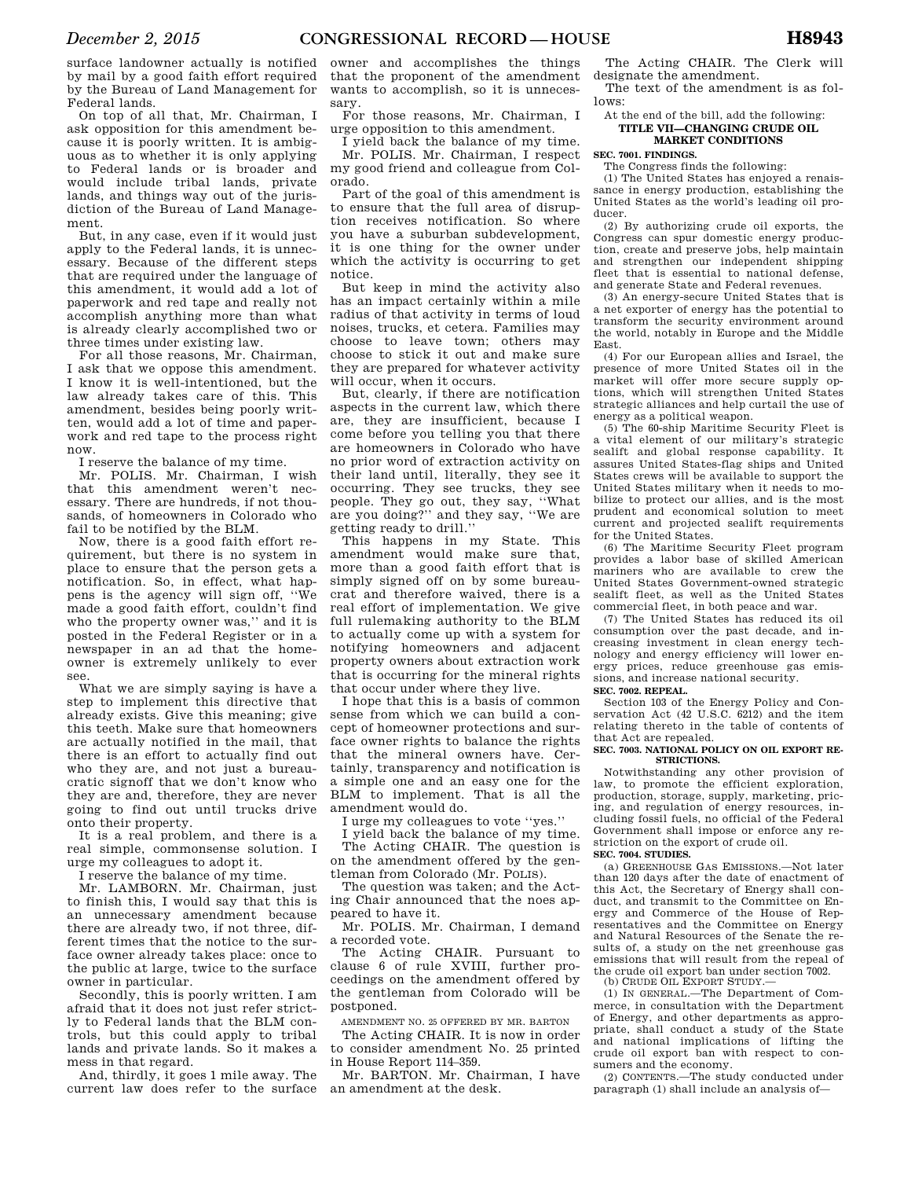surface landowner actually is notified by mail by a good faith effort required by the Bureau of Land Management for Federal lands.

On top of all that, Mr. Chairman, I ask opposition for this amendment because it is poorly written. It is ambiguous as to whether it is only applying to Federal lands or is broader and would include tribal lands, private lands, and things way out of the jurisdiction of the Bureau of Land Management.

But, in any case, even if it would just apply to the Federal lands, it is unnecessary. Because of the different steps that are required under the language of this amendment, it would add a lot of paperwork and red tape and really not accomplish anything more than what is already clearly accomplished two or three times under existing law.

For all those reasons, Mr. Chairman, I ask that we oppose this amendment. I know it is well-intentioned, but the law already takes care of this. This amendment, besides being poorly written, would add a lot of time and paperwork and red tape to the process right now.

I reserve the balance of my time.

Mr. POLIS. Mr. Chairman, I wish that this amendment weren't necessary. There are hundreds, if not thousands, of homeowners in Colorado who fail to be notified by the BLM.

Now, there is a good faith effort requirement, but there is no system in place to ensure that the person gets a notification. So, in effect, what happens is the agency will sign off, ''We made a good faith effort, couldn't find who the property owner was,'' and it is posted in the Federal Register or in a newspaper in an ad that the homeowner is extremely unlikely to ever see.

What we are simply saying is have a step to implement this directive that already exists. Give this meaning; give this teeth. Make sure that homeowners are actually notified in the mail, that there is an effort to actually find out who they are, and not just a bureaucratic signoff that we don't know who they are and, therefore, they are never going to find out until trucks drive onto their property.

It is a real problem, and there is a real simple, commonsense solution. I urge my colleagues to adopt it.

I reserve the balance of my time.

Mr. LAMBORN. Mr. Chairman, just to finish this, I would say that this is an unnecessary amendment because there are already two, if not three, different times that the notice to the surface owner already takes place: once to the public at large, twice to the surface owner in particular.

Secondly, this is poorly written. I am afraid that it does not just refer strictly to Federal lands that the BLM controls, but this could apply to tribal lands and private lands. So it makes a mess in that regard.

And, thirdly, it goes 1 mile away. The current law does refer to the surface

owner and accomplishes the things that the proponent of the amendment wants to accomplish, so it is unnecessary.

For those reasons, Mr. Chairman, I urge opposition to this amendment.

I yield back the balance of my time. Mr. POLIS. Mr. Chairman, I respect. my good friend and colleague from Colorado.

Part of the goal of this amendment is to ensure that the full area of disruption receives notification. So where you have a suburban subdevelopment, it is one thing for the owner under which the activity is occurring to get notice.

But keep in mind the activity also has an impact certainly within a mile radius of that activity in terms of loud noises, trucks, et cetera. Families may choose to leave town; others may choose to stick it out and make sure they are prepared for whatever activity will occur, when it occurs.

But, clearly, if there are notification aspects in the current law, which there are, they are insufficient, because I come before you telling you that there are homeowners in Colorado who have no prior word of extraction activity on their land until, literally, they see it occurring. They see trucks, they see people. They go out, they say, ''What are you doing?'' and they say, ''We are getting ready to drill.''

This happens in my State. This amendment would make sure that, more than a good faith effort that is simply signed off on by some bureaucrat and therefore waived, there is a real effort of implementation. We give full rulemaking authority to the BLM to actually come up with a system for notifying homeowners and adjacent property owners about extraction work that is occurring for the mineral rights that occur under where they live.

I hope that this is a basis of common sense from which we can build a concept of homeowner protections and surface owner rights to balance the rights that the mineral owners have. Certainly, transparency and notification is a simple one and an easy one for the BLM to implement. That is all the amendment would do.

I urge my colleagues to vote ''yes.''

I yield back the balance of my time. The Acting CHAIR. The question is on the amendment offered by the gentleman from Colorado (Mr. POLIS).

The question was taken; and the Acting Chair announced that the noes appeared to have it.

Mr. POLIS. Mr. Chairman, I demand a recorded vote.

The Acting CHAIR. Pursuant to clause 6 of rule XVIII, further proceedings on the amendment offered by the gentleman from Colorado will be postponed.

AMENDMENT NO. 25 OFFERED BY MR. BARTON

The Acting CHAIR. It is now in order to consider amendment No. 25 printed in House Report 114–359.

Mr. BARTON. Mr. Chairman, I have an amendment at the desk.

The Acting CHAIR. The Clerk will designate the amendment.

The text of the amendment is as follows:

### At the end of the bill, add the following: **TITLE VII—CHANGING CRUDE OIL MARKET CONDITIONS**

### **SEC. 7001. FINDINGS.**

The Congress finds the following:

(1) The United States has enjoyed a renaissance in energy production, establishing the United States as the world's leading oil producer.

(2) By authorizing crude oil exports, the Congress can spur domestic energy production, create and preserve jobs, help maintain and strengthen our independent shipping fleet that is essential to national defense, and generate State and Federal revenues.

(3) An energy-secure United States that is a net exporter of energy has the potential to transform the security environment around the world, notably in Europe and the Middle East.

(4) For our European allies and Israel, the presence of more United States oil in the market will offer more secure supply options, which will strengthen United States strategic alliances and help curtail the use of energy as a political weapon.

(5) The 60-ship Maritime Security Fleet is a vital element of our military's strategic sealift and global response capability. It assures United States-flag ships and United States crews will be available to support the United States military when it needs to mobilize to protect our allies, and is the most prudent and economical solution to meet current and projected sealift requirements for the United States.

(6) The Maritime Security Fleet program provides a labor base of skilled American mariners who are available to crew the United States Government-owned strategic sealift fleet, as well as the United States commercial fleet, in both peace and war.

(7) The United States has reduced its oil consumption over the past decade, and increasing investment in clean energy technology and energy efficiency will lower energy prices, reduce greenhouse gas emissions, and increase national security.

### **SEC. 7002. REPEAL.**

Section 103 of the Energy Policy and Conservation Act (42 U.S.C. 6212) and the item relating thereto in the table of contents of that Act are repealed.

### **SEC. 7003. NATIONAL POLICY ON OIL EXPORT RE-STRICTIONS.**

Notwithstanding any other provision of law, to promote the efficient exploration, production, storage, supply, marketing, pricing, and regulation of energy resources, including fossil fuels, no official of the Federal Government shall impose or enforce any restriction on the export of crude oil.

#### **SEC. 7004. STUDIES.**

(a) GREENHOUSE GAS EMISSIONS.—Not later than 120 days after the date of enactment of this Act, the Secretary of Energy shall conduct, and transmit to the Committee on Energy and Commerce of the House of Representatives and the Committee on Energy and Natural Resources of the Senate the results of, a study on the net greenhouse gas emissions that will result from the repeal of the crude oil export ban under section 7002. (b) CRUDE OIL EXPORT STUDY.—

(1) IN GENERAL.—The Department of Commerce, in consultation with the Department of Energy, and other departments as appropriate, shall conduct a study of the State and national implications of lifting the crude oil export ban with respect to consumers and the economy.

(2) CONTENTS.—The study conducted under paragraph (1) shall include an analysis of—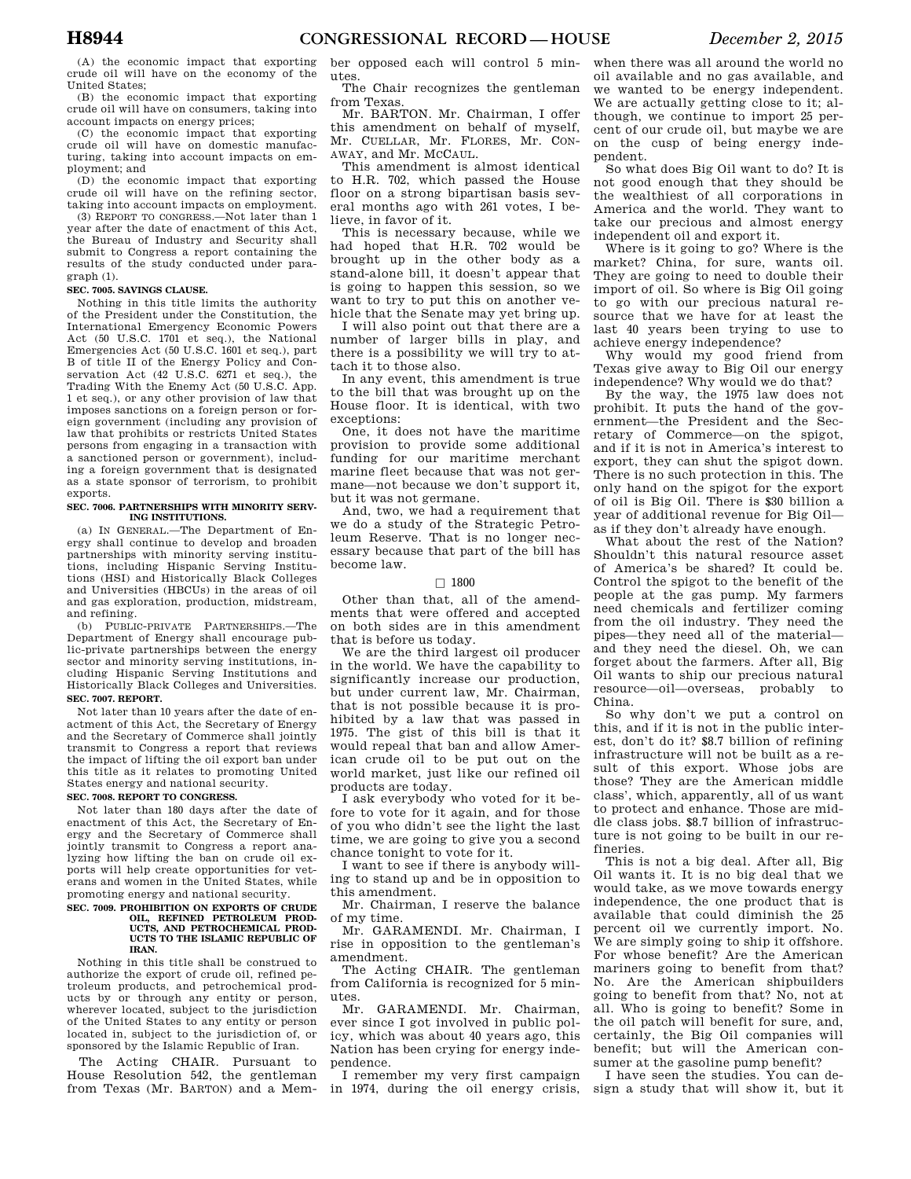(A) the economic impact that exporting crude oil will have on the economy of the United States;

(B) the economic impact that exporting crude oil will have on consumers, taking into account impacts on energy prices;

(C) the economic impact that exporting crude oil will have on domestic manufacturing, taking into account impacts on employment; and

(D) the economic impact that exporting crude oil will have on the refining sector, taking into account impacts on employment.

(3) REPORT TO CONGRESS.—Not later than 1 year after the date of enactment of this Act, the Bureau of Industry and Security shall submit to Congress a report containing the results of the study conducted under paragraph (1).

#### **SEC. 7005. SAVINGS CLAUSE.**

Nothing in this title limits the authority of the President under the Constitution, the International Emergency Economic Powers Act (50 U.S.C. 1701 et seq.), the National Emergencies Act (50 U.S.C. 1601 et seq.), part B of title II of the Energy Policy and Conservation Act  $(42 \text{ U.S.C. } 6271 \text{ et seq.}),$  the Trading With the Enemy Act (50 U.S.C. App. 1 et seq.), or any other provision of law that imposes sanctions on a foreign person or foreign government (including any provision of law that prohibits or restricts United States persons from engaging in a transaction with a sanctioned person or government), including a foreign government that is designated as a state sponsor of terrorism, to prohibit exports.

### **SEC. 7006. PARTNERSHIPS WITH MINORITY SERV-ING INSTITUTIONS.**

(a) IN GENERAL.—The Department of Energy shall continue to develop and broaden partnerships with minority serving institutions, including Hispanic Serving Institutions (HSI) and Historically Black Colleges and Universities (HBCUs) in the areas of oil and gas exploration, production, midstream, and refining.

(b) PUBLIC-PRIVATE PARTNERSHIPS.—The Department of Energy shall encourage public-private partnerships between the energy sector and minority serving institutions, including Hispanic Serving Institutions and Historically Black Colleges and Universities. **SEC. 7007. REPORT.** 

Not later than 10 years after the date of enactment of this Act, the Secretary of Energy and the Secretary of Commerce shall jointly transmit to Congress a report that reviews the impact of lifting the oil export ban under this title as it relates to promoting United States energy and national security.

### **SEC. 7008. REPORT TO CONGRESS.**

Not later than 180 days after the date of enactment of this Act, the Secretary of Energy and the Secretary of Commerce shall jointly transmit to Congress a report analyzing how lifting the ban on crude oil exports will help create opportunities for veterans and women in the United States, while promoting energy and national security.

#### **SEC. 7009. PROHIBITION ON EXPORTS OF CRUDE OIL, REFINED PETROLEUM PROD-**UCTS, AND PETROCHEMICAL PROD-**UCTS TO THE ISLAMIC REPUBLIC OF IRAN.**

Nothing in this title shall be construed to authorize the export of crude oil, refined petroleum products, and petrochemical products by or through any entity or person, wherever located, subject to the jurisdiction of the United States to any entity or person located in, subject to the jurisdiction of, or sponsored by the Islamic Republic of Iran.

The Acting CHAIR. Pursuant to House Resolution 542, the gentleman from Texas (Mr. BARTON) and a Mem-

ber opposed each will control 5 minutes.

The Chair recognizes the gentleman from Texas.

Mr. BARTON. Mr. Chairman, I offer this amendment on behalf of myself, Mr. CUELLAR, Mr. FLORES, Mr. CON-AWAY, and Mr. MCCAUL.

This amendment is almost identical to H.R. 702, which passed the House floor on a strong bipartisan basis several months ago with 261 votes, I believe, in favor of it.

This is necessary because, while we had hoped that H.R. 702 would be brought up in the other body as a stand-alone bill, it doesn't appear that is going to happen this session, so we want to try to put this on another vehicle that the Senate may yet bring up.

I will also point out that there are a number of larger bills in play, and there is a possibility we will try to attach it to those also.

In any event, this amendment is true to the bill that was brought up on the House floor. It is identical, with two exceptions:

One, it does not have the maritime provision to provide some additional funding for our maritime merchant marine fleet because that was not germane—not because we don't support it, but it was not germane.

And, two, we had a requirement that we do a study of the Strategic Petroleum Reserve. That is no longer necessary because that part of the bill has become law.

### $\Box$  1800

Other than that, all of the amendments that were offered and accepted on both sides are in this amendment that is before us today.

We are the third largest oil producer in the world. We have the capability to significantly increase our production, but under current law, Mr. Chairman, that is not possible because it is prohibited by a law that was passed in 1975. The gist of this bill is that it would repeal that ban and allow American crude oil to be put out on the world market, just like our refined oil products are today.

I ask everybody who voted for it before to vote for it again, and for those of you who didn't see the light the last time, we are going to give you a second chance tonight to vote for it.

I want to see if there is anybody willing to stand up and be in opposition to this amendment.

Mr. Chairman, I reserve the balance of my time.

Mr. GARAMENDI. Mr. Chairman, I rise in opposition to the gentleman's amendment.

The Acting CHAIR. The gentleman from California is recognized for 5 minutes.

Mr. GARAMENDI. Mr. Chairman, ever since I got involved in public policy, which was about 40 years ago, this Nation has been crying for energy independence.

I remember my very first campaign in 1974, during the oil energy crisis, when there was all around the world no oil available and no gas available, and we wanted to be energy independent. We are actually getting close to it; although, we continue to import 25 percent of our crude oil, but maybe we are on the cusp of being energy independent.

So what does Big Oil want to do? It is not good enough that they should be the wealthiest of all corporations in America and the world. They want to take our precious and almost energy independent oil and export it.

Where is it going to go? Where is the market? China, for sure, wants oil. They are going to need to double their import of oil. So where is Big Oil going to go with our precious natural resource that we have for at least the last 40 years been trying to use to achieve energy independence?

Why would my good friend from Texas give away to Big Oil our energy independence? Why would we do that?

By the way, the 1975 law does not prohibit. It puts the hand of the government—the President and the Secretary of Commerce—on the spigot, and if it is not in America's interest to export, they can shut the spigot down. There is no such protection in this. The only hand on the spigot for the export of oil is Big Oil. There is \$30 billion a year of additional revenue for Big Oil as if they don't already have enough.

What about the rest of the Nation? Shouldn't this natural resource asset of America's be shared? It could be. Control the spigot to the benefit of the people at the gas pump. My farmers need chemicals and fertilizer coming from the oil industry. They need the pipes—they need all of the material and they need the diesel. Oh, we can forget about the farmers. After all, Big Oil wants to ship our precious natural resource—oil—overseas, probably to China.

So why don't we put a control on this, and if it is not in the public interest, don't do it? \$8.7 billion of refining infrastructure will not be built as a result of this export. Whose jobs are those? They are the American middle class', which, apparently, all of us want to protect and enhance. Those are middle class jobs. \$8.7 billion of infrastructure is not going to be built in our refineries.

This is not a big deal. After all, Big Oil wants it. It is no big deal that we would take, as we move towards energy independence, the one product that is available that could diminish the 25 percent oil we currently import. No. We are simply going to ship it offshore. For whose benefit? Are the American mariners going to benefit from that? No. Are the American shipbuilders going to benefit from that? No, not at all. Who is going to benefit? Some in the oil patch will benefit for sure, and, certainly, the Big Oil companies will benefit; but will the American consumer at the gasoline pump benefit?

I have seen the studies. You can design a study that will show it, but it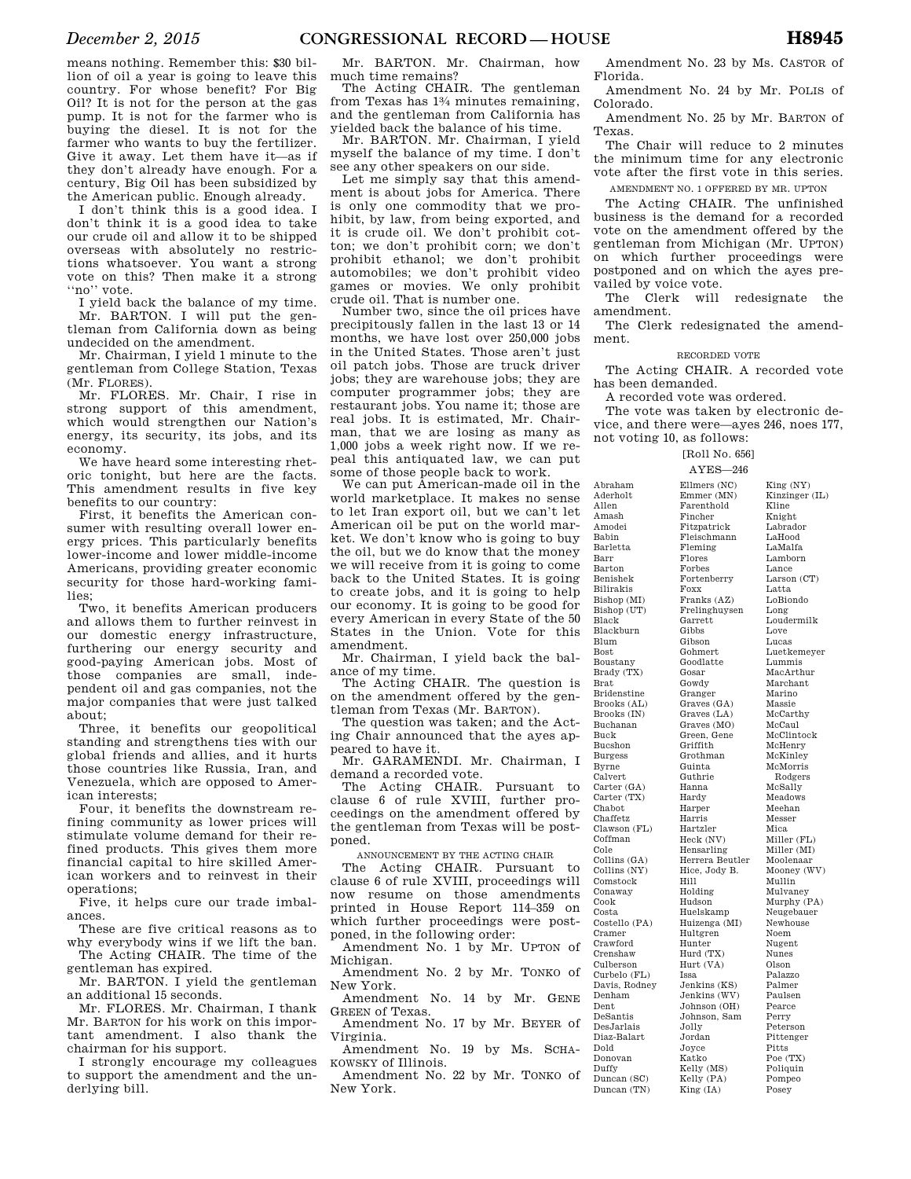means nothing. Remember this: \$30 billion of oil a year is going to leave this country. For whose benefit? For Big Oil? It is not for the person at the gas pump. It is not for the farmer who is buying the diesel. It is not for the farmer who wants to buy the fertilizer. Give it away. Let them have it—as if they don't already have enough. For a century, Big Oil has been subsidized by the American public. Enough already.

I don't think this is a good idea. I don't think it is a good idea to take our crude oil and allow it to be shipped overseas with absolutely no restrictions whatsoever. You want a strong vote on this? Then make it a strong ''no'' vote.

I yield back the balance of my time. Mr. BARTON. I will put the gentleman from California down as being undecided on the amendment.

Mr. Chairman, I yield 1 minute to the gentleman from College Station, Texas (Mr. FLORES).

Mr. FLORES. Mr. Chair, I rise in strong support of this amendment, which would strengthen our Nation's energy, its security, its jobs, and its economy.

We have heard some interesting rhetoric tonight, but here are the facts. This amendment results in five key benefits to our country:

First, it benefits the American consumer with resulting overall lower energy prices. This particularly benefits lower-income and lower middle-income Americans, providing greater economic security for those hard-working families;

Two, it benefits American producers and allows them to further reinvest in our domestic energy infrastructure, furthering our energy security and good-paying American jobs. Most of those companies are small, independent oil and gas companies, not the major companies that were just talked about;

Three, it benefits our geopolitical standing and strengthens ties with our global friends and allies, and it hurts those countries like Russia, Iran, and Venezuela, which are opposed to American interests;

Four, it benefits the downstream refining community as lower prices will stimulate volume demand for their refined products. This gives them more financial capital to hire skilled American workers and to reinvest in their operations;

Five, it helps cure our trade imbalances.

These are five critical reasons as to why everybody wins if we lift the ban. The Acting CHAIR. The time of the

gentleman has expired. Mr. BARTON. I yield the gentleman

an additional 15 seconds.

Mr. FLORES. Mr. Chairman, I thank Mr. BARTON for his work on this important amendment. I also thank the chairman for his support.

I strongly encourage my colleagues to support the amendment and the underlying bill.

Mr. BARTON. Mr. Chairman, how much time remains?

The Acting CHAIR. The gentleman from Texas has 13⁄4 minutes remaining, and the gentleman from California has yielded back the balance of his time.

Mr. BARTON. Mr. Chairman, I yield myself the balance of my time. I don't see any other speakers on our side.

Let me simply say that this amendment is about jobs for America. There is only one commodity that we prohibit, by law, from being exported, and it is crude oil. We don't prohibit cotton; we don't prohibit corn; we don't prohibit ethanol; we don't prohibit automobiles; we don't prohibit video games or movies. We only prohibit crude oil. That is number one.

Number two, since the oil prices have precipitously fallen in the last 13 or 14 months, we have lost over 250,000 jobs in the United States. Those aren't just oil patch jobs. Those are truck driver jobs; they are warehouse jobs; they are computer programmer jobs; they are restaurant jobs. You name it; those are real jobs. It is estimated, Mr. Chairman, that we are losing as many as 1,000 jobs a week right now. If we repeal this antiquated law, we can put some of those people back to work.

We can put American-made oil in the world marketplace. It makes no sense to let Iran export oil, but we can't let American oil be put on the world market. We don't know who is going to buy the oil, but we do know that the money we will receive from it is going to come back to the United States. It is going to create jobs, and it is going to help our economy. It is going to be good for every American in every State of the 50 States in the Union. Vote for this amendment.

Mr. Chairman, I yield back the balance of my time.

The Acting CHAIR. The question is on the amendment offered by the gentleman from Texas (Mr. BARTON).

The question was taken; and the Acting Chair announced that the ayes appeared to have it.

Mr. GARAMENDI. Mr. Chairman, I demand a recorded vote.

The Acting CHAIR. Pursuant to clause 6 of rule XVIII, further proceedings on the amendment offered by the gentleman from Texas will be postponed.

ANNOUNCEMENT BY THE ACTING CHAIR

The Acting CHAIR. Pursuant to clause 6 of rule XVIII, proceedings will now resume on those amendments printed in House Report 114–359 on which further proceedings were postponed, in the following order:

Amendment No. 1 by Mr. UPTON of Michigan.

Amendment No. 2 by Mr. TONKO of New York. Amendment No. 14 by Mr. GENE

GREEN of Texas. Amendment No. 17 by Mr. BEYER of

Virginia. Amendment No. 19 by Ms. SCHA-

KOWSKY of Illinois. Amendment No. 22 by Mr. TONKO of

New York.

Amendment No. 23 by Ms. CASTOR of Florida.

Amendment No. 24 by Mr. POLIS of Colorado.

Amendment No. 25 by Mr. BARTON of Texas.

The Chair will reduce to 2 minutes the minimum time for any electronic vote after the first vote in this series. AMENDMENT NO. 1 OFFERED BY MR. UPTON

The Acting CHAIR. The unfinished business is the demand for a recorded vote on the amendment offered by the gentleman from Michigan (Mr. UPTON) on which further proceedings were postponed and on which the ayes prevailed by voice vote.

The Clerk will redesignate the amendment.

The Clerk redesignated the amendment.

### RECORDED VOTE

The Acting CHAIR. A recorded vote has been demanded.

A recorded vote was ordered.

Abraham Aderholt Allen Amash Amodei Babin Barletta Barr Barton Benishek Bilirakis

Black

Blum Bost Boustany

Brat

Buck Bucshon Burgess Byrne Calvert

Chabot Chaffetz

Coffman Cole

Conaway Cook Costa

Cramer Crawford Crenshaw

Denham Dent DeSantis

Dold Donovan Duffy

The vote was taken by electronic device, and there were—ayes 246, noes 177, not voting 10, as follows:

#### [Roll No. 656] AYES—246

Bishop (MI) Bishop (UT) Blackburn Brady (TX) Bridenstine Brooks (AL) Brooks (IN) Buchanan Carter (GA) Carter (TX) Clawson (FL) Collins (GA) Collins (NY) Comstock Costello (PA) Culberson Curbelo (FL) Davis, Rodney DesJarlais Diaz-Balart Duncan (SC) Duncan (TN) Ellmers (NC) Emmer (MN) Farenthold Fincher Fitzpatrick Fleischmann Fleming Flores Forbes Fortenberry Foxx Franks (AZ) Frelinghuysen Garrett **Gibbs** Gibson Gohmert Goodlatte Gosar Gowdy Granger Graves (GA) Graves (LA) Graves (MO) Green, Gene Griffith Grothman Guinta Guthrie Hanna Hardy Harper Harris Hartzler Heck (NV) Hensarling Herrera Beutler Hice, Jody B. Hill Holding Hudson Huelskamp Huizenga (MI) Hultgren Hunter Hurd (TX) Hurt (VA) Issa Jenkins (KS) Jenkins (WV) Johnson (OH) Johnson, Sam Jolly Jordan Joyce Katko Kelly (MS) Kelly (PA) King (IA) King (NY) Kinzinger (IL) Kline Knight Labrador LaHood LaMalfa Lamborn Lance Larson (CT) Latta LoBiondo Long Loudermilk Love Lucas Luetkemeyer Lummis MacArthur Marchant Marino Massie McCarthy McCaul McClintock McHenry McKinley McMorris Rodgers McSally Meadows Meehan Messer Mica Miller (FL) Miller (MI) Moolenaar Mooney (WV) Mullin Mulvaney Murphy (PA) Neugebauer Newhouse Noem Nugent Nunes Olson Palazzo Palmer Paulsen Pearce Perry Peterson Pittenger Pitts Poe (TX) Poliquin Pompeo Posey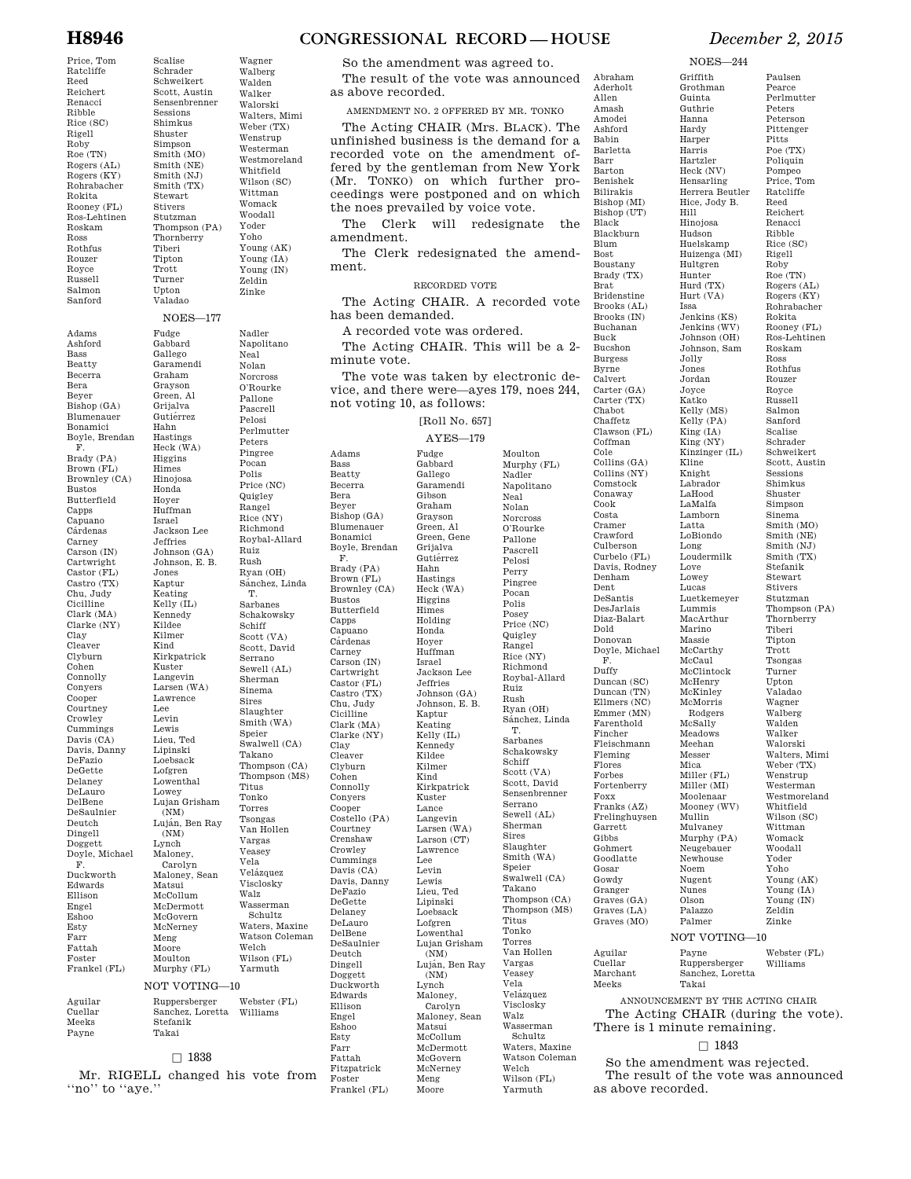Price, Tom Ratcliffe Reed Reichert Renacci Ribble Rice (SC) Rigell Roby Roe (TN) Rogers (AL) Rogers (KY) Rohrabacher Rokita Rooney (FL) Ros-Lehtinen Roskam Ross Rothfus Rouzer Royce Russell Salmon Sanford Adams Ashford Bass Beatty Becerra Bera Beyer Bishop (GA) Blumenauer Bonamici Boyle, Brendan F. Brady (PA) Brown (FL) Brownley (CA) Bustos Butterfield Capps Capuano Cárdenas Carney Carson (IN) Cartwright Castor (FL) Castro (TX) Chu, Judy Cicilline Clark (MA) Clarke (NY) Clay Cleaver Clyburn Cohen Connolly Conyers Cooper Courtney Crowley Cummings Davis (CA) Davis, Danny DeFazio DeGette Delaney DeLauro DelBene DeSaulnier Deutch Dingell Doggett Doyle, Michael F. Duckworth Edwards Ellison Engel Eshoo Esty Farr Fattah Foster Frankel (FL) Aguilar Cuellar Meeks Payne

Scalise Schrader Schweikert Scott, Austin Sensenbrenner Sessions Shimkus Shuster Simpson Smith (MO) Smith (NE) Smith (NJ) Smith (TX) Stewart Stivers Stutzman Thompson (PA) Thornberry Tiberi Tipton Trott Turner Upton Valadao Wagner Walberg Walden Walker Walorski Walters, Mimi Weber (TX) Wenstrup Westerman Westmoreland Whitfield Wilson (SC) Wittman Womack Woodall Yoder Yoho Young (AK) Young (IA) Young (IN) Zeldin Zinke NOES—177 Fudge Gabbard Gallego Garamendi Graham Grayson Green, Al Grijalva Gutiérrez Hahn Hastings Heck (WA) Higgins Himes Hinojosa Honda Hoyer Huffman Israel Jackson Lee Jeffries Johnson (GA) Johnson, E. B. Jones Kaptur Keating Kelly (IL) Kennedy Kildee Kilmer Kind Kirkpatrick Kuster Langevin Larsen (WA) Lawrence Lee Levin Lewis Lieu, Ted Lipinski Loebsack Lofgren Lowenthal Lowey Lujan Grisham (NM) Luján, Ben Ray  $(NM)$ Lynch Maloney, Carolyn Maloney, Sean Matsui McCollum McDermott McGovern McNerney Meng Moore Moulton Murphy (FL) Nadler Napolitano Neal Nolan Norcross O'Rourke Pallone Pascrell Pelosi Perlmutter Peters Pingree Pocan Polis Price (NC) **Quigley** Rangel Rice (NY) Richmond Roybal-Allard Ruiz Rush Ryan (OH) Sánchez, Linda T. Sarbanes Schakowsky Schiff Scott (VA) Scott, David Serrano Sewell (AL) Sherman Sinema Sires Slaughter Smith (WA) Speier Swalwell (CA) Takano Thompson (CA) Thompson (MS) Titus Tonko Torres Tsongas Van Hollen Vargas Veasey Vela Velázquez Visclosky Walz Wasserman Schultz Waters, Maxine Watson Coleman Welch Wilson (FL) Yarmuth NOT VOTING—10 Ruppersberger Sanchez, Loretta Stefanik Takai Webster (FL) Williams  $\square$  1838

Mr. RIGELL changed his vote from "no" to "aye." Foster

**H8946 CONGRESSIONAL RECORD — HOUSE** *December 2, 2015* 

So the amendment was agreed to.

The result of the vote was announced as above recorded.

AMENDMENT NO. 2 OFFERED BY MR. TONKO

The Acting CHAIR (Mrs. BLACK). The unfinished business is the demand for a recorded vote on the amendment offered by the gentleman from New York (Mr. TONKO) on which further proceedings were postponed and on which the noes prevailed by voice vote.

The Clerk will redesignate the amendment.

The Clerk redesignated the amendment.

RECORDED VOTE

The Acting CHAIR. A recorded vote has been demanded.

A recorded vote was ordered.

Adams Bass Beatty

Bera Beyer

F.

Capps

Clay

Cohen

Engel Eshoo Esty Farr Fattah

The Acting CHAIR. This will be a 2 minute vote.

The vote was taken by electronic device, and there were—ayes 179, noes 244, not voting 10, as follows:

## [Roll No. 657]

### AYES—179

Becerra Bishop (GA) Blumenauer Bonamici Boyle, Brendan Brady (PA) Brown (FL) Brownley (CA) Bustos Butterfield Capuano<br>Cárdenas Carney Carson (IN) Cartwright  $\stackrel{\sim}{\mathrm{Castor}}(\rm{FL})$ Castro (TX) Chu, Judy Cicilline Clark (MA) Clarke (NY) Cleaver Clyburn Connolly Conyers Cooper Costello (PA) Courtney Crenshaw Crowley Cummings Davis (CA) Davis, Danny DeFazio DeGette Delaney DeLauro DelBene DeSaulnier Deutch Dingell Doggett Duckworth Edwards Ellison Fitzpatrick Frankel (FL) Fudge Gabbard Gallego Garamendi Gibson Graham Grayson Green, Al Green, Gene Grijalva Gutiérrez Hahn Hastings Heck (WA) Higgins Himes Holding Honda Hoyer Huffman Israel Jackson Lee Jeffries Johnson (GA) Johnson, E. B. Kaptur Keating Kelly (IL) Kennedy Kildee Kilmer Kind Kirkpatrick Kuster Lance Langevin Larsen (WA) Larson (CT) Lawrence Lee Levin Lewis Lieu, Ted Lipinski Loebsack Lofgren Lowenthal Lujan Grisham  $(NM)$ Luján, Ben Ray (NM) Lynch Maloney, Carolyn Maloney, Sean Matsui McCollum McDermott McGovern McNerney Meng Moore

Moulton Murphy (FL) Nadler Napolitano Neal Nolan Norcross O'Rourke Pallone Pascrell Pelosi Perry Pingree Pocan Polis Posey Price (NC) **Quigley** Rangel Rice (NY) Richmond Roybal-Allard Ruiz Rush Ryan (OH) Sánchez, Linda T. Sarbanes Schakowsky Schiff Scott (VA) Scott, David Sensenbrenner Serrano Sewell (AL) Sherman Sires Slaughter Smith (WA) Speier Swalwell (CA) Takano Thompson (CA) Thompson (MS) Titus Tonko Torres Van Hollen Vargas Veasey Vela Velázquez Visclosky Walz Wasserman Schultz Waters, Maxine Watson Coleman Welch Wilson (FL) Yarmuth

NOES—244

Griffith Grothman Guinta Guthrie Hanna Hardy Harper Harris Hartzler Heck (NV) Hensarling

Hice, Jody B. Hill Hinojosa Hudson Huelskamp

Hultgren Hunter Hurd (TX) Hurt (VA) Issa Jenkins (KS) Jenkins (WV) Johnson (OH) Johnson, Sam Jolly Jones Jordan Joyce Katko Kelly (MS) Kelly (PA) King (IA) King (NY)

Kline Knight Labrador LaHood LaMalfa Lamborn Latta LoBiondo Long Loudermilk Love Lowey Lucas Luetkemeyer Lummis MacArthur Marino Massie McCarthy McCaul McClintock McHenry McKinley McMorris Rodgers McSally Meadows Meehan Messer Mica Miller (FL) Miller (MI) Moolenaar Mooney (WV) Mullin Mulvaney Murphy (PA) Neugebauer Newhouse Noem Nugent Nunes Olson Palazzo Palmer

Abraham Aderholt Allen Amash Amodei Ashford Babin Barletta Barr Barton Benishek Bilirakis Bishop (MI) Bishop (UT) Black Blackburn Blum Bost Boustany Brady (TX) Brat Bridenstine Brooks (AL) Brooks (IN) Buchanan Buck Bucshon Burgess Byrne Calvert Carter (GA) Carter (TX) Chabot Chaffetz Clawson (FL) Coffman Cole Collins (GA) Collins (NY) Comstock Conaway Cook Costa Cramer Crawford Culberson Curbelo (FL) Davis, Rodney Denham Dent DeSantis DesJarlais Diaz-Balart Dold Donovan Doyle, Michael F. Duffy Duncan (SC) Duncan (TN) Ellmers (NC) Emmer (MN) Farenthold Fincher Fleischmann Fleming Flores Forbes Fortenberry Foxx Franks (AZ) Frelinghuysen Garrett **Gibbs** Gohmert Goodlatte Gosar Gowdy Granger Graves (GA) Graves (LA) Graves (MO)

Herrera Beutler Huizenga (MI) Kinzinger (IL) Paulsen Pearce Perlmutter Peters Peterson Pittenger Pitts Poe (TX) Poliquin Pompeo Price, Tom Ratcliffe Reed Reichert Renacci Ribble Rice (SC) Rigell Roby Roe (TN) Rogers (AL) Rogers (KY) Rohrabacher Rokita Rooney (FL) Ros-Lehtinen Roskam Ross Rothfus Rouzer Royce Russell Salmon Sanford Scalise Schrader Schweikert Scott, Austin Sessions Shimkus Shuster Simpson Sinema Smith (MO) Smith (NE) Smith (NJ) Smith (TX) Stefanik Stewart Stivers Stutzman Thompson (PA) Thornberry Tiberi Tipton Trott Tsongas Turner Upton Valadao Wagner Walberg Walden Walker Walorski Walters, Mimi Weber (TX) Wenstrup Westerman Westmoreland Whitfield Wilson (SC) Wittman Womack Woodall Yoder Yoho Young (AK) Young (IA) Young (IN) Zeldin Zinke NOT VOTING—10 Webster (FL)

Payne Ruppersberger Sanchez, Loretta Takai Williams

Aguilar Cuellar Marchant Meeks

ANNOUNCEMENT BY THE ACTING CHAIR The Acting CHAIR (during the vote). There is 1 minute remaining.

### $\Box$  1843

So the amendment was rejected. The result of the vote was announced as above recorded.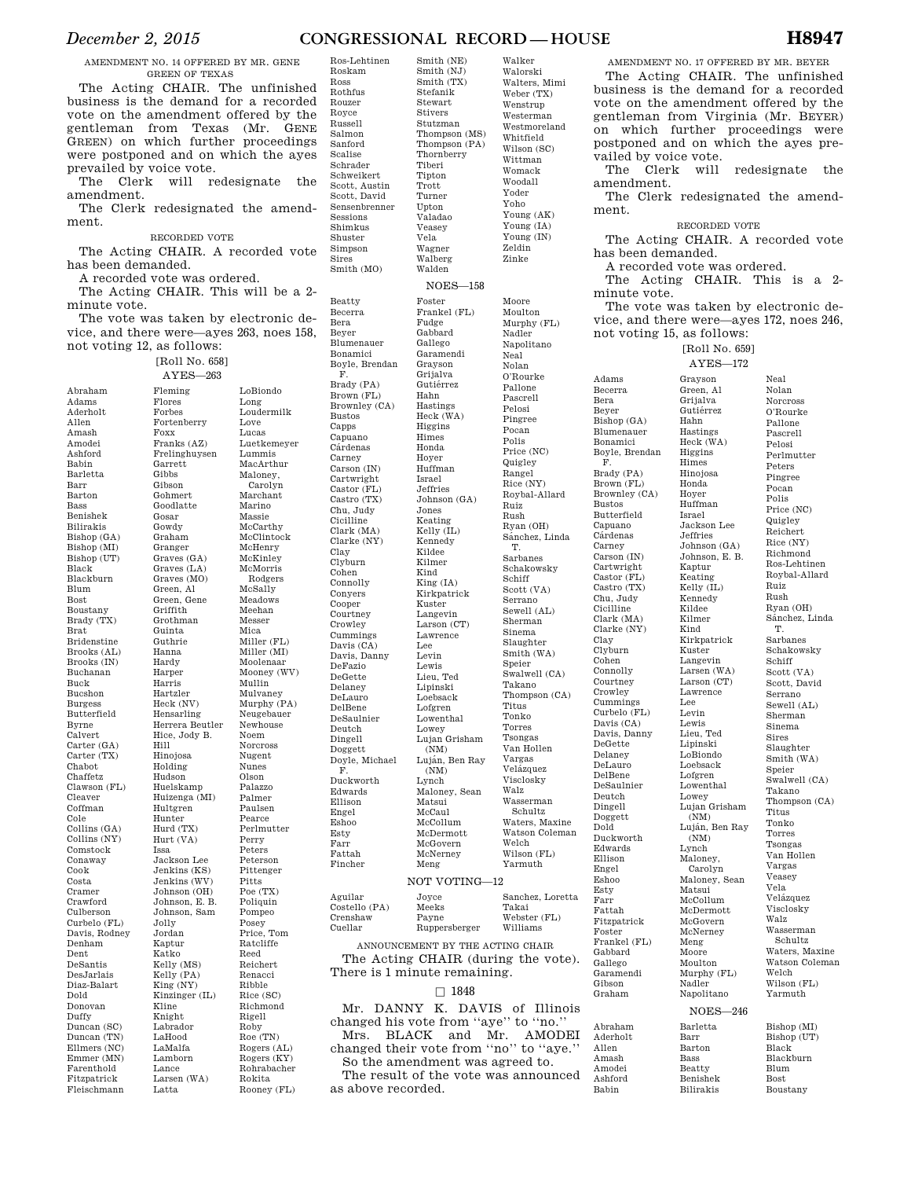## *December 2, 2015* **CONGRESSIONAL RECORD — HOUSE H8947**

Walker Walorski

Smith (NE) Smith (NJ)

Stefanik Stewart Stivers

Tiberi Tipton Trott Turner Upton Valadao Veasey Vela Wagner Walberg Walden

Foster

Fudge Gabbard Gallego

Grayson Grijalva Gutiérrez Hahn Hastings

Higgins Himes Honda Hoyer Huffman Israel Jeffries

Jones Keating

Kennedy Kildee Kilmer Kind

Kuster Langevin

Lawrence Lee Levin Lewis

Lipinski Loebsack Lofgren

Lowey

 $(NM)$ 

(NM) Lynch

Matsui McCaul

Meng

AMENDMENT NO. 14 OFFERED BY MR. GENE GREEN OF TEXAS

The Acting CHAIR. The unfinished business is the demand for a recorded vote on the amendment offered by the gentleman from Texas (Mr. GENE GREEN) on which further proceedings were postponed and on which the ayes prevailed by voice vote.

The Clerk will redesignate the amendment.

The Clerk redesignated the amendment.

#### RECORDED VOTE

The Acting CHAIR. A recorded vote has been demanded.

A recorded vote was ordered.

The Acting CHAIR. This will be a 2 minute vote.

The vote was taken by electronic device, and there were—ayes 263, noes 158, not voting 12, as follows:

### [Roll No. 658]

Abraham Adams Aderholt Allen Amash Amodei Ashford Babin Barletta Barr Barton Bass Benishek Bilirakis Bishop (GA) Bishop (MI) Bishop (UT) Black Blackburn Blum Bost Boustany Brady (TX) Brat Bridenstine Brooks (AL) Brooks (IN) Buchanan Buck Bucshon Burgess Butterfield Byrne Calvert Carter (GA) Carter (TX) Chabot Chaffetz Clawson (FL) Cleaver Coffman Cole Collins (GA) Collins (NY) Comstock Conaway Cook Costa Cramer Crawford Culberson Curbelo (FL) Davis, Rodney Denham Dent DeSantis DesJarlais Diaz-Balart Dold Donovan Duffy Duncan (SC) Duncan (TN) Ellmers (NC) Emmer (MN) Farenthold Fitzpatrick Fleischmann

Hill

Issa

Latta

Rokita Rooney (FL)

AYES—263 Fleming Flores Forbes Fortenberry Foxx Franks (AZ) Frelinghuysen Garrett Gibbs Gibson Gohmert Goodlatte Gosar Gowdy Graham Granger Graves (GA) Graves (LA) Graves (MO) Green, Al Green, Gene Griffith Grothman Guinta Guthrie Hanna Hardy Harper Harris Hartzler Heck (NV) Hensarling Herrera Beutler Hice, Jody B. Hinojosa Holding Hudson Huelskamp Huizenga (MI) Hultgren Hunter Hurd (TX) Hurt (VA) Jackson Lee Jenkins (KS) Jenkins (WV) Johnson (OH) Johnson, E. B. Johnson, Sam Jolly Jordan Kaptur Katko Kelly (MS) Kelly (PA) King (NY) Kinzinger (IL) Kline Knight Labrador LaHood LaMalfa Lamborn Lance Larsen (WA) LoBiondo Long Loudermilk Love Lucas Luetkemeyer Lummis MacArthur Maloney, Carolyn Marchant Marino Massie McCarthy McClintock McHenry McKinley McMorris Rodgers McSally Meadows Meehan Messer Mica Miller (FL) Miller (MI) Moolenaar Mooney (WV) Mullin Mulvaney Murphy (PA) Neugebauer Newhouse Noem Norcross Nugent Nunes Olson Palazzo Palmer Paulsen Pearce Perlmutter Perry Peters Peterson Pittenger Pitts Poe (TX) Poliquin Pompeo Posey Price, Tom Ratcliffe Reed Reichert Renacci Ribble Rice (SC) Richmond Rigell Roby Roe (TN) Rogers (AL) Rogers (KY) Rohrabacher

Roskam Ross Rothfus Rouzer Royce Russell Salmon Sanford Scalise Schrader Schweikert Scott, Austin Scott, David Sensenbrenner Sessions Shimkus Shuster Simpson Sires  $S$ mith  $(MO)$ Beatty Becerra Bera Beyer Blumenauer Bonamici Boyle, Brendan F. Brady (PA) Brown (FL) Brownley (CA) Bustos Capps Capuano Cardenas Carney Carson (IN) Cartwright Castor (FL) Castro (TX) Chu, Judy Cicilline Clark (MA) Clarke (NY) Clay Clyburn Cohen Connolly Conyers Cooper Courtney Crowley Cummings Davis (CA) Davis, Danny DeFazio DeGette Delaney DeLauro DelBene DeSaulnier Deutch Dingell Doggett Doyle, Michael F. Duckworth Edwards Ellison Engel Eshoo Esty Farr Fattah Fincher Aguilar Costello (PA) Crenshaw Cuellar

Ros-Lehtinen

Smith (TX) Stutzman Thompson (MS) Thompson (PA) Thornberry Walters, Mimi Weber (TX) Wenstrup Westerman Westmoreland Whitfield Wilson (SC) Wittman Womack Woodall Yoder Yoho Young (AK) Young (IA) Young (IN) Zeldin Zinke NOES—158 Frankel (FL) Garamendi Heck (WA) Johnson (GA) Kelly (IL) King (IA) Kirkpatrick Larson (CT) Lieu, Ted Lowenthal Lujan Grisham Luján<sup>(Ren</sup> Ray Maloney, Sean McCollum McDermott McGovern McNerney Moore Moulton Murphy (FL) Nadler Napolitano Neal Nolan O'Rourke Pallone Pascrell Pelosi Pingree Pocan Polis Price (NC) Quigley Rangel Rice (NY) Roybal-Allard Ruiz Rush Ryan (OH) Sanchez, Linda T. Sarbanes Schakowsky Schiff Scott (VA) Serrano Sewell (AL) Sherman Sinema Slaughter Smith (WA) Speier Swalwell (CA) Takano Thompson (CA) Titus Tonko Torres Tsongas Van Hollen Vargas Velázquez Visclosky Walz Wasserman Schultz Waters, Maxine Watson Coleman Welch Wilson (FL) Yarmuth NOT VOTING—12

#### Joyce Meeks Sanchez, Loretta Takai

| 'renshaw                          | Payne         | Webster (FL) |
|-----------------------------------|---------------|--------------|
| 'uellar                           | Ruppersberger | Williams     |
| ANNOUNCEMENT BY THE ACTING CHAIR. |               |              |

The Acting CHAIR (during the vote). There is 1 minute remaining.

### $\Box$  1848

Mr. DANNY K. DAVIS of Illinois changed his vote from ''aye'' to ''no.'' Mrs. BLACK and Mr. AMODEI changed their vote from ''no'' to ''aye.'' So the amendment was agreed to. The result of the vote was announced

as above recorded.

ment. Adams Becerra Bera Beyer Bishop (GA) Blumenauer Bonamici Boyle, Brendan F. Brady (PA) Brown (FL) Brownley (CA) Bustos Butterfield Capuano **C**árdenas Carney Carson (IN) Cartwright Castor (FL) Castro (TX) Chu, Judy Cicilline Clark (MA) Clarke (NY) Clay Clyburn Cohen Connolly Courtney Crowley Cummings Curbelo (FL) Davis (CA) Davis, Danny DeGette Delaney DeLauro DelBene DeSaulnier Deutch Dingell Doggett Dold Duckworth Edwards Ellison Engel Eshoo Esty Farr Fattah Fitzpatrick Foster Frankel (FL) Gabbard Gallego Garamendi Gibson Graham

AMENDMENT NO. 17 OFFERED BY MR. BEYER The Acting CHAIR. The unfinished business is the demand for a recorded vote on the amendment offered by the gentleman from Virginia (Mr. BEYER) on which further proceedings were postponed and on which the ayes prevailed by voice vote. The Clerk will redesignate the amendment.

The Clerk redesignated the amend-

### RECORDED VOTE

The Acting CHAIR. A recorded vote has been demanded.

A recorded vote was ordered.

The Acting CHAIR. This is a 2 minute vote.

The vote was taken by electronic device, and there were—ayes 172, noes 246, not voting 15, as follows:

[Roll No. 659] AYES—172

Grayson Green, Al Grijalva Gutiérrez Hahn Hastings

Higgins Himes Hinojosa Honda Hoyer Huffman Israel

Jeffries

Kaptur Keating

Kennedy Kildee Kilmer Kind

Kuster Langevin

Lawrence Lee Levin Lewis Lieu, Ted Lipinski LoBiondo Loebsack Lofgren

 $(NM)$ 

(NM) Lynch Maloney,

Matsui

Meng Moore Moulton

Nadler

Barletta Barr Barton Bass Beatty Benishek Bilirakis

Abraham Aderholt Allen Amash Amodei Ashford Babin

Heck (WA) Jackson Lee Johnson (GA) Johnson, E. B.  $K$ elly  $(II)$ Kirkpatrick Larsen (WA) Larson (CT) Lowenthal Lowey<br>Lujan Grisham Luján, Ben Ray Carolyn Maloney, Sean McCollum McDermott McGovern McNerney Murphy (FL) Napolitano Neal Nolan Norcross O'Rourke Pallone Pascrell Pelosi Perlmutter Peters Pingree Pocan Polis Price (NC) Quigley Reichert Rice (NY) Richmond Ros-Lehtinen Roybal-Allard Ruiz Rush Ryan (OH) Sánchez, Linda T. Sarbanes Schakowsky Schiff Scott (VA) Scott, David Serrano Sewell (AL) Sherman Sinema Sires Slaughter Smith (WA) Speier Swalwell (CA) Takano Thompson (CA) Titus Tonko Torres Tsongas Van Hollen Vargas Veasey Vela Velázquez Visclosky Walz Wasserman Schultz Waters, Maxine Watson Coleman Welch Wilson (FL) Yarmuth NOES—246

Bishop (MI) Bishop (UT) Black Blackburn Blum Bost Boustany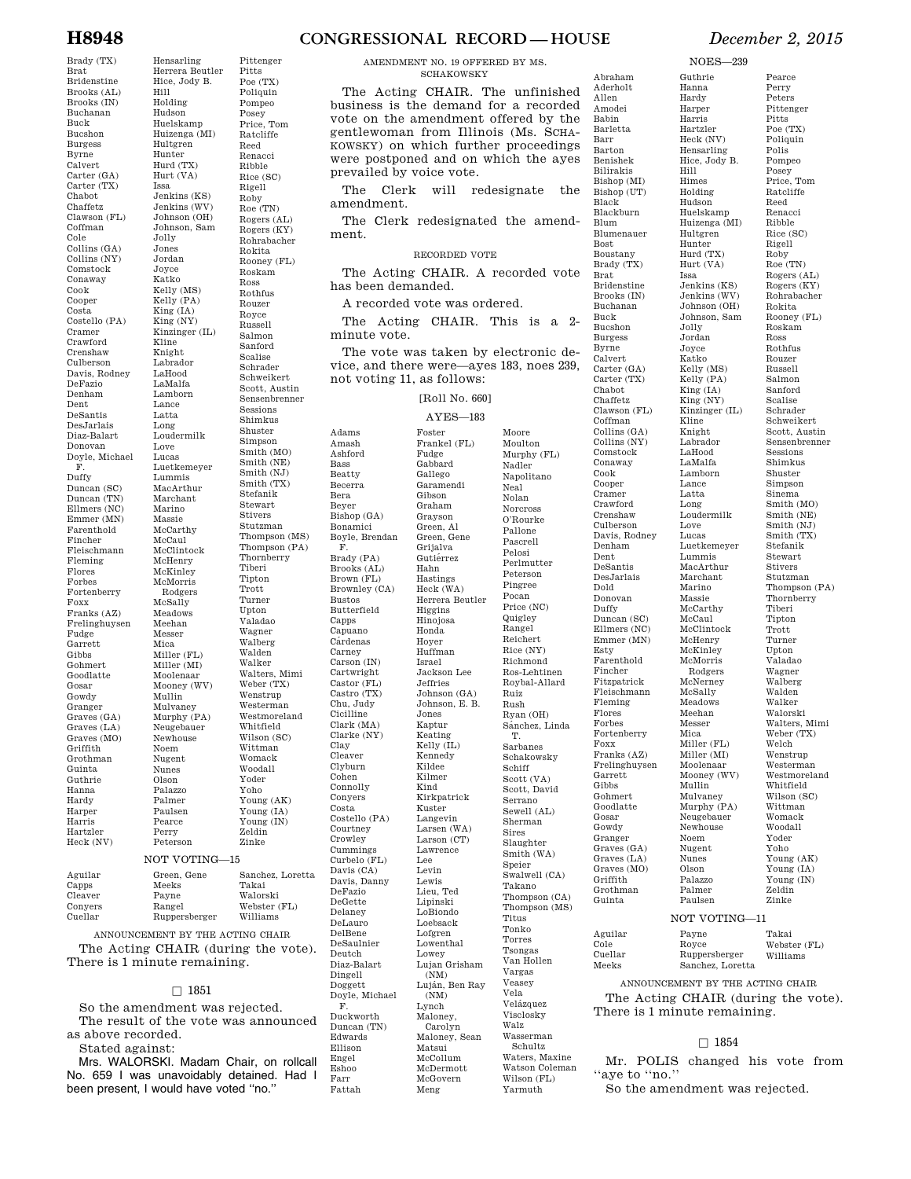Hensarling

Pittenger

Hill

Issa

Brady (TX) Brat Bridenstine Brooks (AL) Brooks (IN) Buchanan Buck Bucshon Burgess Byrne Calvert Carter (GA) Carter (TX) Chabot Chaffetz Clawson (FL) Coffman Cole Collins (GA) Collins (NY) Comstock Conaway Cook Cooper Costa Costello (PA) Cramer Crawford Crenshaw Culberson Davis, Rodney DeFazio Denham Dent DeSantis DesJarlais Diaz-Balart Donovan Doyle, Michael F. Duffy Duncan (SC) Duncan (TN) Ellmers (NC) Emmer (MN) Farenthold Fincher Fleischmann Fleming Flores Forbes Fortenberry Foxx Franks (AZ) Frelinghuysen Fudge Garrett Gibbs Gohmert Goodlatte Gosar Gowdy Granger Graves (GA) Graves (LA) Graves (MO) Griffith Grothman Guinta Guthrie Hanna Hardy Harper Harris Hartzler Heck (NV)

Herrera Beutler Hice, Jody B. Holding Hudson Huelskamp Huizenga (MI) Hultgren Hunter Hurd (TX) Hurt (VA) Jenkins (KS) Jenkins (WV) Johnson (OH) Johnson, Sam Jolly Jones Jordan Joyce Katko Kelly (MS) Kelly (PA) King (IA) King (NY) Kinzinger (IL) Kline Knight Labrador LaHood LaMalfa Lamborn Lance Latta Long Loudermilk Love Lucas Luetkemeyer Lummis MacArthur Marchant Marino Massie McCarthy McCaul McClintock McHenry McKinley McMorris Rodgers McSally Meadows Meehan Messer Mica Miller (FL) Miller (MI) Moolenaar Mooney (WV) Mullin Mulvaney Murphy (PA) Neugebauer Newhouse Noem Nugent Nunes Olson Palazzo Palmer Paulsen Pearce Perry Peterson Pitts Poe (TX) Poliquin Pompeo Posey Price, Tom Ratcliffe Reed Renacci Ribble Rice (SC) Rigell Roby Roe (TN) Rogers (AL) Rogers (KY) Rohrabacher Rokita Rooney (FL) Roskam Ross Rothfus Rouzer Royce Russell Salmon Sanford Scalise Schrader Schweikert Scott, Austin Sensenbrenner Sessions Shimkus Shuster Simpson Smith (MO) Smith (NE) Smith (NJ) Smith (TX) Stefanik Stewart Stivers Stutzman Thompson (MS) Thompson (PA) Thornberry Tiberi Tipton Trott Turner Upton Valadao Wagner Walberg Walden Walker Walters, Mimi Weber (TX) Wenstrup Westerman Westmoreland Whitfield Wilson (SC) Wittman Womack Woodall Yoder Yoho Young (AK) Young (IA) Young (IN) Zeldin Zinke NOT VOTING—15  $\cos C$ Sanchez, Loretta Takai

| Aguilar | Green, Gene   | Sanchez, Loretta |
|---------|---------------|------------------|
| Capps   | Meeks         | Takai            |
| Cleaver | Payne         | Walorski         |
| Convers | Rangel        | Webster (FL)     |
| Cuellar | Ruppersberger | Williams         |

ANNOUNCEMENT BY THE ACTING CHAIR The Acting CHAIR (during the vote). There is 1 minute remaining.

### $\square$  1851

So the amendment was rejected. The result of the vote was announced as above recorded.

Stated against:

Mrs. WALORSKI. Madam Chair, on rollcall No. 659 I was unavoidably detained. Had I been present, I would have voted "no."

## **H8948 CONGRESSIONAL RECORD — HOUSE** *December 2, 2015*

#### AMENDMENT NO. 19 OFFERED BY MS. **SCHAKOWSKY**

The Acting CHAIR. The unfinished business is the demand for a recorded vote on the amendment offered by the gentlewoman from Illinois (Ms. SCHA-KOWSKY) on which further proceedings were postponed and on which the ayes prevailed by voice vote.

The Clerk will redesignate the amendment.

The Clerk redesignated the amendment.

### RECORDED VOTE

The Acting CHAIR. A recorded vote has been demanded.

A recorded vote was ordered.

Foster

Fudge Gabbard Gallego

Gibson Graham Grayson Green, Al

Grijalva Gutiérrez Hahn Hastings

Higgins Hinojosa Honda Hoyer Huffman Israel

Jeffries

Jones Kaptur Keating Kelly (IL) Kennedy Kildee Kilmer Kind

Kuster Langevin

Lawrence Lee Levin Lewis Lieu, Ted Lipinski LoBiondo Loebsack Lofgren

Lowey

(NM) Lynch Maloney, Carolyn

Matsui McCollum

McGovern Meng

The Acting CHAIR. This is a 2 minute vote.

The vote was taken by electronic device, and there were—ayes 183, noes 239, not voting 11, as follows:

## [Roll No. 660]

### AYES—183

Adams Amash Ashford Bass Beatty Becerra Bera Beyer Bishop (GA) Bonamici Boyle, Brendan F. Brady (PA) Brooks (AL) Brown (FL) Brownley (CA) Bustos Butterfield Capps Capuano<br>Cárdenas Carney Carson (IN) Cartwright Castor (FL) Castro (TX) Chu, Judy Cicilline Clark (MA) Clarke (NY) Clay Cleaver Clyburn Cohen Connolly Conyers Costa Costello (PA) Courtney Crowley Cummings Curbelo (FL) Davis (CA) Davis, Danny DeFazio DeGette Delaney DeLauro DelBene DeSaulnier Deutch Diaz-Balart Dingell Doggett Doyle, Michael F. Duckworth Duncan (TN) Edwards Ellison Engel Eshoo Farr Fattah

Frankel (FL) Garamendi Green, Gene Heck (WA) Herrera Beutler Jackson Lee Johnson (GA) Johnson, E. B. Kirkpatrick Larsen (WA) Larson (CT) Lowenthal Lujan Grisham (NM) Luja´n, Ben Ray Maloney, Sean McDermott Moore Moulton Murphy (FL) Nadler Napolitano Neal Nolan Norcross O'Rourke Pallone Pascrell Pelosi Perlmutter Peterson Pingree Pocan Price (NC) Quigley Rangel Reichert Rice (NY) Richmond Ros-Lehtinen Roybal-Allard Ruiz Rush Ryan (OH) Sánchez, Linda T. Sarbanes Schakowsky Schiff Scott (VA) Scott, David Serrano Sewell (AL) Sherman Sires Slaughter Smith (WA) Speier Swalwell (CA) Takano Thompson (CA) Thompson (MS) Titus Tonko Torres Tsongas Van Hollen Vargas Veasey Vela Velázquez Visclosky Walz Wasserman Schultz Waters, Maxine Watson Coleman Wilson (FL) Yarmuth

Babin Barletta Barr Barton Benishek Bilirakis Bishop (MI) Bishop (UT) Black Blackburn Blum Blumenauer Bost Boustany Brady (TX) Brat Bridenstine Brooks (IN) Buchanan Buck Bucshon Burgess Byrne Calvert Carter (GA) Carter (TX) Chabot Chaffetz Clawson (FL) Coffman Collins (GA) Collins (NY) Comstock Conaway Cook Cooper Cramer Crawford Crenshaw Culberson Davis, Rodney Denham Dent DeSantis DesJarlais Dold Donovan Duffy Duncan (SC) Ellmers (NC) Emmer (MN) Esty Farenthold Fincher Fitzpatrick Fleischmann Fleming Flores Forbes Fortenberry Foxx Franks (AZ) Frelinghuysen Garrett Gibbs Gohmert Goodlatte Gosar Gowdy Granger Graves (GA) Graves (LA) Graves (MO) Griffith Grothman Guinta Aguilar Cole Cuellar Meeks

Abraham Aderholt Allen Amodei

NOES—239

Guthrie Hanna Hardy Harper Harris Hartzler

Hill Himes Holding Hudson

Hultgren Hunter

Issa

Jolly Jordan Joyce Katko

Kline Knight Labrador LaHood LaMalfa Lamborn Lance Latta Long

Love Lucas

Lummis

Marino Massie

McCaul

McHenry McKinley

McSally Meadows Meehan Messer Mica

Mullin Mulvaney

Noem Nugent Nunes Olson Palazzo Palmer Paulsen

Payne Royce Ruppersberger Sanchez, Loretta

Heck (NV) Hensarling Hice, Jody B. Huelskamp Huizenga (MI) Hurd (TX) Hurt (VA) Jenkins (KS) Jenkins (WV) Johnson (OH) Johnson, Sam Kelly (MS) Kelly (PA) King (IA) King (NY) Kinzinger (IL) Loudermilk Luetkemeyer MacArthur Marchant McCarthy McClintock McMorris Rodgers McNerney Miller (FL) Miller (MI) Moolenaar Mooney (WV) Murphy (PA) Neugebauer Newhouse Pearce Perry Peters Pittenger Pitts Poe (TX) Poliquin Polis Pompeo Posey Price, Tom Ratcliffe Reed Renacci Ribble Rice (SC) Rigell Roby<br>Roe (TN) Rogers (AL) Rogers (KY) Rohrabacher Rokita Rooney (FL) Roskam Ross Rothfus Rouzer Russell Salmon Sanford Scalise Schrader Schweikert Scott, Austin Sensenbrenner Sessions Shimkus Shuster Simpson Sinema Smith (MO) Smith (NE) Smith (NJ) Smith (TX) Stefanik Stewart Stivers Stutzman Thompson (PA) Thornberry Tiberi Tipton Trott Turner Upton Valadao Wagner Walberg Walden Walker Walorski Walters, Mimi Weber (TX) Welch Wenstrup Westerman Westmoreland Whitfield Wilson (SC) Wittman Womack Woodall Yoder Yoho Young (AK) Young (IA) Young (IN) Zeldin Zinke NOT VOTING—11 Takai Webster (FL)

ANNOUNCEMENT BY THE ACTING CHAIR The Acting CHAIR (during the vote). There is 1 minute remaining.

Williams

### $\Box$  1854

Mr. POLIS changed his vote from "aye to "no."

So the amendment was rejected.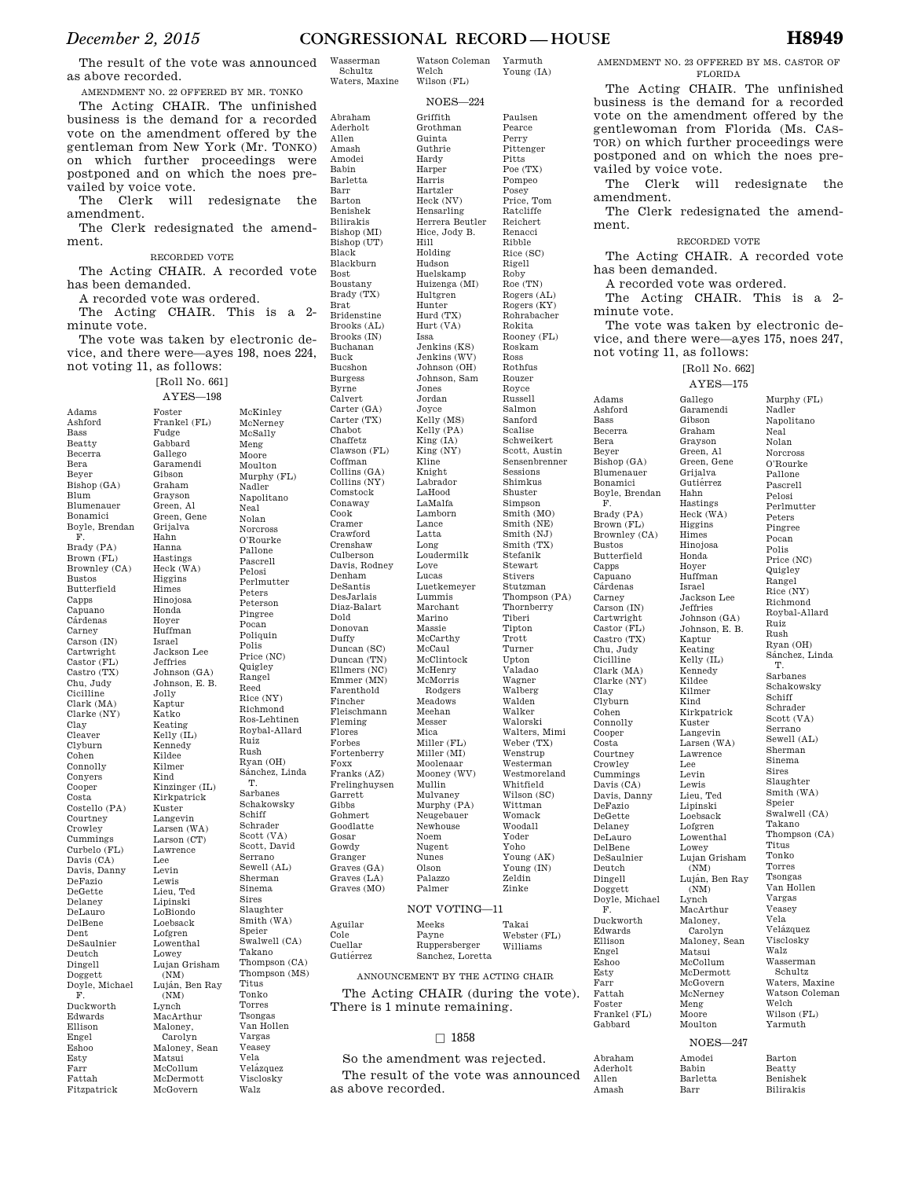Yarmuth Young (IA)

Welch

The result of the vote was announced as above recorded.

AMENDMENT NO. 22 OFFERED BY MR. TONKO The Acting CHAIR. The unfinished

business is the demand for a recorded vote on the amendment offered by the gentleman from New York (Mr. TONKO) on which further proceedings were postponed and on which the noes prevailed by voice vote.

The Clerk will redesignate the amendment.

The Clerk redesignated the amendment.

#### RECORDED VOTE

The Acting CHAIR. A recorded vote has been demanded.

A recorded vote was ordered.

The Acting CHAIR. This is a 2 minute vote.

The vote was taken by electronic device, and there were—ayes 198, noes 224, not voting 11, as follows:

[Roll No. 661]

Adams Ashford Beatty Becerra Beyer Bishop (GA) Blum Blumenauer Bonamici Boyle, Brendan Brady (PA) Brown (FL) Brownley (CA) Bustos Butterfield Capps Capuano Cárdenas Carney Carson (IN) Cartwright Castor (FL) Castro (TX) Chu, Judy Cicilline Clark (MA) Clarke (NY) Cleaver Clyburn Cohen Connolly Conyers Cooper Costa Costello (PA) Courtney Crowley Cummings Curbelo (FL) Davis (CA) Davis, Danny DeFazio DeGette Delaney DeLauro DelBene Dent DeSaulnier Deutch Dingell Foster Frankel (FL) Fudge Gabbard Gallego Garamendi Gibson Graham Grayson Green, Al Green, Gene Grijalva Hahn Hanna Hastings Heck (WA) Higgins Himes Hinojosa Honda Hoyer Huffman Israel Jackson Lee Jeffries Johnson (GA) Johnson, E. B. Jolly Kaptur Katko Keating Kelly (IL) Kennedy Kildee Kilmer Kind Kinzinger (IL) Kirkpatrick Kuster Langevin Larsen (WA) Larson (CT) Lawrence Lee Levin Lewis Lieu, Ted Lipinski LoBiondo Loebsack Lofgren Lowenthal Lowey

Bass

Bera

F.

Clay

Doggett Doyle, Michael F. Duckworth Edwards Ellison Engel Eshoo Esty Farr Fattah Fitzpatrick

(NM)

(NM) Lynch MacArthur Maloney, Carolyn

Matsui McCollum McDermott McGovern

AYES—198 Lujan Grisham Luján, Ben Ray Maloney, Sean McKinley McNerney McSally Meng Moore Moulton Murphy (FL) Nadler Napolitano Neal Nolan Norcross O'Rourke Pallone Pascrell Pelosi Perlmutter Peters Peterson Pingree Pocan Poliquin Polis Price (NC) Quigley Rangel Reed Rice (NY) Richmond Ros-Lehtinen Roybal-Allard Ruiz Rush Ryan (OH) Sánchez, Linda T. Sarbanes Schakowsky Schiff Schrader Scott (VA) Scott, David Serrano Sewell (AL) Sherman Sinema Sires Slaughter Smith (WA) Speier Swalwell (CA) Takano Thompson (CA) Thompson (MS) Titus Tonko Torres Tsongas Van Hollen Vargas Veasey Vela Velázquez Visclosky

Walz

Schultz Waters, Maxine Abraham Aderholt Allen Amash Amodei Babin Barletta Barr Barton Benishek Bilirakis Bishop (MI) Bishop (UT) Black Blackburn Bost Boustany Brady (TX) Brat Bridenstine Brooks (AL) Brooks (IN) Buchanan Buck Bucshon Burgess Byrne Calvert Carter (GA) Carter (TX) Chabot Chaffetz Clawson (FL) Coffman Collins (GA) Collins (NY) Comstock Conaway Cook Cramer Crawford Crenshaw Culberson Davis, Rodney Denham DeSantis DesJarlais Diaz-Balart Dold Donovan Duffy Duncan (SC) Duncan (TN) Ellmers (NC) Emmer (MN) Farenthold Fincher Fleischmann Fleming Flores Forbes Fortenberry Foxx Franks (AZ) Frelinghuysen Garrett Gibbs Gohmert Goodlatte Gosar Gowdy Granger Graves (GA) Graves (LA) Graves (MO)  $A<sub>9</sub>$  $\sim$  $Cu$ 

Wasserman

Wilson (FL) NOES—224 Griffith Grothman Guinta Guthrie Hardy Harper Harris Hartzler Heck (NV) Hensarling Herrera Beutler Hice, Jody B. Hill Holding Hudson Huelskamp Huizenga (MI) Hultgren Hunter Hurd (TX) Hurt (VA) Issa Jenkins (KS) Jenkins (WV) Johnson (OH) Johnson, Sam Jones Jordan Joyce Kelly (MS) Kelly (PA) King (IA) King (NY) Kline Knight Labrador LaHood LaMalfa Lamborn Lance Latta Long Loudermilk Love Lucas Luetkemeyer Lummis Marchant Marino Massie McCarthy McCaul McClintock McHenry McMorris Rodgers Meadows Meehan Messer Mica Miller (FL) Miller (MI) Moolenaar Mooney (WV) Mullin Mulvaney Murphy (PA) Neugebauer Newhouse Noem Nugent Nunes Olson Palazzo Palmer Meeks

Paulsen Pearce Perry Pittenger Pitts Poe (TX) Pompeo Posey Price, Tom Ratcliffe Reichert Renacci Ribble Rice (SC) Rigell Roby Roe (TN) Rogers (AL) Rogers (KY) Rohrabacher Rokita Rooney (FL) Roskam Ross Rothfus Rouzer Royce Russell Salmon Sanford Scalise Schweikert Scott, Austin Sensenbrenner Sessions Shimkus Shuster Simpson Smith (MO) Smith (NE) Smith (NJ) Smith (TX) Stefanik Stewart Stivers Stutzman Thompson (PA) Thornberry Tiberi Tipton Trott Turner Upton Valadao Wagner Walberg Walden Walker Walorski Walters, Mimi Weber (TX) Wenstrup Westerman Westmoreland Whitfield Wilson (SC) Wittman Womack Woodall Yoder Yoho Young (AK) Young (IN) Zeldin Zinke

Adams

### NOT VOTING—11

| Aguilar   | Meeks            | Takai        |
|-----------|------------------|--------------|
| Cole      | Payne            | Webster (FL) |
| Cuellar   | Ruppersberger    | Williams     |
| Gutiérrez | Sanchez, Loretta |              |

ANNOUNCEMENT BY THE ACTING CHAIR The Acting CHAIR (during the vote). There is 1 minute remaining.

### $\Box$  1858

So the amendment was rejected. The result of the vote was announced as above recorded.

AMENDMENT NO. 23 OFFERED BY MS. CASTOR OF FLORIDA

The Acting CHAIR. The unfinished business is the demand for a recorded vote on the amendment offered by the gentlewoman from Florida (Ms. CAS-TOR) on which further proceedings were postponed and on which the noes prevailed by voice vote.

The Clerk will redesignate the amendment.

The Clerk redesignated the amendment.

### RECORDED VOTE

The Acting CHAIR. A recorded vote has been demanded.

A recorded vote was ordered.

Gallego

The Acting CHAIR. This is a 2 minute vote.

The vote was taken by electronic device, and there were—ayes 175, noes 247, not voting 11, as follows:

### [Roll No. 662] AYES—175

Ashford Bass Becerra Bera Beyer Bishop (GA) Blumenauer Bonamici Boyle, Brendan F. Brady (PA) Brown (FL) Brownley (CA) Bustos Butterfield Capps Capuano Cárdenas Carney Carson (IN) Cartwright Castor (FL) Castro (TX) Chu, Judy Cicilline Clark (MA) Clarke (NY) Clay Clyburn Cohen Connolly Cooper Costa Courtney Crowley Cummings Davis (CA) Davis, Danny DeFazio DeGette Delaney DeLauro DelBene DeSaulnier Deutch Dingell Doggett Doyle, Michael F. Duckworth Edwards Ellison Engel Eshoo Esty Farr Fattah Foster Frankel (FL) Gabbard Garamendi Gibson Graham Grayson Green, Al Green, Gene Grijalva Gutiérrez Hahn Hastings Heck (WA) Higgins Himes Hinojosa Honda Hoyer Huffman Israel Jackson Lee Jeffries Johnson (GA) Johnson, E. B. Kaptur Keating Kelly (IL) Kennedy Kildee Kilmer Kind Kirkpatrick Kuster Langevin Larsen (WA) Lawrence Lee Levin Lewis<br>Lieu, Ted Lipinski Loebsack Lofgren Lowenthal Lowey Lujan Grisham Luján, Ben Ray Lynch MacArthur Maloney, Maloney, Sean Matsui McCollum McDermott McGovern McNerney Meng Moore Moulton Abraham Amodei

Aderholt Allen Amash

 $(NM)$ 

 $(NM)$ 

Carolyn

NOES—247

Babin Barletta Barr

Murphy (FL) Nadler Napolitano Neal Nolan Norcross O'Rourke Pallone Pascrell Pelosi Perlmutter Peters Pingree Pocan Polis Price (NC) Quigley Rangel Rice (NY) Richmond Roybal-Allard Ruiz Rush Ryan (OH) Sánchez, Linda T. Sarbanes Schakowsky Schiff Schrader Scott (VA) Serrano Sewell (AL) Sherman Sinema Sires Slaughter Smith (WA) Speier Swalwell (CA) Takano Thompson (CA) Titus Tonko Torres Tsongas Van Hollen Vargas Veasey Vela Velázquez Visclosky Walz Wasserman Schultz Waters, Maxine Watson Coleman Welch Wilson (FL) Yarmuth Barton

Beatty Benishek Bilirakis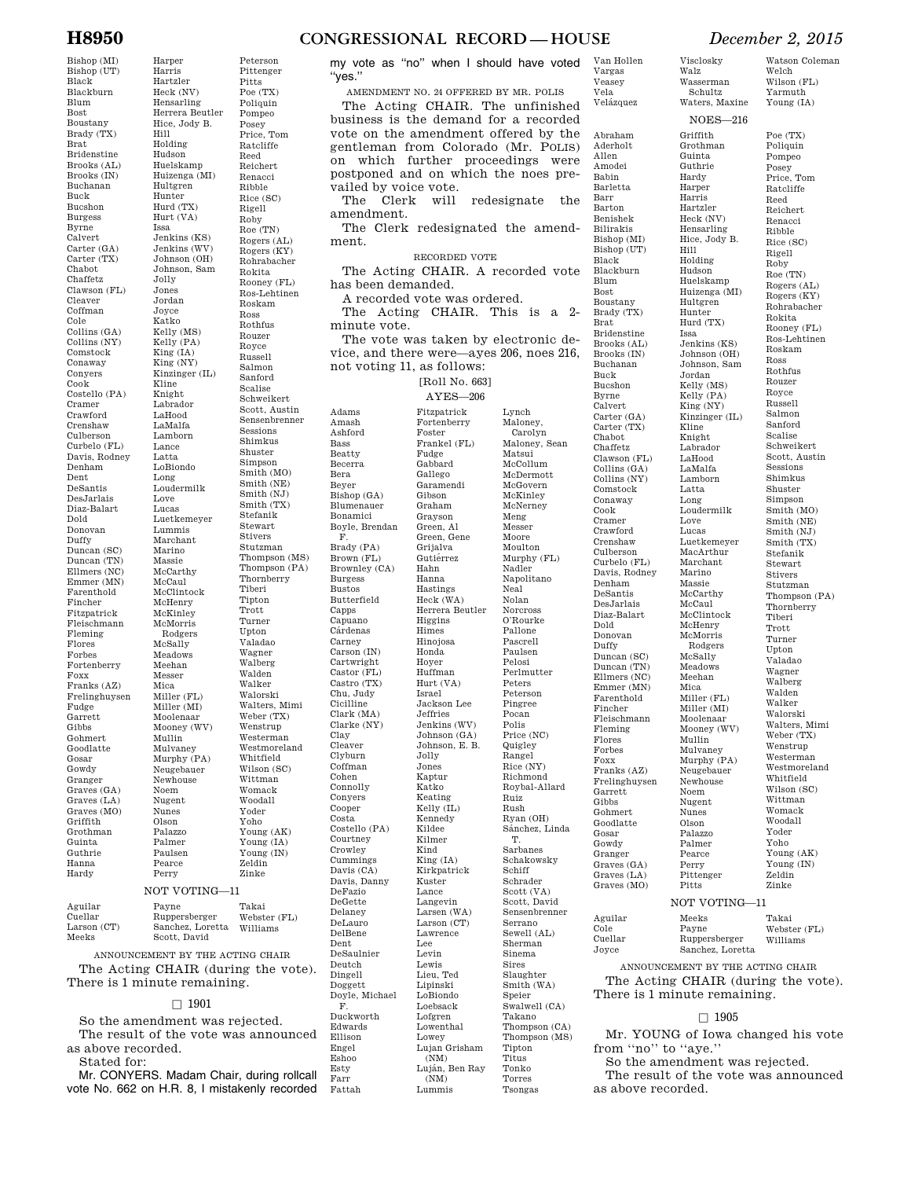## **H8950 CONGRESSIONAL RECORD — HOUSE** *December 2, 2015*

# Bishop (MI)

Harper

Peterson

Hill

Issa

Bishop (UT) Black Blackburn Blum Bost Boustany Brady (TX) Brat Bridenstine Brooks (AL) Brooks (IN) Buchanan Buck Bucshon Burgess Byrne Calvert Carter (GA) Carter (TX) Chabot Chaffetz Clawson (FL) Cleaver Coffman Cole Collins (GA) Collins (NY) Comstock Conaway Conyers Cook Costello (PA) Cramer Crawford Crenshaw Culberson Curbelo (FL) Davis, Rodney Denham Dent DeSantis DesJarlais Diaz-Balart Dold Donovan Duffy Duncan (SC) Duncan (TN) Ellmers (NC) Emmer (MN) Farenthold Fincher Fitzpatrick Fleischmann Fleming Flores Forbes Fortenberry Foxx Franks (AZ) Frelinghuysen Fudge Garrett Gibbs Gohmert Goodlatte Gosar Gowdy Granger Graves (GA) Graves (LA) Graves (MO) Griffith Grothman Guinta Guthrie Hanna Hardy

Harris Hartzler Heck (NV) Hensarling Herrera Beutler Hice, Jody B. Holding Hudson Huelskamp Huizenga (MI) Hultgren Hunter Hurd (TX) Hurt (VA) Jenkins (KS) Jenkins (WV) Johnson (OH) Johnson, Sam Jolly Jones Jordan Joyce Katko Kelly (MS) Kelly (PA) King (IA) King (NY) Kinzinger (IL) Kline Knight Labrador LaHood LaMalfa Lamborn Lance Latta LoBiondo Long Loudermilk Love Lucas Luetkemeyer Lummis Marchant Marino Massie McCarthy McCaul McClintock McHenry McKinley McMorris Rodgers McSally Meadows Meehan Messer Mica Miller (FL) Miller (MI) Moolenaar Mooney (WV) Mullin Mulvaney Murphy (PA) Neugebauer Newhouse Noem Nugent Nunes Olson Palazzo Palmer Paulsen Pearce Perry Pittenger Pitts Poe (TX) Poliquin Pompeo Posey Price, Tom Ratcliffe Reed Reichert Renacci Ribble Rice (SC) Rigell Roby Roe (TN) Rogers (AL) Rogers (KY) Rohrabacher Rokita Rooney (FL) Ros-Lehtinen Roskam Ross Rothfus Rouzer Royce Russell Salmon Sanford Scalise Schweikert Scott, Austin Sensenbrenner Sessions Shimkus Shuster Simpson Smith (MO) Smith (NE)  $Smith (N,I)$ Smith (TX) Stefanik Stewart Stivers Stutzman Thompson (MS) Thompson (PA) Thornberry Tiberi Tipton Trott Turner Upton Valadao Wagner Walberg Walden Walker Walorski Walters, Mimi Weber (TX) Wenstrup Westerman Westmoreland Whitfield Wilson (SC) Wittman Womack Woodall Yoder Yoho Young (AK) Young (IA) Young (IN) Zeldin Zinke NOT VOTING—11

| Aguilar              | Payne                            | Takai        |
|----------------------|----------------------------------|--------------|
| Cuellar              | Ruppersberger                    | Webster (FL) |
| Larson (CT)<br>Meeks | Sanchez, Loretta<br>Scott, David | Williams     |

ANNOUNCEMENT BY THE ACTING CHAIR The Acting CHAIR (during the vote). There is 1 minute remaining.

### $\Box$  1901

So the amendment was rejected. The result of the vote was announced as above recorded. Stated for:

Mr. CONYERS. Madam Chair, during rollcall vote No. 662 on H.R. 8, I mistakenly recorded Esty Farr Fattah

my vote as ''no'' when I should have voted ''yes.''

AMENDMENT NO. 24 OFFERED BY MR. POLIS The Acting CHAIR. The unfinished business is the demand for a recorded vote on the amendment offered by the gentleman from Colorado (Mr. POLIS) on which further proceedings were postponed and on which the noes prevailed by voice vote.

The Clerk will redesignate the amendment.

The Clerk redesignated the amendment.

RECORDED VOTE

The Acting CHAIR. A recorded vote has been demanded.

A recorded vote was ordered.

Adams Amash Ashford Bass Beatty Becerra Bera Beyer

F.

Burgess Bustos

Capps Capuano Cárdenas Carney

Cicilline

Courtney Crowley

DeFazio DeGette Delaney DeLauro DelBene Dent

Deutch Dingell Doggett

Edwards Ellison Engel Eshoo

Clay Cleaver Clyburn Coffman Cohen Connolly Conyers Cooper Costa

The Acting CHAIR. This is a 2 minute vote.

The vote was taken by electronic device, and there were—ayes 206, noes 216, not voting 11, as follows:

[Roll No. 663]

AYES—206

Bishop (GA) Blumenauer Bonamici Boyle, Brendan Brady (PA) Brown (FL) Brownley (CA) Butterfield Carson (IN) Cartwright Castor (FL) Castro (TX) Chu, Judy Clark (MA) Clarke (NY) Costello (PA) Cummings Davis (CA) Davis, Danny DeSaulnier Doyle, Michael F. Duckworth Fitzpatrick Fortenberry Foster Frankel (FL) Fudge Gabbard Gallego Garamendi Gibson Graham Grayson Green, Al Green, Gene Grijalva Gutiérrez Hahn Hanna Hastings Heck (WA) Herrera Beutler Higgins Himes Hinojosa Honda Hoyer Huffman Hurt (VA) Israel Jackson Lee Jeffries Jenkins (WV) Johnson (GA) Johnson, E. B. Jolly Jones Kaptur Katko Keating Kelly (IL) Kennedy Kildee Kilmer Kind King (IA) Kirkpatrick Kuster Lance Langevin Larsen (WA) Larson (CT) Lawrence Lee Levin Lewis Lieu, Ted Lipinski LoBiondo Loebsack Lofgren Lowenthal Lowey Lujan Grisham (NM) Luján, Ben Ray  $(NM)$ Lummis

Lynch Maloney, Carolyn Maloney, Sean Matsui McCollum McDermott McGovern McKinley McNerney Meng Messer Moore Moulton Murphy (FL) Nadler Napolitano Neal Nolan Norcross O'Rourke Pallone Pascrell Paulsen Pelosi Perlmutter Peters Peterson Pingree Pocan Polis Price (NC) Quigley Rangel Rice (NY) Richmond Roybal-Allard Ruiz Rush Ryan (OH) Sánchez, Linda T. Sarbanes Schakowsky Schiff Schrader Scott (VA) Scott, David Sensenbrenner Serrano Sewell (AL) Sherman Sinema Sires Slaughter Smith (WA) Speier Swalwell (CA) Takano Thompson (CA) Thompson (MS) Tipton Titus Tonko

Torres Tsongas

Vela Velázquez Abraham Aderholt Allen Amodei Babin Barletta Barr Barton Benishek Bilirakis Bishop (MI) Bishop (UT) Black Blackburn Blum Bost Boustany Brady (TX) Brat Bridenstine Brooks (AL) Brooks (IN) Buchanan Buck Bucshon Byrne Calvert Carter (GA) Carter (TX) Chabot Chaffetz Clawson (FL) Collins (GA) Collins (NY) Comstock Conaway Cook Cramer Crawford Crenshaw Culberson Curbelo (FL) Davis, Rodney Denham DeSantis DesJarlais Diaz-Balart Dold Donovan Duffy Duncan (SC) Duncan (TN) Ellmers (NC) Emmer (MN) Farenthold Fincher Fleischmann Fleming Flores Forbes Foxx Franks (AZ) Frelinghuysen Garrett **Gibbs** Gohmert Goodlatte Gosar Gowdy Granger Graves (GA) Graves (LA) Graves (MO) Aguilar Cole Cuellar Joyce

Van Hollen Vargas Veasey

Visclosky Walz Wasserman Schultz Waters, Maxine

Griffith Grothman Guinta Guthrie Hardy Harper Harris Hartzler Heck (NV) Hensarling Hice, Jody B. Hill Holding Hudson Huelskamp Huizenga (MI) Hultgren Hunter Hurd (TX) Issa Jenkins (KS) Johnson (OH) Johnson, Sam Jordan Kelly (MS) Kelly (PA) King (NY) Kinzinger (IL) Kline Knight Labrador LaHood LaMalfa Lamborn Latta Long Loudermilk Love Lucas Luetkemeyer MacArthur Marchant Marino Massie McCarthy McCaul McClintock McHenry McMorris Rodgers McSally Meadows Meehan Mica Miller (FL) Miller (MI) Moolenaar Mooney (WV) Mullin Mulvaney Murphy (PA) Neugebauer Newhouse Noem Nugent Nunes Olson Palazzo Palmer Pearce Perry Pittenger Pitts

NOES—216

Watson Coleman Welch Wilson (FL) Yarmuth

Young (IA) Poe (TX) Poliquin Pompeo Posey Price, Tom Ratcliffe Reed Reichert Renacci Ribble Rice (SC) Rigell Roby Roe (TN) Rogers (AL) Rogers (KY) Rohrabacher Rokita Rooney (FL) Ros-Lehtinen Roskam Ross Rothfus Rouzer Royce Russell Salmon Sanford Scalise Schweikert Scott, Austin Sessions Shimkus Shuster Simpson Smith (MO) Smith (NE) Smith (NJ) Smith (TX) Stefanik Stewart Stivers Stutzman Thompson (PA) Thornberry Tiberi Trott Turner Upton Valadao Wagner Walberg Walden Walker Walorski Walters, Mimi Weber (TX) Wenstrup Westerman Westmoreland Whitfield Wilson (SC) Wittman Womack Woodall

NOT VOTING—11 Meeks Payne Ruppersberger Sanchez, Loretta Takai Webster (FL) Williams

ANNOUNCEMENT BY THE ACTING CHAIR The Acting CHAIR (during the vote). There is 1 minute remaining.

Yoder Yoho Young (AK) Young (IN) Zeldin Zinke

### $\square$  1905

Mr. YOUNG of Iowa changed his vote from ''no'' to ''aye.''

So the amendment was rejected.

The result of the vote was announced as above recorded.